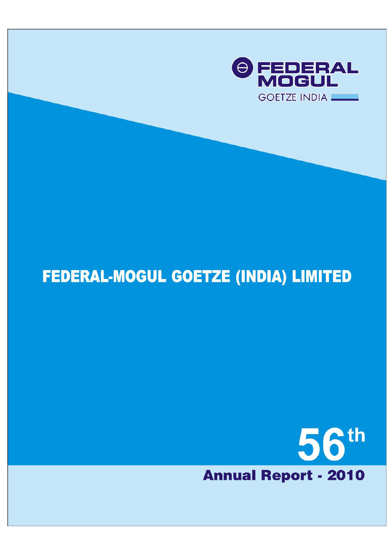

# **FEDERAL-MOGUL GOETZE (INDIA) LIMITED**

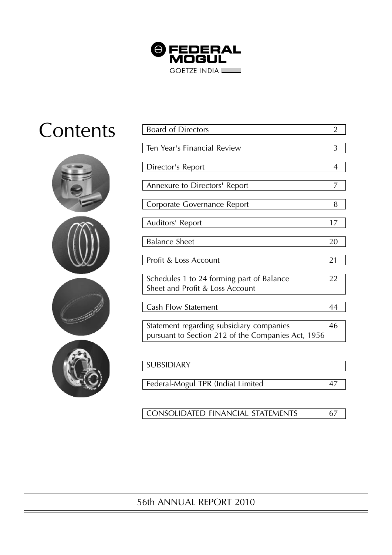

# **Contents**



| <b>Board of Directors</b>                          | $\overline{2}$ |
|----------------------------------------------------|----------------|
|                                                    |                |
| Ten Year's Financial Review                        | 3              |
|                                                    |                |
| Director's Report                                  | 4              |
|                                                    |                |
| Annexure to Directors' Report                      | 7              |
|                                                    |                |
| Corporate Governance Report                        | 8              |
|                                                    |                |
| Auditors' Report                                   | 17             |
|                                                    |                |
| <b>Balance Sheet</b>                               | 20             |
|                                                    |                |
| Profit & Loss Account                              | 21             |
|                                                    |                |
| Schedules 1 to 24 forming part of Balance          | 22             |
| Sheet and Profit & Loss Account                    |                |
|                                                    |                |
| Cash Flow Statement                                | 44             |
|                                                    |                |
| Statement regarding subsidiary companies           | 46             |
| pursuant to Section 212 of the Companies Act, 1956 |                |
|                                                    |                |
|                                                    |                |
| <b>SUBSIDIARY</b>                                  |                |
|                                                    |                |
| Federal-Mogul TPR (India) Limited                  | 47             |

CONSOLIDATED FINANCIAL STATEMENTS 67

## 56th ANNUAL REPORT 2010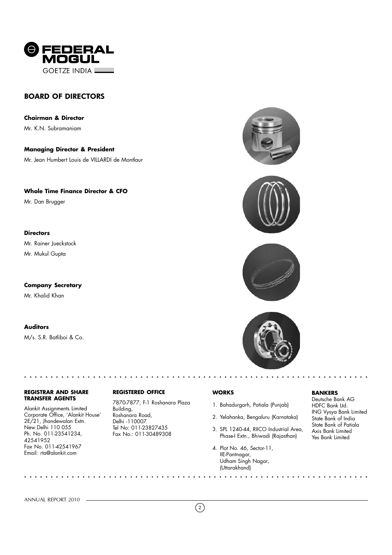

### BOARD OF DIRECTORS

**Chairman & Director** Mr. K.N. Subramaniam

**Managing Director & President** Mr. Jean Humbert Louis de VILLARDI de Montlaur

**Whole Time Finance Director & CFO**

Mr. Dan Brugger

#### **Directors**

Mr. Rainer Jueckstock Mr. Mukul Gupta

**Company Secretary** Mr. Khalid Khan

#### **Auditors**

M/s. S.R. Batliboi & Co.

#### **REGISTRAR AND SHARE TRANSFER AGENTS**

○○○○○○○○○○○○○○○○○○○○○○○○○ ○○○○○○○○○○○○○○○○○○○○○○○○○○○○○○○○○○○○○○○○○

○○○○○○○○○○○○○○○○○○○○○○○○○ ○○○○○○○○○○○○○○○○○○○○○○○○○○○○○○○○○○○○○○○○○

Alankit Assignments Limited Corporate Office, 'Alankit House' 2E/21, Jhandewalan Extn. New Delhi 110 055 Ph. No. 011-23541234, 42541952 Fax No. 011-42541967 Email: rta@alankit.com

#### **REGISTERED OFFICE**

7870-7877, F-1 Roshanara Plaza Building, Roshanara Road, Delhi -110007 Tel No: 011-23827435 Fax No.: 011-30489308







#### **WORKS**

- 1. Bahadurgarh, Patiala (Punjab)
- 2. Yelahanka, Bengaluru (Karnataka)
- 3. SPL 1240-44, RIICO Industrial Area, Phase-I Extn., Bhiwadi (Rajasthan)
- 4. Plot No. 46, Sector-11, IIE-Pantnagar, Udham Singh Nagar, (Uttarakhand)

#### **BANKERS**

Deutsche Bank AG HDFC Bank Ltd. ING Vysya Bank Limited State Bank of India State Bank of Patiala Axis Bank Limited Yes Bank Limited

ANNUAL REPORT 2010

 $\left( 2\right)$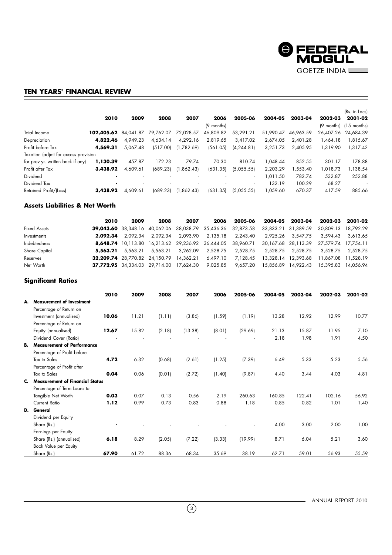

#### **TEN YEARS' FINANCIAL REVIEW**

|                                      | 2010       | 2009      | 2008      | 2007       | 2006       | 2005-06                  | 2004-05   | 2003-04   | 2002-03   | (Rs. in Lacs)<br>2001-02 |
|--------------------------------------|------------|-----------|-----------|------------|------------|--------------------------|-----------|-----------|-----------|--------------------------|
|                                      |            |           |           |            | (9 months) |                          |           |           |           | (9 months) (15 months)   |
| Total Income                         | 102,405.62 | 84.041.87 | 79,762.07 | 72,028.57  | 46.809.82  | 53.291.21                | 51.990.47 | 46.963.59 | 26.407.26 | 24.684.39                |
| Depreciation                         | 4,822.46   | 4.949.23  | 4,634.14  | 4,292.16   | 2,819.65   | 3,417.02                 | 2.674.05  | 2.401.28  | 1.464.18  | 1,815.67                 |
| Profit before Tax                    | 4,569.31   | 5,067.48  | (517.00)  | (1,782.69) | (561.05)   | (4, 244.81)              | 3.251.73  | 2.405.95  | 1.319.90  | 1.317.42                 |
| Taxation (adjmt for excess provision |            |           |           |            |            |                          |           |           |           |                          |
| for prev yr. written back if any)    | 1,130.39   | 457.87    | 172.23    | 79.74      | 70.30      | 810.74                   | 048.44    | 852.55    | 301.17    | 178.88                   |
| Profit after Tax                     | 3,438.92   | 4.609.61  | (689.23)  | (1,862.43) | (631.35)   | (5,055.55)               | 2.203.29  | ,553.40   | 1,018.73  | 1,138.54                 |
| Dividend                             |            |           |           |            |            | $\overline{\phantom{a}}$ | .011.50   | 782.74    | 532.87    | 252.88                   |
| Dividend Tax                         |            |           |           |            |            | $\overline{\phantom{a}}$ | 132.19    | 100.29    | 68.27     |                          |
| Retained Profit/(Loss)               | 3,438.92   | 4.609.61  | (689.23)  | (1,862.43) | (631.35)   | (5,055.55)               | 059.60    | 670.37    | 417.59    | 885.66                   |

#### **Assets Liabilities & Net Worth**

| 2010     | 2009 | 2008                               | 2007     | 2006                                                                                             | 2005-06  | 2003-04                                                            | 2002-03                                                                                          | 2001-02                                                                                                                                              |
|----------|------|------------------------------------|----------|--------------------------------------------------------------------------------------------------|----------|--------------------------------------------------------------------|--------------------------------------------------------------------------------------------------|------------------------------------------------------------------------------------------------------------------------------------------------------|
|          |      |                                    |          |                                                                                                  |          |                                                                    | 30.809.13 18.792.29                                                                              |                                                                                                                                                      |
| 2.092.34 |      | 2.092.34                           | 2.093.90 | 2.135.18                                                                                         | 2.243.40 |                                                                    | 3,594.43                                                                                         | 3.613.65                                                                                                                                             |
|          |      |                                    |          |                                                                                                  |          |                                                                    |                                                                                                  |                                                                                                                                                      |
|          |      | 5.563.21                           | 3.262.09 | 2,528.75                                                                                         | 2.528.75 |                                                                    | 3.528.75                                                                                         | 2.528.75                                                                                                                                             |
|          |      |                                    |          | 6.497.10                                                                                         | 7.128.45 |                                                                    |                                                                                                  |                                                                                                                                                      |
|          |      |                                    |          | 9.025.85                                                                                         | 9.657.20 |                                                                    | 15,395.83                                                                                        | 14.056.94                                                                                                                                            |
|          |      | $\textbf{5.563.21} \quad 5.563.21$ | 2.092.34 | <b>32.209.74</b> 28.770.82 24.150.79 14.362.21<br><b>37.772.95</b> 34.334.03 29.714.00 17.624.30 |          | <b>39,043.60</b> 38,348.16 40,062.06 38,038.79 35,436.36 32,873.58 | 2004-05<br>33.833.21 31.389.59<br>2.925.26 3.547.75<br>2.528.75 2.528.75<br>15.856.89  14.922.43 | <b>8,648.74</b> 10,113.80 16,213.62 29,236.92 36,444.05 38,960.71 30,167.68 28,113.39 27,579.74 17,754.11<br>13,328.14 12,393.68 11,867.08 11,528.19 |

#### **Significant Ratios**

|    |                                      | 2010  | 2009  | 2008   | 2007    | 2006   | 2005-06 | 2004-05 | 2003-04 | 2002-03 | 2001-02 |
|----|--------------------------------------|-------|-------|--------|---------|--------|---------|---------|---------|---------|---------|
| А. | <b>Measurement of Investment</b>     |       |       |        |         |        |         |         |         |         |         |
|    | Percentage of Return on              |       |       |        |         |        |         |         |         |         |         |
|    | Investment (annualised)              | 10.06 | 11.21 | (1.11) | (3.86)  | (1.59) | (1.19)  | 13.28   | 12.92   | 12.99   | 10.77   |
|    | Percentage of Return on              |       |       |        |         |        |         |         |         |         |         |
|    | Equity (annualised)                  | 12.67 | 15.82 | (2.18) | (13.38) | (8.01) | (29.69) | 21.13   | 15.87   | 11.95   | 7.10    |
|    |                                      |       |       |        |         |        |         |         |         |         |         |
|    | Dividend Cover (Ratio)               |       |       |        |         |        |         | 2.18    | 1.98    | 1.91    | 4.50    |
|    | <b>B.</b> Measurement of Performance |       |       |        |         |        |         |         |         |         |         |
|    | Percentage of Profit before          |       |       |        |         |        |         |         |         |         |         |
|    | Tax to Sales                         | 4.72  | 6.32  | (0.68) | (2.61)  | (1.25) | (7.39)  | 6.49    | 5.33    | 5.23    | 5.56    |
|    | Percentage of Profit after           |       |       |        |         |        |         |         |         |         |         |
|    | Tax to Sales                         | 0.04  | 0.06  | (0.01) | (2.72)  | (1.40) | (9.87)  | 4.40    | 3.44    | 4.03    | 4.81    |
|    | C. Measurement of Financial Status   |       |       |        |         |        |         |         |         |         |         |
|    | Percentage of Term Loans to          |       |       |        |         |        |         |         |         |         |         |
|    | Tangible Net Worth                   | 0.03  | 0.07  | 0.13   | 0.56    | 2.19   | 260.63  | 160.85  | 122.41  | 102.16  | 56.92   |
|    | <b>Current Ratio</b>                 | 1.12  | 0.99  | 0.73   | 0.83    | 0.88   | 1.18    | 0.85    | 0.82    | 1.01    | 1.40    |
|    | D. General                           |       |       |        |         |        |         |         |         |         |         |
|    | Dividend per Equity                  |       |       |        |         |        |         |         |         |         |         |
|    | Share (Rs.)                          |       |       |        |         |        |         | 4.00    | 3.00    | 2.00    | 1.00    |
|    | Earnings per Equity                  |       |       |        |         |        |         |         |         |         |         |
|    | Share (Rs.) (annualised)             | 6.18  | 8.29  | (2.05) | (7.22)  | (3.33) | (19.99) | 8.71    | 6.04    | 5.21    | 3.60    |
|    | Book Value per Equity                |       |       |        |         |        |         |         |         |         |         |
|    | Share (Rs.)                          | 67.90 | 61.72 | 88.36  | 68.34   | 35.69  | 38.19   | 62.71   | 59.01   | 56.93   | 55.59   |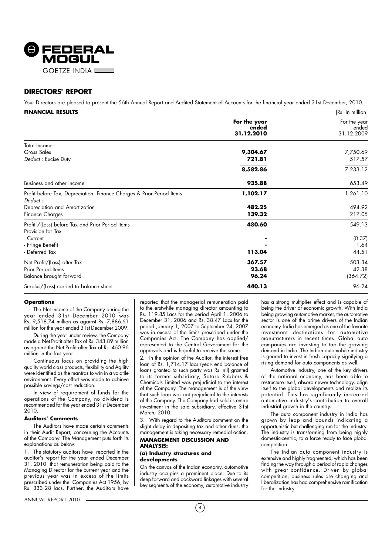

#### **DIRECTORS' REPORT**

Your Directors are pleased to present the 56th Annual Report and Audited Statement of Accounts for the financial year ended 31st December, 2010.

| FINANCIAL RESULTS                                                                |                                     | [Rs. in million]                    |
|----------------------------------------------------------------------------------|-------------------------------------|-------------------------------------|
|                                                                                  | For the year<br>ended<br>31.12.2010 | For the year<br>ended<br>31.12.2009 |
| Total Income:                                                                    |                                     |                                     |
| Gross Sales                                                                      | 9,304.67                            | 7,750.69                            |
| Deduct: Excise Duty                                                              | 721.81                              | 517.57                              |
|                                                                                  | 8,582.86                            | 7,233.12                            |
| Business and other Income                                                        | 935.88                              | 653.49                              |
| Profit before Tax, Depreciation, Finance Charges & Prior Period Items<br>Deduct: | 1,102.17                            | 1,261.10                            |
| Depreciation and Amortization                                                    | 482.25                              | 494.92                              |
| <b>Finance Charges</b>                                                           | 139.32                              | 217.05                              |
| Profit /(Loss) before Tax and Prior Period Items<br>Provision for Tax            | 480.60                              | 549.13                              |
| - Current                                                                        |                                     | (0.37)                              |
| - Fringe Benefit                                                                 |                                     | 1.64                                |
| - Deferred Tax                                                                   | 113.04                              | 44.51                               |
| Net Profit/(Loss) after Tax                                                      | 367.57                              | 503.34                              |
| Prior Period Items                                                               | 23.68                               | 42.38                               |
| Balance brought forward                                                          | 96.24                               | (364.72)                            |
| Surplus/(Loss) carried to balance sheet                                          | 440.13                              | 96.24                               |

#### **Operations**

The Net income of the Company during the year ended 31st December 2010 was Rs. 9,518.74 million as against Rs. 7,886.61 million for the year ended 31st December 2009.

During the year under review, the Company made a Net Profit after Tax of Rs. 343.89 million as against the Net Profit after Tax of Rs. 460.96 million in the last year.

Continuous focus on providing the high quality world class products, flexibility and Agility were identified as the mantras to win in a volatile environment. Every effort was made to achieve possible savings/cost reduction.

In view of requirement of funds for the operations of the Company, no dividend is recommended for the year ended 31st December 2010.

#### **Auditors' Comments**

The Auditors have made certain comments in their Audit Report, concerning the Accounts of the Company. The Management puts forth its explanations as below:

1. The statutory auditors have reported in the auditor's report for the year ended December 31, 2010 that remuneration being paid to the Managing Director for the current year and the previous year was in excess of the limits prescribed under the Companies Act 1956, by Rs. 333.28 lacs. Further, the Auditors have

ANNUAL REPORT 2010

reported that the managerial remuneration paid to the erstwhile managing director amounting to Rs. 119.85 Lacs for the period April 1, 2006 to December 31, 2006 and Rs. 38.47 Lacs for the period January 1, 2007 to September 24, 2007 was in excess of the limits prescribed under the Companies Act. The Company has applied/ represented to the Central Government for the approvals and is hopeful to receive the same.

2. In the opinion of the Auditor, the interest free loan of Rs. 1,714.17 lacs (year- end balance of loans granted to such party was Rs. nil) granted to its former subsidiary, Satara Rubbers & Chemicals Limited was prejudicial to the interest of the Company. The management is of the view that such loan was not prejudicial to the interests of the Company. The Company had sold its entire investment in the said subsidiary, effective 31st March, 2010.

3. With regard to the Auditors comment on the slight delay in depositing tax and other dues, the management is taking necessary remedial action.

#### **MANAGEMENT DISCUSSION AND ANALYSIS:**

#### **(a) Industry structures and developments**

On the canvas of the Indian economy, automotive industry occupies a prominent place. Due to its deep forward and backward linkages with several key segments of the economy, automotive industry

has a strong multiplier effect and is capable of being the driver of economic growth. With India being growing automotive market, the automotive sector is one of the prime drivers of the Indian economy. India has emerged as one of the favorite investment destinations for automotive manufacturers in recent times. Global auto companies are investing to tap the growing demand in India. The Indian automobile industry is geared to invest in fresh capacity signifying a rising demand for auto components as well.

Automotive Industry, one of the key drivers of the national economy, has been able to restructure itself, absorb newer technology, align itself to the global developments and realize its potential. This has significantly increased automotive industry's contribution to overall industrial growth in the country.

The auto component industry in India has grown by leap and bounds indicating a opportunistic but challenging run for the industry. The industry is transforming from being highly domestic-centric, to a force ready to face global competition.

The Indian auto component industry is extensive and highly fragmented, which has been finding the way through a period of rapid changes with great confidence. Driven by global competition, business rules are changing and liberalization has had comprehensive ramification for the industry.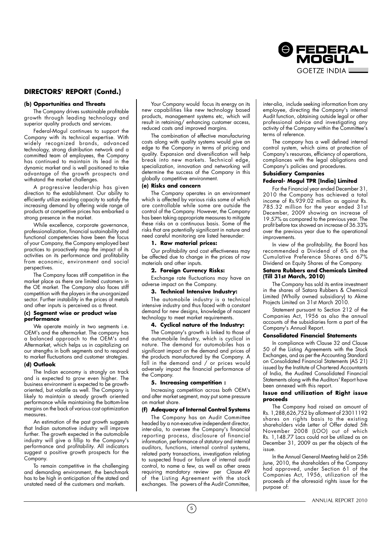

#### **DIRECTORS' REPORT (Contd.)**

#### **(b) Opportunities and Threats**

The Company drives sustainable profitable growth through leading technology and superior quality products and services.

Federal-Mogul continues to support the Company with its technical expertise. With widely recognized brands, advanced technology, strong distribution network and a committed team of employees, the Company has continued to maintain its lead in the dynamic market and is well positioned to take advantage of the growth prospects and withstand the market challenges.

A progressive leadership has given direction to the establishment. Our ability to efficiently utilize existing capacity to satisfy the increasing demand by offering wide range of products at competitive prices has embarked a strong presence in the market.

While excellence, corporate governance, professionalization, financial sustainability and functional competencies have been the focus of your Company, the Company employed best practices to proactively map the impact of its activities on its performance and profitability from economic, environment and social perspectives.

The Company faces stiff competition in the market place as there are limited customers in the OE market. The Company also faces stiff competition with the players in the un-organized sector. Further instability in the prices of metals and other inputs is perceived as a threat.

#### **(c) Segment wise or product wise performance**

We operate mainly in two segments i.e. OEM's and the aftermarket. The company has a balanced approach to the OEM's and Aftermarket, which helps us in capitalizing on our strengths in both segments and to respond to market fluctuations and customer strategies. **(d) Outlook**

The Indian economy is strongly on track and is expected to grow even higher. The business environment is expected to be growthoriented, but volatile as well. The Company is likely to maintain a steady growth oriented performance while maintaining the bottom-line margins on the back of various cost optimization measures.

An estimation of the past growth suggests that Indian automotive industry will improve further. The growth expected in the automobile industry will give a fillip to the Company's performance and profitability. All indicators suggest a positive growth prospects for the Company.

To remain competitive in the challenging and demanding environment, the benchmark has to be high in anticipation of the stated and unstated need of the customers and markets.

Your Company would focus its energy on its new capabilities like new technology based products, management systems etc, which will result in retaining/ enhancing customer access, reduced costs and improved margins.

The combination of effective manufacturing costs along with quality systems would give an edge to the Company in terms of pricing and quality. Expansion and diversification will help break into new markets. Technical edge, specialization, innovation and networking will determine the success of the Company in this globally competitive environment.

#### **(e) Risks and concern**

The Company operates in an environment which is affected by various risks some of which are controllable while some are outside the control of the Company. However, the Company has been taking appropriate measures to mitigate these risks on a continuous basis. Some of the risks that are potentially significant in nature and need careful monitoring are listed hereunder:

#### **1. Raw material prices:**

Our profitability and cost effectiveness may be affected due to change in the prices of raw materials and other inputs.

#### **2. Foreign Currency Risks:**

Exchange rate fluctuations may have an adverse impact on the Company.

#### **3. Technical Intensive Industry:**

The automobile industry is a technical intensive industry and thus faced with a constant demand for new designs, knowledge of nascent technology to meet market requirements.

#### **4. Cyclical nature of the Industry:**

The Company's growth is linked to those of the automobile Industry, which is cyclical in nature. The demand for automobiles has a significant impact on the demand and prices of the products manufactured by the Company. A fall in the demand and / or prices would adversely impact the financial performance of the Company.

#### **5. Increasing competition :**

Increasing competition across both OEM's and after market segment, may put some pressure on market share.

#### **(f) Adequacy of Internal Control Systems**

The Company has an Audit Committee headed by a non-executive independent director, inter-alia, to oversee the Company's financial reporting process, disclosure of financial information, performance of statutory and internal auditors, functions, internal control systems, related party transactions, investigation relating to suspected fraud or failure of internal audit control, to name a few, as well as other areas requiring mandatory review per Clause 49 of the Listing Agreement with the stock exchanges. The powers of the Audit Committee,

 $(5)$ 

inter-alia, include seeking information from any employee, directing the Company's internal Audit function, obtaining outside legal or other professional advice and investigating any activity of the Company within the Committee's terms of reference.

The company has a well defined internal control system, which aims at protection of Company's resources, efficiency of operations, compliances with the legal obligations and Company's policies and procedures.

#### **Subsidiary Companies Federal- Mogul TPR [India] Limited**

For the Financial year ended December 31,

2010 the Company has achieved a total income of Rs.939.02 million as against Rs. 785.32 million for the year ended 31st December, 2009 showing an increase of 19.57% as compared to the previous year. The profit before tax showed an increase of 36.33% over the previous year due to the operational improvements.

In view of the profitability, the Board has recommended a Dividend of 6% on the Cumulative Preference Shares and 67% Dividend on Equity Shares of the Company.

#### **Satara Rubbers and Chemicals Limited (Till 31st March, 2010)**

The Company has sold its entire investment in the shares of Satara Rubbers & Chemical Limited (Wholly owned subsidiary) to Akme Projects Limited on 31st March 2010.

Statement pursuant to Section 212 of the Companies Act, 1956 as also the annual accounts of the subsidiaries form a part of the Company's Annual Report.

#### **Consolidated Financial Statements**

In compliance with Clause 32 and Clause 50 of the Listing Agreements with the Stock Exchanges, and as per the Accounting Standard on Consolidated Financial Statements (AS 21) issued by the Institute of Chartered Accountants of India, the Audited Consolidated Financial Statements along with the Auditors' Report have been annexed with this report.

#### **Issue and utilization of Right issue proceeds**

The Company had raised an amount of Rs. 1,288,626,752 by allotment of 23011192 shares on rights basis to the existing shareholders vide Letter of Offer dated 5th November 2008 (LOO) out of which Rs. 1,148.77 Lacs could not be utilized as on December 31, 2009 as per the objects of the issue.

In the Annual General Meeting held on 25th June, 2010, the shareholders of the Company had approved, under Section 61 of the Companies Act, 1956, utilization of the proceeds of the aforesaid rights issue for the purpose of: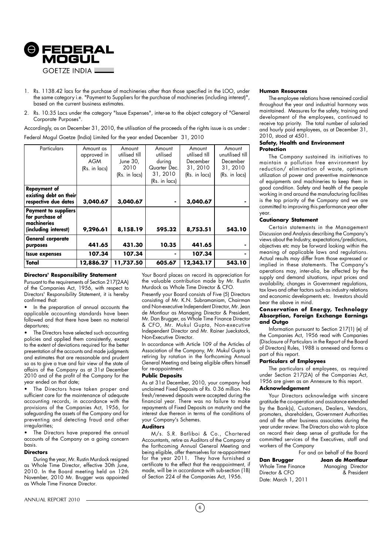

- 1. Rs. 1138.42 lacs for the purchase of machineries other than those specified in the LOO, under the same category i.e. "Payment to Suppliers for the purchase of machineries (including interest)", based on the current business estimates.
- 2. Rs. 10.35 Lacs under the category "Issue Expenses", inter-se to the object category of "General Corporate Purposes".

Accordingly, as on December 31, 2010, the utilisation of the proceeds of the rights issue is as under : Federal Mogul Goetze (India) Limited for the year ended December 31, 2010

| Particulars                                                                           | Amount as<br>approved in<br>AGM<br>(Rs. in lacs) | Amount<br>utilised till<br>June 30,<br>2010<br>(Rs. in lacs) | Amount<br>utilised<br>during<br>Quarter Dec.<br>31, 2010<br>(Rs. in lacs) | Amount<br>utilised till<br>December<br>31, 2010<br>(Rs. in lacs) | Amount<br>unutilised till<br>December<br>31, 2010<br>(Rs. in lacs) |
|---------------------------------------------------------------------------------------|--------------------------------------------------|--------------------------------------------------------------|---------------------------------------------------------------------------|------------------------------------------------------------------|--------------------------------------------------------------------|
| <b>Repayment of</b><br>existing debt on their<br>respective due dates                 | 3,040.67                                         | 3,040.67                                                     |                                                                           | 3,040.67                                                         |                                                                    |
| <b>Payment to suppliers</b><br>for purchase of<br>machineries<br>(including interest) | 9,296.61                                         | 8,158.19                                                     | 595.32                                                                    | 8,753.51                                                         | 543.10                                                             |
| General corporate<br>purposes                                                         | 441.65                                           | 431.30                                                       | 10.35                                                                     | 441.65                                                           |                                                                    |
| <b>Issue expenses</b>                                                                 | 107.34                                           | 107.34                                                       |                                                                           | 107.34                                                           |                                                                    |
| Total                                                                                 | 12,886.27                                        | 11,737.50                                                    | 605.67                                                                    | 12,343.17                                                        | 543.10                                                             |

#### **Directors' Responsibility Statement**

Pursuant to the requirements of Section 217(2AA) of the Companies Act, 1956, with respect to Directors' Responsibility Statement, it is hereby confirmed that:

• In the preparation of annual accounts the applicable accounting standards have been followed and that there have been no material departures;

• The Directors have selected such accounting policies and applied them consistently, except to the extent of deviations required for the better presentation of the accounts and made judgments and estimates that are reasonable and prudent so as to give a true and fair view of the state of affairs of the Company as at 31st December 2010 and of the profit of the Company for the year ended on that date;

The Directors have taken proper and sufficient care for the maintenance of adequate accounting records, in accordance with the provisions of the Companies Act, 1956, for safeguarding the assets of the Company and for preventing and detecting fraud and other irregularities;

The Directors have prepared the annual accounts of the Company on a going concern basis.

#### **Directors**

During the year, Mr. Rustin Murdock resigned as Whole Time Director, effective 30th June, 2010. In the Board meeting held on 12th November, 2010 Mr. Brugger was appointed as Whole Time Finance Director.

Your Board places on record its appreciation for the valuable contribution made by Mr. Rustin Murdock as Whole Time Director & CFO.

Presently your Board consists of Five (5) Directors consisting of Mr. K.N. Subramaniam, Chairman and Non-executive Independent Director, Mr. Jean de Montlaur as Managing Director & President, Mr. Dan Brugger, as Whole Time Finance Director & CFO, Mr. Mukul Gupta, Non-executive Independent Director and Mr. Rainer Jueckstock, Non-Executive Director.

In accordance with Article 109 of the Articles of Association of the Company, Mr. Mukul Gupta is retiring by rotation in the forthcoming Annual General Meeting and being eligible offers himself for re-appointment.

#### **Public Deposits**

As at 31st December, 2010, your company had unclaimed Fixed Deposits of Rs. 0.36 million. No fresh/renewed deposits were accepted during the financial year. There was no failure to make repayments of Fixed Deposits on maturity and the interest due thereon in terms of the conditions of your Company's Schemes.

#### **Auditors**

M/s. S.R. Batliboi & Co., Chartered Accountants, retire as Auditors of the Company at the forthcoming Annual General Meeting and being eligible, offer themselves for re-appointment for the year 2011. They have furnished a certificate to the effect that the re-appointment, if made, will be in accordance with sub-section (1B) of Section 224 of the Companies Act, 1956.

#### **Human Resources**

The employee relations have remained cordial throughout the year and industrial harmony was maintained. Measures for the safety, training and development of the employees, continued to receive top priority. The total number of salaried and hourly paid employees, as at December 31, 2010, stood at 4501.

#### **Safety, Health and Environment Protection**

The Company sustained its initiatives to maintain a pollution free environment by reduction/ elimination of waste, optimum utilization of power and preventive maintenance of equipments and machineries to keep them in good condition. Safety and health of the people working in and around the manufacturing facilities is the top priority of the Company and we are committed to improving this performance year after year.

#### **Cautionary Statement**

Certain statements in the Management Discussion and Analysis describing the Company's views about the Industry, expectations/predictions, objectives etc may be forward looking within the meaning of applicable laws and regulations. Actual results may differ from those expressed or implied in these statements. The Company's operations may, inter-alia, be affected by the supply and demand situations, input prices and availability, changes in Government regulations, tax laws and other factors such as industry relations and economic developments etc. Investors should bear the above in mind.

#### **Conservation of Energy, Technology Absorption, Foreign Exchange Earnings and Outgo**

Information pursuant to Section 217(1) (e) of the Companies Act, 1956 read with Companies (Disclosure of Particulars in the Report of the Board of Directors) Rules, 1988 is annexed and forms a part of this report.

#### **Particulars of Employees**

The particulars of employees, as required under Section 217(2A) of the Companies Act, 1956 are given as an Annexure to this report.

#### **Acknowledgement**

Your Directors acknowledge with sincere gratitude the co-operation and assistance extended by the Bank(s), Customers, Dealers, Vendors, promoters, shareholders, Government Authorities and all the other business associates during the year under review. The Directors also wish to place on record their deep sense of gratitude for the committed services of the Executives, staff and workers of the Company

| Dan Brugger         | Jean de Montlaur  |
|---------------------|-------------------|
| Whole Time Finance  | Managing Director |
| Director & CFO      | & President       |
| Date: March 1, 2011 |                   |

For and on behalf of the Board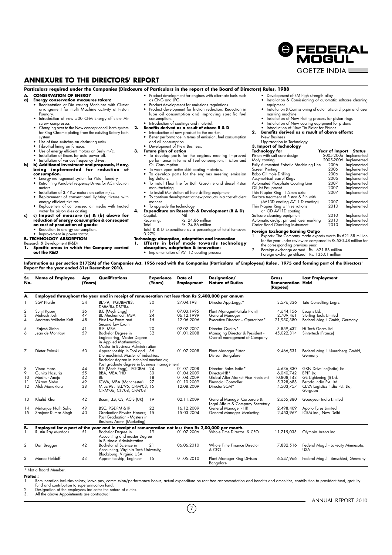**ANNEXURE TO THE DIRECTORS' REPORT**

#### **Particulars required under the Companies (Disclosure of Particulars in the report of the Board of Directors) Rules, 1988**

#### **A. CONSERVATION OF ENERGY**

- **a) Energy conservation measures taken:**
	- Reorientation of Die casting Machines with Cluster arrangement for multi Machine activity at Piston
	- Foundry. Introduction of new 500 CFM Energy efficient Air screw compressor.
	- Changing over to the New concept of cell bath system for Ring Chrome plating from the existing Rotary bath system.
	- Use of time switches on dedusting units.
	-
	- Fibrothal lining on furnace. Use of energy efficient motors on Besly m/c. Installation of timers for auto power off.
	-
- Installation of various frequency drives. **b) b) Additional investment and proposals, if any, being implemented for reduction of consumption.**
	-
	- Energy management system for Piston foundry Retrofitting Variable Frequency Drives for AC induction
	- motors. • Installation of 3.7 Kw motors on cutter m/cs.
	-
	- Replacement of conventional lighting fixture with energy efficient fixtures. • Replacement of compressed air media with treated
- water for piston dies casting. **c) c) Impact of measure (a) & (b) above for reduction of energy consumption & consequent on cost of production of goods:** Reduction in energy consumption.
	-
	-
- Improvement in power factor
- **B. TECHNOLOGY ABSORPTION**
- Research & Development (R&D) **1. Specific areas in which the Company carried out the R&D**
- Product development for engines with alternate fuels such as CNG and LPG.
- Product development for emissions regulations Product development for friction reduction. Reduction in lube oil consumption and improving specific fuel
- consumption. Introduction of coatings and material.
- **2. Benefits derived as a result of above R & D**
	- Introduction of new product to the market. Better performance in terms of emission, fuel consumption
	- and oil consumption. Development of New Business.
- **3. Future plan of action**
	- To develop parts for the engines meeting improved performance in terms of Fuel consumption, Friction and Oil Consumption
	- To work upon better skirt coating materials.
	- To develop parts for the engines meeting emission legislations.
	-
	- To continue development of new products in a cost efficient
	- manner.

#### • To uparade the technology **4. Expenditure on Research & Development (R & D)**

- 
- Capital:<br>Recurring: Recurring: Rs. 24.86 million<br>Total Rs. 24.86 million
- Total<br>Total R & D Expenditure as a percentage of total turnover:
- 0.27%

- Technology absorption*,* adaptation and innovation<br>1. Efforts in brief made towards technology
- **absorption, adaptation & innovation:** • Implementation of AV11D coating process

• Development of FM high strength alloy

- Installation & Comissioning of automatic saltcore cleaning
- equipment Installation & Comissioning of automatic circlip,pin and laser marking machine

**O FEDERAL** MOGUL **GOFTZE INDIA LE** 

- 
- Installation of New Plating process for piston rings Installation of New coating equipment for pistons Introduction of New Tin Plater for Pistons
- **2. Benefits derived as a result of above efforts;** New Business

#### Upgradation in Technology.

#### **3. Import of Technology**

| Technology for                           | Year of Import | Status                |
|------------------------------------------|----------------|-----------------------|
| Piston with salt core design             |                | 2005-2006 Implemented |
| Moly coating                             | 2005-2006      | Implemented           |
| Fully Automated Robotic Machining Line   | 2006           | Implemented           |
| Screen Printina                          | 2006           | Implemented           |
| Robo Oil Hole Drilling                   | 2006           | Implemented           |
| <b>Assymetrical Barrel Rings</b>         | 2006           | Implemented           |
| Automated Phosphate Coating Line         | 2007           | Implemented           |
| Oil Jet Equipment                        | 2007           | Implemented           |
| Thin Napier Ring - 1.2mm axial           | 2007           | Implemented           |
| Surface treatment of Piston & Pin with   |                |                       |
| (AV13D coating AV11 D coating)           | 2007           | Implemented           |
| Thin Napier Ring with serrations         | 2010           | Implemented           |
| on OD AV11D coating                      |                |                       |
| Saltcore cleaning equipment              | 2010           | Implemented           |
| Automatic circlip, pin and laser marking | 2010           | Implemented           |
| Crater Bond Checking Instrument          | 2010           | Implemented           |
|                                          |                |                       |

**Foreign Exchange Earning Outgo** 1. Exports: The Company made exports worth Rs.621.88 million for the year under review as compared to Rs.530.48 million for

- the corresponding previous year. 2. Foreign exchange earned : Rs 621.88 million
- Foreign exchange utilized Rs. 135.01 million

**Information as per section 217(2A) of the Companies Act, 1956 read with the Companies (Particulars of Employees) Rules , 1975 and forming part of the Directors' Report for the year ended 31st December 2010.**

| Sr.<br>No. | <b>Name of Employee</b>              | Age<br>(Years) | Qualifications                                                                                                                                                  | Experience<br>(Years) | Date of<br><b>Employment</b> | Designation/<br><b>Nature of Duties</b>                          | Gross<br>Remuneration<br>(Rupees) | Last Employment<br>Held                                            |
|------------|--------------------------------------|----------------|-----------------------------------------------------------------------------------------------------------------------------------------------------------------|-----------------------|------------------------------|------------------------------------------------------------------|-----------------------------------|--------------------------------------------------------------------|
| А.         |                                      |                | Employed throughout the year and in receipt of remuneration not less than Rs 2,400,000 per annum                                                                |                       |                              |                                                                  |                                   |                                                                    |
|            | <b>SGP Naidu</b>                     | 54             | BE'79, PGDBM'83,<br>DMM'84.DBT'84                                                                                                                               | 30                    | 27.04.1981                   | Director-App.Engg.*                                              | 3,576,336                         | Tata Consulting Engrs.                                             |
| 2          | Sunit Kapur                          | 36             | B.E (Mech Engg)                                                                                                                                                 | 17                    | 07.03.1995                   | Plant Manager(Patiala Plant)                                     | 4,644,156                         | Escorts Ltd.                                                       |
| 3<br>4     | Mahesh Joshi<br>Andreas Wilhelm Kolf | 47<br>48       | BE Mechanical, MBA<br>First Law Exam and<br>Second law Exam                                                                                                     | 24<br>15              | 06.12.1999<br>12.06.2006     | General Manager<br>Executive Director - Operations*              | 2,709,461<br>21,950,380           | Sterling Tools Limited<br>Federal Mogul Gmbh, Germany              |
| 5          | Rajesh Sinha                         | 41             | B.E. MBA                                                                                                                                                        | 20                    | 02.02.2007                   | Director Quality*                                                | 3.859.432                         | Hi Tech Gears Ltd.                                                 |
| 6          | Jean de Montlaur                     | 59             | <b>Bachelor Degree in</b><br>Engineering, Master Degree<br>in Applied Mathematics,<br>Master in Business Administration                                         | 32                    | 01.01.2008                   | Managing Director & President -<br>Overall management of Company | 45,022,314                        | Sintertech (France)                                                |
| 7          | Dieter Polaski                       | 50             | Apprenticeship in Tool and 36<br>Die machinist. Master of industries;<br>Bachelor degree in technical mechanics;<br>Post graduate degree in business management |                       | 01.07.2008                   | Plant Manager Piston<br>Divison Bangalore                        | 9,466,531                         | Federal Mogul Nuernberg GmbH,<br>Germany                           |
| 8          | Vinod Hans                           | 44             | B.E (Mech Engg), PGDBM 24                                                                                                                                       |                       | 01.07.2008                   | Director -Sales India*                                           | 4.636.830                         | GKN Driveline(India) Ltd.                                          |
| 9          | Gunita Hazuria                       | 55             | BBA, MBA, PHD                                                                                                                                                   | 30                    | 01.04.2009                   | Director-HR*                                                     | 6,040,742                         | BPTP Ltd.                                                          |
| 10         | Madhur Aneja                         | 42             | <b>BE</b>                                                                                                                                                       | 18                    | 01.04.2009                   | Global After Market Vice President                               | 10,808,148                        | GE Lightening (I) Ltd.                                             |
| 11<br>12   | Vikrant Sinha<br>Alok Manaktala      | 49<br>38       | ICWA, MBA (Manchester)<br>M.Sc'98, B.E'95, CPIM'03, 15<br>CIRM'06, CTL'08, CPM'08                                                                               | 27                    | 01.10.2009<br>12.08.2009     | <b>Financial Controller</b><br>Director-SCM*                     | 5,328,688<br>4,503,757            | Ferodo India Pvt. Ltd<br>CEVA Logistics India Pvt. Ltd,<br>Gurgaon |
| 13         | Khalid Khan                          | 42             | Bcom, LLB, CS, ACIS (UK)                                                                                                                                        | 19                    | 02.11.2009                   | General Manager Corporate &<br>Legal Affairs & Company Secretary | 2,655,880                         | Goodyear India Limited                                             |
| 14         | Mirtunjay Nath Sahu                  | 49             | BSC, PGDPM & IR                                                                                                                                                 | 22                    | 16.12.2009                   | General Manager - HR                                             | 2,498,409                         | Apollo Tyres Limited                                               |
| 15         | Sanjeev Kumar Singh                  | 40             | Graduation-Physics Honors; 15<br>Post Graduation - Masters in<br><b>Business Admn (Marketing)</b>                                                               |                       | 15.03.2004                   | General Manager- Marketing                                       | 2.453.967                         | iCRM Inc., New Delhi                                               |
| В.         |                                      |                | Employed for a part of the year and in receipt of remuneration not less than Rs 2,00,000 per month.                                                             |                       |                              |                                                                  |                                   |                                                                    |
|            | Rustin Ray Murdock                   | 51             | Bachelor Degree in<br>Accounting and master Degree<br>in Business Administration                                                                                | 19                    | 01.07.2006                   | Whole Time Director & CFO                                        | 11,715,033                        | Olympia Arena Inc                                                  |
| 2          | Dan Brugger                          | 42             | Bachelor of Science in<br>Accounting, Virginia Tech University,<br>Blacksburg, Virginia USA                                                                     | 21                    | 06.06.2010                   | Whole Time Finance Director<br>& CFO                             | 7,882,516                         | Federal Mogul - Lakecity Minnesota,<br><b>USA</b>                  |
| 3          | Marco Fieldoff                       | 43             | Apprenticeship, Engineer                                                                                                                                        | 15                    | 01.05.2010                   | Plant Manager Ring Divison<br>Bangalore                          | 6,547,966                         | Federal Mogul - Burschied, Germany                                 |

\* Not a Board Member.

#### **Notes :**

1. Remuneration includes salary, leave pay, commission/performance bonus, actual expenditure on rent free accommodation and benefits and amenities, contribution to provident fund, gratuity fund and contribution to superannuation fund. 2. Designation of the employees indicates the nature of duties. 3. All the above Appointments are contractual.

 $(7)$ 



• To install Flexi line for Both Gasoline and diesel Piston manufacturing • To install Mutistation oil hole drilling equipment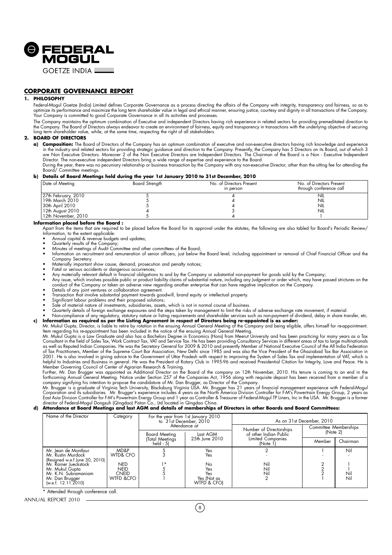

#### **CORPORATE GOVERNANCE REPORT**

#### **1. PHILOSOPHY**

Federal-Mogul Goetze (India) Limited defines Corporate Governance as a process directing the affairs of the Company with integrity, transparency and fairness, so as to optimize its performance and maximize the long term shareholder value in legal and ethical manner, ensuring justice, courtesy and dignity in all transactions of the Company. Your Company is committed to good Corporate Governance in all its activities and processes.

The Company maintains the optimum combination of Executive and independent Directors having rich experience in related sectors for providing premeditated direction to the Company. The Board of Directors always endeavor to create an environment of fairness, equity and transparency in transactions with the underlying objective of securing<br>long term shareholder value, while, at the same ti

#### **2. BOARD OF DIRECTORS**

**a) Composition:** The Board of Directors of the Company has an optimum combination of executive and non-executive directors having rich knowledge and experience in the industry and related sectors for providing strategic guidance and direction to the Company. Presently, the Company has 5 Directors on its Board, out of which 3<br>are Non Executive Directors. Moreover 2 of the Non Exec Director. The non-executive independent Directors bring a wide range of expertise and experience to the Board.<br>During the year, there was no pecuniary relationship or business transaction by the Company with any non-execut

Board/ Committee meetings.

#### **b) Details of Board Meetings held during the year 1st January 2010 to 31st December, 2010**

| Date of Meeting     | Board Strength | No. of Directors Present<br>in person | No. of Directors Present<br>through conference call |
|---------------------|----------------|---------------------------------------|-----------------------------------------------------|
| 27th February, 2010 |                |                                       | NIL                                                 |
| i 19th March 2010   |                |                                       | <b>NIL</b>                                          |
| l 30th April 2010   |                |                                       | <b>NIL</b>                                          |
| 12th August 2010    |                |                                       | NIL                                                 |
| 12th November, 2010 |                |                                       |                                                     |

#### **Information placed before the Board :**

Apart from the items that are required to be placed before the Board for its approval under the statutes, the following are also tabled for Board's Periodic Review/ Information, to the extent applicable:

- Annual capital & revenue budgets and updates;
- Quarterly results of the Company;
- 
- Minutes of meetings of Audit Committee and other committees of the Board;<br>• Information on recruitment and remuneration of senior officers, just below the Board level; including appointment or removal of Chief Financial Company Secretary.
- Materially important show cause, demand, prosecution and penalty notices;
- Fatal or serious accidents or dangerous occurrences;
- Any materially relevant default in financial obligations to and by the Company or substantial non-payment for goods sold by the Company;<br>• Any issue, which involves possible public or product liability claims of substant conduct of the Company or taken an adverse view regarding another enterprise that can have negative implication on the Company.
- 
- Details of any joint ventures or collaboration agreement. Transaction that involve substantial payment towards goodwill, brand equity or intellectual property.
- 
- Significant labour problems and their proposed solutions; Sale of material nature of investments, subsidiaries, assets, which is not in normal course of business.
- Quarterly details of foreign exchange exposures and the steps taken by management to limit the risks of adverse exchange rate movement, if material.
- Non-compliance of any regulatory, statutory nature or listing requirements and shareholder services such as non-payment of dividend, delay in share transter, etc.<br>• Information as required as per the Listing Agreement in

Mr. Mukul Gupta, Director, is liable to retire by rotation in the ensuing Annual General Meeting of the Company and being eligible, offers himself for re-appointment.<br>Item regarding his re-appointment has been included in

Mr. Mukul Gupta is a Law Graduate and also has a Bachelors Degree in Economics (Hons) from Meerut University and has been practicing for many years as a Tax Consultant in the field of Sales Tax, Work Contract Tax, VAT and Service Tax. He has been providing Consultancy Services in different areas of tax to large multinationals<br>as well as Reputed Indian Companies. He was the Sec of Tax Practitioners, Member of the Supreme Court Bar Association, New Delhi since 1985 and was also the Vice President of the Ghaziabad Tax Bar Association in 2001. He is also involved in giving advice to the Government of Uttar Pradesh with respect to improving the System of Sales Tax and implementation of VAT, which is<br>helpful to Industries and Business in general. He was the

Member Governing Council of Center of Agrarian Research & Training.<br>Further, Mr. Dan Brugger was appointed as Additional Director on the Board of the company on 12th November, 2010. His tenure is coming to an end in the forthcoming Annual General Meeting. Notice under Section 257 of the Companies Act, 1956 along with requisite deposit has been received from a member of a

company signifying his intention to propose the candidature of Mr. Dan Brugger, as Director of the Company.<br>Mr. Brugger is a graduate of Virginia Tech University, Blacksburg Virginia USA. Mr. Brugger has 21 years of financ

#### **d) Attendance at Board Meetings and last AGM and details of memberships of Directors in other Boards and Board Committees:**

| Name of the Director                                                                                          | Category                                        | For the year from 1st January 2010<br>to 31st December, 2010<br>Attendance at |                                                | As on 31st December, 2010                         |                                   |           |  |
|---------------------------------------------------------------------------------------------------------------|-------------------------------------------------|-------------------------------------------------------------------------------|------------------------------------------------|---------------------------------------------------|-----------------------------------|-----------|--|
|                                                                                                               |                                                 |                                                                               | Last AGM                                       | Number of Directorships<br>of other Indian Public | Committee Memberships<br>[Note 2] |           |  |
|                                                                                                               |                                                 | (Total Meetings<br>$held - 5)$                                                | 25th June 2010                                 | <b>Limited Companies</b><br>(Note 1               | Member                            | Chairman  |  |
| Mr. Jean de Montlaur<br>Mr. Rustin Murdock<br>(Resigned w.e.f June 30, 2010)                                  | MD&P<br>WTD& CFO                                |                                                                               | Yes<br>Yes                                     |                                                   |                                   | Nil       |  |
| Mr. Rainer Jueckstock<br>Mr. Mukul Gupta<br>Mr. K.N. Subramaniam<br>Mr. Dan Brugger<br>(w.e.f. $12.11.2010$ ) | NED<br><b>NEID</b><br><b>CNEID</b><br>WTFD &CFO | ∣∗                                                                            | No<br>Yes<br>Yes<br>Yes (Not as<br>WIFD & CFOI | Nil<br>Nil<br>Nil                                 |                                   | Ni<br>Nil |  |

\* Attended through conference call.

ANNUAL REPORT 2010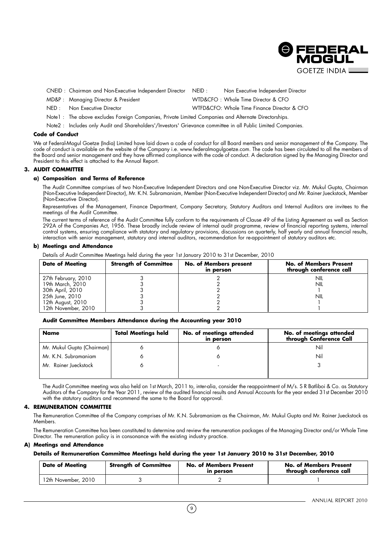

CNEID : Chairman and Non-Executive Independent Director NEID : Non Executive Independent Director

- MD&P : Managing Director & President WTD&CFO : Whole Time Director & CFO
- NED : Non Executive Director Note that MIFD&CFO: Whole Time Finance Director & CFO
	-
- Note1 : The above excludes Foreign Companies, Private Limited Companies and Alternate Directorships.
- Note2 : Includes only Audit and Shareholders'/Investors' Grievance committee in all Public Limited Companies.

#### **Code of Conduct**

We at Federal-Mogul Goetze (India) Limited have laid down a code of conduct for all Board members and senior management of the Company. The code of conduct is available on the website of the Company i.e. www.federalmogulgoetze.com. The code has been circulated to all the members of the Board and senior management and they have affirmed compliance with the code of conduct. A declaration signed by the Managing Director and President to this effect is attached to the Annual Report.

#### **3. AUDIT COMMITTEE**

#### **a) Composition and Terms of Reference**

The Audit Committee comprises of two Non-Executive Independent Directors and one Non-Executive Director viz. Mr. Mukul Gupta, Chairman (Non-Executive Independent Director), Mr. K.N. Subramaniam, Member (Non-Executive Independent Director) and Mr. Rainer Jueckstock, Member (Non-Executive Director).

Representatives of the Management, Finance Department, Company Secretary, Statutory Auditors and Internal Auditors are invitees to the meetings of the Audit Committee.

The current terms of reference of the Audit Committee fully conform to the requirements of Clause 49 of the Listing Agreement as well as Section 292A of the Companies Act, 1956. These broadly include review of internal audit programme, review of financial reporting systems, internal control systems, ensuring compliance with statutory and regulatory provisions, discussions on quarterly, half yearly and annual financial results, interaction with senior management, statutory and internal auditors, recommendation for re-appointment of statutory auditors etc.

#### **b) Meetings and Attendance**

Details of Audit Committee Meetings held during the year 1st January 2010 to 31st December, 2010

| <b>Date of Meeting</b> | <b>Strength of Committee</b> | No. of Members present<br>in person | <b>No. of Members Present</b><br>through conference call |
|------------------------|------------------------------|-------------------------------------|----------------------------------------------------------|
| 27th February, 2010    |                              |                                     | NIL                                                      |
| 19th March, 2010       |                              |                                     | nil                                                      |
| 30th April, 2010       |                              |                                     |                                                          |
| 25th June, 2010        |                              |                                     | nil                                                      |
| 12th August, 2010      |                              |                                     |                                                          |
| 12th November, 2010    |                              |                                     |                                                          |

#### **Audit Committee Members Attendance during the Accounting year 2010**

| Name                       | <b>Total Meetings held</b> | No. of meetings attended<br>in person | No. of meetings attended<br>through Conference Call |
|----------------------------|----------------------------|---------------------------------------|-----------------------------------------------------|
| Mr. Mukul Gupta (Chairman) |                            |                                       | Nil                                                 |
| Mr. K.N. Subramaniam       |                            |                                       | Nil                                                 |
| Mr. Rainer Jueckstock      |                            |                                       |                                                     |
|                            |                            |                                       |                                                     |

The Audit Committee meeting was also held on 1st March, 2011 to, inter-alia, consider the reappointment of M/s. S R Batliboi & Co. as Statutory Auditors of the Company for the Year 2011, review of the audited financial results and Annual Accounts for the year ended 31st December 2010 with the statutory auditors and recommend the same to the Board for approval.

#### **4. REMUNERATION COMMITTEE**

The Remuneration Committee of the Company comprises of Mr. K.N. Subramaniam as the Chairman, Mr. Mukul Gupta and Mr. Rainer Jueckstock as Members.

The Remuneration Committee has been constituted to determine and review the remuneration packages of the Managing Director and/or Whole Time Director. The remuneration policy is in consonance with the existing industry practice.

#### **A) Meetings and Attendance**

**Details of Remuneration Committee Meetings held during the year 1st January 2010 to 31st December, 2010**

| <b>Date of Meeting</b> | <b>Strength of Committee</b> | <b>No. of Members Present</b><br>in person | <b>No. of Members Present</b><br>through conference call |
|------------------------|------------------------------|--------------------------------------------|----------------------------------------------------------|
| 12th November, 2010    |                              |                                            |                                                          |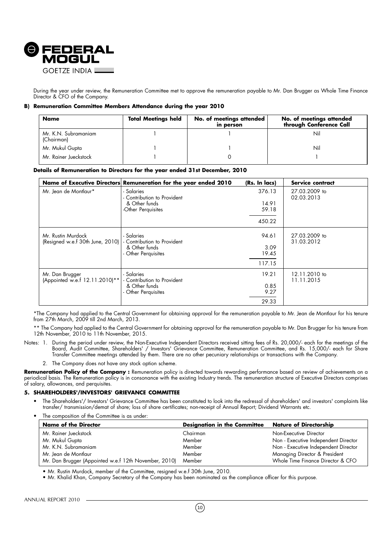

During the year under review, the Remuneration Committee met to approve the remuneration payable to Mr. Dan Brugger as Whole Time Finance Director & CFO of the Company.

#### **B) Remuneration Committee Members Attendance during the year 2010**

| <b>Total Meetings held</b><br><b>Name</b> |  | No. of meetings attended<br>in person | No. of meetings attended<br>through Conference Call |
|-------------------------------------------|--|---------------------------------------|-----------------------------------------------------|
| Mr. K.N. Subramaniam<br>(Chairman)        |  |                                       | Nil                                                 |
| Mr. Mukul Gupta                           |  |                                       | Nil                                                 |
| Mr. Rainer Jueckstock                     |  |                                       |                                                     |

#### **Details of Remuneration to Directors for the year ended 31st December, 2010**

|                                                        | Name of Executive Directors Remuneration for the year ended 2010 | (Rs. In lacs)  | Service contract            |
|--------------------------------------------------------|------------------------------------------------------------------|----------------|-----------------------------|
| Mr. Jean de Montlaur*                                  | - Salaries<br>- Contribution to Provident                        | 376.13         | 27.03.2009 to<br>02.03.2013 |
|                                                        | & Other funds<br>-Other Perquisites                              | 14.91<br>59.18 |                             |
|                                                        |                                                                  | 450.22         |                             |
| Mr. Rustin Murdock<br>(Resigned w.e.f 30th June, 2010) | - Salaries<br>- Contribution to Provident                        | 94.61          | 27.03.2009 to<br>31.03.2012 |
|                                                        | & Other funds<br>- Other Perquisites                             | 3.09<br>19.45  |                             |
|                                                        |                                                                  | 117.15         |                             |
| Mr. Dan Brugger<br>(Appointed w.e.f 12.11.2010)**      | - Salaries<br>- Contribution to Provident                        | 19.21          | 12.11.2010 to<br>11.11.2015 |
|                                                        | & Other funds<br>- Other Perquisites                             | 0.85<br>9.27   |                             |
|                                                        |                                                                  | 29.33          |                             |

\*The Company had applied to the Central Government for obtaining approval for the remuneration payable to Mr. Jean de Montlaur for his tenure from 27th March, 2009 till 2nd March, 2013.

\*\* The Company had applied to the Central Government for obtaining approval for the remuneration payable to Mr. Dan Brugger for his tenure from 12th November, 2010 to 11th November, 2015.

- Notes: 1. During the period under review, the Non-Executive Independent Directors received sitting fees of Rs. 20,000/- each for the meetings of the Board, Audit Committee, Shareholders' / Investors' Grievance Committee, Remuneration Committee, and Rs. 15,000/- each for Share Transfer Committee meetings attended by them. There are no other pecuniary relationships or transactions with the Company.
	- 2. The Company does not have any stock option scheme.

Remuneration Policy of the Company: Remuneration policy is directed towards rewarding performance based on review of achievements on a periodical basis. The Remuneration policy is in consonance with the existing Industry trends. The remuneration structure of Executive Directors comprises of salary, allowances, and perquisites.

#### **5. SHAREHOLDERS'/INVESTORS' GRIEVANCE COMMITTEE**

- The Shareholders'/ Investors' Grievance Committee has been constituted to look into the redressal of shareholders' and investors' complaints like transfer/ transmission/demat of share; loss of share certificates; non-receipt of Annual Report; Dividend Warrants etc.
- The composition of the Committee is as under:

| <b>Name of the Director</b>                           | <b>Designation in the Committee</b> | Nature of Directorship               |
|-------------------------------------------------------|-------------------------------------|--------------------------------------|
| Mr. Rainer Jueckstock                                 | Chairman                            | Non-Executive Director               |
| Mr. Mukul Gupta                                       | Member                              | Non - Executive Independent Director |
| Mr. K.N. Subramaniam                                  | Member                              | Non - Executive Independent Director |
| Mr. Jean de Montlaur                                  | Member                              | Managing Director & President        |
| Mr. Dan Brugger (Appointed w.e.f 12th November, 2010) | Member                              | Whole Time Finance Director & CFO    |

• Mr. Rustin Murdock, member of the Committee, resigned w.e.f 30th June, 2010.

• Mr. Khalid Khan, Company Secretary of the Company has been nominated as the compliance officer for this purpose.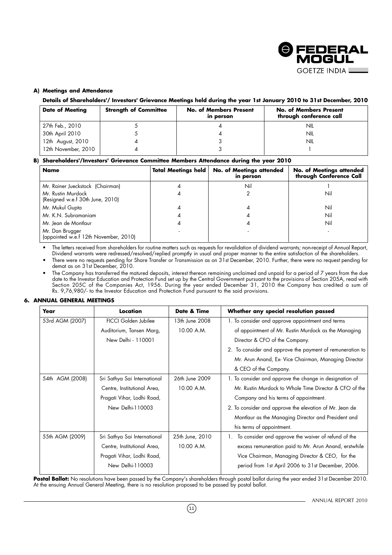

#### **A) Meetings and Attendance**

**Details of Shareholders'/ Investors' Grievance Meetings held during the year 1st January 2010 to 31st December, 2010**

| <b>Date of Meeting</b> | <b>Strength of Committee</b> | <b>No. of Members Present</b><br>in person | <b>No. of Members Present</b><br>through conference call |
|------------------------|------------------------------|--------------------------------------------|----------------------------------------------------------|
| 27th Feb., 2010        |                              |                                            | NIL                                                      |
| 30th April 2010        |                              |                                            | NIL                                                      |
| 12th August, 2010      |                              |                                            | NIL                                                      |
| 12th November, 2010    |                              |                                            |                                                          |

#### **B) Shareholders'/Investors' Grievance Committee Members Attendance during the year 2010**

| <b>Name</b>                                              | <b>Total Meetings held</b> | No. of Meetings attended<br>in person | No. of Meetings attended<br>through Conference Call |
|----------------------------------------------------------|----------------------------|---------------------------------------|-----------------------------------------------------|
| Mr. Rainer Jueckstock (Chairman)                         |                            | Nil                                   |                                                     |
| Mr. Rustin Murdock<br>(Resigned w.e.f 30th June, 2010)   |                            |                                       | Nil                                                 |
| Mr. Mukul Gupta                                          |                            |                                       | Nil                                                 |
| Mr. K.N. Subramaniam                                     |                            |                                       | Nil                                                 |
| Mr. Jean de Montlaur                                     |                            |                                       | Nil                                                 |
| Mr. Dan Brugger<br>(appointed w.e.f 12th November, 2010) |                            |                                       |                                                     |

• The letters received from shareholders for routine matters such as requests for revalidation of dividend warrants; non-receipt of Annual Report, Dividend warrants were redressed/resolved/replied promptly in usual and proper manner to the entire satisfaction of the shareholders.

• There were no requests pending for Share Transfer or Transmission as on 31st December, 2010. Further, there were no request pending for demat as on 31st December, 2010.

• The Company has transferred the matured deposits, interest thereon remaining unclaimed and unpaid for a period of 7 years from the due date to the Investor Education and Protection Fund set up by the Central Government pursuant to the provisions of Section 205A, read with Section 205C of the Companies Act, 1956. During the year ended December 31, 2010 the Company has credited a sum of Rs. 9,76,980/- to the Investor Education and Protection Fund pursuant to the said provisions.

#### **6. ANNUAL GENERAL MEETINGS**

| Year            | Location                     | Date & Time     | Whether any special resolution passed                     |
|-----------------|------------------------------|-----------------|-----------------------------------------------------------|
| 53rd AGM (2007) | <b>FICCI Golden Jubilee</b>  | 13th June 2008  | 1. To consider and approve appointment and terms          |
|                 | Auditorium, Tansen Marg,     | 10.00 A.M.      | of appointment of Mr. Rustin Murdock as the Managing      |
|                 | New Delhi - 110001           |                 | Director & CFO of the Company.                            |
|                 |                              |                 | 2. To consider and approve the payment of remuneration to |
|                 |                              |                 | Mr. Arun Anand, Ex- Vice Chairman, Managing Director      |
|                 |                              |                 | & CEO of the Company.                                     |
| 54th AGM (2008) | Sri Sathya Sai International | 26th June 2009  | 1. To consider and approve the change in designation of   |
|                 | Centre, Institutional Area,  | 10.00 A.M.      | Mr. Rustin Murdock to Whole Time Director & CFO of the    |
|                 | Pragati Vihar, Lodhi Road,   |                 | Company and his terms of appointment.                     |
|                 | New Delhi-110003             |                 | 2. To consider and approve the elevation of Mr. Jean de   |
|                 |                              |                 | Montlaur as the Managing Director and President and       |
|                 |                              |                 | his terms of appointment.                                 |
| 55th AGM (2009) | Sri Sathya Sai International | 25th June, 2010 | To consider and approve the waiver of refund of the       |
|                 | Centre, Institutional Area,  | 10.00 A.M.      | excess remuneration paid to Mr. Arun Anand, erstwhile     |
|                 | Pragati Vihar, Lodhi Road,   |                 | Vice Chairman, Managing Director & CEO, for the           |
|                 | New Delhi-110003             |                 | period from 1st April 2006 to 31st December, 2006.        |
|                 |                              |                 |                                                           |

Postal Ballot: No resolutions have been passed by the Company's shareholders through postal ballot during the year ended 31st December 2010. At the ensuing Annual General Meeting, there is no resolution proposed to be passed by postal ballot.

 $(11)$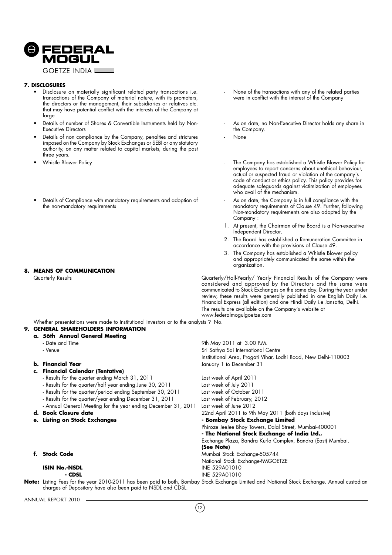

#### **7. DISCLOSURES**

- Disclosure on materially significant related party transactions i.e. transactions of the Company of material nature, with its promoters, the directors or the management, their subsidiaries or relatives etc. that may have potential conflict with the interests of the Company at large
- Details of number of Shares & Convertible Instruments held by Non-Executive Directors
- Details of non compliance by the Company, penalties and strictures imposed on the Company by Stock Exchanges or SEBI or any statutory authority, on any matter related to capital markets, during the past three years.
- Whistle Blower Policy
- Details of Compliance with mandatory requirements and adoption of the non-mandatory requirements

#### **8. MEANS OF COMMUNICATION**

- None of the transactions with any of the related parties were in conflict with the interest of the Company
- As on date, no Non-Executive Director holds any share in the Company.
- None

9th May 2011 at 3.00 P.M.

- The Company has established a Whistle Blower Policy for employees to report concerns about unethical behaviour, actual or suspected fraud or violation of the company's code of conduct or ethics policy. This policy provides for adequate safeguards against victimization of employees who avail of the mechanism.
- As on date, the Company is in full compliance with the mandatory requirements of Clause 49. Further, following Non-mandatory requirements are also adopted by the Company :
- 1. At present, the Chairman of the Board is a Non-executive Independent Director.
- 2. The Board has established a Remuneration Committee in accordance with the provisions of Clause 49.
- 3. The Company has established a Whistle Blower policy and appropriately communicated the same within the organization.

Quarterly Results Quarterly/Half-Yearly/ Yearly Financial Results of the Company were considered and approved by the Directors and the same were communicated to Stock Exchanges on the same day. During the year under review, these results were generally published in one English Daily i.e. Financial Express (all edition) and one Hindi Daily i.e Jansatta, Delhi. The results are available on the Company's website at www.federalmogulgoetze.com

Institutional Area, Pragati Vihar, Lodhi Road, New Delhi-110003

Phiroze JeeJee Bhoy Towers, Dalal Street, Mumbai-400001 **- The National Stock Exchange of India Ltd.,**

National Stock Exchange-FMGOETZE

Exchange Plaza, Bandra Kurla Complex, Bandra (East) Mumbai.

Whether presentations were made to Institutional Investors or to the analysts ? No.

#### **9. GENERAL SHAREHOLDERS INFORMATION**

## **a. 56th Annual General Meeting**

- 
- Venue **Sri Sathya Sai International Centre**

#### **b. Financial Year b. Financial Year January 1 to December 31**

- **c. Financial Calendar (Tentative)**
	- Results for the quarter ending March 31, 2011 Last week of April 2011
	- Results for the quarter/half year ending June 30, 2011 Last week of July 2011
	- Results for the quarter/period ending September 30, 2011 Last week of October 2011
	- Results for the quarter/year ending December 31, 2011 Last week of February, 2012
	- Annual General Meeting for the year ending December 31, 2011 Last week of June 2012

#### **d. Book Closure date** 22nd April 2011 to 9th May 2011 (both days inclusive)

- **e.** Listing on Stock Exchanges **and Stock Exchange Limited compared to Exchange Limited**
- **f. Stock Code details and Stock Exchange-505744**

## **ISIN No.-NSDL ISIN No.-NSDL ISIN NO.-NSDL INE 529A01010**

**Note:** Listing Fees for the year 2010-2011 has been paid to both, Bombay Stock Exchange Limited and National Stock Exchange. Annual custodian charges of Depository have also been paid to NSDL and CDSL.

**(See Note)**

**INE 529A01010** 

ANNUAL REPORT 2010

 $(12)$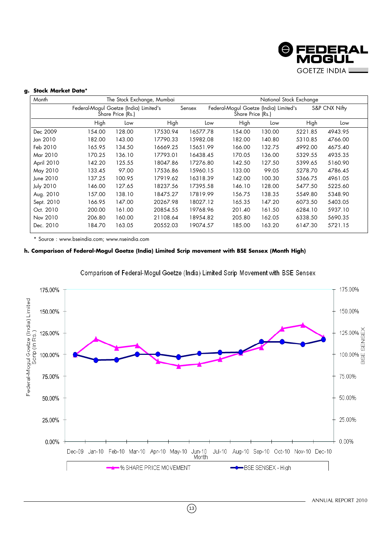

#### **g. Stock Market Data\***

| Month            |                                        |                   | The Stock Exchange, Mumbai |          |                                                             |        | National Stock Exchange |               |
|------------------|----------------------------------------|-------------------|----------------------------|----------|-------------------------------------------------------------|--------|-------------------------|---------------|
|                  | Federal-Mogul Goetze (India) Limited's | Šhare Price (Rs.) |                            | Sensex   | Federal-Mogul Goetze (India) Limited's<br>Share Price (Rs.) |        |                         | S&P CNX Nifty |
|                  | High                                   | Low               | High                       | Low      | High                                                        | Low    | High                    | Low           |
| Dec 2009         | 154.00                                 | 128.00            | 17530.94                   | 16577.78 | 154.00                                                      | 130.00 | 5221.85                 | 4943.95       |
| Jan 2010         | 182.00                                 | 143.00            | 17790.33                   | 15982.08 | 182.00                                                      | 140.80 | 5310.85                 | 4766.00       |
| Feb 2010         | 165.95                                 | 134.50            | 16669.25                   | 15651.99 | 166.00                                                      | 132.75 | 4992.00                 | 4675.40       |
| Mar 2010         | 170.25                                 | 136.10            | 17793.01                   | 16438.45 | 170.05                                                      | 136.00 | 5329.55                 | 4935.35       |
| April 2010       | 142.20                                 | 125.55            | 18047.86                   | 17276.80 | 142.50                                                      | 127.50 | 5399.65                 | 5160.90       |
| May 2010         | 133.45                                 | 97.00             | 17536.86                   | 15960.15 | 133.00                                                      | 99.05  | 5278.70                 | 4786.45       |
| June 2010        | 137.25                                 | 100.95            | 17919.62                   | 16318.39 | 142.00                                                      | 100.30 | 5366.75                 | 4961.05       |
| <b>July 2010</b> | 146.00                                 | 127.65            | 18237.56                   | 17395.58 | 146.10                                                      | 128.00 | 5477.50                 | 5225.60       |
| Aug. 2010        | 157.00                                 | 138.10            | 18475.27                   | 17819.99 | 156.75                                                      | 138.35 | 5549.80                 | 5348.90       |
| Sept. 2010       | 166.95                                 | 147.00            | 20267.98                   | 18027.12 | 165.35                                                      | 147.20 | 6073.50                 | 5403.05       |
| Oct. 2010        | 200.00                                 | 161.00            | 20854.55                   | 19768.96 | 201.40                                                      | 161.50 | 6284.10                 | 5937.10       |
| Nov 2010         | 206.80                                 | 160.00            | 21108.64                   | 18954.82 | 205.80                                                      | 162.05 | 6338.50                 | 5690.35       |
| Dec. 2010        | 184.70                                 | 163.05            | 20552.03                   | 19074.57 | 185.00                                                      | 163.20 | 6147.30                 | 5721.15       |

\* Source : www.bseindia.com; www.nseindia.com

#### **h. Comparison of Federal-Mogul Goetze (India) Limited Scrip movement with BSE Sensex (Month High)**



 $\binom{13}{2}$ 

Comparison of Federal-Mogul Goetze (India) Limited Scrip Movement with BSE Sensex

ANNUAL REPORT 2010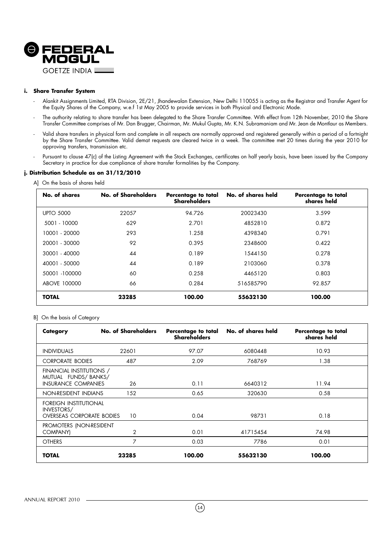

#### **i. Share Transfer System**

- Alankit Assignments Limited, RTA Division, 2E/21, Jhandewalan Extension, New Delhi 110055 is acting as the Registrar and Transfer Agent for the Equity Shares of the Company, w.e.f 1st May 2005 to provide services in both Physical and Electronic Mode.
- The authority relating to share transfer has been delegated to the Share Transfer Committee. With effect from 12th November, 2010 the Share Transfer Committee comprises of Mr. Dan Brugger, Chairman, Mr. Mukul Gupta, Mr. K.N. Subramaniam and Mr. Jean de Montlaur as Members.
- Valid share transfers in physical form and complete in all respects are normally approved and registered generally within a period of a fortnight by the Share Transfer Committee. Valid demat requests are cleared twice in a week. The committee met 20 times during the year 2010 for approving transfers, transmission etc.
- Pursuant to clause 47(c) of the Listing Agreement with the Stock Exchanges, certificates on half yearly basis, have been issued by the Company Secretary in practice for due compliance of share transfer formalities by the Company.

#### **j. Distribution Schedule as on 31/12/2010**

|  |  |  | A] On the basis of shares held |  |
|--|--|--|--------------------------------|--|
|--|--|--|--------------------------------|--|

| No. of shares    | No. of Shareholders | Percentage to total<br><b>Shareholders</b> | No. of shares held | Percentage to total<br>shares held |
|------------------|---------------------|--------------------------------------------|--------------------|------------------------------------|
| <b>UPTO 5000</b> | 22057               | 94.726                                     | 20023430           | 3.599                              |
| 5001 - 10000     | 629                 | 2.701                                      | 4852810            | 0.872                              |
| 10001 - 20000    | 293                 | 1.258                                      | 4398340            | 0.791                              |
| 20001 - 30000    | 92                  | 0.395                                      | 2348600            | 0.422                              |
| 30001 - 40000    | 44                  | 0.189                                      | 1544150            | 0.278                              |
| 40001 - 50000    | 44                  | 0.189                                      | 2103060            | 0.378                              |
| 50001 -100000    | 60                  | 0.258                                      | 4465120            | 0.803                              |
| ABOVE 100000     | 66                  | 0.284                                      | 516585790          | 92.857                             |
| <b>TOTAL</b>     | 23285               | 100.00                                     | 55632130           | 100.00                             |

#### B] On the basis of Category

| Category                                                                      | No. of Shareholders | Percentage to total<br><b>Shareholders</b> | No. of shares held | Percentage to total<br>shares held |
|-------------------------------------------------------------------------------|---------------------|--------------------------------------------|--------------------|------------------------------------|
| <b>INDIVIDUALS</b>                                                            | 22601               | 97.07                                      | 6080448            | 10.93                              |
| <b>CORPORATE BODIES</b>                                                       | 487                 | 2.09                                       | 768769             | 1.38                               |
| FINANCIAL INSTITUTIONS /<br>MUTUAL FUNDS/BANKS/<br><b>INSURANCE COMPANIES</b> | 26                  | 0.11                                       | 6640312            | 11.94                              |
| NON-RESIDENT INDIANS                                                          | 152                 | 0.65                                       | 320630             | 0.58                               |
| FOREIGN INSTITUTIONAL<br>INVESTORS/<br><b>OVERSEAS CORPORATE BODIES</b>       | 10                  | 0.04                                       | 98731              | 0.18                               |
| PROMOTERS (NON-RESIDENT<br>COMPANY)                                           | $\overline{2}$      | 0.01                                       | 41715454           | 74.98                              |
| <b>OTHERS</b>                                                                 | 7                   | 0.03                                       | 7786               | 0.01                               |
| TOTAL                                                                         | 23285               | 100.00                                     | 55632130           | 100.00                             |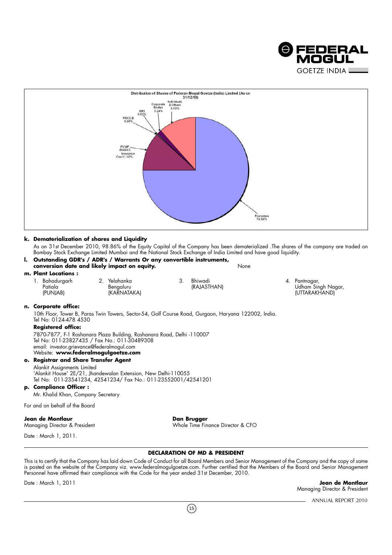



#### **k. Dematerialization of shares and Liquidity**

As on 31st December 2010, 98.86% of the Equity Capital of the Company has been dematerialized .The shares of the company are traded on Bombay Stock Exchange Limited Mumbai and the National Stock Exchange of India Limited and have good liquidity.

| I. Outstanding GDR's / ADR's / Warrants Or any convertible instruments,<br>conversion date and likely impact on equity.                                                                                     |                                          |         | None                                                                                                 |  |                                                      |
|-------------------------------------------------------------------------------------------------------------------------------------------------------------------------------------------------------------|------------------------------------------|---------|------------------------------------------------------------------------------------------------------|--|------------------------------------------------------|
| m. Plant Locations:                                                                                                                                                                                         |                                          |         |                                                                                                      |  |                                                      |
| 1. Bahadurgarh<br>Patiala<br>(PUNJAB)                                                                                                                                                                       | 2. Yelahanka<br>Bengaluru<br>(KARNATAKA) | $3_{-}$ | Bhiwadi<br>(RAJASTHAN)                                                                               |  | 4. Pantnagar,<br>Udham Singh Nagar,<br>(UTTARAKHAND) |
| n. Corporate office:                                                                                                                                                                                        |                                          |         |                                                                                                      |  |                                                      |
| Tel No: 0124-478 4530                                                                                                                                                                                       |                                          |         | 10th Floor, Tower B, Paras Twin Towers, Sector-54, Golf Course Road, Gurgaon, Haryana 122002, India. |  |                                                      |
| <b>Registered office:</b>                                                                                                                                                                                   |                                          |         |                                                                                                      |  |                                                      |
| 7870-7877, F-1 Roshanara Plaza Building, Roshanara Road, Delhi -110007<br>Tel No: 011-23827435 / Fax No.: 011-30489308<br>email: investor.grievance@federalmogul.com<br>Website: www.federalmogulgoetze.com |                                          |         |                                                                                                      |  |                                                      |
| o. Registrar and Share Transfer Agent                                                                                                                                                                       |                                          |         |                                                                                                      |  |                                                      |
| Alankit Assignments Limited<br>'Alankit House' 2E/21, Jhandewalan Extension, New Delhi-110055<br>Tel No: 011-23541234, 42541234/ Fax No.: 011-23552001/42541201                                             |                                          |         |                                                                                                      |  |                                                      |
| p. Compliance Officer:                                                                                                                                                                                      |                                          |         |                                                                                                      |  |                                                      |
| Mr. Khalid Khan, Company Secretary                                                                                                                                                                          |                                          |         |                                                                                                      |  |                                                      |
| For and on behalf of the Board                                                                                                                                                                              |                                          |         |                                                                                                      |  |                                                      |
| Jean de Montlaur<br>Managing Director & President                                                                                                                                                           |                                          |         | Dan Brugger<br>Whole Time Finance Director & CFO                                                     |  |                                                      |
| Date: March 1, 2011.                                                                                                                                                                                        |                                          |         |                                                                                                      |  |                                                      |
|                                                                                                                                                                                                             |                                          |         | <b>DECLARATION OF MD &amp; PRESIDENT</b>                                                             |  |                                                      |

This is to certify that the Company has laid down Code of Conduct for all Board Members and Senior Management of the Company and the copy of same is posted on the website of the Company viz. www.federalmogulgoetze.com. Further certified that the Members of the Board and Senior Management Personnel have affirmed their compliance with the Code for the year ended 31st December, 2010.

Date : March 1, 2011 **Jean de Montlaur** Managing Director & President

ANNUAL REPORT 2010

 $(15)$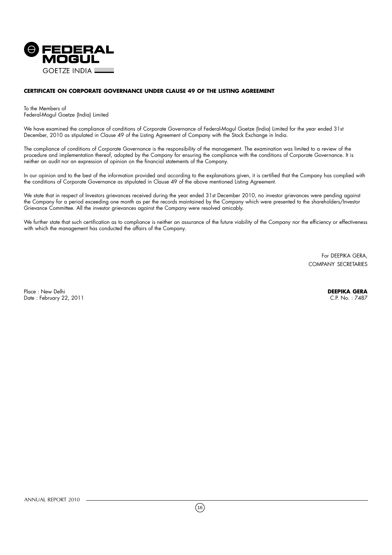

#### **CERTIFICATE ON CORPORATE GOVERNANCE UNDER CLAUSE 49 OF THE LISTING AGREEMENT**

To the Members of Federal-Mogul Goetze (India) Limited

We have examined the compliance of conditions of Corporate Governance of Federal-Mogul Goetze (India) Limited for the year ended 31st December, 2010 as stipulated in Clause 49 of the Listing Agreement of Company with the Stock Exchange in India.

The compliance of conditions of Corporate Governance is the responsibility of the management. The examination was limited to a review of the procedure and implementation thereof, adopted by the Company for ensuring the compliance with the conditions of Corporate Governance. It is neither an audit nor an expression of opinion on the financial statements of the Company.

In our opinion and to the best of the information provided and according to the explanations given, it is certified that the Company has complied with the conditions of Corporate Governance as stipulated in Clause 49 of the above mentioned Listing Agreement.

We state that in respect of Investors grievances received during the year ended 31st December 2010, no investor grievances were pending against the Company for a period exceeding one month as per the records maintained by the Company which were presented to the shareholders/Investor Grievance Committee. All the investor grievances against the Company were resolved amicably.

We further state that such certification as to compliance is neither an assurance of the future viability of the Company nor the efficiency or effectiveness with which the management has conducted the affairs of the Company.

> For DEEPIKA GERA, COMPANY SECRETARIES

Place : New Delhi **DEEPIKA GERA**<br>Date : February 22, 2011 C.P. No. : 7487 Date : February 22, 2011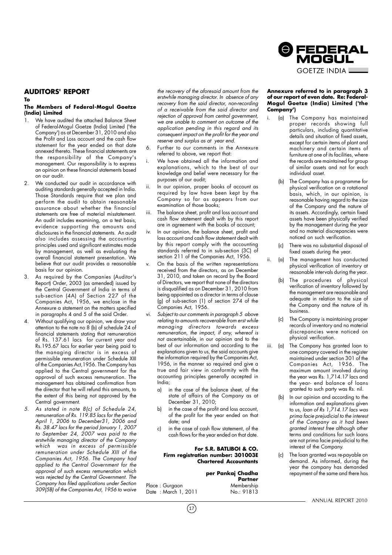#### **AUDITORS' REPORT**

**To**

#### **The Members of Federal-Mogul Goetze (India) Limited**

- We have audited the attached Balance Sheet of Federal-Mogul Goetze (India) Limited ('the Company') as at December 31, 2010 and also the Profit and Loss account and the cash flow statement for the year ended on that date annexed thereto. These financial statements are the responsibility of the Company's management. Our responsibility is to express an opinion on these financial statements based on our audit.
- 2. We conducted our audit in accordance with auditing standards generally accepted in India. Those Standards require that we plan and perform the audit to obtain reasonable assurance about whether the financial statements are free of material misstatement. An audit includes examining, on a test basis, evidence supporting the amounts and disclosures in the financial statements. An audit also includes assessing the accounting principles used and significant estimates made by management, as well as evaluating the overall financial statement presentation. We believe that our audit provides a reasonable basis for our opinion.
- 3. As required by the Companies (Auditor's Report) Order, 2003 (as amended) issued by the Central Government of India in terms of sub-section (4A) of Section 227 of the Companies Act, 1956, we enclose in the Annexure a statement on the matters specified in paragraphs 4 and 5 of the said Order.
- 4. Without qualifying our opinion, we draw your attention to the note no 8 (b) of schedule 24 of financial statements stating that remuneration of Rs. 137.61 lacs for current year and Rs.195.67 lacs for earlier year being paid to the managing director is in excess of permissible remuneration under Schedule XIII of the Companies Act,1956. The Company has applied to the Central government for the approval of such excess remuneration. The management has obtained confirmation from the director that he will refund this amounts, to the extent of this being not approved by the Central government.
- 5. As stated in note 8(c) of Schedule 24, remuneration of Rs. 119.85 lacs for the period April 1, 2006 to December31, 2006 and Rs. 38.47 lacs for the period January 1, 2007 to September 24, 2007 was paid to the erstwhile managing director of the Company which was in excess of permissible remuneration under Schedule XIII of the Companies Act, 1956. The Company had applied to the Central Government for the approval of such excess remuneration which was rejected by the Central Government. The Company has filed applications under Section 309(5B) of the Companies Act, 1956 to waive

the recovery of the aforesaid amount from the erstwhile managing director. In absence of any recovery from the said director, non-recording of a receivable from the said director and rejection of approval from central government, we are unable to comment on outcome of the application pending in this regard and its consequent impact on the profit for the year and reserve and surplus as at year end.

- Further to our comments in the Annexure referred to above, we report that:
- We have obtained all the information and explanations, which to the best of our knowledge and belief were necessary for the purposes of our audit;
- In our opinion, proper books of account as required by law have been kept by the Company so far as appears from our examination of those books;
- iii. The balance sheet, profit and loss account and cash flow statement dealt with by this report are in agreement with the books of account;
- In our opinion, the balance sheet, profit and loss account and cash flow statement dealt with by this report comply with the accounting standards referred to in sub-section (3C) of section 211 of the Companies Act, 1956.
- On the basis of the written representations received from the directors, as on December 31, 2010, and taken on record by the Board of Directors, we report that none of the directors is disqualified as on December 31, 2010 from being appointed as a director in terms of clause (g) of sub-section (1) of section 274 of the Companies Act, 1956.
- vi. Subject to our comments in paragraph 5 above relating to amounts recoverable from erst while managing directors towards excess remuneration, the impact, if any, whereof is not ascertainable, in our opinion and to the best of our information and according to the explanations given to us, the said accounts give the information required by the Companies Act, 1956, in the manner so required and give a true and fair view in conformity with the accounting principles generally accepted in India;
	- a) in the case of the balance sheet, of the state of affairs of the Company as at December 31, 2010;
	- b) in the case of the profit and loss account, of the profit for the year ended on that date; and
	- c) in the case of cash flow statement, of the cash flows for the year ended on that date.

#### **For S.R. BATLIBOI & CO. Firm registration number: 301003E Chartered Accountants**

**per Pankaj Chadha Partner**<br>Membership Date : March 1, 2011 No.: 91813

#### **Annexure referred to in paragraph 3 of our report of even date. Re: Federal-Mogul Goetze (India) Limited ('the Company')**

@FEDERAL MOGUL **GOFTZE INDIA L** 

- (a) The Company has maintained proper records showing full particulars, including quantitative details and situation of fixed assets, except for certain items of plant and machinery and certain items of furniture at one of its facilities, where the records are maintained for group of similar assets and not for each individual asset.
	- (b) The Company has a programme for physical verification on a rotational basis, which, in our opinion, is reasonable having regard to the size of the Company and the nature of its assets. Accordingly, certain fixed assets have been physically verified by the management during the year and no material discrepancies were noticed on such verification.
	- (c) There was no substantial disposal of fixed assets during the year.
- ii. (a) The management has conducted physical verification of inventory at reasonable intervals during the year.
	- (b) The procedures of physical verification of inventory followed by the management are reasonable and adequate in relation to the size of the Company and the nature of its business.
	- (c) The Company is maintaining proper records of inventory and no material discrepancies were noticed on physical verification.
- iii. (a) The Company has granted loan to one company covered in the register maintained under section 301 of the Companies Act, 1956. The maximum amount involved during the year was Rs. 1,714.17 lacs and the year- end balance of loans granted to such party was Rs. nil.
	- (b) In our opinion and according to the information and explanations given to us, loan of Rs 1,714.17 lacs was prima facie prejudicial to the interest of the Company as it had been granted interest free although other terms and conditions for such loans are not prima facie prejudicial to the interest of the Company.
	- (c) The loan granted was re-payable on demand. As informed, during the year the company has demanded repayment of the same and there has



Place : Gurgaon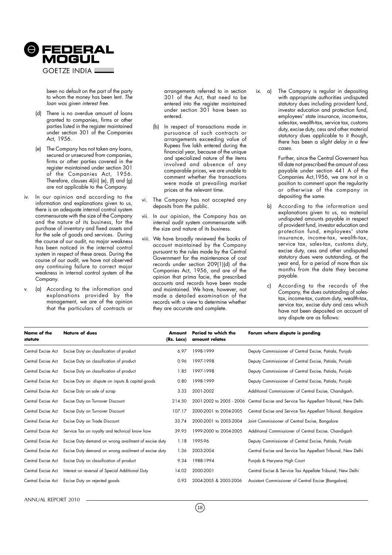

been no default on the part of the party to whom the money has been lent. The loan was given interest free.

- (d) There is no overdue amount of loans granted to companies, firms or other parties listed in the register maintained under section 301 of the Companies Act, 1956.
- (e) The Company has not taken any loans, secured or unsecured from companies, firms or other parties covered in the register maintained under section 301 of the Companies Act, 1956. Therefore, clauses 4(iii) (e), (f) and (g) are not applicable to the Company.
- iv. In our opinion and according to the information and explanations given to us, there is an adequate internal control system commensurate with the size of the Company and the nature of its business, for the purchase of inventory and fixed assets and for the sale of goods and services. During the course of our audit, no major weakness has been noticed in the internal control system in respect of these areas. During the course of our audit, we have not observed any continuing failure to correct major weakness in internal control system of the Company.
- (a) According to the information and explanations provided by the management, we are of the opinion that the particulars of contracts or

arrangements referred to in section 301 of the Act, that need to be entered into the register maintained under section 301 have been so entered.

- (b) In respect of transactions made in pursuance of such contracts or arrangements exceeding value of Rupees five lakh entered during the financial year, because of the unique and specialized nature of the items involved and absence of any comparable prices, we are unable to comment whether the transactions were made at prevailing market prices at the relevant time.
- vi. The Company has not accepted any deposits from the public.
- vii. In our opinion, the Company has an internal audit system commensurate with the size and nature of its business.
- viii. We have broadly reviewed the books of account maintained by the Company pursuant to the rules made by the Central Government for the maintenance of cost records under section 209(1)(d) of the Companies Act, 1956, and are of the opinion that prima facie, the prescribed accounts and records have been made and maintained. We have, however, not made a detailed examination of the records with a view to determine whether they are accurate and complete.

ix. a) The Company is regular in depositing with appropriate authorities undisputed statutory dues including provident fund, investor education and protection fund, employees' state insurance, income-tax, sales-tax, wealth-tax, service tax, customs duty, excise duty, cess and other material statutory dues applicable to it though, there has been a slight delay in a few cases.

> Further, since the Central Governent has till date not prescribed the amount of cess payable under section 441 A of the Companies Act,1956, we are not in a position to comment upon the regularity or otherwise of the company in depositing the same.

- b) According to the information and explanations given to us, no material undisputed amounts payable in respect of provident fund, investor education and protection fund, employees' state insurance, income-tax, wealth-tax, service tax, sales-tax, customs duty, excise duty, cess and other undisputed statutory dues were outstanding, at the year end, for a period of more than six months from the date they became payable.
- c) According to the records of the Company, the dues outstanding of salestax, income-tax, custom duty, wealth-tax, service tax, excise duty and cess which have not been deposited on account of any dispute are as follows:

| Name of the<br>statute | <b>Nature of dues</b>                                | Amount<br>(Rs. Lacs) | Period to which the<br>amount relates | Forum where dispute is pending                                                         |
|------------------------|------------------------------------------------------|----------------------|---------------------------------------|----------------------------------------------------------------------------------------|
| Central Excise Act     | Excise Duty on classification of product             | 6.97                 | 1998-1999                             | Deputy Commissioner of Central Excise, Patiala, Punjab                                 |
| Central Excise Act     | Excise Duty on classification of product             | 0.96                 | 1997-1998                             | Deputy Commissioner of Central Excise, Patiala, Punjab                                 |
| Central Excise Act     | Excise Duty on classification of product             | 1.85                 | 1997-1998                             | Deputy Commissioner of Central Excise, Patiala, Punjab                                 |
| Central Excise Act     | Excise Duty on dispute on inputs & capital goods     | 0.80                 | 1998-1999                             | Deputy Commissioner of Central Excise, Patiala, Punjab                                 |
| Central Excise Act     | Excise Duty on sale of scrap                         | 3.33                 | 2001-2002                             | Additional Commissioner of Central Excise, Chandigarh.                                 |
| Central Excise Act     | Excise Duty on Turnover Discount                     | 214.50               |                                       | 2001-2002 to 2005 - 2006 Central Excise and Service Tax Appellant Tribunal, New Delhi. |
| Central Excise Act     | Excise Duty on Turnover Discount                     | 107.17               | 2000-2001 to 2004-2005                | Central Excise and Service Tax Appellant Tribunal, Bangalore                           |
| Central Excise Act     | Excise Duty on Trade Discount                        | 33.74                | 2000-2001 to 2003-2004                | Joint Commissioner of Central Excise, Bangalore                                        |
| Central Excise Act     | Service Tax on royalty and technical know how        | 39.95                | 1999-2000 to 2004-2005                | Additional Commissioner of Central Excise, Chandigarh                                  |
| Central Excise Act     | Excise Duty demand on wrong availment of excise duty | 1.18                 | 1995-96                               | Deputy Commissioner of Central Excise, Patiala, Punjab                                 |
| Central Excise Act     | Excise Duty demand on wrong availment of excise duty | 1.36                 | 2003-2004                             | Central Excise and Service Tax Appellant Tribunal, New Delhi                           |
| Central Excise Act     | Excise Duty on classification of product             | 9.34                 | 1988-1994                             | Punjab & Haryana High Court                                                            |
| Central Excise Act     | Interest on reversal of Special Additional Duty      | 14.02                | 2000-2001                             | Central Excise & Service Tax Appellate Tribunal, New Delhi                             |
| Central Excise Act     | Excise Duty on rejected goods                        | 0.93                 | 2004-2005 & 2005-2006                 | Assistant Commissioner of Central Excise (Bangalore).                                  |

ANNUAL REPORT 2010

 $(18)$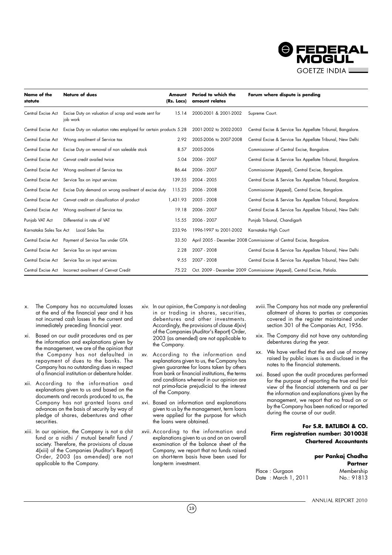

| Name of the<br>statute  | <b>Nature of dues</b>                                             | Amount<br>(Rs. Lacs) | Period to which the<br>amount relates | Forum where dispute is pending                                            |
|-------------------------|-------------------------------------------------------------------|----------------------|---------------------------------------|---------------------------------------------------------------------------|
| Central Excise Act      | Excise Duty on valuation of scrap and waste sent for<br>job work  | 15.14                | 2000-2001 & 2001-2002                 | Supreme Court.                                                            |
| Central Excise Act      | Excise Duty on valuation rates employed for certain products 5.28 |                      | 2001-2002 to 2002-2003                | Central Excise & Service Tax Appellate Tribunal, Bangalore.               |
| Central Excise Act      | Wrong availment of Service tax                                    | 2.92                 | 2005-2006 to 2007-2008                | Central Excise & Service Tax Appellate Tribunal, New Delhi                |
| Central Excise Act      | Excise Duty on removal of non saleable stock                      | 8.57                 | 2005-2006                             | Commissioner of Central Excise, Bangalore.                                |
| Central Excise Act      | Cenvat credit availed twice                                       | 5.04                 | 2006 - 2007                           | Central Excise & Service Tax Appellate Tribunal, Bangalore.               |
| Central Excise Act      | Wrong availment of Service tax                                    | 86.44                | 2006 - 2007                           | Commissioner (Appeal), Central Excise, Bangalore.                         |
| Central Excise Act      | Service Tax on input services                                     | 139.55               | 2004 - 2005                           | Central Excise & Service Tax Appellate Tribunal, Bangalore.               |
| Central Excise Act      | Excise Duty demand on wrong availment of excise duty              | 115.25               | 2006 - 2008                           | Commissioner (Appeal), Central Excise, Bangalore.                         |
| Central Excise Act      | Cenvat credit on classification of product                        | 1,431.93             | 2005 - 2008                           | Central Excise & Service Tax Appellate Tribunal, Bangalore.               |
| Central Excise Act      | Wrong availment of Service tax                                    | 19.18                | 2006 - 2007                           | Central Excise & Service Tax Appellate Tribunal, New Delhi                |
| Punjab VAT Act          | Differential in rate of VAT                                       | 15.55                | 2006 - 2007                           | Punjab Tribunal, Chandigarh                                               |
| Karnataka Sales Tax Act | Local Sales Tax                                                   | 233.96               | 1996-1997 to 2001-2002                | Karnataka High Court                                                      |
| Central Excise Act      | Payment of Service Tax under GTA                                  | 33.50                |                                       | April 2005 - December 2008 Commissioner of Central Excise, Bangalore.     |
|                         | Central Excise Act Service Tax on input services                  | 2.28                 | 2007 - 2008                           | Central Excise & Service Tax Appellate Tribunal, New Delhi                |
|                         | Central Excise Act Service Tax on input services                  | 9.55                 | 2007 - 2008                           | Central Excise & Service Tax Appellate Tribunal, New Delhi                |
| Central Excise Act      | Incorrect availment of Cenvat Credit                              | 75.22                |                                       | Oct. 2009 - December 2009 Commissioner (Appeal), Central Excise, Patiala. |

- The Company has no accumulated losses at the end of the financial year and it has not incurred cash losses in the current and immediately preceding financial year.
- xi. Based on our audit procedures and as per the information and explanations given by the management, we are of the opinion that the Company has not defaulted in repayment of dues to the banks. The Company has no outstanding dues in respect of a financial institution or debenture holder.
- xii. According to the information and explanations given to us and based on the documents and records produced to us, the Company has not granted loans and advances on the basis of security by way of pledge of shares, debentures and other securities.
- xiii. In our opinion, the Company is not a chit fund or a nidhi / mutual benefit fund / society. Therefore, the provisions of clause 4(xiii) of the Companies (Auditor's Report) Order, 2003 (as amended) are not applicable to the Company.
- xiv. In our opinion, the Company is not dealing in or trading in shares, securities, debentures and other investments. Accordingly, the provisions of clause 4(xiv) of the Companies (Auditor's Report) Order, 2003 (as amended) are not applicable to the Company.
- xv. According to the information and explanations given to us, the Company has given guarantee for loans taken by others from bank or financial institutions, the terms and conditions whereof in our opinion are not prima-facie prejudicial to the interest of the Company.
- xvi. Based on information and explanations given to us by the management, term loans were applied for the purpose for which the loans were obtained.
- xvii. According to the information and explanations given to us and on an overall examination of the balance sheet of the Company, we report that no funds raised on short-term basis have been used for long-term investment.
- xviii.The Company has not made any preferential allotment of shares to parties or companies covered in the register maintained under section 301 of the Companies Act, 1956.
- xix. The Company did not have any outstanding debentures during the year.
- xx. We have verified that the end use of money raised by public issues is as disclosed in the notes to the financial statements.
- xxi. Based upon the audit procedures performed for the purpose of reporting the true and fair view of the financial statements and as per the information and explanations given by the management, we report that no fraud on or by the Company has been noticed or reported during the course of our audit.

#### **For S.R. BATLIBOI & CO. Firm registration number: 301003E Chartered Accountants**

## **per Pankaj Chadha Partner**

| Place : Gurgaon      | Membership |
|----------------------|------------|
| Date : March 1, 2011 | No.: 91813 |

 $(19)$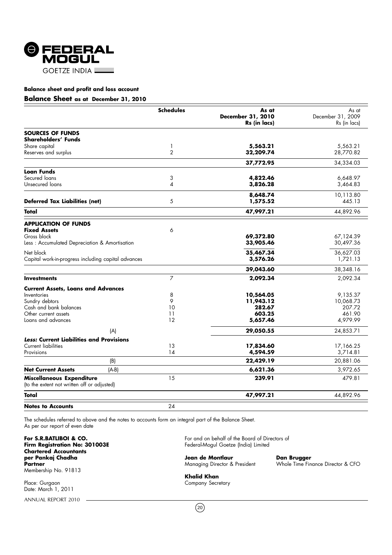

#### **Balance Sheet as at December 31, 2010**

|                                                     | <b>Schedules</b> | As at                    | As at             |
|-----------------------------------------------------|------------------|--------------------------|-------------------|
|                                                     |                  | <b>December 31, 2010</b> | December 31, 2009 |
|                                                     |                  | Rs (in lacs)             | Rs (in lacs)      |
| <b>SOURCES OF FUNDS</b>                             |                  |                          |                   |
| Shareholders' Funds                                 |                  |                          |                   |
| Share capital                                       | 1                | 5,563.21                 | 5,563.21          |
| Reserves and surplus                                | $\overline{2}$   | 32,209.74                | 28,770.82         |
|                                                     |                  | 37,772.95                | 34,334.03         |
| Loan Funds                                          |                  |                          |                   |
| Secured loans                                       | 3                | 4,822.46                 | 6,648.97          |
| Unsecured loans                                     | 4                | 3,826.28                 | 3,464.83          |
|                                                     |                  | 8,648.74                 | 10,113.80         |
| <b>Deferred Tax Liabilities (net)</b>               | 5                | 1,575.52                 | 445.13            |
| Total                                               |                  | 47,997.21                | 44,892.96         |
| <b>APPLICATION OF FUNDS</b>                         |                  |                          |                   |
| <b>Fixed Assets</b>                                 | 6                |                          |                   |
| Gross block                                         |                  | 69,372.80                | 67,124.39         |
| Less: Accumulated Depreciation & Amortisation       |                  | 33,905.46                | 30,497.36         |
| Net block                                           |                  | 35,467.34                | 36,627.03         |
| Capital work-in-progress including capital advances |                  | 3,576.26                 | 1,721.13          |
|                                                     |                  | 39,043.60                | 38,348.16         |
| <b>Investments</b>                                  | $\overline{7}$   | 2,092.34                 | 2,092.34          |
| <b>Current Assets, Loans and Advances</b>           |                  |                          |                   |
| Inventories                                         | 8                | 10,564.05                | 9,135.37          |
| Sundry debtors                                      | 9                | 11,943.12                | 10,068.73         |
| Cash and bank balances                              | 10               | 282.67                   | 207.72            |
| Other current assets                                | 11<br>12         | 603.25                   | 461.90            |
| Loans and advances                                  |                  | 5,657.46                 | 4,979.99          |
| (A)                                                 |                  | 29,050.55                | 24,853.71         |
| <b>Less: Current Liabilities and Provisions</b>     |                  |                          |                   |
| <b>Current liabilities</b>                          | 13               | 17,834.60                | 17,166.25         |
| Provisions                                          | 14               | 4,594.59                 | 3,714.81          |
| (B)                                                 |                  | 22,429.19                | 20,881.06         |
| <b>Net Current Assets</b><br>$(A-B)$                |                  | 6,621.36                 | 3,972.65          |
| Miscellaneous Expenditure                           | 15               | 239.91                   | 479.81            |
| (to the extent not written off or adjusted)         |                  |                          |                   |
| Total                                               |                  | 47,997.21                | 44,892.96         |
| <b>Notes to Accounts</b>                            | 24               |                          |                   |

The schedules referred to above and the notes to accounts form an integral part of the Balance Sheet. As per our report of even date

For S.R.BATLIBOI & CO.<br>Firm Registration No: 301003E **Chartered Accountants per Pankaj Chadha Jean de Montlaur de Dan Brugger<br>Partner Montgott Dan Brugger<br>Partner Montgoing Director & President Monde Time Fin** Membership No. 91813

Place: Gurgaon Company Secretary Secretary Secretary Secretary Secretary Secretary Date: March 1, 2011

ANNUAL REPORT 2010

For and on behalf of the Board of Directors of<br>Federal-Mogul Goetze (India) Limited

Whole Time Finance Director & CFO

**Khalid Khan**

 $(20)$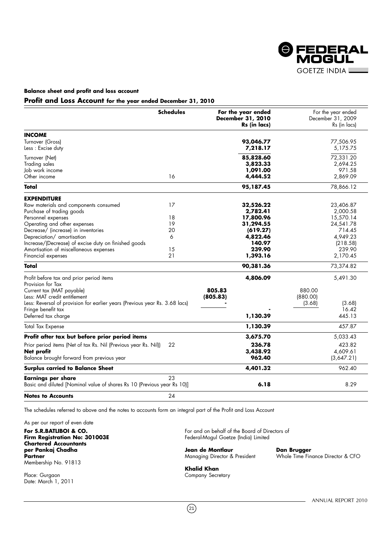

#### **Profit and Loss Account for the year ended December 31, 2010**

|                                                                             | <b>Schedules</b> | For the year ended<br>December 31, 2010 | For the year ended<br>December 31, 2009 |
|-----------------------------------------------------------------------------|------------------|-----------------------------------------|-----------------------------------------|
|                                                                             |                  | Rs (in lacs)                            | Rs (in lacs)                            |
| <b>INCOME</b>                                                               |                  |                                         |                                         |
| Turnover (Gross)                                                            |                  | 93,046.77                               | 77,506.95                               |
| Less: Excise duty                                                           |                  | 7,218.17                                | 5,175.75                                |
| Turnover (Net)                                                              |                  | 85,828.60                               | 72,331.20                               |
| <b>Trading sales</b>                                                        |                  | 3,823.33                                | 2,694.25                                |
| Job work income                                                             |                  | 1,091.00                                | 971.58                                  |
| Other income                                                                | 16               | 4,444.52                                | 2,869.09                                |
| Total                                                                       |                  | 95,187.45                               | 78,866.12                               |
| <b>EXPENDITURE</b>                                                          |                  |                                         |                                         |
| Raw materials and components consumed                                       | 17               | 32,526.22                               | 23,406.87                               |
| Purchase of trading goods                                                   |                  | 2,782.41                                | 2,000.58                                |
| Personnel expenses                                                          | 18               | 17,800.96                               | 15,570.14                               |
| Operating and other expenses                                                | 19               | 31,294.55                               | 24,541.78                               |
| Decrease/ (increase) in inventories                                         | 20               | (619.27)                                | 714.45                                  |
| Depreciation/ amortisation                                                  | 6                | 4,822.46                                | 4,949.23                                |
| Increase/(Decrease) of excise duty on finished goods                        |                  | 140.97                                  | (218.58)                                |
| Amortisation of miscellaneous expenses                                      | 15               | 239.90                                  | 239.90                                  |
| Financial expenses                                                          | 21               | 1,393.16                                | 2,170.45                                |
| Total                                                                       |                  | 90,381.36                               | 73,374.82                               |
| Profit before tax and prior period items                                    |                  | 4,806.09                                | 5,491.30                                |
| Provision for Tax                                                           |                  |                                         |                                         |
| Current tax (MAT payable)                                                   |                  | 805.83                                  | 880.00                                  |
| Less: MAT credit entitlement                                                |                  | (805.83)                                | (880.00)                                |
| Less: Reversal of provision for earlier years (Previous year Rs. 3.68 lacs) |                  |                                         | (3.68)<br>(3.68)                        |
| Fringe benefit tax                                                          |                  | 1,130.39                                | 16.42<br>445.13                         |
| Deferred tax charge                                                         |                  |                                         |                                         |
| <b>Total Tax Expense</b>                                                    |                  | 1,130.39                                | 457.87                                  |
| Profit after tax but before prior period items                              |                  | 3,675.70                                | 5,033.43                                |
| Prior period items (Net of tax Rs. Nil (Previous year Rs. Nil))             | 22               | 236.78                                  | 423.82                                  |
| Net profit                                                                  |                  | 3,438.92                                | 4.609.61                                |
| Balance brought forward from previous year                                  |                  | 962.40                                  | (3,647.21)                              |
| <b>Surplus carried to Balance Sheet</b>                                     |                  | 4,401.32                                | 962.40                                  |
| <b>Earnings per share</b>                                                   | 23               |                                         |                                         |
| Basic and diluted [Nominal value of shares Rs 10 (Previous year Rs 10)]     |                  | 6.18                                    | 8.29                                    |
| <b>Notes to Accounts</b>                                                    | 24               |                                         |                                         |

The schedules referred to above and the notes to accounts form an integral part of the Profit and Loss Account

As per our report of even date

**Chartered Accountants per Pankaj Chadha Jean de Montlaur Dan Brugger Partner Managing Director & President Mundaing Director & President Mundaing Director & CFO** Membership No. 91813

Place: Gurgaon Company Secretary Company Secretary Company Secretary Date: March 1, 2011

**For S.R.BATLIBOI & CO.** For and on behalf of the Board of Directors of **Firm Registration No: 301003E** Federal-Mogul Goetze (India) Limited Federal-Mogul Goetze (India) Limited

 $(21)$ 

**Khalid Khan**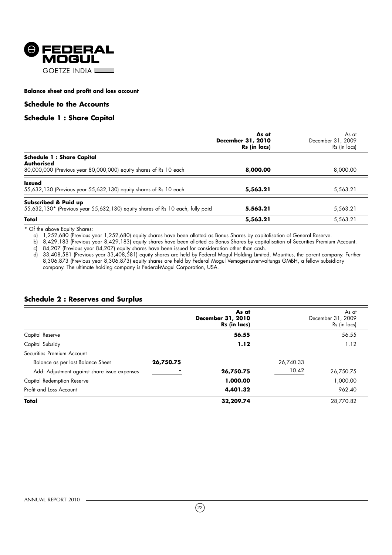

#### **Schedule to the Accounts**

#### **Schedule 1 : Share Capital**

|                                                                                                                     | As at<br>December 31, 2010<br>Rs (in lacs) | As at<br>December 31, 2009<br>Rs (in lacs) |
|---------------------------------------------------------------------------------------------------------------------|--------------------------------------------|--------------------------------------------|
| <b>Schedule 1: Share Capital</b><br>Authorised<br>80,000,000 (Previous year 80,000,000) equity shares of Rs 10 each | 8,000.00                                   | 8,000.00                                   |
| <b>Issued</b><br>55,632,130 (Previous year 55,632,130) equity shares of Rs 10 each                                  | 5,563.21                                   | 5,563.21                                   |
| Subscribed & Paid up<br>55,632,130* (Previous year 55,632,130) equity shares of Rs 10 each, fully paid              | 5,563.21                                   | 5,563.21                                   |
| Total                                                                                                               | 5,563.21                                   | 5,563.21                                   |

\* Of the above Equity Shares:

a) 1,252,680 (Previous year 1,252,680) equity shares have been allotted as Bonus Shares by capitalisation of General Reserve.

b) 8,429,183 (Previous year 8,429,183) equity shares have been allotted as Bonus Shares by capitalisation of Securities Premium Account. c) 84,207 (Previous year 84,207) equity shares have been issued for consideration other than cash.

d) 33,408,581 (Previous year 33,408,581) equity shares are held by Federal Mogul Holding Limited, Mauritius, the parent company. Further 8,306,873 (Previous year 8,306,873) equity shares are held by Federal Mogul Vemogensuverwaltungs GMBH, a fellow subsidiary company. The ultimate holding company is Federal-Mogul Corporation, USA.

#### **Schedule 2 : Reserves and Surplus**

|                                              |           | As at<br>December 31, 2010<br>Rs (in lacs) |           | As at<br>December 31, 2009<br>Rs (in lacs) |
|----------------------------------------------|-----------|--------------------------------------------|-----------|--------------------------------------------|
| Capital Reserve                              |           | 56.55                                      |           | 56.55                                      |
| Capital Subsidy                              |           | 1.12                                       |           | 1.12                                       |
| Securities Premium Account                   |           |                                            |           |                                            |
| Balance as per last Balance Sheet            | 26,750.75 |                                            | 26,740.33 |                                            |
| Add: Adjustment against share issue expenses |           | 26,750.75                                  | 10.42     | 26,750.75                                  |
| Capital Redemption Reserve                   |           | 1,000.00                                   |           | 1,000.00                                   |
| Profit and Loss Account                      |           | 4,401.32                                   |           | 962.40                                     |
| Total                                        |           | 32,209.74                                  |           | 28,770.82                                  |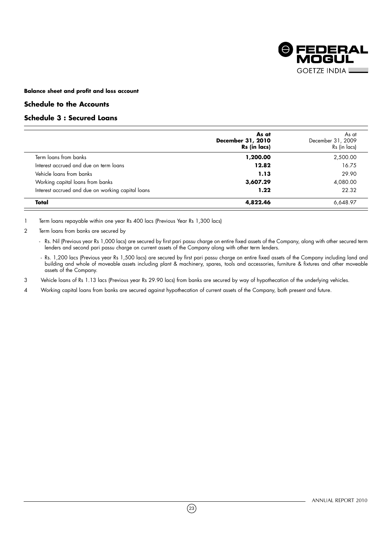

#### **Schedule to the Accounts**

### **Schedule 3 : Secured Loans**

|                                                   | As at<br>December 31, 2010<br>Rs (in lacs) | As at<br>December 31, 2009<br>Rs (in lacs) |
|---------------------------------------------------|--------------------------------------------|--------------------------------------------|
| Term loans from banks                             | 1,200.00                                   | 2,500.00                                   |
| Interest accrued and due on term loans            | 12.82                                      | 16.75                                      |
| Vehicle loans from banks                          | 1.13                                       | 29.90                                      |
| Working capital loans from banks                  | 3,607.29                                   | 4,080.00                                   |
| Interest accrued and due on working capital loans | 1.22                                       | 22.32                                      |
| Total                                             | 4,822.46                                   | 6,648.97                                   |

1 Term loans repayable within one year Rs 400 lacs (Previous Year Rs 1,300 lacs)

- Rs. Nil (Previous year Rs 1,000 lacs) are secured by first pari passu charge on entire fixed assets of the Company, along with other secured term lenders and second pari passu charge on current assets of the Company along with other term lenders.

 - Rs. 1,200 lacs (Previous year Rs 1,500 lacs) are secured by first pari passu charge on entire fixed assets of the Company including land and building and whole of moveable assets including plant & machinery, spares, tools and accessories, furniture & fixtures and other moveable assets of the Company.

3 Vehicle loans of Rs 1.13 lacs (Previous year Rs 29.90 lacs) from banks are secured by way of hypothecation of the underlying vehicles.

4 Working capital loans from banks are secured against hypothecation of current assets of the Company, both present and future.

 $(23)$ 

<sup>2</sup> Term loans from banks are secured by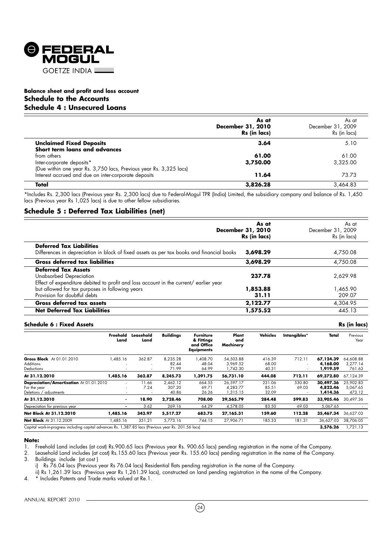

#### **Balance sheet and profit and loss account Schedule to the Accounts Schedule 4 : Unsecured Loans**

|                                                                    | As at<br>December 31, 2010<br>Rs (in lacs) | As at<br>December 31, 2009<br>Rs (in lacs) |
|--------------------------------------------------------------------|--------------------------------------------|--------------------------------------------|
| <b>Unclaimed Fixed Deposits</b>                                    | 3.64                                       | 5.10                                       |
| Short term loans and advances                                      |                                            |                                            |
| from others                                                        | 61.00                                      | 61.00                                      |
| Inter-corporate deposits*                                          | 3,750.00                                   | 3,325.00                                   |
| (Due within one year Rs. 3,750 lacs, Previous year Rs. 3,325 lacs) |                                            |                                            |
| Interest accrued and due on inter-corporate deposits               | 11.64                                      | 73.73                                      |
| Total                                                              | 3,826.28                                   | 3.464.83                                   |

\*Includes Rs. 2,300 lacs (Previous year Rs. 2,300 lacs) due to Federal-Mogul TPR (India) Limited, the subsidiary company and balance of Rs. 1,450 lacs (Previous year Rs 1,025 lacs) is due to other fellow subsidiaries.

#### **Schedule 5 : Deferred Tax Liabilities (net)**

|                                                                                                                                                | As at<br>December 31, 2010<br>Rs (in lacs) | As at<br>December 31, 2009<br>Rs (in lacs) |
|------------------------------------------------------------------------------------------------------------------------------------------------|--------------------------------------------|--------------------------------------------|
| <b>Deferred Tax Liabilities</b><br>Differences in depreciation in block of fixed assets as per tax books and financial books                   | 3,698.29                                   | 4,750.08                                   |
| <b>Gross deferred tax liabilities</b>                                                                                                          | 3,698.29                                   | 4,750.08                                   |
| <b>Deferred Tax Assets</b><br>Unabsorbed Depreciation<br>Effect of expenditure debited to profit and loss account in the current/ earlier year | 237.78                                     | 2.629.98                                   |
| but allowed for tax purposes in following years<br>Provision for doubtful debts                                                                | 1,853.88<br>31.11                          | 1.465.90<br>209.07                         |
| Gross deferred tax assets                                                                                                                      | 2,122.77                                   | 4,304.95                                   |
| <b>Net Deferred Tax Liabilities</b>                                                                                                            | 1,575.52                                   | 445.13                                     |

#### **Schedule 6 : Fixed Assets Rs (in lacs)**

|                                                                                                       | Freehold<br>Land | Leasehold<br>Land | <b>Buildings</b>            | <b>Furniture</b><br>& Fittings<br>and Office<br><b>Equipments</b> | Plant<br>and<br>Machinery         | <b>Vehicles</b>          | Intangibles*    | Total                             | Previous<br>Year                |
|-------------------------------------------------------------------------------------------------------|------------------|-------------------|-----------------------------|-------------------------------------------------------------------|-----------------------------------|--------------------------|-----------------|-----------------------------------|---------------------------------|
| Gross Block At 01.01.2010<br>Additions<br>Deductions                                                  | 1,485.16<br>۰    | 362.87            | 8,235.28<br>82.44<br>71.99  | 408.70<br>48.04<br>64.99                                          | 54,503.88<br>3.969.52<br>1,742.30 | 416.39<br>68.00<br>40.31 | 712.11          | 67,124.39<br>4.168.00<br>1,919.59 | 64,608.88<br>3,277.14<br>761.63 |
| At 31.12.2010                                                                                         | 1.485.16         | 362.87            | 8,245.73                    | 1,391.75                                                          | 56,731.10                         | 444.08                   | 712.11          | 69,372.80                         | 67.124.39                       |
| Depreciation/Amortisation At 01.01.2010<br>For the year<br>Deletions / adjustments                    | ٠<br>٠           | 11.66<br>7.24     | 2,462.12<br>307.20<br>40.86 | 664.55<br>69.71<br>26.26                                          | 26,597.17<br>4,283.77<br>1,315.15 | 231.06<br>85.51<br>32.09 | 530.80<br>69.03 | 30,497.36<br>4.822.46<br>1,414.36 | 25,902.83<br>5,067.65<br>473.12 |
| At 31.12.2010                                                                                         | ۰                | 18.90             | 2.728.46                    | 708.00                                                            | 29,565.79                         | 284.48                   | 599.83          | 33,905.46                         | 30.497.36                       |
| Depreciation for previous year                                                                        |                  | 3.62              | 269.16                      | 64.29                                                             | 4,578.05                          | 83.50                    | 69.03           | 5,067.65                          |                                 |
| Net Block At 31.12.2010                                                                               | 1,485.16         | 343.97            | 5,517.27                    | 683.75                                                            | 27,165.31                         | 159.60                   | 112.28          | 35,467.34                         | 36,627.03                       |
| <b>Net Block</b> At 31.12.2009                                                                        | .485.16          | 351.21            | 5.773.16                    | 744.15                                                            | 27,906.71                         | 185.33                   | 181.31          | 36.627.03                         | 38,706.05                       |
| Capital work-in-progress including capital advances Rs. 1,387.85 lacs (Previous year Rs. 201.56 lacs) |                  |                   |                             |                                                                   |                                   |                          |                 | 3,576.26                          | .721.13                         |

#### **Note:**

1. Freehold Land includes (at cost) Rs.900.65 lacs (Previous year Rs. 900.65 lacs) pending registration in the name of the Company.

2. Leasehold Land includes (at cost) Rs.155.60 lacs (Previous year Rs. 155.60 lacs) pending registration in the name of the Company.<br>3. Buildings include (at cost)

Buildings include (at cost)

i) Rs 76.04 lacs (Previous year Rs 76.04 lacs) Residential flats pending registration in the name of the Company.

ii) Rs 1,261.39 lacs (Previous year Rs 1,261.39 lacs), constructed on land pending registration in the name of the Company.

4. \* Includes Patents and Trade marks valued at Re.1.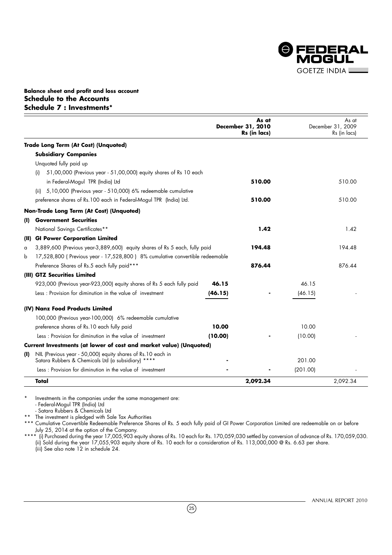

#### **Balance sheet and profit and loss account Schedule to the Accounts Schedule 7 : Investments\***

|              |                                                                                                                   |         | As at<br>December 31, 2010<br>Rs (in lacs) |          | As at<br>December 31, 2009<br>Rs (in lacs) |
|--------------|-------------------------------------------------------------------------------------------------------------------|---------|--------------------------------------------|----------|--------------------------------------------|
|              | Trade Long Term (At Cost) (Unquoted)                                                                              |         |                                            |          |                                            |
|              | <b>Subsidiary Companies</b>                                                                                       |         |                                            |          |                                            |
|              | Unquoted fully paid up                                                                                            |         |                                            |          |                                            |
|              | 51,00,000 (Previous year - 51,00,000) equity shares of Rs 10 each<br>(i)                                          |         |                                            |          |                                            |
|              | in Federal-Mogul TPR (India) Ltd                                                                                  |         | 510.00                                     |          | 510.00                                     |
|              | 5,10,000 (Previous year - 510,000) 6% redeemable cumulative<br>(ii)                                               |         |                                            |          |                                            |
|              | preference shares of Rs.100 each in Federal-Mogul TPR (India) Ltd.                                                |         | 510.00                                     |          | 510.00                                     |
|              | Non-Trade Long Term (At Cost) (Unquoted)                                                                          |         |                                            |          |                                            |
| $\mathbf{U}$ | <b>Government Securities</b>                                                                                      |         |                                            |          |                                            |
|              | National Savings Certificates**                                                                                   |         | 1.42                                       |          | 1.42                                       |
| (II)         | <b>GI Power Corporation Limited</b>                                                                               |         |                                            |          |                                            |
| a            | 3,889,600 (Previous year-3,889,600) equity shares of Rs 5 each, fully paid                                        |         | 194.48                                     |          | 194.48                                     |
| b            | 17,528,800 (Previous year - 17,528,800) 8% cumulative convertible redeemable                                      |         |                                            |          |                                            |
|              | Preference Shares of Rs.5 each fully paid***                                                                      |         | 876.44                                     |          | 876.44                                     |
|              | (III) GTZ Securities Limited                                                                                      |         |                                            |          |                                            |
|              | 923,000 (Previous year-923,000) equity shares of Rs 5 each fully paid                                             | 46.15   |                                            | 46.15    |                                            |
|              | Less: Provision for diminution in the value of investment                                                         | (46.15) |                                            | (46.15)  |                                            |
|              | (IV) Nanz Food Products Limited                                                                                   |         |                                            |          |                                            |
|              | 100,000 (Previous year-100,000) 6% redeemable cumulative                                                          |         |                                            |          |                                            |
|              | preference shares of Rs. 10 each fully paid                                                                       | 10.00   |                                            | 10.00    |                                            |
|              | Less: Provision for diminution in the value of investment                                                         | (10.00) |                                            | (10.00)  |                                            |
|              | Current Investments (at lower of cost and market value) (Unquoted)                                                |         |                                            |          |                                            |
| (I)          | NIL (Previous year - 50,000) equity shares of Rs.10 each in<br>Satara Rubbers & Chemicals Ltd (a subsidiary) **** |         |                                            | 201.00   |                                            |
|              | Less: Provision for diminution in the value of investment                                                         |         |                                            | (201.00) |                                            |
|              | Total                                                                                                             |         | 2,092.34                                   |          | 2,092.34                                   |

Investments in the companies under the same management are: - Federal-Mogul TPR (India) Ltd

- Satara Rubbers & Chemicals Ltd

\*\* The investment is pledged with Sale Tax Authorities

\*\*\* Cumulative Convertible Redeemable Preference Shares of Rs. 5 each fully paid of GI Power Corporation Limited are redeemable on or before July 25, 2014 at the option of the Company.

\*\*\*\* (i) Purchased during the year 17,005,903 equity shares of Rs. 10 each for Rs. 170,059,030 settled by conversion of advance of Rs. 170,059,030. (ii) Sold during the year 17,055,903 equity share of Rs. 10 each for a consideration of Rs. 113,000,000 @ Rs. 6.63 per share. (iii) See also note 12 in schedule 24.



 $(25)$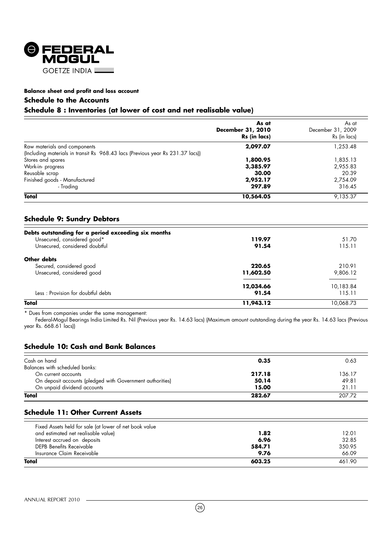

#### **Schedule to the Accounts**

#### **Schedule 8 : Inventories (at lower of cost and net realisable value)**

|                                                                                | As at<br>December 31, 2010<br>Rs (in lacs) | As at<br>December 31, 2009<br>Rs (in lacs) |
|--------------------------------------------------------------------------------|--------------------------------------------|--------------------------------------------|
| Raw materials and components                                                   | 2,097.07                                   | 1,253.48                                   |
| (Including materials in transit Rs 968.43 lacs (Previous year Rs 231.37 lacs)) |                                            |                                            |
| Stores and spares                                                              | 1,800.95                                   | 1,835.13                                   |
| Work-in-progress                                                               | 3,385.97                                   | 2,955.83                                   |
| Reusable scrap                                                                 | 30.00                                      | 20.39                                      |
| Finished goods - Manufactured                                                  | 2,952.17                                   | 2,754.09                                   |
| - Tradina                                                                      | 297.89                                     | 316.45                                     |
| Total                                                                          | 10,564.05                                  | 9,135.37                                   |

#### **Schedule 9: Sundry Debtors**

| Debts outstanding for a period exceeding six months |           |           |
|-----------------------------------------------------|-----------|-----------|
| Unsecured, considered good*                         | 119.97    | 51.70     |
| Unsecured, considered doubtful                      | 91.54     | 115.11    |
| Other debts                                         |           |           |
| Secured, considered good                            | 220.65    | 210.91    |
| Unsecured, considered good                          | 11,602.50 | 9,806.12  |
|                                                     | 12,034.66 | 10,183.84 |
| Less: Provision for doubtful debts                  | 91.54     | 115.11    |
| Total                                               | 11,943.12 | 10.068.73 |

\* Dues from companies under the same management:

Federal-Mogul Bearings India Limited Rs. Nil (Previous year Rs. 14.63 lacs) (Maximum amount outstanding during the year Rs. 14.63 lacs (Previous year Rs. 668.61 lacs))

#### **Schedule 10: Cash and Bank Balances**

| Cash on hand                                              | 0.35   | 0.63   |
|-----------------------------------------------------------|--------|--------|
| Balances with scheduled banks:                            |        |        |
| On current accounts                                       | 217.18 | 136.17 |
| On deposit accounts (pledged with Government authorities) | 50.14  | 49.81  |
| On unpaid dividend accounts                               | 15.00  | 21.11  |
| Total                                                     | 282.67 | 207.72 |
|                                                           |        |        |

#### **Schedule 11: Other Current Assets**

| Fixed Assets held for sale (at lower of net book value |        |        |
|--------------------------------------------------------|--------|--------|
| and estimated net realisable value)                    | 1.82   | 12.01  |
| Interest accrued on deposits                           | 6.96   | 32.85  |
| DEPB Benefits Receivable                               | 584.71 | 350.95 |
| Insurance Claim Receivable                             | 9.76   | 66.09  |
| Total                                                  | 603.25 | 461.90 |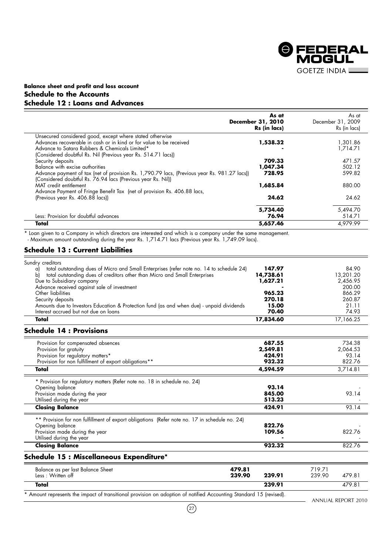

#### **Balance sheet and profit and loss account Schedule to the Accounts Schedule 12 : Loans and Advances**

|                                                                                                                                                              | As at<br>December 31, 2010<br>Rs (in lacs) | As at<br>December 31, 2009<br>Rs (in lacs) |
|--------------------------------------------------------------------------------------------------------------------------------------------------------------|--------------------------------------------|--------------------------------------------|
| Unsecured considered good, except where stated otherwise                                                                                                     |                                            |                                            |
| Advances recoverable in cash or in kind or for value to be received                                                                                          | 1,538.32                                   | 1,301.86                                   |
| Advance to Satara Rubbers & Chemicals Limited*                                                                                                               |                                            | 1.714.71                                   |
| (Considered doubtful Rs. Nil (Previous year Rs. 514.71 lacs))                                                                                                |                                            |                                            |
| Security deposits                                                                                                                                            | 709.33                                     | 471.57                                     |
| Balance with excise authorities                                                                                                                              | 1,047.34                                   | 502.12                                     |
| Advance payment of tax (net of provision Rs. 1,790.79 lacs, (Previous year Rs. 981.27 lacs))<br>(Considered doubtful Rs. 76.94 lacs (Previous year Rs. Nil)) | 728.95                                     | 599.82                                     |
| MAT credit entitlement                                                                                                                                       | 1,685.84                                   | 880.00                                     |
| Advance Payment of Fringe Benefit Tax (net of provision Rs. 406.88 lacs,                                                                                     |                                            |                                            |
| (Previous year Rs. 406.88 lacs))                                                                                                                             | 24.62                                      | 24.62                                      |
|                                                                                                                                                              | 5,734.40                                   | 5,494.70                                   |
| Less: Provision for doubtful advances                                                                                                                        | 76.94                                      | 514.71                                     |
| Total                                                                                                                                                        | 5,657.46                                   | 4.979.99                                   |

\* Loan given to a Company in which directors are interested and which is a company under the same management.

- Maximum amount outstanding during the year Rs. 1,714.71 lacs (Previous year Rs. 1,749.09 lacs).

#### **Schedule 13 : Current Liabilities**

| Sundry creditors<br>total outstanding dues of Micro and Small Enterprises (refer note no. 14 to schedule 24)<br>a)<br>total outstanding dues of creditors other than Micro and Small Enterprises<br>b)<br>Due to Subsidiary company<br>Advance received against sale of investment<br>Other liabilities<br>Security deposits<br>Amounts due to Investors Education & Protection fund (as and when due) - unpaid dividends | 147.97<br>14,738.61<br>1,627.21<br>965.23<br>270.18<br>15.00 | 84.90<br>13,201.20<br>2,456.95<br>200.00<br>866.29<br>260.87<br>21.11 |
|---------------------------------------------------------------------------------------------------------------------------------------------------------------------------------------------------------------------------------------------------------------------------------------------------------------------------------------------------------------------------------------------------------------------------|--------------------------------------------------------------|-----------------------------------------------------------------------|
| Interest accrued but not due on loans                                                                                                                                                                                                                                                                                                                                                                                     | 70.40                                                        | 74.93                                                                 |
| Total                                                                                                                                                                                                                                                                                                                                                                                                                     | 17,834.60                                                    | 17,166.25                                                             |
|                                                                                                                                                                                                                                                                                                                                                                                                                           |                                                              |                                                                       |

#### **Schedule 14 : Provisions**

| Provision for compensated absences                                                            | 687.55   | 734.38   |
|-----------------------------------------------------------------------------------------------|----------|----------|
| Provision for gratuity                                                                        | 2,549.81 | 2,064.53 |
| Provision for regulatory matters*                                                             | 424.91   | 93.14    |
| Provision for non fulfillment of export obligations**                                         | 932.32   | 822.76   |
| Total                                                                                         | 4,594.59 | 3,714.81 |
| * Provision for regulatory matters (Refer note no. 18 in schedule no. 24)                     |          |          |
| Opening balance                                                                               | 93.14    |          |
| Provision made during the year                                                                | 845.00   | 93.14    |
| Utilised during the year                                                                      | 513.23   |          |
| <b>Closing Balance</b>                                                                        | 424.91   | 93.14    |
| ** Provision for non fulfillment of export obligations (Refer note no. 17 in schedule no. 24) |          |          |
| Opening balance                                                                               | 822.76   |          |
| Provision made during the year                                                                | 109.56   | 822.76   |
| Utilised during the year                                                                      |          |          |
| <b>Closing Balance</b>                                                                        | 932.32   | 822.76   |
| Schedule 15 : Miscellaneous Expenditure*                                                      |          |          |
|                                                                                               |          |          |

| Balance as per last Balance Sheet<br>Less: Written off                                                             | 479.81<br>239.90 | 239.91 | 719.71<br>239.90 | 479.81 |
|--------------------------------------------------------------------------------------------------------------------|------------------|--------|------------------|--------|
| Total                                                                                                              |                  | 239.91 |                  | 479.81 |
| * Amount represents the impact of transitional provision on adoption of notified Accounting Standard 15 (revised). |                  |        |                  |        |

- ANNUAL REPORT 2010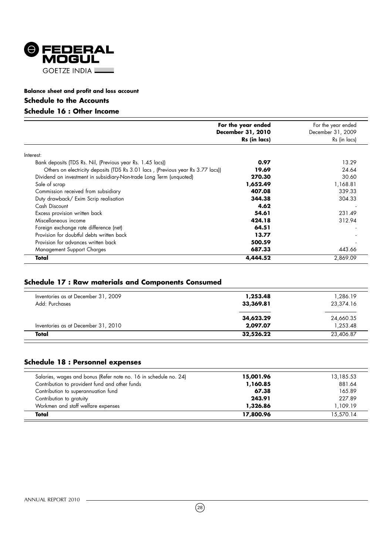

#### **Schedule to the Accounts**

### **Schedule 16 : Other Income**

|                                                                                 | For the year ended<br><b>December 31, 2010</b><br>Rs (in lacs) | For the year ended<br>December 31, 2009<br>Rs (in lacs) |
|---------------------------------------------------------------------------------|----------------------------------------------------------------|---------------------------------------------------------|
| Interest:                                                                       |                                                                |                                                         |
| Bank deposits (TDS Rs. Nil, (Previous year Rs. 1.45 lacs))                      | 0.97                                                           | 13.29                                                   |
| Others on electricity deposits (TDS Rs 3.01 lacs, (Previous year Rs 3.77 lacs)) | 19.69                                                          | 24.64                                                   |
| Dividend on investment in subsidiary-Non-trade Long Term (unquoted)             | 270.30                                                         | 30.60                                                   |
| Sale of scrap                                                                   | 1,652.49                                                       | 1,168.81                                                |
| Commission received from subsidiary                                             | 407.08                                                         | 339.33                                                  |
| Duty drawback/ Exim Scrip realisation                                           | 344.38                                                         | 304.33                                                  |
| Cash Discount                                                                   | 4.62                                                           |                                                         |
| Excess provision written back                                                   | 54.61                                                          | 231.49                                                  |
| Miscellaneous income                                                            | 424.18                                                         | 312.94                                                  |
| Foreign exchange rate difference (net)                                          | 64.51                                                          |                                                         |
| Provision for doubtful debts written back                                       | 13.77                                                          |                                                         |
| Provision for advances written back                                             | 500.59                                                         |                                                         |
| Management Support Charges                                                      | 687.33                                                         | 443.66                                                  |
| Total                                                                           | 4,444.52                                                       | 2,869.09                                                |

#### **Schedule 17 : Raw materials and Components Consumed**

| Inventories as at December 31, 2009<br>Add: Purchases | 1,253.48<br>33,369.81 | 1,286.19<br>23,374.16 |
|-------------------------------------------------------|-----------------------|-----------------------|
|                                                       | 34,623.29             | 24,660.35             |
| Inventories as at December 31, 2010                   | 2,097.07              | 1,253.48              |
| Total                                                 | 32,526.22             | 23,406.87             |

### **Schedule 18 : Personnel expenses**

| Salaries, wages and bonus (Refer note no. 16 in schedule no. 24) | 15,001.96 | 13,185.53 |
|------------------------------------------------------------------|-----------|-----------|
| Contribution to provident fund and other funds                   | 1,160.85  | 881.64    |
| Contribution to superannuation fund                              | 67.38     | 165.89    |
| Contribution to gratuity                                         | 243.91    | 227.89    |
| Workmen and staff welfare expenses                               | 1,326.86  | 1,109.19  |
| Total                                                            | 17,800.96 | 15,570.14 |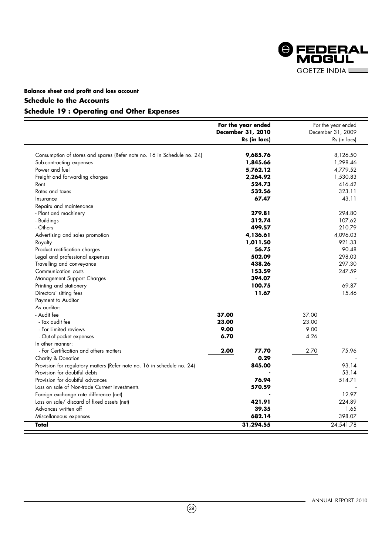

#### **Schedule to the Accounts**

#### **Schedule 19 : Operating and Other Expenses**

|                                                                         |       | For the year ended |       | For the year ended |
|-------------------------------------------------------------------------|-------|--------------------|-------|--------------------|
|                                                                         |       | December 31, 2010  |       | December 31, 2009  |
|                                                                         |       | Rs (in lacs)       |       | Rs (in lacs)       |
| Consumption of stores and spares (Refer note no. 16 in Schedule no. 24) |       | 9,685.76           |       | 8,126.50           |
| Sub-contracting expenses                                                |       | 1,845.66           |       | 1,298.46           |
| Power and fuel                                                          |       | 5,762.12           |       | 4,779.52           |
| Freight and forwarding charges                                          |       | 2,264.92           |       | 1,530.83           |
| Rent                                                                    |       | 524.73             |       | 416.42             |
| Rates and taxes                                                         |       | 532.56             |       | 323.11             |
| Insurance                                                               |       | 67.47              |       | 43.11              |
| Repairs and maintenance                                                 |       |                    |       |                    |
| - Plant and machinery                                                   |       | 279.81             |       | 294.80             |
| - Buildings                                                             |       | 312.74             |       | 107.62             |
| - Others                                                                |       | 499.57             |       | 210.79             |
| Advertising and sales promotion                                         |       | 4,136.61           |       | 4,096.03           |
| Royalty                                                                 |       | 1,011.50           |       | 921.33             |
| Product rectification charges                                           |       | 56.75              |       | 90.48              |
| Legal and professional expenses                                         |       | 502.09             |       | 298.03             |
| Travelling and conveyance                                               |       | 438.26             |       | 297.30             |
| Communication costs                                                     |       | 153.59             |       | 247.59             |
| Management Support Charges                                              |       | 394.07             |       |                    |
| Printing and stationery                                                 |       | 100.75             |       | 69.87              |
| Directors' sitting fees                                                 |       | 11.67              |       | 15.46              |
| Payment to Auditor                                                      |       |                    |       |                    |
| As auditor:                                                             |       |                    |       |                    |
| - Audit fee                                                             | 37.00 |                    | 37.00 |                    |
| - Tax audit fee                                                         | 23.00 |                    | 23.00 |                    |
| - For Limited reviews                                                   | 9.00  |                    | 9.00  |                    |
| - Out-of-pocket expenses                                                | 6.70  |                    | 4.26  |                    |
| In other manner:                                                        |       |                    |       |                    |
| - For Certification and others matters                                  | 2.00  | 77.70              | 2.70  | 75.96              |
| Charity & Donation                                                      |       | 0.29               |       |                    |
| Provision for regulatory matters (Refer note no. 16 in schedule no. 24) |       | 845.00             |       | 93.14              |
| Provision for doubtful debts                                            |       |                    |       | 53.14              |
| Provision for doubtful advances                                         |       | 76.94              |       | 514.71             |
| Loss on sale of Non-trade Current Investments                           |       | 570.59             |       |                    |
| Foreign exchange rate difference (net)                                  |       |                    |       | 12.97              |
| Loss on sale/ discard of fixed assets (net)                             |       | 421.91             |       | 224.89             |
| Advances written off                                                    |       | 39.35              |       | 1.65               |
| Miscellaneous expenses                                                  |       | 682.14             |       | 398.07             |
| Total                                                                   |       | 31,294.55          |       | 24,541.78          |

 $\circled{29}$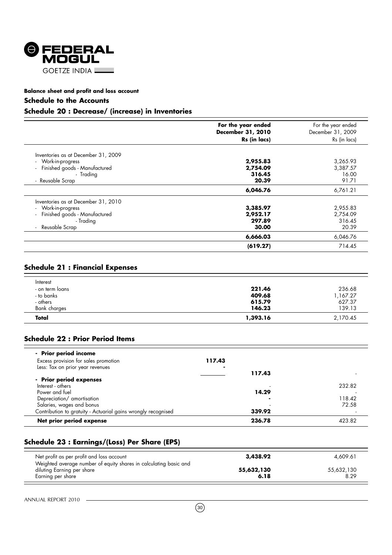

#### **Schedule to the Accounts**

### **Schedule 20 : Decrease/ (increase) in Inventories**

|                                                 | For the year ended<br>December 31, 2010<br>Rs (in lacs) | For the year ended<br>December 31, 2009<br>Rs (in lacs) |
|-------------------------------------------------|---------------------------------------------------------|---------------------------------------------------------|
| Inventories as at December 31, 2009             |                                                         |                                                         |
| - Work-in-progress                              | 2,955.83                                                | 3,265.93                                                |
| Finished goods - Manufactured<br>$\blacksquare$ | 2,754.09                                                | 3,387.57                                                |
| - Trading                                       | 316.45                                                  | 16.00                                                   |
| - Reusable Scrap                                | 20.39                                                   | 91.71                                                   |
|                                                 | 6,046.76                                                | 6,761.21                                                |
| Inventories as at December 31, 2010             |                                                         |                                                         |
| - Work-in-progress                              | 3,385.97                                                | 2,955.83                                                |
| Finished goods - Manufactured<br>$\mathbf{r}$   | 2,952.17                                                | 2,754.09                                                |
| - Trading                                       | 297.89                                                  | 316.45                                                  |
| Reusable Scrap<br>$\blacksquare$                | 30.00                                                   | 20.39                                                   |
|                                                 | 6,666.03                                                | 6,046.76                                                |
|                                                 | (619.27)                                                | 714.45                                                  |

#### **Schedule 21 : Financial Expenses**

| - others                                  | 615.79           | 627.37             |
|-------------------------------------------|------------------|--------------------|
| Bank charges                              | 146.23           | 139.13             |
| Total                                     | 1,393.16         | 2,170.45           |
| Interest<br>- on term loans<br>- to banks | 221.46<br>409.68 | 236.68<br>1,167.27 |

#### **Schedule 22 : Prior Period Items**

| Net prior period expense                                      | 236.78 | 423.82 |
|---------------------------------------------------------------|--------|--------|
| Contribution to gratuity - Actuarial gains wrongly recognised | 339.92 |        |
| Salaries, wages and bonus                                     |        | 72.58  |
| Depreciation/ amortisation                                    |        | 118.42 |
| Power and fuel                                                | 14.29  |        |
| Interest - others                                             |        | 232.82 |
| - Prior period expenses                                       |        |        |
|                                                               | 117.43 |        |
| Less: Tax on prior year revenues                              |        |        |
| Excess provision for sales promotion                          | 117.43 |        |
| - Prior period income                                         |        |        |

#### **Schedule 23 : Earnings/(Loss) Per Share (EPS)**

| Net profit as per profit and loss account                                                                            | 3,438.92           | 4.609.61           |
|----------------------------------------------------------------------------------------------------------------------|--------------------|--------------------|
| Weighted average number of equity shares in calculating basic and<br>diluting Earning per share<br>Earning per share | 55,632,130<br>6.18 | 55,632,130<br>8.29 |

Ξ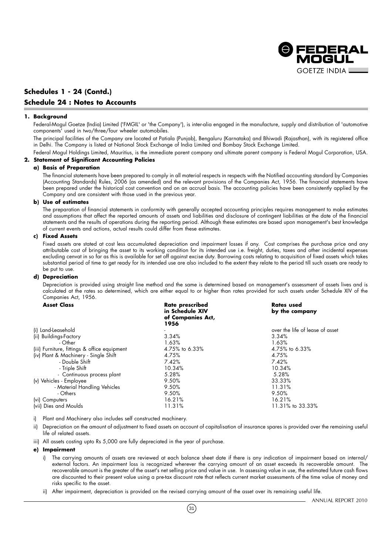

#### **Schedules 1 - 24 (Contd.) Schedule 24 : Notes to Accounts**

#### **1. Background**

Federal-Mogul Goetze (India) Limited ('FMGIL' or 'the Company'), is inter-alia engaged in the manufacture, supply and distribution of 'automotive components' used in two/three/four wheeler automobiles.

The principal facilities of the Company are located at Patiala (Punjab), Bengaluru (Karnataka) and Bhiwadi (Rajasthan), with its registered office in Delhi. The Company is listed at National Stock Exchange of India Limited and Bombay Stock Exchange Limited.

Federal Mogul Holdings Limited, Mauritius, is the immediate parent company and ultimate parent company is Federal Mogul Corporation, USA.

#### **2. Statement of Significant Accounting Policies**

#### **a) Basis of Preparation**

The financial statements have been prepared to comply in all material respects in respects with the Notified accounting standard by Companies (Accounting Standards) Rules, 2006 (as amended) and the relevant provisions of the Companies Act, 1956. The financial statements have been prepared under the historical cost convention and on an accrual basis. The accounting policies have been consistently applied by the Company and are consistent with those used in the previous year.

#### **b) Use of estimates**

The preparation of financial statements in conformity with generally accepted accounting principles requires management to make estimates and assumptions that affect the reported amounts of assets and liabilities and disclosure of contingent liabilities at the date of the financial statements and the results of operations during the reporting period. Although these estimates are based upon management's best knowledge of current events and actions, actual results could differ from these estimates.

#### **c) Fixed Assets**

Fixed assets are stated at cost less accumulated depreciation and impairment losses if any. Cost comprises the purchase price and any attributable cost of bringing the asset to its working condition for its intended use i.e. freight, duties, taxes and other incidental expenses excluding cenvat in so far as this is available for set off against excise duty. Borrowing costs relating to acquisition of fixed assets which takes substantial period of time to get ready for its intended use are also included to the extent they relate to the period till such assets are ready to be put to use.

#### **d) Depreciation**

Depreciation is provided using straight line method and the same is determined based on management's assessment of assets lives and is calculated at the rates so determined, which are either equal to or higher than rates provided for such assets under Schedule XIV of the Companies Act, 1956.

| <b>Asset Class</b>                           | Rate prescribed<br>in Schedule XIV<br>of Companies Act,<br>1956 | Rates used<br>by the company    |
|----------------------------------------------|-----------------------------------------------------------------|---------------------------------|
| (i) Land-Leasehold                           |                                                                 | over the life of lease of asset |
| (ii) Buildings-Factory                       | 3.34%                                                           | 3.34%                           |
| - Other                                      | 1.63%                                                           | 1.63%                           |
| (iii) Furniture, fittings & office equipment | 4.75% to 6.33%                                                  | 4.75% to 6.33%                  |
| (iv) Plant & Machinery - Single Shift        | 4.75%                                                           | 4.75%                           |
| - Double Shift                               | 7.42%                                                           | 7.42%                           |
| - Triple Shift                               | 10.34%                                                          | 10.34%                          |
| - Continuous process plant                   | 5.28%                                                           | 5.28%                           |
| (v) Vehicles - Employee                      | 9.50%                                                           | 33.33%                          |
| - Material Handling Vehicles                 | 9.50%                                                           | 11.31%                          |
| - Others                                     | 9.50%                                                           | 9.50%                           |
| (vi) Computers                               | 16.21%                                                          | 16.21%                          |
| (vii) Dies and Moulds                        | 11.31%                                                          | 11.31% to 33.33%                |

i) Plant and Machinery also includes self constructed machinery.

- Depreciation on the amount of adjustment to fixed assets on account of capitalisation of insurance spares is provided over the remaining useful life of related assets.
- iii) All assets costing upto Rs 5,000 are fully depreciated in the year of purchase.

#### **e) Impairment**

- i) The carrying amounts of assets are reviewed at each balance sheet date if there is any indication of impairment based on internal/ external factors. An impairment loss is recognized wherever the carrying amount of an asset exceeds its recoverable amount. The recoverable amount is the greater of the asset's net selling price and value in use. In assessing value in use, the estimated future cash flows are discounted to their present value using a pre-tax discount rate that reflects current market assessments of the time value of money and risks specific to the asset.
- ii) After impairment, depreciation is provided on the revised carrying amount of the asset over its remaining useful life.

 $(31)$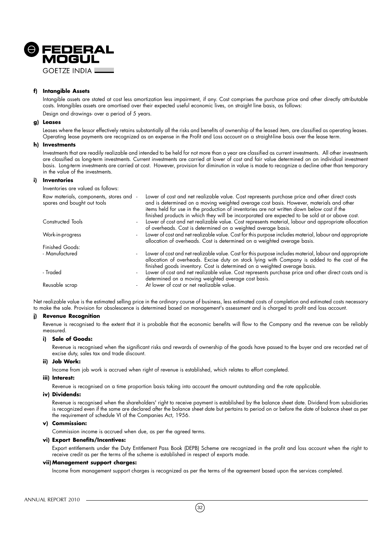

#### **f) Intangible Assets**

Intangible assets are stated at cost less amortization less impairment, if any. Cost comprises the purchase price and other directly attributable costs. Intangibles assets are amortised over their expected useful economic lives, on straight line basis, as follows: Design and drawings- over a period of 5 years.

#### **g) Leases**

Leases where the lessor effectively retains substantially all the risks and benefits of ownership of the leased item, are classified as operating leases. Operating lease payments are recognized as an expense in the Profit and Loss account on a straight-line basis over the lease term.

#### **h) Investments**

Investments that are readily realizable and intended to be held for not more than a year are classified as current investments. All other investments are classified as long-term investments. Current investments are carried at lower of cost and fair value determined on an individual investment basis. Long-term investments are carried at cost. However, provision for diminution in value is made to recognize a decline other than temporary in the value of the investments.

#### **i) Inventories**

Inventories are valued as follows:

| Raw materials, components, stores and -<br>spares and bought out tools | Lower of cost and net realizable value. Cost represents purchase price and other direct costs<br>and is determined on a moving weighted average cost basis. However, materials and other<br>items held for use in the production of inventories are not written down below cost if the<br>finished products in which they will be incorporated are expected to be sold at or above cost. |
|------------------------------------------------------------------------|------------------------------------------------------------------------------------------------------------------------------------------------------------------------------------------------------------------------------------------------------------------------------------------------------------------------------------------------------------------------------------------|
| Constructed Tools                                                      | Lower of cost and net realizable value. Cost represents material, labour and appropriate allocation<br>of overheads. Cost is determined on a weighted average basis.                                                                                                                                                                                                                     |
| Work-in-progress                                                       | Lower of cost and net realizable value. Cost for this purpose includes material, labour and appropriate<br>allocation of overheads. Cost is determined on a weighted average basis.                                                                                                                                                                                                      |
| Finished Goods:                                                        |                                                                                                                                                                                                                                                                                                                                                                                          |
| - Manufactured                                                         | Lower of cost and net realizable value. Cost for this purpose includes material, labour and appropriate<br>allocation of overheads. Excise duty on stock lying with Company is added to the cost of the<br>finished goods inventory. Cost is determined on a weighted average basis.                                                                                                     |
| - Traded                                                               | Lower of cost and net realizable value. Cost represents purchase price and other direct costs and is<br>determined on a moving weighted average cost basis.                                                                                                                                                                                                                              |
| Reusable scrap                                                         | At lower of cost or net realizable value.                                                                                                                                                                                                                                                                                                                                                |

Net realizable value is the estimated selling price in the ordinary course of business, less estimated costs of completion and estimated costs necessary to make the sale. Provision for obsolescence is determined based on management's assessment and is charged to profit and loss account.

#### **j) Revenue Recognition**

Revenue is recognised to the extent that it is probable that the economic benefits will flow to the Company and the revenue can be reliably measured.

#### **i) Sale of Goods:**

Revenue is recognised when the significant risks and rewards of ownership of the goods have passed to the buyer and are recorded net of excise duty, sales tax and trade discount.

#### **ii) Job Work:**

Income from job work is accrued when right of revenue is established, which relates to effort completed.

#### **iii) Interest:**

Revenue is recognised on a time proportion basis taking into account the amount outstanding and the rate applicable.

#### **iv) Dividends:**

Revenue is recognised when the shareholders' right to receive payment is established by the balance sheet date. Dividend from subsidiaries is recognized even if the same are declared after the balance sheet date but pertains to period on or before the date of balance sheet as per the requirement of schedule VI of the Companies Act, 1956.

#### **v) Commission:**

Commission income is accrued when due, as per the agreed terms.

#### **vi) Export Benefits/Incentives:**

Export entitlements under the Duty Entitlement Pass Book (DEPB) Scheme are recognized in the profit and loss account when the right to receive credit as per the terms of the scheme is established in respect of exports made.

#### **vii) Management support charges:**

Income from management support charges is recognized as per the terms of the agreement based upon the services completed.

#### ANNUAL REPORT 2010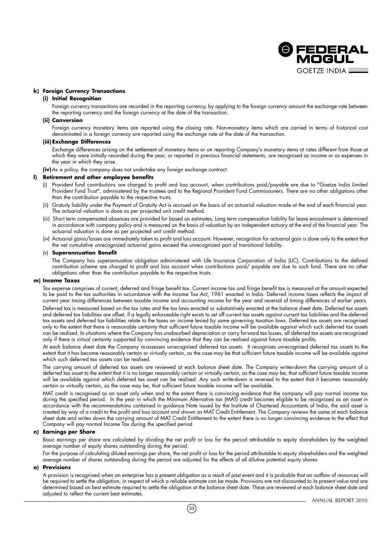

#### **k) Foreign Currency Transactions**

#### **(i) Initial Recognition**

Foreign currency transactions are recorded in the reporting currency, by applying to the foreign currency amount the exchange rate between the reporting currency and the foreign currency at the date of the transaction.

#### **(ii) Conversion**

Foreign currency monetary items are reported using the closing rate. Non-monetary items which are carried in terms of historical cost denominated in a foreign currency are reported using the exchange rate at the date of the transaction.

#### **(iii) Exchange Differences**

Exchange differences arising on the settlement of monetary items or on reporting Company's monetary items at rates different from those at which they were initially recorded during the year, or reported in previous financial statements, are recognised as income or as expenses in the year in which they arise.

**(iv)**As a policy, the company does not undertake any foreign exchange contract.

#### **l) Retirement and other employee benefits**

- (i) Provident fund contributions are charged to profit and loss account, when contributions paid/payable are due to "Goetze India Limited Provident Fund Trust", administered by the trustees and to the Regional Provident Fund Commissioners. There are no other obligations other than the contribution payable to the respective trusts.
- (ii) Gratuity liability under the Payment of Gratuity Act is accrued on the basis of an actuarial valuation made at the end of each financial year. The actuarial valuation is done as per projected unit credit method.
- (iii) Short term compensated absences are provided for based on estimates, Long term compensation liability for leave encashment is determined in accordance with company policy and is measured on the basis of valuation by an independent actuary at the end of the financial year. The actuarial valuation is done as per projected unit credit method.
- (iv) Actuarial gains/losses are immediately taken to profit and loss account. However, recognition for actuarial gain is done only to the extent that the net cumulative unrecognized actuarial gains exceed the unrecognized part of transitional liability.

#### (v) **Superannuation Benefit**

The Company has superannuation obligation administered with Life Insurance Corporation of India (LIC). Contributions to the defined contribution scheme are charged to profit and loss account when contributions paid/ payable are due to such fund. There are no other obligations other than the contribution payable to the respective trusts.

#### **m) Income Taxes**

Tax expense comprises of current, deferred and fringe benefit tax. Current income tax and fringe benefit tax is measured at the amount expected to be paid to the tax authorities in accordance with the Income Tax Act, 1961 enacted in India. Deferred income taxes reflects the impact of current year timing differences between taxable income and accounting income for the year and reversal of timing differences of earlier years.

Deferred tax is measured based on the tax rates and the tax laws enacted or substantively enacted at the balance sheet date. Deferred tax assets and deferred tax liabilities are offset, if a legally enforceable right exists to set off current tax assets against current tax liabilities and the deferred tax assets and deferred tax liabilities relate to the taxes on income levied by same governing taxation laws. Deferred tax assets are recognised only to the extent that there is reasonable certainty that sufficient future taxable income will be available against which such deferred tax assets can be realised. In situations where the Company has unabsorbed depreciation or carry forward tax losses, all deferred tax assets are recognised only if there is virtual certainty supported by convincing evidence that they can be realised against future taxable profits.

At each balance sheet date the Company re-assesses unrecognised deferred tax assets. It recognises unrecognised deferred tax assets to the extent that it has become reasonably certain or virtually certain, as the case may be that sufficient future taxable income will be available against which such deferred tax assets can be realised.

The carrying amount of deferred tax assets are reviewed at each balance sheet date. The Company writes-down the carrying amount of a deferred tax asset to the extent that it is no longer reasonably certain or virtually certain, as the case may be, that sufficient future taxable income will be available against which deferred tax asset can be realised. Any such write-down is reversed to the extent that it becomes reasonably certain or virtually certain, as the case may be, that sufficient future taxable income will be available.

MAT credit is recognised as an asset only when and to the extent there is convincing evidence that the company will pay normal income tax during the specified period. In the year in which the Minimum Alternative tax (MAT) credit becomes eligible to be recognized as an asset in accordance with the recommendations contained in guidance Note issued by the Institute of Chartered Accountants of India, the said asset is created by way of a credit to the profit and loss account and shown as MAT Credit Entitlement. The Company reviews the same at each balance sheet date and writes down the carrying amount of MAT Credit Entitlement to the extent there is no longer convincing evidence to the effect that Company will pay normal Income Tax during the specified period

#### **n) Earnings per Share**

Basic earnings per share are calculated by dividing the net profit or loss for the period attributable to equity shareholders by the weighted average number of equity shares outstanding during the period.

For the purpose of calculating diluted earnings per share, the net profit or loss for the period attributable to equity shareholders and the weighted average number of shares outstanding during the period are adjusted for the effects of all dilutive potential equity shares.

#### **o) Provisions**

A provision is recognised when an enterprise has a present obligation as a result of past event and it is probable that an outflow of resources will be required to settle the obligation, in respect of which a reliable estimate can be made. Provisions are not discounted to its present value and are determined based on best estimate required to settle the obligation at the balance sheet date. These are reviewed at each balance sheet date and adjusted to reflect the current best estimates.

 $(33)$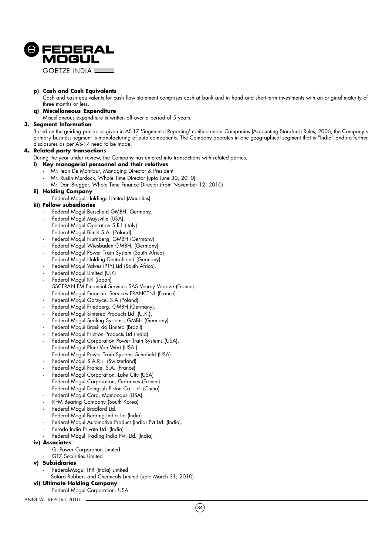

**GOFTZE INDIA L** 

#### **p) Cash and Cash Equivalents**

Cash and cash equivalents for cash flow statement comprises cash at bank and in hand and short-term investments with an original maturity of three months or less.

#### **q) Miscellaneous Expenditure**

Miscellaneous expenditure is written off over a period of 5 years.

#### **3. Segment Information**

Based on the guiding principles given in AS-17 'Segmental Reporting' notified under Companies (Accounting Standard) Rules, 2006, the Company's primary business segment is manufacturing of auto components. The Company operates in one geographical segment that is "India" and no further disclosures as per AS-17 need to be made.

#### **4. Related party transactions**

During the year under review, the Company has entered into transactions with related parties.

#### **i) Key managerial personnel and their relatives**

- Mr. Jean De Montlaur, Managing Director & President
- Mr. Rustin Murdock, Whole Time Director (upto June 30, 2010)
- Mr. Dan Brugger, Whole Time Finance Director (from November 12, 2010)

#### **ii) Holding Company**

Federal Mogul Holdings Limited (Mauritius)

#### **iii) Fellow subsidiaries**

- Federal Mogul Burscheid GMBH, Germany.
- Federal Mogul Maysville (USA).
- Federal Mogul Operation S.R.L (Italy)
- Federal Mogul Bimet S.A. (Poland).
- Federal Mogul Nurnberg, GMBH (Germany).
- Federal Mogul Wiesbaden GMBH, (Germany)
- Federal Mogul Power Train System (South Africa).
- Federal Mogul Holding Deutschland (Germany).
- Federal Mogul Valves (PTY) Ltd (South Africa).
- Federal Mogul Limited (U.K)
- Federal Mogul KK (Japan)
- SSCFRAN FM Financial Services SAS Veurey Voroize (France).
- Federal Mogul Financial Services FRANCTNL (France).
- Federal Mogul Gorzyce, S.A (Poland).
- Federal Mogul Friedberg, GMBH (Germany).
- Federal Mogul Sintered Products Ltd. (U.K.).
- Federal Mogul Sealing Systems, GMBH (Germany).
- Federal Mogul Brasil do Limited (Brazil)
- Federal Mogul Friction Products Ltd (India).
- Federal Mogul Corporation Power Train Systems (USA).
- Federal Mogul Plant Van Wert (USA.)
- Federal Mogul Power Train Systems Schofield (USA).
- Federal Mogul S.A.R.L. (Switzerland)
- Federal Mogul France, S.A. (France)
- Federal Mogul Corporation, Lake City (USA)
- Federal Mogul Corporation, Garennes (France)
- Federal Mogul Dongsuh Piston Co. Ltd. (China)
- Federal Mogul Corp, Mgmoogus (USA)
- KFM Bearing Company (South Korea)
- Federal Mogul Bradford Ltd.
- Federal Mogul Bearing India Ltd (India)
- Federal Mogul Automotive Product (India) Pvt Ltd. (India).
- Ferodo India Private Ltd. (India)
- Federal Mogul Trading India Pvt. Ltd. (India)

#### **iv) Associates**

- GI Power Corporation Limited
- GTZ Securities Limited
- **v) Subsidiaries**
	- Federal-Mogul TPR (India) Limited
	- Satara Rubbers and Chemicals Limited (upto March 31, 2010)
- **vi) Ultimate Holding Company** Federal Mogul Corporation, USA.

ANNUAL REPORT 2010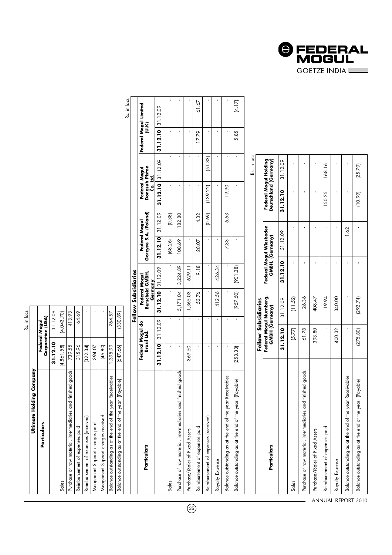| ť |  |
|---|--|
|   |  |
| é |  |

| Ultimate Holding Company                                    |            |                                    |
|-------------------------------------------------------------|------------|------------------------------------|
| Particulars                                                 |            | Corporation (USA)<br>Federal Mogul |
|                                                             | 31.12.10   | 31.12.09                           |
| Sales                                                       | (4,861.58) | (4,043.70)                         |
| Purchase of raw material, intermediaries and finished goods | 739.55     | 413.93                             |
| Reimbursement of expenses paid                              | 315.96     | 64.69                              |
| Reimbursement of expenses (received)                        | (322.34)   |                                    |
| Mnagement Support charges paid                              | 394.07     |                                    |
| Mnagement Support charges received                          | (46.80)    |                                    |
| Balance outstanding as at the end of the year Receivables   | 1,395.99   | 764.57                             |
| Balance outstanding as at the end of the year (Payable)     | (647.66)   | (330.89)                           |

61.67  $(4.17)$ Sales - - - - (68.26) (0.38) - - - - Purchase of raw material, intermediaries and finished goods  $-$  - 5,171.04  $-$  5,224.89  $-$  182.80 108.80 108.80 108.80 108.80 108.80 108.80 108.80 108.80 108.80 108.80 108.80 108.80 108.80 108.80 108.80 108.80 108.80 108 Purchase Assets 4 reed Assets 369.03 for Fixed Assets 369.03 for Fixed Assets 369.50  $\sim$  1,365.03 69.11  $\sim$  -  $\sim$  -  $\sim$  -  $\sim$  -  $\sim$  -  $\sim$  -  $\sim$  -  $\sim$  -  $\sim$  -  $\sim$  -  $\sim$  -  $\sim$  -  $\sim$  -  $\sim$  -  $\sim$  -  $\sim$  -  $\sim$  Reimbursement of expenses (received) - - - - - (0.69) (139.22) (51.83) - -  $\frac{8}{200}$   $\frac{8}{200}$   $\frac{4254}{4200}$   $\frac{4254}{4200}$   $\frac{4254}{4200}$   $\frac{4254}{4200}$   $\frac{4254}{4200}$   $\frac{4254}{4200}$   $\frac{4254}{4200}$   $\frac{4254}{4200}$   $\frac{4254}{4200}$   $\frac{4254}{4200}$   $\frac{4254}{4200}$   $\frac{4254}{4200}$   $\frac{4$ Balance outstanding as at the end of the year Receivables - - - - 7.33 6.63 19.90 - - - Reimbursement of expenses paid dexpenses paid dexpenses paid and the state of the state of the state of the state of the state of the state of the state of the state of the state of the state of the state of the state of t Balance outstanding as at the end of the year (Payable) (253.33) - (957.50) (901.38) - - - 5.85 (4.17) Federal Mogul Limited<br>(U.K) **Federal Mogul Limited** 31.12.10 31.12.09 **31.12.10** 31.12.09 **31.12.10** 31.12.09 **31.12.10** 31.12.09 **31.12.10** 31.12.09 J,  $\bar{1}$ 17.79 J, 5.85  $(51.83)$  $\bar{1}$ Rs. in lacs 31.12.10 31.12.09 Federal Mogul<br>Dongsuh Piston<br>Co. Ltd. **Dongsuh Piston Federal Mogul** 19.90  $(139.22)$ Federal Mogul<br>Gorzyee S.A. (Poland) 31.12.10 31.12.09 182.80 4.32  $(0.69)$ 6.63 **Gorzyee S.A. (Poland)**  $(0.38)$  **Federal Mogul**  $(68.26)$ 108.69 28.07 7.33 j  $\bar{\mathbf{r}}$ 9.18 426.34  $(901.38)$ 629.11 31.12.10 31.12.09 3,224.89 Federal Mogul<br>Burscheid GMBH*,*<br>Germany Fellow Subsidiaries **Fellow Subsidiaries Burscheid GMBH, Federal Mogul** 5,171.04 53.76 412.56  $.50$ 1,365.03 (957. т,  $\overline{\phantom{a}}$ 31.12.09 Federal Mogul do<br>Brasil Ltd. **31.12.10** 31.12.09  **Federal Mogul do Brasil Ltd.** 31.12.10  $\mathbf{I}$ 369.50  $\,$  $(253.33)$  $\,$ Purchase of raw material, intermediaries and finished goods Balance outstanding as at the end of the year Receivables Balance outstanding as at the end of the year (Payable) Reimbursement of expenses (received) Reimbursement of expenses paid Purchase/(Sale) of Fixed Assets Particulars **Particulars** Royalty Expense **Sales** 

35

|                                                                | Fellow Subsidiaries |                        |          |                                            |          |                                                |
|----------------------------------------------------------------|---------------------|------------------------|----------|--------------------------------------------|----------|------------------------------------------------|
| Particulars                                                    | GMBH (Germany)      | Federal Mogul Numberg, |          | Federal Mogul Wiesbaden<br>GMBH, (Germany) |          | Federal Mogul Holding<br>Deutschland (Germany) |
|                                                                | 31.12.10            | 31.12.09               | 31.12.10 | 31.12.09                                   | 31.12.10 | 31.12.09                                       |
| Sales                                                          | (5.77)              | (11.52)                |          |                                            |          |                                                |
| intermediaries and finished goods<br>Purchase of raw material, | 61.78               | 26.36                  |          |                                            |          |                                                |
| Purchase/(Sale) of Fixed Assets                                | 393.80              | 408.47                 |          |                                            |          |                                                |
| Reimbursement of expenses paid                                 |                     | 19.94                  |          |                                            | 150.25   | 168.16                                         |
| Royalty Expense                                                | 400.32              | 340.00                 |          |                                            |          |                                                |
| the end of the year Receivables<br>Balance outstanding as at   |                     |                        |          | 1.62                                       |          |                                                |
| the end of the year (Payable)<br>Balance outstanding as at     | (275.80)            | (292.74)               |          |                                            | (10.99)  | (25.79)                                        |

Rs. in lacs Rs. in lacs

ANNUAL REPORT 2010

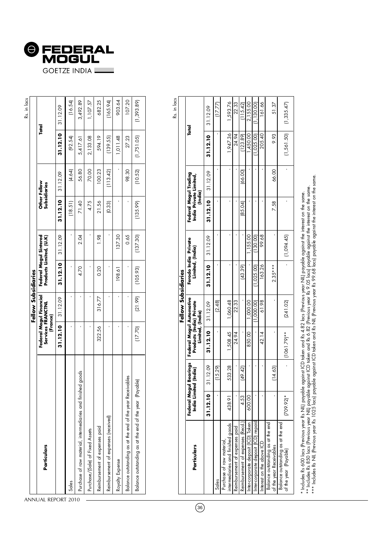

|                                                                 |                               | Fellow Subsidiaries     |          |                                                   |          |                              |            |             |
|-----------------------------------------------------------------|-------------------------------|-------------------------|----------|---------------------------------------------------|----------|------------------------------|------------|-------------|
| Particulars                                                     | Services FRANCTNL<br>(France) | Federal Mogul Financial |          | Federal Mogul Sintered<br>Products Limited, (U.K) |          | Other Fellow<br>Subsidiaries |            | Total       |
|                                                                 | 31.12.10                      | 31.12.09                | 31.12.10 | 31.12.09                                          | 31.12.10 | 31.12.09                     | 31.12.10   | 31.12.09    |
| Sales                                                           |                               |                         |          |                                                   | (18.51)  | (4.64)                       | (92.54)    | (16.54)     |
| ed goods<br>Purchase of raw material, intermediaries and finish |                               |                         | 4.70     | 2.04                                              | 71.40    | 56.80                        | 5,417.61   | 3,492.89    |
| Purchase/(Sale) of Fixed Assets                                 |                               |                         |          |                                                   | 4.75     | 70.00                        | 2,133.08   | 1,107.57    |
| Reimbursement of expenses paid                                  | 322.56                        | 316.77                  | 0.20     | 0.98                                              | 21.56    | 100.23                       | 594.19     | 682.25      |
| Reimbursement of expenses (received)                            |                               |                         |          |                                                   | (0.33)   | (113.42)                     | (139.55)   | (165.94)    |
| Royalty Expense                                                 |                               |                         | 198.61   | 137.30                                            |          |                              | 1,011.48   | 903.64      |
| Balance outstanding as at the end of the year Receivables       |                               |                         |          | 0.65                                              |          | 98.30                        | 27.23      | 107.20      |
| Balance outstanding as at the end of the year (Payable)         | (17.70)                       | (21.99)                 | (105.93) | (137.30)                                          | (135.99) | (10.52)                      | (1,751.05) | (1, 393.89) |
|                                                                 |                               |                         |          |                                                   |          |                              |            |             |

Rs. in lacs

|                                                                |                       |                                       |                                                                          | Fellow Subsidiaries |                                          |            |                                                            |          |          |             |
|----------------------------------------------------------------|-----------------------|---------------------------------------|--------------------------------------------------------------------------|---------------------|------------------------------------------|------------|------------------------------------------------------------|----------|----------|-------------|
| Particulars                                                    | India Limi            | Federal Mogul Bearings<br>ted (India) | Federal Mogul Automotive<br>Products (India) Private<br>Limited, (India) |                     | Ferodo India Private<br>Limited, (India) |            | Federal Mogul Trading<br>India Private Limited,<br>(India) |          |          | Total       |
|                                                                | 31.12.10              | 31.12.09                              | 31.12.10                                                                 | 31.12.09            | 31.12.10                                 | 31.12.09   | 31.12.10                                                   | 31.12.09 | 31.12.10 | 31.12.09    |
| Sales                                                          |                       | (15.29)                               |                                                                          | (2.48)              |                                          |            |                                                            |          |          | (17.77)     |
| intermediaries and finished goods<br>Purchase of raw material, | 438.91                | 533.28                                | 1,508.45                                                                 | 1,060.48            |                                          |            |                                                            |          | 1,947.36 | 1,593.76    |
| Reimbursement of expenses paid                                 |                       |                                       | 24.94                                                                    | 22.33               |                                          |            |                                                            |          | 24.94    | 22.33       |
| Reimbursement of expenses (Recd.)                              | 4.53                  | (49.42)                               |                                                                          |                     | 43.39                                    |            | (85.04)                                                    | 66.00    | 123.89)  | 115.42      |
| Inter-corporate deposit (ICD) Taken                            | 600.00                |                                       | 850.00                                                                   | 000.00              |                                          | 1,155.00   |                                                            |          | 450.00   | 2,155.00    |
| Inter-corporate deposit (ICD) repaid                           |                       |                                       |                                                                          | 1,000.001           | 1,025.00                                 | (130.00)   |                                                            |          | 1,025.00 | 130.001     |
| nterest on the above ICD                                       |                       |                                       | 42.14                                                                    | 61.98               | 163.26                                   | 99.68      |                                                            |          | 205.40   | 161.66      |
| Balance outstanding as at the end<br>of the year Receivables   |                       | (14, 63)                              |                                                                          |                     | $2.35***$                                |            | 7.58                                                       | 66.00    | 9.93     | 51.37       |
| Balance outstanding as at the end<br>of the year (Payable)     | $709.92$ <sup>*</sup> |                                       | $(1061.79)**$                                                            | [241.02]            |                                          | (1,094.45) |                                                            |          | 1,561.50 | (1, 335.47) |
|                                                                |                       |                                       |                                                                          |                     |                                          |            |                                                            |          |          |             |

\* Includes Rs 600 lacs [Previous year Rs NII] payable against ICD taken and Rs 4.82 lacs [Previous year NII] payable against the interest on the same.<br>\*\* Includes Rs 850 lacs [Previous year NII] payable against ICD taken a \*\*\* Includes Rs NIL (Previous year Rs 1025 lacs) payable against ICD taken and Rs NIL (Previous year Rs 99.68 lacs) payable against the interest on the same. \*\* Includes Rs 850 lacs (Previous year NIL) payable against ICD taken and Rs 6.82 (Previous year Rs 9.05 lacs) payable against the interest on the same. \* Includes Rs 600 lacs (Previous year Rs NIL) payable against ICD taken and Rs 4.82 lacs (Previous year NIL) payable against the interest on the same.

ANNUAL REPORT 2010

 $\sim$ 

36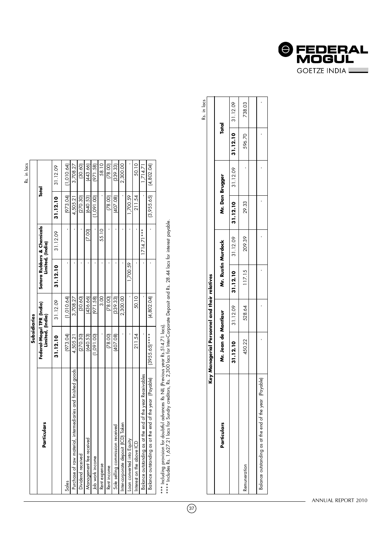| t, |  |
|----|--|
|    |  |
|    |  |

| Particulars                                                 | Subsidiaries                                  |             |          |                                                |            |            |
|-------------------------------------------------------------|-----------------------------------------------|-------------|----------|------------------------------------------------|------------|------------|
|                                                             | Federal-Mogul TPR (India)<br>Limited, (India) |             |          | Satara Rubbers & Chemicals<br>Limited, (India) | Total      |            |
|                                                             | 31.12.10                                      | 31.12.09    | 31.12.10 | 31.12.09                                       | 31.12.10   | 31.12.09   |
| Sales                                                       | (973.04)                                      | 1,010.64    |          |                                                | (973.04)   | 1,010.64)  |
| Purchase of raw material, intermediaries and tinished goods | 4,505.21                                      | 3,708.27    |          |                                                | 4,505.21   | 3,708.27   |
| Dividend received                                           | (270.30)                                      | (30.60)     |          |                                                | (270.30)   | (30.60)    |
| Management tee received                                     | 640.53)                                       | (436.66)    |          | (200)                                          | (640.53)   | 443.66)    |
| Job work income                                             | (1,091.00)                                    | (971.58)    |          |                                                | 1,091.00   | (971.58)   |
| Rent expense                                                |                                               | 3.00        |          | 55.10                                          |            | 58.10      |
| Rent income                                                 | (78.00)                                       | (78.00)     |          |                                                | [78.00]    | (78.00)    |
| Sole selling commission received                            | 407.08)                                       | (339.33)    |          |                                                | (407.08)   | (339.33)   |
| Inter-corporate deposit (ICD) Taken                         |                                               | 2,300.00    |          |                                                |            | 2,300.00   |
| Loan converted into Equity                                  |                                               |             | 1,700.59 |                                                | 1,700.59   |            |
| Interest on the above ICD                                   | 211.54                                        | 50.10       |          |                                                | 211.54     | 50.10      |
| Balance outstanding as at the end of the year Receivables   |                                               |             |          | $1714.71***$                                   |            | 1,714.71   |
| Balance outstanding as at the end of the year (Payable)     | $(3955.65)^***$                               | (4, 802.04) |          |                                                | (3,955.65) | (4,802.04) |

\*\*\* Including provision for doubtful advances Rs NIL (Previous year Rs.514.71 lacs).

 $\overline{37}$ 

\*\*\* Including provision for doubtful advances Rs NIL (Previous year Rs.514.71 lacs).<br>\*\*\*\* Includes Rs. 1,627.21 lacs for Sundry creditors, Rs. 2,300 lacs for Inter-Corporate Deposit and Rs. 28.44 lacs for interest payable. \*\*\*\* Includes Rs. 1,627.21 lacs for Sundry creditors, Rs. 2,300 lacs for Inter-Corporate Deposit and Rs. 28.44 lacs for interest payable.

|                                                            |                                              |        |        |                    |                                                                     |                                                                                                |              | Rs. in lacs   |
|------------------------------------------------------------|----------------------------------------------|--------|--------|--------------------|---------------------------------------------------------------------|------------------------------------------------------------------------------------------------|--------------|---------------|
|                                                            | Key Managerial Personnel and their relatives |        |        |                    |                                                                     |                                                                                                |              |               |
| Particulars                                                | Mr. Jean de Montlaur                         |        |        | Mr. Rustin Murdock | Mr. Dan Brugger                                                     |                                                                                                | <b>Total</b> |               |
|                                                            |                                              |        |        |                    | 31.12.10 $\vert$ 31.12.09 $\vert$ 31.12.10 $\vert$ 31.12.10 $\vert$ | $\begin{array}{ c c c c c c c c } \hline \text{31.12.09} & \text{31.12.09} \hline \end{array}$ |              |               |
| Remuneration                                               | 450.22                                       | 528.64 | 117.15 | 209.39             | 29.33                                                               |                                                                                                |              | 596.70 738.03 |
|                                                            |                                              |        |        |                    |                                                                     |                                                                                                |              |               |
| (Payable)<br>salance outstanding as at the end of the year |                                              |        |        |                    |                                                                     |                                                                                                |              |               |

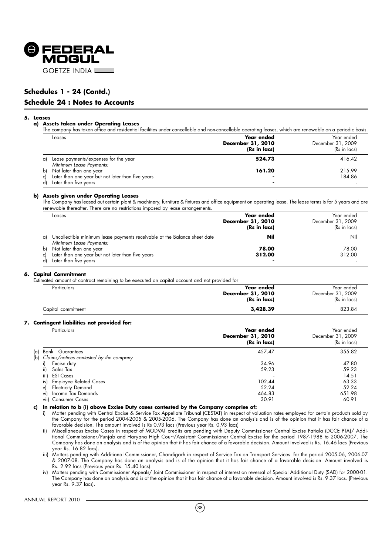

## **Schedules 1 - 24 (Contd.)**

#### **Schedule 24 : Notes to Accounts**

#### **5. Leases**

#### **a) Assets taken under Operating Leases**

The company has taken office and residential facilities under cancellable and non-cancellable operating leases, which are renewable on a periodic basis.

|    | Leases                                                          | Year ended<br>December 31, 2010<br>(Rs in lacs) | Year ended<br>December 31, 2009<br>(Rs in lacs) |
|----|-----------------------------------------------------------------|-------------------------------------------------|-------------------------------------------------|
| αl | Lease payments/expenses for the year<br>Minimum Lease Payments: | 524.73                                          | 416.42                                          |
| b) | Not later than one year                                         | 161.20                                          | 215.99                                          |
|    | Later than one year but not later than five years               |                                                 | 184.86                                          |
| dl | Later than five years                                           |                                                 |                                                 |

#### **b) Assets given under Operating Leases**

The Company has leased out certain plant & machinery, furniture & fixtures and office equipment on operating lease. The lease terms is for 5 years and are renewable thereafter. There are no restrictions imposed by lease arrangements.

|    | Leases                                                                                                  | Year ended<br>December 31, 2010<br>(Rs in lacs) | Year ended<br>December 31, 2009<br>(Rs in lacs) |
|----|---------------------------------------------------------------------------------------------------------|-------------------------------------------------|-------------------------------------------------|
| a) | Uncollectible minimum lease payments receivable at the Balance sheet date                               | Nil                                             | Nil                                             |
| bì | Minimum Lease Payments:<br>Not later than one year<br>Later than one year but not later than five years | 78.00<br>312.00                                 | 78.00<br>312.00                                 |
|    | Later than five years                                                                                   |                                                 |                                                 |

#### **6. Capital Commitment**

Estimated amount of contract remaining to be executed on capital account and not provided for

| Particulars        | Year ended<br><b>December 31, 2010</b><br>(Rs in lacs) | Year ended<br>December 31, 2009<br>(Rs in lacs) |
|--------------------|--------------------------------------------------------|-------------------------------------------------|
| Capital commitment | 3,428.39                                               | 823.84                                          |

#### **7. Contingent liabilities not provided for:**

|      | Particulars                                 | Year ended<br>December 31, 2010<br>(Rs in lacs) | Year ended<br>December 31, 2009<br>(Rs in lacs) |
|------|---------------------------------------------|-------------------------------------------------|-------------------------------------------------|
| (a)  | Bank Guarantees                             | 457.47                                          | 355.82                                          |
|      | (b) Claims/notices contested by the company |                                                 |                                                 |
| i)   | Excise duty                                 | 34.96                                           | 47.80                                           |
| ii)  | Sales Tax                                   | 59.23                                           | 59.23                                           |
| iii) | <b>ESI Cases</b>                            |                                                 | 14.51                                           |
| iv)  | <b>Employee Related Cases</b>               | 102.44                                          | 63.33                                           |
| v)   | <b>Electricity Demand</b>                   | 52.24                                           | 52.24                                           |
| vi)  | Income Tax Demands                          | 464.83                                          | 651.98                                          |
| viil | <b>Consumer Cases</b>                       | 30.91                                           | 60.91                                           |

**c) In relation to b (i) above Excise Duty cases contested by the Company comprise of:**

i) Matter pending with Central Excise & Service Tax Appellate Tribunal (CESTAT) in respect of valuation rates employed for certain products sold by the Company for the period 2004-2005 & 2005-2006. The Company has done an analysis and is of the opinion that it has fair chance of a favorable decision. The amount involved is Rs 0.93 lacs (Previous year Rs. 0.93 lacs)

ii) Miscellaneous Excise Cases in respect of MODVAT credits are pending with Deputy Commissioner Central Excise Patiala (DCCE PTA)/ Additional Commissioner/Punjab and Haryana High Court/Assistant Commissioner Central Excise for the period 1987-1988 to 2006-2007. The Company has done an analysis and is of the opinion that it has fair chance of a favorable decision. Amount involved is Rs. 16.46 lacs (Previous year Rs. 16.82 lacs).

iii) Matters pending with Additional Commissioner, Chandigarh in respect of Service Tax on Transport Services for the period 2005-06, 2006-07 & 2007-08. The Company has done an analysis and is of the opinion that it has fair chance of a favorable decision. Amount involved is Rs. 2.92 lacs (Previous year Rs. 15.40 lacs).

iv) Matters pending with Commissioner Appeals/ Joint Commissioner in respect of interest on reversal of Special Additional Duty (SAD) for 2000-01. The Company has done an analysis and is of the opinion that it has fair chance of a favorable decision. Amount involved is Rs. 9.37 lacs. (Previous year Rs. 9.37 lacs).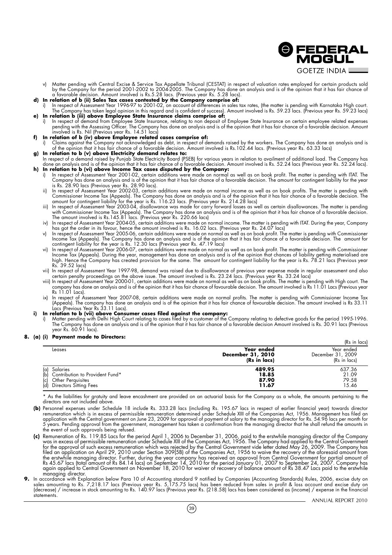**GOETZE INDIA L** v) Matter pending with Central Excise & Service Tax Appellate Tribunal (CESTAT) in respect of valuation rates employed for certain products sold by the Company for the period 2001-2002 to 2004-2005. The Company has done an analysis and is of the opinion that it has fair chance of a favorable decision. Amount involved is Rs.5.28 lacs. (Previous year Rs. 5.28 lacs).

- **d) In relation of b (ii) Sales Tax cases contested by the Company comprise of:**
- i) In respect of Assessment Year 1996-97 to 2001-02, on account of differences in sales tax rates, (the matter is pending with Karnataka High court. The Company has taken legal opinion in this regard and is confident of success). Amount involved is Rs. 59.23 lacs. (Previous year Rs. 59.23 lacs) **e) In relation b (iii) above Employee State Insurance claims comprise of:**
- i) In respect of demand from Employee State Insurance, relating to non deposit of Employee State Insurance on certain employee related expenses pending with the Assessing Officer. The Company has done an analysis and is of the opinion that it has fair chance of a favorable decision. Amount involved is Rs. Nil (Previous year Rs. 14.51 lacs)
- **f) In relation of b (iv) above Employee related cases comprise of:**
- i) Claims against the Company not acknowledged as debt, in respect of demands raised by the workers. The Company has done an analysis and is of the opinion that it has fair chance of a favorable decision. Amount involved is Rs.102.44 lacs. (Previous year Rs. 63.33 lacs) **g) In relation to b (v) above Electricity demand relates to:**
- In respect of a demand raised by Punjab State Electricity Board (PSEB) for various years in relation to availment of additional load. The Company has done an analysis and is of the opinion that it has fair chance of a favorable decision. Amount involved is Rs. 52.24 lacs (Previous year Rs. 52.24 lacs).
- **h) In relation to b (vi) above Income Tax cases disputed by the Company:** i) In respect of Assessment Year 2001-02, certain additions were made on normal as well as on book profit. The matter is pending with ITAT. The Company has done an analysis and is of the opinion that it has fair chance of a favorable decision. The amount for contingent liability for the year is Rs. 28.90 lacs (Previous year Rs. 28.90 lacs).
	- ii) In respect of Assessment Year 2002-03, certain additions were made on normal income as well as on book profits. The matter is pending with Commissioner Income Tax (Appeals). The Company has done an analysis and is of the opinion that it has fair chance of a favorable decision. The amount for contingent liability for the year is Rs. 116.23 lacs. (Previous year Rs. 214.28 lacs)
	- iii) In respect of Assessment Year 2003-04, disallowance was made for carry forward losses as well as certain disallowances. The matter is pending with Commissioner Income Tax (Appeals). The Company has done an analysis and is of the opinion that it has fair chance of a favorable decision. The amount involved is Rs.145.81 lacs. (Previous year Rs. 220.66 lacs)
	- iv) In respect of Assessment Year 2004-05, certain additions were made on normal income. The matter is pending with ITAT. During the year, Company has got the order in its favour, hence the amount involved is Rs. 16.02 lacs. (Previous year Rs. 24.07 lacs)
	- v) In respect of Assessment Year 2005-06, certain additions were made on normal as well as on book profit. The matter is pending with Commissioner Income Tax (Appeals). The Company has done an analysis and is of the opinion that it has fair chance of a favorable decision. The amount for contingent liability for the year is Rs. 12.30 lacs (Previous year Rs. 47.19 lacs)
	- vi) In respect of Assessment Year 2006-07, certain additions were made on normal as well as on book profit. The matter is pending with Commissioner Income Tax (Appeals). During the year, management has done an analysis and is of the opinion that chances of liability getting materialised are high. Hence the Company has created provision for the same. The amount for contingent liability for the year is Rs. 78.21 lacs (Previous year Rs. 39.52 lacs)
	- vii) In respect of Assessment Year 1997-98, demand was raised due to disallowance of previous year expense made in regular assessment and also certain penalty proceedings on the above issue. The amount involved is Rs. 23.24 lacs. (Previous year Rs. 33.24 lacs)
	- viii) In respect of Assessment Year 2000-01, certain additions were made on normal as well as on book profits. The matter is pending with High court. The company has done an analysis and is of the opinion that it has fair chance of favourable decision. The amount involved is Rs 11.01 Lacs (Previous year Rs 11.01 Lacs).
	- ix) In respect of Assessment Year 2007-08, certain additions were made on normal profits. The matter is pending with Commissioner Income Tax (Appeals). The company has done an analysis and is of the opinion that it has fair chance of favourable decision. The amount involved is Rs 33.11 Lacs (Previous Year Rs 33.11 Lacs).
- **i) In relation to b (vii) above Consumer cases filed against the company:**
	- i) Matter pending with Delhi High Court relating to cases filed by a customer of the Company relating to defective goods for the period 1995-1996. The Company has done an analysis and is of the opinion that it has fair chance of a favorable decision Amount involved is Rs. 30.91 lacs (Previous year Rs. 60.91 lacs).

#### **8. (a) (i) Payment made to Directors:**

|                                                                                                                     |                                                 | (Rs in lacs)                                    |
|---------------------------------------------------------------------------------------------------------------------|-------------------------------------------------|-------------------------------------------------|
| Leases                                                                                                              | Year ended<br>December 31, 2010<br>(Rs in lacs) | Year ended<br>December 31, 2009<br>(Rs in lacs) |
| Salaries<br>(a)<br>(b) Contribution to Provident Fund*<br>Other Perguisites<br>(c)<br>(d)<br>Directors Sitting Fees | 489.95<br>18.85<br>87.90<br>11.67               | 637.36<br>21.09<br>79.58<br>15.46               |

\* As the liabilities for gratuity and leave encashment are provided on an actuarial basis for the Company as a whole, the amounts pertaining to the directors are not included above.

- **(b)** Personnel expenses under Schedule 18 include Rs. 333.28 lacs (including Rs. 195.67 lacs in respect of earlier financial year) towards director remuneration which is in excess of permissible remuneration determined under Schedule XIII of the Companies Act, 1956. Management has filed an application with the Central government on June 23, 2009 for approval of payment of salary to the managing director for Rs. 54.96 lacs per month for 5 years. Pending approval from the government, management has taken a confirmation from the managing director that he shall refund the amounts in the event of such approvals being refused.
- **(c)** Remuneration of Rs. 119.85 Lacs for the period April 1, 2006 to December 31, 2006, paid to the erstwhile managing director of the Company was in excess of permissible remuneration under Schedule XIII of the Companies Act, 1956. The Company had applied to the Central Government for the approval of such excess remuneration which was rejected by the Central Government vide letter dated May 26, 2009. The Company has filed an application on April 29, 2010 under Section 309(5B) of the Companies Act, 1956 to waive the recovery of the aforesaid amount from the erstwhile managing director. Further, during the year company has received an approval from Central Government for partial amount of Rs 45.67 lacs (total amount of Rs 84.14 lacs) on September 14, 2010 for the period January 01, 2007 to September 24, 2007. Company has again applied to Central Government on November 18, 2010 for waiver of recovery of balance amount of Rs 38.47 Lacs paid to the erstwhile managing director. **9.** In accordance with Explanation below Para 10 of Accounting standard 9 notified by Companies (Accounting Standards) Rules, 2006, excise duty on
- sales amounting to Rs. 7,218.17 lacs (Previous year Rs. 5,175.75 lacs) has been reduced from sales in profit & loss account and excise duty on (decrease) / increase in stock amounting to Rs. 140.97 lacs (Previous year Rs. (218.58) lacs has been considered as (income) / expense in the financial statements.

**@FEDERAL** MOGUL

 $(39)$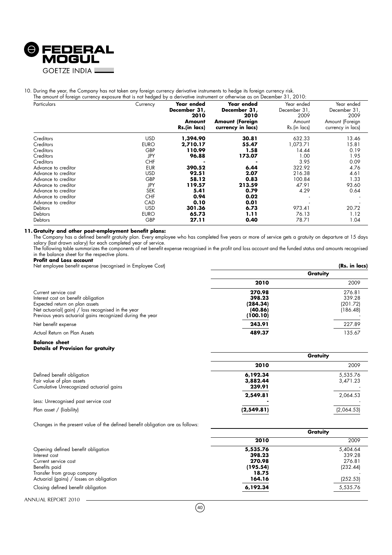

## 10. During the year, the Company has not taken any foreign currency derivative instruments to hedge its foreign currency risk.<br>The amount of familie authority responses that is not hadned by a derivative instrument of athe

| Particulars         | Currency    | Year ended<br>December 31,<br>2010<br>Amount | Year ended<br>December 31,<br>2010<br><b>Amount (Foreign</b> | Year ended<br>December 31,<br>2009<br>Amount | Year ended<br>December 31,<br>2009<br>Amount (Foreign |
|---------------------|-------------|----------------------------------------------|--------------------------------------------------------------|----------------------------------------------|-------------------------------------------------------|
|                     |             | Rs.(in lacs)                                 | currency in lacs)                                            | Rs.(in lacs)                                 | currency in lacs)                                     |
| Creditors           | <b>USD</b>  | 1,394.90                                     | 30.81                                                        | 632.33                                       | 13.46                                                 |
| Creditors           | <b>EURO</b> | 2,710.17                                     | 55.47                                                        | 1,073.71                                     | 15.81                                                 |
| Creditors           | GBP         | 110.99                                       | 1.58                                                         | 14.44                                        | 0.19                                                  |
| Creditors           | JPY         | 96.88                                        | 173.07                                                       | 1.00                                         | 1.95                                                  |
| Creditors           | <b>CHF</b>  |                                              |                                                              | 3.95                                         | 0.09                                                  |
| Advance to creditor | <b>EUR</b>  | 390.52                                       | 6.44                                                         | 322.92                                       | 4.76                                                  |
| Advance to creditor | <b>USD</b>  | 92.51                                        | 2.07                                                         | 216.38                                       | 4.61                                                  |
| Advance to creditor | GBP         | 58.12                                        | 0.83                                                         | 100.84                                       | 1.33                                                  |
| Advance to creditor | JPY         | 119.57                                       | 213.59                                                       | 47.91                                        | 93.60                                                 |
| Advance to creditor | <b>SEK</b>  | 5.41                                         | 0.79                                                         | 4.29                                         | 0.64                                                  |
| Advance to creditor | <b>CHF</b>  | 0.94                                         | 0.02                                                         |                                              |                                                       |
| Advance to creditor | CAD         | 0.10                                         | 0.01                                                         |                                              |                                                       |
| <b>Debtors</b>      | <b>USD</b>  | 301.36                                       | 6.73                                                         | 973.41                                       | 20.72                                                 |
| <b>Debtors</b>      | <b>EURO</b> | 65.73                                        | 1.11                                                         | 76.13                                        | 1.12                                                  |
| <b>Debtors</b>      | <b>GBP</b>  | 27.11                                        | 0.40                                                         | 78.71                                        | 1.04                                                  |

#### **11. Gratuity and other post-employment benefit plans:**

The Company has a defined benefit gratuity plan. Every employee who has completed five years or more of service gets a gratuity on departure at 15 days salary (last drawn salary) for each completed year of service.

The following table summarizes the components of net benefit expense recognised in the profit and loss account and the funded status and amounts recognised in the balance sheet for the respective plans.

#### **Profit and Loss account**

| Net employee benefit expense (recognised in Employee Cost) | (Rs. in lacs) |          |  |
|------------------------------------------------------------|---------------|----------|--|
|                                                            |               | Gratuity |  |
|                                                            | 2010          | 2009     |  |
| Current service cost                                       | 270.98        | 276.81   |  |
| Interest cost on benefit obligation                        | 398.23        | 339.28   |  |
| Expected return on plan assets                             | (284.34)      | (201.72) |  |
| Net actuarial(gain) / loss recognised in the year          | (40.86)       | (186.48) |  |
| Previous years actuarial gains recognized during the year  | (100.10)      |          |  |
| Net benefit expense                                        | 243.91        | 227.89   |  |
| Actual Return on Plan Assets                               | 489.37        | 135.67   |  |
|                                                            |               |          |  |

#### **Balance sheet**

#### **Details of Provision for gratuity**

|                                                                                                    | Gratuity                       |                      |  |
|----------------------------------------------------------------------------------------------------|--------------------------------|----------------------|--|
|                                                                                                    | 2010                           | 2009                 |  |
| Defined benefit obligation<br>Fair value of plan assets<br>Cumulative Unrecognized actuarial gains | 6,192.34<br>3,882.44<br>239.91 | 5,535.76<br>3,471.23 |  |
|                                                                                                    | 2,549.81                       | 2,064.53             |  |
| Less: Unrecognised past service cost                                                               | ۰                              |                      |  |
| Plan asset / (liability)                                                                           | (2,549.81)                     | (2,064.53)           |  |

Changes in the present value of the defined benefit obligation are as follows:

| 2009     |
|----------|
| 5,404.64 |
| 339.28   |
| 276.81   |
| (232.44) |
|          |
| (252.53) |
| 5,535.76 |
|          |

<del>gradua</del> <del>di</del>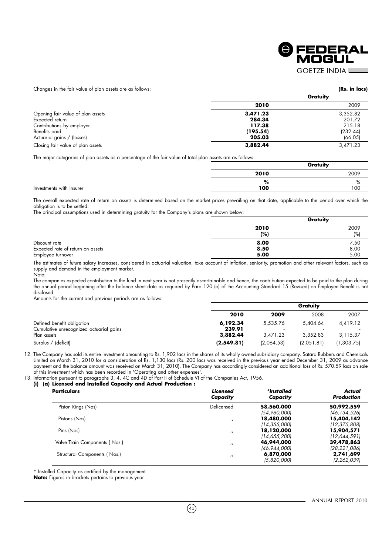

Changes in the fair value of plan assets are as follows: **(Rs. in lacs)**

| Changes in the fair value of plan assers are as follows. |          |          |
|----------------------------------------------------------|----------|----------|
|                                                          |          | Gratuity |
|                                                          | 2010     | 2009     |
| Opening fair value of plan assets                        | 3,471.23 | 3,352.82 |
| Expected return                                          | 284.34   | 201.72   |
| Contributions by employer                                | 117.38   | 215.18   |
| Benefits paid                                            | (195.54) | (232.44) |
| Actuarial gains / (losses)                               | 205.03   | (66.05)  |
| Closing fair value of plan assets                        | 3,882.44 | 3,471.23 |

The major categories of plan assets as a percentage of the fair value of total plan assets are as follows:

|                          |      | Gratuity       |  |  |
|--------------------------|------|----------------|--|--|
|                          | 2010 | 2009           |  |  |
|                          | %    | $\sqrt{\circ}$ |  |  |
| Investments with Insurer | 100  | 100            |  |  |

The overall expected rate of return on assets is determined based on the market prices prevailing on that date, applicable to the period over which the obligation is to be settled.

The principal assumptions used in determining gratuity for the Company's plans are shown below:

|                                   |      | Gratuity |  |  |
|-----------------------------------|------|----------|--|--|
|                                   | 2010 | 2009     |  |  |
|                                   | (%)  | (%)      |  |  |
| Discount rate                     | 8.00 | 7.50     |  |  |
| Expected rate of return on assets | 8.50 | 8.00     |  |  |
| Employee turnover                 | 5.00 | 5.00     |  |  |

The estimates of future salary increases, considered in actuarial valuation, take account of inflation, seniority, promotion and other relevant factors, such as supply and demand in the employment market. Note:

The companies expected contribution to the fund in next year is not presently ascertainable and hence, the contribution expected to be paid to the plan during the annual period beginning after the balance sheet date as required by Para 120 (o) of the Accounting Standard 15 (Revised) on Employee Benefit is not disclosed.

Amounts for the current and previous periods are as follows:

|                                         |            | Gratuity   |            |            |  |
|-----------------------------------------|------------|------------|------------|------------|--|
|                                         | 2010       | 2009       | 2008       | 2007       |  |
| Defined benefit obligation              | 6,192.34   | 5.535.76   | 5.404.64   | 4,419.12   |  |
| Cumulative unrecognized actuarial gains | 239.91     |            |            |            |  |
| Plan assets                             | 3,882.44   | 3.471.23   | 3.352.83   | 3.115.37   |  |
| Surplus / (deficit)                     | (2,549.81) | (2,064.53) | (2,051.81) | (1,303.75) |  |

12. The Company has sold its entire investment amounting to Rs. 1,902 lacs in the shares of its wholly owned subsidiary company, Satara Rubbers and Chemicals Limited on March 31, 2010 for a consideration of Rs. 1,130 lacs (Rs. 200 lacs was received in the previous year ended December 31, 2009 as advance payment and the balance amount was received on March 31, 2010). The Company has accordingly considered an additional loss of Rs. 570.59 lacs on sale of this investment which has been recorded in 'Operating and other expenses'.

13. Information pursuant to paragraphs 3, 4, 4C and 4D of Part II of Schedule VI of the Companies Act, 1956.

### **(i) (a) Licensed and Installed Capacity and Actual Production :**

| <b>Particulars</b>            | Licensed<br>Capacity | *Installed<br>Capacity | Actual<br>Production |
|-------------------------------|----------------------|------------------------|----------------------|
| Piston Rings (Nos)            | Delicensed           | 58,560,000             | 50,992,559           |
|                               |                      | (54,960,000)           | (46,134,526)         |
| Pistons (Nos)                 | $^{\prime}$          | 18,480,000             | 15,404,142           |
|                               |                      | (14,355,000)           | (12,375,808)         |
| Pins (Nos)                    | $^{\prime}$          | 18,120,000             | 15,904,571           |
|                               |                      | (14,655,200)           | (12,644,591)         |
| Valve Train Components (Nos.) | $^{\prime}$          | 46,944,000             | 39,478,863           |
|                               |                      | (46,944,000)           | (28, 221, 086)       |
| Structural Components (Nos.)  | $^{\prime}$          | 6,870,000              | 2,741,699            |
|                               |                      | (5,820,000)            | (2, 262, 039)        |

\* Installed Capacity as certified by the management.

**Note:** Figures in brackets pertains to previous year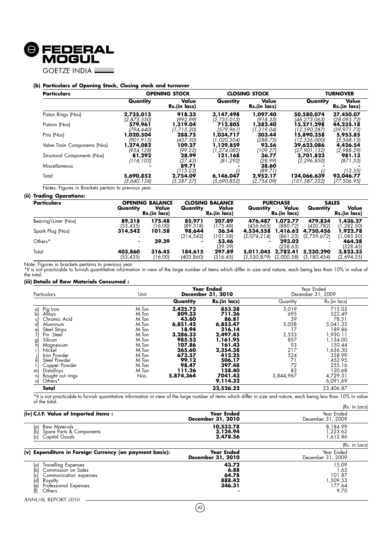

**GOETZE INDIA L** 

#### **(b) Particulars of Opening Stock, Closing stock and turnover**

| <b>Particulars</b>           |             | <b>OPENING STOCK</b>  |               | <b>CLOSING STOCK</b>  |               | <b>TURNOVER</b>       |  |  |
|------------------------------|-------------|-----------------------|---------------|-----------------------|---------------|-----------------------|--|--|
|                              | Quantity    | Value<br>Rs.(in lacs) | Quantity      | Value<br>Rs.(in lacs) | Quantity      | Value<br>Rs.(in lacs) |  |  |
| Piston Rings (Nos)           | 2,735,013   | 918.33                | 3,147,498     | 1,097.40              | 50,580,074    | 37,450.07             |  |  |
|                              | (2,873,550) | 1992.991              | (2,735,013)   | (918.33)              | (46.273.063)  | (28.093.72)           |  |  |
| Pistons (Nos)                | 579,961     | 1,319.04              | 712,805       | 1,382.40              | 15,271,298    | 44,235.18             |  |  |
|                              | 1794.4401   | 11.715.201            | 1579.9611     | (1, 319.04)           | (12.590.287)  | (39, 971.73)          |  |  |
| Pins (Nos)                   | .020,504    | 288.75                | 1,034,717     | 303.44                | 15,890,358    | 5,953.85              |  |  |
|                              | (901.913)   | (437.50)              | 11.020.5041   | (288.75)              | (12,526,000)  | (5,568.13)            |  |  |
| Valve Train Components (Nos) | 1,274,082   | 109.27                | 1,129,859     | 93.56                 | 39,623,086    | 4,426.54              |  |  |
|                              | (954, 128)  | (99.22)               | (1, 274, 082) | (109.27)              | [27,901,132]  | (2,988.29)            |  |  |
| Structural Components (Nos)  | 81,292      | 28.99                 | 121,168       | 36.77                 | 2,701,823     | 981.13                |  |  |
|                              | (116, 103)  | (27.43)               | (81, 292)     | (28.99)               | (2, 296, 850) | (871.53)              |  |  |
| Miscellaneous                |             | 89.71<br>(115.23)     |               | 38.60<br>(89.71)      |               | (13.55)               |  |  |
| Total                        | 5,690,852   | 2,754.09              | 6,146,047     | 2.952.17              | 124,066,639   | 93,046.77             |  |  |
|                              | (5,640,134) | 13.387.571            | 15.690.8521   | (2.754.09)            | (101,587,332) | (77,506.95)           |  |  |

Notes: Figures in Brackets pertain to previous year.

#### **(ii) Trading Operations:**

| <b>Particulars</b>  |                      | <b>OPENING BALANCE</b> |                       | <b>CLOSING BALANCE</b> |                          | <b>PURCHASE</b>        |                            | <b>SALES</b>           |  |
|---------------------|----------------------|------------------------|-----------------------|------------------------|--------------------------|------------------------|----------------------------|------------------------|--|
|                     | Quantity             | Value<br>Rs.(in lacs)  | Quantity              | Value<br>Rs.(in lacs)  | Quantity                 | Value<br>Rs.(in lacs)  | Quantity                   | Value<br>Rs.(in lacs)  |  |
| Bearing\Liner (Nos) | 89,318<br>(53, 435)  | 175.48<br>(16.00)      | 85,971<br>(89, 318)   | 207.89<br>(175.48)     | 476,487<br>(456.665)     | 1,072.77<br>(880.72)   | 479,834<br>(420.782)       | 1,436.27<br>1,282.50   |  |
| Spark Plug (Nos)    | 314,542              | 101.58                 | 98,644<br>(314.542)   | 36.54<br>(101.58)      | 4,534,558<br>(3,074,214) | 1,416.62<br>(861.23)   | 4,750,456<br>(2,759,672)   | 1,922.78<br>(1,083.30) |  |
| Others*             |                      | 39.39                  | $\sim$                | 53.46<br>(39.39)       |                          | 293.02<br>(258.63)     | $\blacksquare$             | 464.28<br>(328.45)     |  |
| Total               | 403,860<br>(53, 435) | 316.45<br>(16.00)      | 184,615<br>(403, 860) | 297.89<br>(316.45)     | 5,011,045<br>(3,530,879) | 2,782.41<br>(2,000.58) | 5,230,290<br>(3, 180, 454) | 3,823.33<br>(2,694.25) |  |

Note: Figures in brackets pertains to previous year<br>\*It is not practicable to furnish quantitative information in view of the large number of items which differ in size and nature, each being less than 10% in value of the total.

#### **(iii) Details of Raw Materials Consumed :**

| Particulars                                                                                                                                                                                                                                                | Unit                                                                                                                      | <b>Year Ended</b><br>December 31, 2010                                                                                                        |                                                                                                                                                             |                                                                                                      | Year Ended<br>December 31, 2009                                                                                                                               |
|------------------------------------------------------------------------------------------------------------------------------------------------------------------------------------------------------------------------------------------------------------|---------------------------------------------------------------------------------------------------------------------------|-----------------------------------------------------------------------------------------------------------------------------------------------|-------------------------------------------------------------------------------------------------------------------------------------------------------------|------------------------------------------------------------------------------------------------------|---------------------------------------------------------------------------------------------------------------------------------------------------------------|
|                                                                                                                                                                                                                                                            |                                                                                                                           | Quantity                                                                                                                                      | Rs.(in lacs)                                                                                                                                                | Quantity                                                                                             | Rs.(in lacs)                                                                                                                                                  |
| Pig Iron<br>a)<br>bl<br>Alloys<br>Chromic Acid<br>Aluminum<br>d)<br>Steel Strips<br>Pin .Steel<br>Silicon<br>읽<br>Magnesium<br>Nickel<br>Iron Powder<br>Steel Powder<br>Copper Powder<br><b>Distalloys</b><br>m<br>Bought out rings<br>n)<br>Others*<br>o) | M.Ton<br>M.Ton<br>M.Ton<br>M.Ton<br>M.Ton<br>M.Ton<br>M.Ton<br>M.Ton<br>M.Ton<br>M.Ton<br>M.Ton<br>M.Ton<br>M.Ton<br>Nos. | 3,425.73<br>809.33<br>43.60<br>6,851.42<br>18.94<br>3,286.33<br>985.53<br>107.86<br>265.60<br>673.57<br>99.12<br>98.47<br>111.26<br>5,874,364 | 853.28<br>711.26<br>86.81<br>6,853.47<br>216.14<br>2,497.45<br>,161.95<br>161.43<br>2,354.38<br>412.25<br>506.17<br>397.48<br>158.40<br>7041.43<br>9,114.32 | 3,019<br>695<br>39<br>5,058<br>17<br>2,533<br>857<br>93<br>217<br>524<br>71<br>72<br>83<br>3,844,967 | 715.03<br>522.49<br>78.51<br>5,041.35<br>189.86<br>1,930.11<br>1.134.00<br>150.44<br>1,636.30<br>358.99<br>452.95<br>255.16<br>120.68<br>4,729.31<br>6,091.69 |
| Total                                                                                                                                                                                                                                                      |                                                                                                                           |                                                                                                                                               | 32,526.22                                                                                                                                                   |                                                                                                      | 23,406.87                                                                                                                                                     |

\*It is not practicable to furnish quantitative information in view of the large number of items which differ in size and nature, each being less than 10% in value of the total. (Rs. in Lacs)

|                                                                                                                                                              |                                            | INS. III LUCSI                                       |
|--------------------------------------------------------------------------------------------------------------------------------------------------------------|--------------------------------------------|------------------------------------------------------|
| (iv) C.I.F. Value of Imported items :                                                                                                                        | Year Ended<br>December 31, 2010            | Year Ended<br>December 31, 2009                      |
| Raw Materials<br>a)<br>(d)<br>Spare Parts & Components<br>Capital Goods<br>(c)                                                                               | 10,533.78<br>3,124.94<br>2,478.56          | 8,184.99<br>223.62, ا<br>1.612.86                    |
|                                                                                                                                                              |                                            | (Rs. in Lacs)                                        |
| (v) Expenditure in Foreign Currency (on payment basis):                                                                                                      | Year Ended<br>December 31, 2010            | Year Ended<br>December 31, 2009                      |
| Travelling Expenses<br>(a)<br>(b)<br>Commission on Sales<br>Communication expenses<br>(c)<br>(d)<br>(e)<br>(f)<br>Royalty<br>Professional Expenses<br>Others | 43.72<br>6.88<br>64.78<br>888.42<br>346.31 | 15.09<br>1.65<br>101.87<br>,509.53<br>177.64<br>9.70 |

ANNUAL REPORT 2010

J.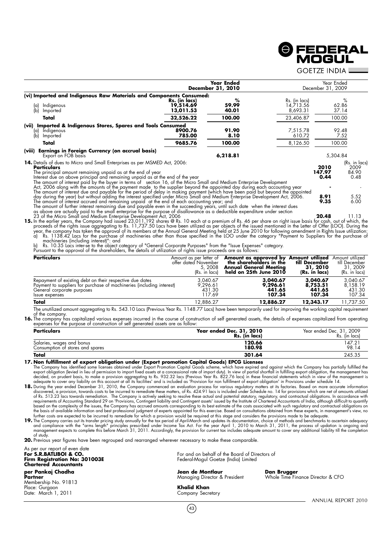## **©** FEDERAL<br>MOGUL

**GOFTZE INDIA LACK** 

|                                                                                                                                                                                                                                                                                                                                                                                                                                                                                                                                              |                                         | <b>Year Ended</b><br>December 31, 2010 |                                        | Year Ended<br>December 31, 2009 |                                        |
|----------------------------------------------------------------------------------------------------------------------------------------------------------------------------------------------------------------------------------------------------------------------------------------------------------------------------------------------------------------------------------------------------------------------------------------------------------------------------------------------------------------------------------------------|-----------------------------------------|----------------------------------------|----------------------------------------|---------------------------------|----------------------------------------|
| (vi) Imported and Indigenous Raw Materials and Components Consumed:                                                                                                                                                                                                                                                                                                                                                                                                                                                                          |                                         |                                        |                                        |                                 |                                        |
| Indigenous<br>(a)<br>(b)<br>Imported                                                                                                                                                                                                                                                                                                                                                                                                                                                                                                         | Rs. (in lacs)<br>19,514.69<br>13,011.53 | ℅<br>59.99<br>40.01                    | Rs. (in lacs)<br>14,713.56<br>8,693.31 |                                 | $\%$<br>62.86<br>37.14                 |
| Total                                                                                                                                                                                                                                                                                                                                                                                                                                                                                                                                        | 32,526.22                               | 100.00                                 | 23,406.87                              |                                 | 100.00                                 |
| (vii) Imported & Indigenous Stores, Spares and Tools Consumed<br>Indigenous<br>a)<br>(b)<br>Imported                                                                                                                                                                                                                                                                                                                                                                                                                                         | 8900.76<br>785.00                       | 91.90<br>8.10                          | 7,515.78<br>610.72                     |                                 | 92.48<br>7.52                          |
| Total                                                                                                                                                                                                                                                                                                                                                                                                                                                                                                                                        | 9685.76                                 | 100.00                                 | 8,126.50                               |                                 | 100.00                                 |
| (viii) Earnings in Foreign Currency (on accrual basis)<br>Export on FOB basis                                                                                                                                                                                                                                                                                                                                                                                                                                                                |                                         | 6,218.81                               |                                        | 5,304.84                        |                                        |
| <b>14.</b> Details of dues to Micro and Small Enterprises as per MSMED Act, 2006:<br>Particulars<br>The principal amount remaining unpaid as at the end of year<br>Interest due on above principal and remaining unpaid as at the end of the year                                                                                                                                                                                                                                                                                            |                                         |                                        |                                        | 2010<br>147.97<br>0.44          | (Rs. in lacs)<br>2009<br>84.90<br>0.48 |
| The amount of interest paid by the buyer in terms of section 16, of the Micro Small and Medium Enterprise Development<br>Act, 2006 along with the amounts of the payment made to the supplier beyond the appointed day during each accounting year<br>The amount of interest due and payable for the period of delay in making payment (which have been paid but beyond the appointed                                                                                                                                                        |                                         |                                        |                                        |                                 |                                        |
| day during the year) but without adding the interest specified under Micro Small and Medium Enterprise Development Act, 2006.<br>The amount of interest accrued and remaining unpaid at the end of each accounting year; and<br>The amount of further interest remaining due and payable even in the succeeding years, until such date when the interest dues                                                                                                                                                                                |                                         |                                        |                                        | 8.91<br>9.35                    | 5.52<br>6.00                           |
| as above are actually paid to the small enterprise for the purpose of disallowance as a deductible expenditure under section<br>23 of the Micro Small and Medium Enterprise Development Act, 2006<br>15. In the earlier years, the Company had issued 23,011,192 shares @ Rs. 10 each at a premium of Rs. 46 per share on right issue basis for cash, out of which, the<br>proceeds of the rights issue aggregating to Rs. 11,737.50 Lacs have been utilized as per objects of the issued mentioned in the Letter of Offer (LOO). During the |                                         |                                        |                                        | 20.48                           | 11.13                                  |

proceeds of the rights issue aggregating to Rs. 11,737.50 Lacs have been utilized as per objects of the issued mentioned in the Letter of Offer (LOO). During the<br>year, the company has taken the approval of its members at t

b) Rs. 10.35 Lacs inter-se to the object category of "General Corporate Purposes" from the "Issue Expenses" category.<br>Pursuant to the approval of the shareholders, the details of utilization of rights issue proceeds are as

| Pursuant to the approval of the snarenoiders, the details of utilization of rights issue proceeds are as follows:                                                                 |                                                                             |                                                                                                      |                                                                      |                                                               |  |
|-----------------------------------------------------------------------------------------------------------------------------------------------------------------------------------|-----------------------------------------------------------------------------|------------------------------------------------------------------------------------------------------|----------------------------------------------------------------------|---------------------------------------------------------------|--|
| <b>Particulars</b>                                                                                                                                                                | Amount as per letter of<br>offer dated November<br>5, 2008<br>(Rs. in lacs) | Amount as approved by<br>the shareholders in the<br>Annual General Meetina<br>held on 25th June 2010 | <b>Amount utilized</b><br>till December<br>31, 2010<br>(Rs. in lacs) | Amount utilized<br>till December<br>31, 2009<br>(Rs. in lacs) |  |
| Repayment of existing debt on their respective due dates<br>Payment to suppliers for purchase of machineries (including interest)<br>General corporate purposes<br>Issue expenses | 3.040.67<br>9.296.61<br>431.30<br>117.69                                    | 3,040.67<br>9,296.61<br>441.65<br>107.34                                                             | 3,040.67<br>8,753.51<br>441.65<br>107.34                             | 3.040.67<br>8.158.19<br>431.30<br>107.34                      |  |
| Total                                                                                                                                                                             | 12.886.27                                                                   | 12,886.27                                                                                            | 12,343.17                                                            | 11,737.50                                                     |  |
| The mentities democration and Dr. E 49, 10 has Deview VancDr. 1140,77 has been been becaused by insecting the modified assistance of                                              |                                                                             |                                                                                                      |                                                                      |                                                               |  |

he unutilized amount aggregating to Rs. 543.10 Lacs (Previous Year Rs. 1148.77 Lacs) have been temporarily used for improving the working capital requirement of the company.

**16.** The company has capitalized various expenses incurred in the course of construction of self generated assets, the details of expenses capitalized from operating expenses for the purpose of construction of self genera

| <b>Particulars</b>                                            | Year ended Dec. 31, 2010<br>Rs. (in lacs) | Year ended Dec. 31, 2009<br>Rs.<br>. (in lacs) |
|---------------------------------------------------------------|-------------------------------------------|------------------------------------------------|
| Salaries, wages and bonus<br>Consumption of stores and spares | 120.66<br>180.98                          | 47.21<br>98.14                                 |
| Total                                                         | 301.64                                    | 245.35                                         |
| .<br>$-$<br>$\overline{\phantom{a}}$                          | _ _ _ _<br>.                              |                                                |

**17. Non fulfillment of export obligation under (Export promotion Capital Goods) EPCG Licenses**

The Company has identified some licenses obtained under Export Promotion Capital Goods scheme, which have expired and against which the Company has partially fulfilled the export obligation (levied in lieu of permission to

discovered, a provision, towards costs to be incurred to remediate these matters, ot Rs. 424.91 lacs is included under Schedule no. 14 tor provisions which are net ot amounts utilized<br>of Rs. 513.23 lacs towards remediation

based on the complexity of the issues, the Company has accrued amounts corresponding to its best estimate of the costs associated with such regulatory and contractual obligations on<br>the basis of available information and b of study.

**20.** Previous year figures have been regrouped and rearranged wherever necessary to make these comparable.

| As per our report of even date<br>For S.R.BATLIBOI & CO.<br><b>Firm Registration No: 301003E</b><br><b>Chartered Accountants</b> | For and on behalf of the Board of Directors of<br>Federal-Mogul Goetze (India) Limited |                                                  |  |
|----------------------------------------------------------------------------------------------------------------------------------|----------------------------------------------------------------------------------------|--------------------------------------------------|--|
| per Pankaj Chadha<br>Partner<br>Membership No. 91813                                                                             | Jean de Montlaur<br>Managing Director & President                                      | Dan Brugger<br>Whole Time Finance Director & CFO |  |
| Place: Gurgaon<br>Date: March 1, 2011                                                                                            | Khalid Khan<br>Company Secretary                                                       |                                                  |  |
|                                                                                                                                  |                                                                                        | ANNUAL REPORT 2010                               |  |

 $(43)$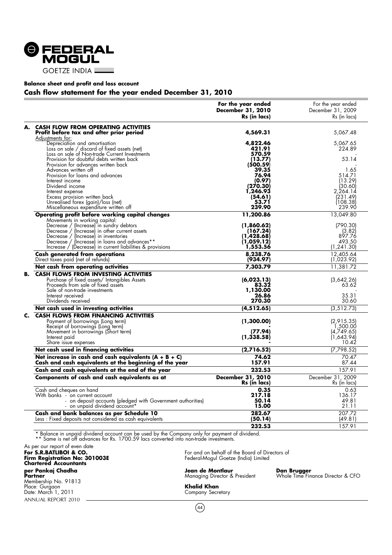

#### **Balance sheet and profit and loss account**

#### **Cash flow statement for the year ended December 31, 2010**

|    |                                                                                                                   | For the year ended<br><b>December 31, 2010</b><br>Rs (in lacs) | For the year ended<br>December 31, 2009<br>Rs (in lacs) |
|----|-------------------------------------------------------------------------------------------------------------------|----------------------------------------------------------------|---------------------------------------------------------|
| А. | <b>CASH FLOW FROM OPERATING ACTIVITIES</b><br>Profit before tax and after prior period                            | 4,569.31                                                       | 5,067.48                                                |
|    | Adjustments for:                                                                                                  |                                                                |                                                         |
|    | Depreciation and amortisation                                                                                     | 4,822.46                                                       | 5,067.65                                                |
|    | Loss on sale / discard of fixed assets (net)                                                                      | 421.91<br>570.59                                               | 224.89                                                  |
|    | Loss on sale of Non-trade Current Investments<br>Provision for doubtful debts written back                        | (13.77)                                                        | 53.14                                                   |
|    | Provision for advances written back                                                                               | (500.59)                                                       |                                                         |
|    | Advances written off                                                                                              | 39.35                                                          | 1.65                                                    |
|    | Provision for loans and advances                                                                                  | 76.94                                                          | 514.71                                                  |
|    | Interest income<br>Dividend income                                                                                | (0.97)<br>(270.30)                                             | (13.29)                                                 |
|    | Interest expense                                                                                                  | 1,246.93                                                       | (30.60)<br>2,264.14                                     |
|    | Excess provision written back                                                                                     | (54.61)                                                        | (231.49)                                                |
|    | Unrealised forex (gain)/loss (net)                                                                                | 53.71                                                          | (108.38)                                                |
|    | Miscellaneous expenditure written off                                                                             | 239.90                                                         | 239.90                                                  |
|    | Operating profit before working capital changes<br>Movements in working capital:                                  | 11,200.86                                                      | 13,049.80                                               |
|    | Decrease / (Increase) in sundry debtors                                                                           | (1,860.62)                                                     | (790.30)                                                |
|    | Decrease / (Increase) in other current assets<br>Decrease / (Increase) in inventories                             | (167.24)<br>1,428.68)                                          | (3.82)<br>897.76                                        |
|    | Decrease / (Increase) in loans and advances**                                                                     | (1,059.12)                                                     | 493.50                                                  |
|    | Increase / (Decrease) in current liabilities & provisions                                                         | 1,553.56                                                       | (1, 241.30)                                             |
|    | Cash generated from operations<br>Direct taxes paid (net of retunds)                                              | 8,238.76<br>(934.97)                                           | 12,405.64<br>(1,023.92)                                 |
|    | Net cash from operating activities                                                                                | 7,303.79                                                       | 11,381.72                                               |
| в. | <b>CASH FLOWS FROM INVESTING ACTIVITIES</b>                                                                       |                                                                |                                                         |
|    | Purchase of fixed assets/ Intangibles Assets                                                                      | (6,023.13)                                                     | (3,642.26)                                              |
|    | Proceeds from sale of fixed assets                                                                                | 83.32                                                          | 63.62                                                   |
|    | Sale of non-trade investments<br>Interest received                                                                | 1,130.00<br>26.86                                              | 35.31                                                   |
|    | Dividends received                                                                                                | 270.30                                                         | 30.60                                                   |
|    | Net cash used in investing activities                                                                             | (4, 512.65)                                                    | (3, 512.73)                                             |
| C. | <b>CASH FLOWS FROM FINANCING ACTIVITIES</b>                                                                       |                                                                |                                                         |
|    | Payment of borrowings (Long term)                                                                                 | (1,300.00)                                                     | (2,915.35)                                              |
|    | Receipt of borrowings (Long term)                                                                                 |                                                                | 1,500.00                                                |
|    | Movement in borrowings (Short term)<br>Interest paid                                                              | (77.94)<br>(1, 338.58)                                         | (4,749.65)<br>(1,643.94)                                |
|    | Share issue expenses                                                                                              |                                                                | 10.42                                                   |
|    | Net cash used in financing activities                                                                             | (2,716.52)                                                     | (7, 798.52)                                             |
|    | Net increase in cash and cash equivalents $(A + B + C)$<br>Cash and cash equivalents at the beginning of the year | 74.62<br>157.91                                                | 70.47<br>87.44                                          |
|    | Cash and cash equivalents at the end of the year                                                                  | 232.53                                                         | 157.91                                                  |
|    | Components of cash and cash equivalents as at                                                                     | <b>December 31, 2010</b>                                       | December 31, 2009                                       |
|    |                                                                                                                   | Rs (in lacs)                                                   | Rs (in lacs)                                            |
|    | Cash and cheques on hand<br>With banks - on current account                                                       | 0.35<br>217.18                                                 | 0.63<br>136.17                                          |
|    | - on deposit accounts (pledged with Government authorities)                                                       | 50.14                                                          | 49.81                                                   |
|    | - on unpaid dividend account*                                                                                     | 15.00                                                          | 21.11                                                   |
|    | Cash and bank balances as per Schedule 10                                                                         | 282.67                                                         | 207.72                                                  |
|    | Less: Fixed deposits not considered as cash equivalents                                                           | (50.14)                                                        | (49.81)                                                 |
|    |                                                                                                                   | 232.53                                                         | 157.91                                                  |

\* Balance in unpaid dividend account can be used by the Company only for payment of dividend. \*\* Same is net off advances for Rs. 1700.59 lacs converted into non-trade investments.

ANNUAL REPORT 2010 As per our report of even date **Firm Registration No: 301003E** Federal-Mogul Goetze (India) Limited **Chartered Accountants** per Pankaj Chadha<br>Partner<br>Membership No. 91813 Place: Gurgaon **Khalid Khan** Date: March 1, 2011 Company Secretary

For and on behalf of the Board of Directors of<br>Federal-Mogul Goetze (India) Limited

**Jean de Montlaur<br>Managing Director & President** 

**Dan Brugger**<br>Whole Time Finance Director & CFO

 $(44)$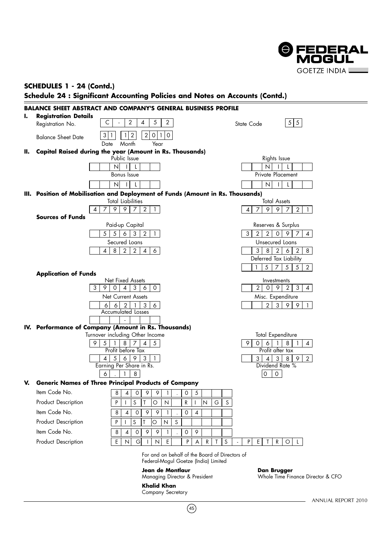

## **SCHEDULES 1 - 24 (Contd.)**

### **Schedule 24 : Significant Accounting Policies and Notes on Accounts (Contd.)**



For and on behalf of the Board of Directors of Federal-Mogul Goetze (India) Limited

 $(45)$ 

**Jean de Montlaur Dan Brugger**

**Khalid Khan** Company Secretary Whole Time Finance Director & CFO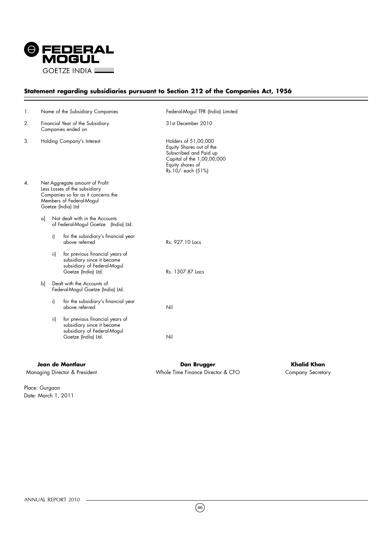

## **Statement regarding subsidiaries pursuant to Section 212 of the Companies Act, 1956**

| 1. |    |     | Name of the Subsidiary Companies                                                                                                                         | Federal-Mogul TPR (India) Limited                                                                                                                  |
|----|----|-----|----------------------------------------------------------------------------------------------------------------------------------------------------------|----------------------------------------------------------------------------------------------------------------------------------------------------|
| 2. |    |     | Financial Year of the Subsidiary<br>Companies ended on                                                                                                   | 31st December 2010                                                                                                                                 |
| 3. |    |     | Holding Company's Interest                                                                                                                               | Holders of 51,00,000<br>Equity Shares out of the<br>Subscribed and Paid up<br>Capital of the 1,00,00,000<br>Equity shares of<br>Rs.10/- each (51%) |
| 4. |    |     | Net Aggregate amount of Profit<br>Less Losses of the subsidiary<br>Companies so far as it concerns the<br>Members of Federal-Mogul<br>Goetze (India) Ltd |                                                                                                                                                    |
|    | a] |     | Not dealt with in the Accounts<br>of Federal-Mogul Goetze (India) Ltd.                                                                                   |                                                                                                                                                    |
|    |    | i)  | for the subsidiary's financial year<br>above referred                                                                                                    | Rs. 927.10 Lacs                                                                                                                                    |
|    |    | ii) | for previous financial years of<br>subsidiary since it became<br>subsidiary of Federal-Mogul<br>Goetze (India) Ltd.                                      | Rs. 1307.87 Lacs                                                                                                                                   |
|    | b  |     | Dealt with the Accounts of<br>Federal-Mogul Goetze (India) Ltd.                                                                                          |                                                                                                                                                    |
|    |    | i)  | for the subsidiary's financial year<br>above referred                                                                                                    | Nil                                                                                                                                                |
|    |    | ii) | for previous financial years of<br>subsidiary since it became<br>subsidiary of Federal-Mogul<br>Goetze (India) Ltd.                                      | Nil                                                                                                                                                |

**Jean de Montlaur Dan Brugger Khalid Khan** Managing Director & President The State of Michael Structure Finance Director & CFO Company Secretary

Place: Gurgaon Date: March 1, 2011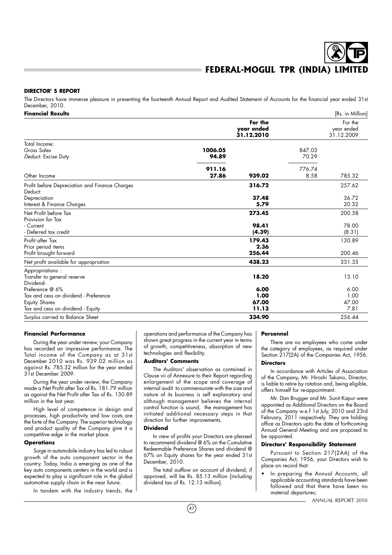#### **DIRECTOR' S REPORT**

The Directors have immense pleasure in presenting the fourteenth Annual Report and Audited Statement of Accounts for the financial year ended 31st December, 2010.

| <b>Financial Results</b>                                                         |                  |                                     |                 | [Rs. in Million]                    |
|----------------------------------------------------------------------------------|------------------|-------------------------------------|-----------------|-------------------------------------|
|                                                                                  |                  | For the<br>year ended<br>31.12.2010 |                 | For the<br>year ended<br>31.12.2009 |
| Total Income:<br>Gross Sales<br>Deduct: Excise Duty                              | 1006.05<br>94.89 |                                     | 847.03<br>70.29 |                                     |
| Other Income                                                                     | 911.16<br>27.86  | 939.02                              | 776.74<br>8.58  | 785.32                              |
| Profit before Depreciation and Finance Charges<br>Deduct:                        |                  | 316.72                              |                 | 257.62                              |
| Depreciation<br>Interest & Finance Charges                                       |                  | 37.48<br>5.79                       |                 | 36.72<br>20.32                      |
| Net Profit before Tax<br>Provision for Tax                                       |                  | 273.45                              |                 | 200.58                              |
| - Current<br>- Deferred tax credit                                               |                  | 98.41<br>(4.39)                     |                 | 78.00<br>(8.31)                     |
| Profit after Tax<br>Prior period items<br>Profit brought forward                 |                  | 179.43<br>2.36<br>256.44            |                 | 130.89<br>200.46                    |
| Net profit available for appropriation                                           |                  | 438.23                              |                 | 331.35                              |
| Appropriations:<br>Transfer to general reserve<br>Dividend-                      |                  | 18.20                               |                 | 13.10                               |
| Preference @ 6%<br>Tax and cess on dividend - Preference<br><b>Equity Shares</b> |                  | 6.00<br>1.00<br>67.00               |                 | 6.00<br>1.00<br>47.00               |
| Tax and cess on dividend - Equity<br>Surplus carried to Balance Sheet            |                  | 11.13<br>334.90                     |                 | 7.81<br>256.44                      |

#### **Financial Performance**

During the year under review, your Company has recorded an impressive performance. The Total income of the Company as at 31st December 2010 was Rs. 939.02 million as against Rs. 785.32 million for the year ended 31st December 2009.

During the year under review, the Company made a Net Profit after Tax of Rs. 181.79 million as against the Net Profit after Tax of Rs. 130.89 million in the last year.

High level of competence in design and processes, high productivity and low costs are the forte of the Company. The superior technology and product quality of the Company give it a competitive edge in the market place.

#### **Operations**

Surge in automobile industry has led to robust growth of the auto component sector in the country. Today, India is emerging as one of the key auto components centers in the world and is expected to play a significant role in the global automotive supply chain in the near future.

In tandem with the industry trends, the

operations and performance of the Company has shown great progress in the current year in terms of growth, competitiveness, absorption of new technologies and flexibility.

#### **Auditors' Comments**

The Auditors' observation as contained in Clause vii of Annexure to their Report regarding enlargement of the scope and coverage of internal audit to commensurate with the size and nature of its business is self explanatory and although management believes the internal control function is sound, the management has initiated additional necessary steps in that direction for further improvements.

#### **Dividend**

In view of profits your Directors are pleased to recommend dividend @ 6% on the Cumulative Redeemable Preference Shares and dividend @ 67% on Equity shares for the year ended 31st December, 2010.

The total outflow on account of dividend, if approved, will be Rs. 85.13 million [including dividend tax of Rs. 12.13 million].

#### **Personnel**

There are no employees who come under the category of employees, as required under Section 217(2A) of the Companies Act, 1956.

#### **Directors**

In accordance with Articles of Association of the Company, Mr. Hiroshi Takano, Director, is liable to retire by rotation and, being eligible, offers himself for re-appointment.

Mr. Dan Brugger and Mr. Sunit Kapur were appointed as Additional Directors on the Board of the Company w.e.f 1st July, 2010 and 23rd February, 2011 respectively. They are holding office as Directors upto the date of forthcoming Annual General Meeting and are proposed to be appointed.

#### **Directors' Responsibility Statement**

Pursuant to Section 217(2AA) of the Companies Act, 1956, your Directors wish to place on record that:

In preparing the Annual Accounts, all applicable accounting standards have been followed and that there have been no material departures;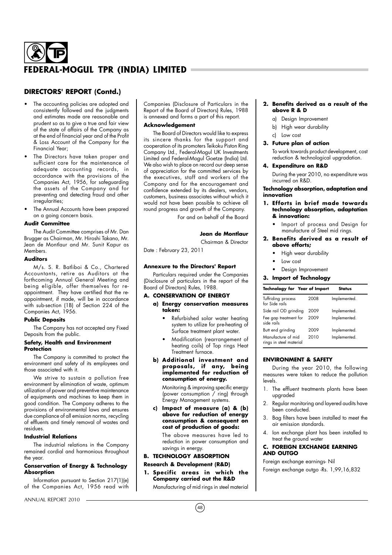## **DIRECTORS' REPORT (Contd.)**

- The accounting policies are adopted and consistently followed and the judgments and estimates made are reasonable and prudent so as to give a true and fair view of the state of affairs of the Company as at the end of financial year and of the Profit & Loss Account of the Company for the Financial Year;
- The Directors have taken proper and sufficient care for the maintenance of adequate accounting records, in accordance with the provisions of the Companies Act, 1956, for safeguarding the assets of the Company and for preventing and detecting fraud and other irregularities;
- The Annual Accounts have been prepared on a going concern basis.

#### **Audit Committee**

The Audit Committee comprises of Mr. Dan Brugger as Chairman, Mr. Hiroshi Takano, Mr. Jean de Montlaur and Mr. Sunit Kapur as **Members** 

#### **Auditors**

M/s. S. R. Batliboi & Co., Chartered Accountants, retire as Auditors at the forthcoming Annual General Meeting and being eligible, offer themselves for reappointment. They have certified that the reappointment, if made, will be in accordance with sub-section (1B) of Section 224 of the Companies Act, 1956.

#### **Public Deposits**

The Company has not accepted any Fixed Deposits from the public.

#### **Safety, Health and Environment Protection**

The Company is committed to protect the environment and safety of its employees and those associated with it.

We strive to sustain a pollution free environment by elimination of waste, optimum utilization of power and preventive maintenance of equipments and machines to keep them in good condition. The Company adheres to the provisions of environmental laws and ensures due compliance of all emission norms, recycling of effluents and timely removal of wastes and residues.

#### **Industrial Relations**

The industrial relations in the Company remained cordial and harmonious throughout the year.

#### **Conservation of Energy & Technology Absorption**

Information pursuant to Section 217(1)(e) of the Companies Act, 1956 read with

ANNUAL REPORT 2010

Companies (Disclosure of Particulars in the Report of the Board of Directors) Rules, 1988 is annexed and forms a part of this report.

#### **Acknowledgement**

The Board of Directors would like to express its sincere thanks for the support and cooperation of its promoters Teikoku Piston Ring Company Ltd., Federal-Mogul UK Investments Limited and Federal-Mogul Goetze (India) Ltd. We also wish to place on record our deep sense of appreciation for the committed services by the executives, staff and workers of the Company and for the encouragement and confidence extended by its dealers, vendors, customers, business associates without which it would not have been possible to achieve all round progress and growth of the Company.

For and on behalf of the Board

#### **Jean de Montlaur** Chairman & Director

Date : February 23, 2011

#### **Annexure to the Directors' Report**

Particulars required under the Companies (Disclosure of particulars in the report of the Board of Directors) Rules, 1988.

#### **A. CONSERVATION OF ENERGY**

- **a) Energy conservation measures taken:**
	- Refurbished solar water heating system to utilize for pre-heating of Surface treatment plant water.
	- Modification (rearrangement of heating coils) of Top rings Heat Treatment furnace.
- **b)** Additional investment and **proposa ls, if any, be ing implemented for reduction of consumption of energy.**

Monitoring & improving specific energy (power consumption / ring) through Energy Management systems.

**c) Impact of measure (a) & (b) above for reduction of energy consumption & consequent on cost of production of goods:**

The above measures have led to reduction in power consumption and savings in energy.

#### **B. TECHNOLOGY ABSORPTION**

#### **Research & Development (R&D)**

**1. Specific areas in which the Company carried out the R&D**

Manufacturing of mid rings in steel material

#### **2. Benefits derived as a result of the above R & D**

- a) Design Improvement
- b) High wear durability
- c) Low cost
	- **3. Future plan of action**

To work towards product development, cost reduction & technological upgradation.

#### **4. Expenditure on R&D**

During the year 2010, no expenditure was incurred on R&D.

#### **Technology absorption, adaptation and innovation**

#### **1. Efforts in brief made towards technology absorption, adaptation & innovation:**

• Import of process and Design for manufacture of Steel mid rings.

#### **2. Benefits derived as a result of above efforts;**

- High wear durability
- Low cost
- Design Improvement

#### **3. Import of Technology**

| <b>Technology for Year of Import</b>          |      | <b>Status</b> |
|-----------------------------------------------|------|---------------|
| Tuffriding process<br>for Side rails          | 2008 | Implemented.  |
| Side rail OD grinding                         | 2009 | Implemented.  |
| Fee gap treatment for<br>side rails           | 2009 | Implemented.  |
| Butt end grinding                             | 2009 | Implemented.  |
| Manufacture of mid<br>rings in steel material | 2010 | Implemented.  |

#### **ENVIRONMENT & SAFETY**

During the year 2010, the following measures were taken to reduce the pollution levels.

- 1. The effluent treatments plants have been upgraded
- 2. Regular monitoring and layered audits have been conducted.
- 3. Bag filters have been installed to meet the air emission standards.
- 4. Ion exchange plant has been installed to treat the ground water

### **C. FOREIGN EXCHANGE EARNING AND OUTGO**

Foreign exchange earnings- Nil Foreign exchange outgo -Rs. 1,99,16,832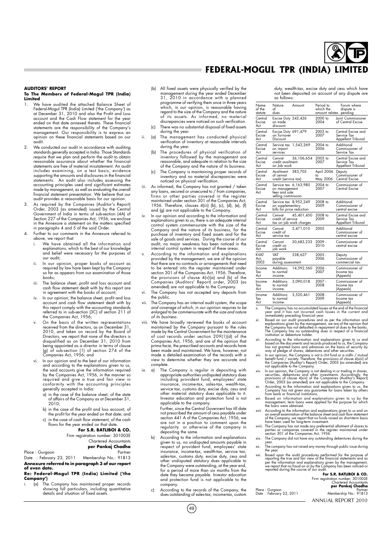#### **AUDITORS' REPORT**

#### **To The Members of Federal-Mogul TPR (India) Limited**<br>
<del>Limited</del><br> **Limited** the attached Balance Sheet of

- 1. We have audited the attached Balance Sheet of<br>Federal-Mogul TPR (India) Limited ('the Company') as<br>at December 31, 2010 and also the Profit and Loss<br>account and the Cash Flow statement for the year<br>ended on that date an management. Our responsibility is to express an opinion on these financial statements based on our audit.
- 2. We conducted our audit in accordance with auditing standards generally accepted in India. Those Standards require that we plan and perform the audit to obtain reasonable assurance about whether the financial statements are free of material misstatement. An audit includes examining, on a test basis, evidence supporting the amounts and disclosures in the financial statements. An audit also includes assessing the accounting principles used and significant estimates made by management, as well as evaluating the overall financial statement presentation. We believe that our audit provides a reasonable basis for our opinion.
- 3. As required by the Companies (Auditor's Report) Order, 2003 (as amended) issued by the Central Government of India in terms of sub-section (4A) of Section 227 of the Companies Act, 1956, we enclose in the Annexure a statement on the matters specified in paragraphs 4 and 5 of the said Order.
- Further to our comments in the Annexure referred to above, we report that:
	- We have obtained all the information and explanations, which to the best of our knowledge and belief were necessary for the purposes of our audit;
	- ii. In our opinion, proper books of account as required by law have been kept by the Company so far as appears from our examination of those books;
	- iii. The balance sheet, profit and loss account and cash flow statement dealt with by this report are in agreement with the books of account;
	- iv. In our opinion, the balance sheet, profit and loss account and cash flow statement dealt with by this report comply with the accounting standards referred to in sub-section (3C) of section 211 of the Companies Act, 1956;
	- On the basis of the written representations received from the directors, as on December 31, 2010, and taken on record by the Board of Directors, we report that none of the directors is disqualified as on December 31, 2010 from being appointed as a director in terms of clause (g) of sub-section (1) of section 274 of the Companies Act, 1956; and
	- In our opinion and to the best of our information and according to the explanations given to us, the said accounts give the information required by the Companies Act, 1956, in the manner so required and give a true and fair view in conformity with the accounting principles generally accepted in India:
		- a) in the case of the balance sheet, of the state of affairs of the Company as at December 31, 2010;
		- b) in the case of the profit and loss account, of the profit for the year ended on that date; and
		- c) in the case of cash flow statement, of the cash flows for the year ended on that date.

#### **For S.R. BATLIBOI & CO.** Firm registration number: 301003E

Chartered Accountants **per Pankaj Chadha**

#### Place : Gurgaon Partner

Date : February 23, 2011 Membership No.: 91813 **Annexure referred to in paragraph 3 of our report of even date.**

#### **Re: Federal-Mogul TPR (India) Limited ('the Company')**

i. (a) The Company has maintained proper records showing full particulars, including quantitative details and situation of fixed assets.

- (b) All fixed assets were physically verified by the management during the year ended December 31, 2010 in accordance with a planned programme of verifying them once in three years which, in our opinion, is reasonable having regard to the size of the Company and the nature of its assets. As informed, no material discrepancies were noticed on such verification.
- There was no substantial disposal of fixed assets during the year.
- ii. (a) The management has conducted physical verification of inventory at reasonable intervals during the year.
	- (b) The procedures of physical verification of inventory followed by the management are reasonable, and adequate in relation to the size of the Company and the nature of its business.
	- (c) The Company is maintaining proper records of inventory and no material discrepancies were noticed on physical verification.
- iii. As informed, the Company has not granted / taken any loans, secured or unsecured to / from companies, firms or other parties covered in the register<br>maintained under section 301 of the Companies Act,<br>1956. Therefore, clauses 4(iii) (b), (c), (d), (e), (f)<br>and (g) are not applicable to the Company.
- iv. In our opinion and according to the information and explanations given to us, there is an adequate internal control system commensurate with the size of the Company and the nature of its business, for the purchase of inventory and fixed assets and for the sale of goods and services. During the course of our audit, no major weakness has been noticed in the internal control system in respect of these areas.
- According to the information and explanations provided by the management, we are of the opinion that there are no contracts or arrangements that need to be entered into the register maintained under section 301 of the Companies Act, 1956. Therefore the provisions of clause 4(v)(a) and (b) of the Companies (Auditors' Report) order, 2003 (as amended) are not applicable to the Company.
- vi. The Company has not accepted any deposits from the public.
- vii. The Company has an internal audit system, the scope and coverage of which, in our opinion requires to be enlarged to be commensurate with the size and nature of its business.
- viii. We have broadly reviewed the books of account maintained by the Company pursuant to the rules made by the Central Government for the maintenance of cost records under section 209(1)(d) of the Companies Act, 1956, and are of the opinion that prima facie, the prescribed accounts and records have been made and maintained. We have, however, not made a detailed examination of the records with a view to determine whether they are accurate and complete.
- ix. a) The Company is regular in depositing with appropriate authorities undisputed statutory dues including provident fund, employees' state insurance, income-tax, sales-tax, wealth-tax, service tax, customs duty, excise duty, cess and other material statutory dues applicable to it. Investor education and protection fund is not applicable to the company.

Further, since the Central Governent has till date not prescribed the amount of cess payable under section 441 A of the Companies Act, 1956, we are not in a position to comment upon the regularity or otherwise of the company in depositing the same.

- b) According to the information and explanations given to us, no undisputed amounts payable in respect of provident fund, employees' state insurance, income-tax, wealth-tax, service tax, sales-tax, customs duty, excise duty, cess and other undisputed statutory dues applicable to the Company were outstanding, at the year end, for a period of more than six months from the date they became payable. Investor education and protection fund is not applicable to the company.
- According to the records of the Company, the dues outstanding of sales-tax, income-tax, custom

 $(49)$ 

duty, wealth-tax, excise duty and cess which have not been deposited on account of any dispute are as follows:

| Name<br>of the<br>statute   | Nature<br>∩f<br>dues                                  | Amount                                | Period to<br>which the<br>amount relates | Forum where<br>dispute is<br>pending                    |
|-----------------------------|-------------------------------------------------------|---------------------------------------|------------------------------------------|---------------------------------------------------------|
| Central<br>Excise<br>Act    | Excise Duty 242,426<br>on trade<br>discount           |                                       | 2000 to<br>2004                          | Joint Commissioner<br>of Central Excise                 |
| Central<br>Excise<br>Act    | Excise Duty 691,479<br>on Turnover<br>Discount        |                                       | 2003 to<br>2007                          | Central Excise and<br>Service Tax<br>Appellant Tribunal |
| Central<br>Excise<br>Act    | on import<br>services                                 | Service tax 1,542,269                 | 2004 to<br>2006                          | Additional<br>Commissioner of<br>Service Tax            |
| Central<br>Excise<br>Act    | Cenvat<br>credit availment<br>on Job work             | 36,106,654                            | 2005 to<br>2007                          | Central Excise and<br>Service Tax<br>Appellant Tribunal |
| Central<br>Excise<br>Act    | Availment<br>of cenvat<br>credit (service tax)        | 383,705                               | April 2006<br>to<br>May 2006             | Deputy<br>Commissioner of<br>Central Excise             |
| Central<br>Excise<br>Act    | on management<br>fees and sole<br>selling commission. | Service tax 6,163,980                 | 2004 to<br>2007                          | Commissioner of<br>Central Excise                       |
| Central<br>Excise<br>Act    | on supplementary<br>bills for price reduction         | Service tax 8,952,249                 | 2008 to<br>2009                          | Additional<br>Commissioner of<br>central excise         |
| Central<br>Excise<br>Act    | Cenvat<br>credit of service                           | 45,401,450<br>tax on job work charges | 2008 to<br>2009                          | Central Excise and<br>Service Tax<br>Appellant Tribunal |
| Central<br>Excise<br>Act    | Cenvat<br>credit of<br>service tax                    | 2.471.010                             | 2005                                     | Additional<br>Commissioner of<br>central excise         |
| Central<br>Excise<br>Act    | Cenvat<br>credit on<br>job work                       | 30,683,233                            | $2009 -$<br>2010                         | Commissioner of<br>central excise                       |
| <b>KVAT</b><br>Act,<br>2003 | VAT<br>payable<br>during assessment                   | 538,627                               | $2005 -$<br>2006                         | Deputy<br>Commissioner of<br>commercial tax.            |
| Income<br>Tax<br>Act        | Additions<br>to normal<br>income.                     | 14,592,560                            | 2006 -<br>2007                           | Commissioner of<br>Income tax<br>(Appeals)              |
| Income<br>Tax<br>Act        | Additions<br>to normal<br>income.                     | 3,090,018                             | 2007 -<br>2008                           | Commissioner of<br>Income tax<br>(Appeals)              |
| Income<br>Tax<br>Act        | Additions<br>to normal<br>income.                     | 3,520,461                             | $2008 -$<br>2009                         | Commissioner of<br>Income tax<br>(Appeals)              |

- 
- X. The Company has no accumulated losses at the end of the financial<br>year and it has not incurred cash losses in the current and<br>immediately preceding financial year.<br>xi. Based on our audit procedures and as per the inform
- xii. According to the information and explanations given to us and<br>based on the documents and records produced to us, the Company<br>has not granted loans and advances on the basis of security by<br>way of pledge of shares, debe
- xiii. In our opinion, the Company is not a chit fund or a night / mutual<br>benefit fund / society. Therefore, the provisions of clause 4(xiii) of<br>the Companies (Auditor's Report) Order, 2003 (as amended) are<br>not applicable t
- 
- 
- management, term loans were applied for the purpose for which the loans were obtained.
- wrii. According to the information and explanations given to us and on<br>an overall examination of the balance sheet and cash flow statement<br>of the Company, we report that no funds raised on short-term basis<br>to have been use
- 
- year. xx. The company has not raised any money through public issue during the year.
- xxi. Based upon the audit procedures performed for the purpose of<br>reporting the true and fair view of the financial statements and as<br>per the information and explanations given by the management,<br>we report that no fraud on

**For S.R. BATLIBOI & CO.** Firm registration number: 301003E Chartered Accountants **per Pankaj Chadha**

Place : Gurgaon Partner Date : February 23, 2011 Membership No.: 91813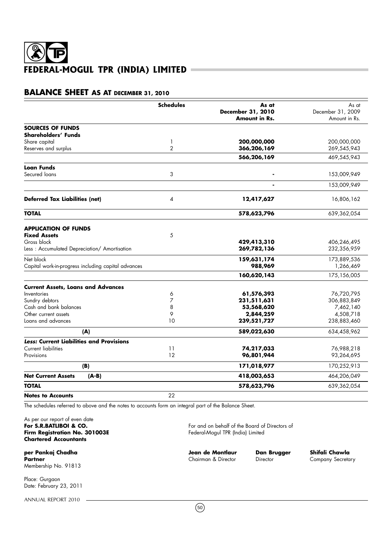## **BALANCE SHEET AS AT DECEMBER 31, 2010**

|                                                     | <b>Schedules</b> | As at<br>December 31, 2010 | As at<br>December 31, 2009 |
|-----------------------------------------------------|------------------|----------------------------|----------------------------|
|                                                     |                  | Amount in Rs.              | Amount in Rs.              |
| <b>SOURCES OF FUNDS</b>                             |                  |                            |                            |
| Shareholders' Funds                                 |                  |                            |                            |
| Share capital                                       | 1                | 200,000,000                | 200,000,000                |
| Reserves and surplus                                | $\overline{2}$   | 366,206,169                | 269,545,943                |
|                                                     |                  | 566,206,169                | 469,545,943                |
| <b>Loan Funds</b>                                   |                  |                            |                            |
| Secured loans                                       | 3                |                            | 153,009,949                |
|                                                     |                  |                            | 153,009,949                |
| <b>Deferred Tax Liabilities (net)</b>               | 4                | 12,417,627                 | 16,806,162                 |
| <b>TOTAL</b>                                        |                  | 578,623,796                | 639,362,054                |
|                                                     |                  |                            |                            |
| <b>APPLICATION OF FUNDS</b><br><b>Fixed Assets</b>  | 5                |                            |                            |
| Gross block                                         |                  | 429,413,310                | 406,246,495                |
| Less: Accumulated Depreciation/ Amortisation        |                  | 269,782,136                | 232,356,959                |
| Net block                                           |                  | 159,631,174                | 173,889,536                |
| Capital work-in-progress including capital advances |                  | 988,969                    | 1,266,469                  |
|                                                     |                  | 160,620,143                | 175,156,005                |
| <b>Current Assets, Loans and Advances</b>           |                  |                            |                            |
| Inventories                                         | 6                | 61,576,393                 | 76,720,795                 |
| Sundry debtors                                      | 7                | 231,511,631                | 306,883,849                |
| Cash and bank balances                              | 8                | 53,568,620                 | 7,462,140                  |
| Other current assets                                | 9                | 2,844,259                  | 4,508,718                  |
| Loans and advances                                  | 10               | 239,521,727                | 238,883,460                |
| (A)                                                 |                  | 589,022,630                | 634,458,962                |
| Less: Current Liabilities and Provisions            |                  |                            |                            |
| <b>Current liabilities</b>                          | 11               | 74,217,033                 | 76,988,218                 |
| Provisions                                          | 12               | 96,801,944                 | 93,264,695                 |
| (B)                                                 |                  | 171,018,977                | 170,252,913                |
| <b>Net Current Assets</b><br>$(A-B)$                |                  | 418,003,653                | 464,206,049                |
| <b>TOTAL</b>                                        |                  | 578,623,796                | 639,362,054                |
| <b>Notes to Accounts</b>                            | 22               |                            |                            |

The schedules referred to above and the notes to accounts form an integral part of the Balance Sheet.

As per our report of even date<br>For S.R.BATLIBOI & CO. **Firm Registration No. 301003E Chartered Accountants**

**per Pankaj Chadha Jean de Montlaur de Dan Brugger - Shifali Chawla**<br>Partner - Chairman & Director - Director - Company Secreta Membership No. 91813

Place: Gurgaon Date: February 23, 2011

ANNUAL REPORT 2010

For and on behalf of the Board of Directors of<br>Federal-Mogul TPR (India) Limited

**Company Secretary**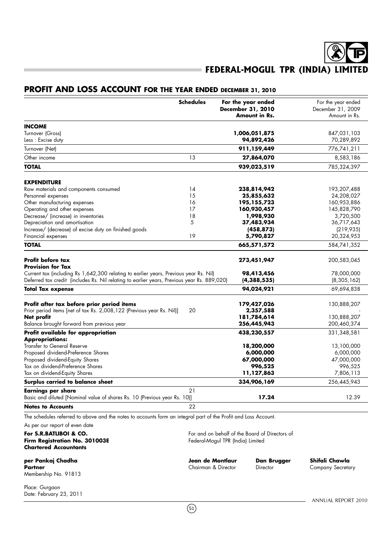## **PROFIT AND LOSS ACCOUNT FOR THE YEAR ENDED DECEMBER 31, 2010**

|                                                                                                                     | <b>Schedules</b> | For the year ended<br><b>December 31, 2010</b><br><b>Amount in Rs.</b> | For the year ended<br>December 31, 2009<br>Amount in Rs. |
|---------------------------------------------------------------------------------------------------------------------|------------------|------------------------------------------------------------------------|----------------------------------------------------------|
| <b>INCOME</b>                                                                                                       |                  |                                                                        |                                                          |
| Turnover (Gross)                                                                                                    |                  | 1,006,051,875                                                          | 847,031,103                                              |
| Less: Excise duty                                                                                                   |                  | 94,892,426                                                             | 70,289,892                                               |
| Turnover (Net)                                                                                                      |                  | 911,159,449                                                            | 776,741,211                                              |
| Other income                                                                                                        | 13               | 27,864,070                                                             | 8,583,186                                                |
| <b>TOTAL</b>                                                                                                        |                  | 939,023,519                                                            | 785,324,397                                              |
|                                                                                                                     |                  |                                                                        |                                                          |
| <b>EXPENDITURE</b><br>Raw materials and components consumed                                                         | 14               | 238,814,942                                                            | 193,207,488                                              |
| Personnel expenses                                                                                                  | 15               | 25,855,632                                                             | 24,208,027                                               |
| Other manufacturing expenses                                                                                        | 16               | 195,155,723                                                            | 160,953,886                                              |
| Operating and other expenses                                                                                        | 17               | 160,930,457                                                            | 145,828,790                                              |
| Decrease/ (increase) in inventories                                                                                 | 18               | 1,998,930                                                              |                                                          |
|                                                                                                                     | 5                |                                                                        | 3,720,500                                                |
| Depreciation and amortisation                                                                                       |                  | 37,483,934                                                             | 36,717,643                                               |
| Increase/ (decrease) of excise duty on finished goods<br>Financial expenses                                         | 19               | (458, 873)<br>5,790,827                                                | (219, 935)<br>20,324,953                                 |
| <b>TOTAL</b>                                                                                                        |                  | 665,571,572                                                            | 584,741,352                                              |
|                                                                                                                     |                  |                                                                        |                                                          |
| <b>Profit before tax</b><br><b>Provision for Tax</b>                                                                |                  | 273,451,947                                                            | 200,583,045                                              |
| Current tax (including Rs 1,642,300 relating to earlier years, Previous year Rs. Nil)                               |                  | 98,413,456                                                             | 78,000,000                                               |
| Deferred tax credit (includes Rs. Nil relating to earlier years, Previous year Rs. 889,020)                         |                  | (4,388,535)                                                            | (8,305,162)                                              |
| <b>Total Tax expense</b>                                                                                            |                  | 94,024,921                                                             | 69,694,838                                               |
|                                                                                                                     |                  |                                                                        |                                                          |
| Profit after tax before prior period items<br>Prior period items [net of tax Rs. 2,008,122 (Previous year Rs. Nil)] | 20               | 179,427,026<br>2,357,588                                               | 130,888,207                                              |
|                                                                                                                     |                  |                                                                        |                                                          |
| Net profit                                                                                                          |                  | 181,784,614                                                            | 130,888,207                                              |
| Balance brought forward from previous year                                                                          |                  | 256,445,943                                                            | 200,460,374                                              |
| Profit available for appropriation<br><b>Appropriations:</b>                                                        |                  | 438,230,557                                                            | 331,348,581                                              |
| Transfer to General Reserve                                                                                         |                  | 18,200,000                                                             | 13,100,000                                               |
| Proposed dividend-Preference Shares                                                                                 |                  | 6,000,000                                                              | 6,000,000                                                |
| Proposed dividend-Equity Shares                                                                                     |                  | 67,000,000                                                             | 47,000,000                                               |
| Tax on dividend-Preference Shares                                                                                   |                  | 996,525                                                                | 996,525                                                  |
| Tax on dividend-Equity Shares                                                                                       |                  | 11,127,863                                                             | 7,806,113                                                |
| Surplus carried to balance sheet                                                                                    |                  | 334,906,169                                                            | 256,445,943                                              |
| Earnings per share                                                                                                  | 21               |                                                                        |                                                          |
| Basic and diluted [Nominal value of shares Rs. 10 (Previous year Rs. 10)]                                           |                  | 17.24                                                                  | 12.39                                                    |
| <b>Notes to Accounts</b>                                                                                            | 22               |                                                                        |                                                          |
| The schedules referred to above and the notes to accounts form an integral part of the Profit and Loss Account.     |                  |                                                                        |                                                          |
| As per our report of even date                                                                                      |                  |                                                                        |                                                          |

**For S.R.BATLIBOI & CO.** For and on behalf of the Board of Directors of **Firm Registration No. 301003E** Federal-Mogul TPR (India) Limited **Firm Registration No. 301003E** Federal-Mogul TPR (India) Limited **Chartered Accountants**

**Partner Chairman & Director Company Secretary** Chairman & Director **Company Secretary** Membership No. 91813

**per Pankaj Chadha Jean de Montlaur Dan Brugger Shifali Chawla**

 $(51)$ 

Place: Gurgaon Date: February 23, 2011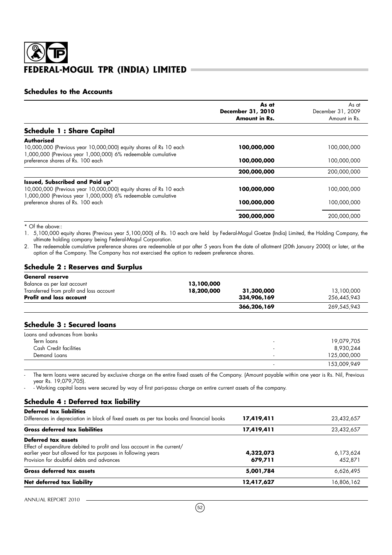## **Schedules to the Accounts**

|                                                                                                                                   | As at<br>December 31, 2010 | As at<br>December 31, 2009 |
|-----------------------------------------------------------------------------------------------------------------------------------|----------------------------|----------------------------|
|                                                                                                                                   | <b>Amount in Rs.</b>       | Amount in Rs.              |
| <b>Schedule 1: Share Capital</b>                                                                                                  |                            |                            |
| Authorised                                                                                                                        |                            |                            |
| 10,000,000 (Previous year 10,000,000) equity shares of Rs 10 each<br>1,000,000 (Previous year 1,000,000) 6% redeemable cumulative | 100,000,000                | 100,000,000                |
| preference shares of Rs. 100 each                                                                                                 | 100,000,000                | 100,000,000                |
|                                                                                                                                   | 200,000,000                | 200,000,000                |
| Issued, Subscribed and Paid up*                                                                                                   |                            |                            |
| 10,000,000 (Previous year 10,000,000) equity shares of Rs 10 each<br>1,000,000 (Previous year 1,000,000) 6% redeemable cumulative | 100,000,000                | 100,000,000                |
| preference shares of Rs. 100 each                                                                                                 | 100,000,000                | 100,000,000                |
|                                                                                                                                   | 200,000,000                | 200,000,000                |

\* Of the above::

1. 5,100,000 equity shares (Previous year 5,100,000) of Rs. 10 each are held by Federal-Mogul Goetze (India) Limited, the Holding Company, the ultimate holding company being Federal-Mogul Corporation.

2. The redeemable cumulative preference shares are redeemable at par after 5 years from the date of allotment (20th January 2000) or later, at the option of the Company. The Company has not exercised the option to redeem preference shares.

## **Schedule 2 : Reserves and Surplus**

| General reserve                          |            |             |             |
|------------------------------------------|------------|-------------|-------------|
| Balance as per last account              | 13,100,000 |             |             |
| Transferred from profit and loss account | 18,200,000 | 31,300,000  | 13,100,000  |
| <b>Profit and loss account</b>           |            | 334,906,169 | 256.445.943 |
|                                          |            | 366,206,169 | 269,545,943 |

## **Schedule 3 : Secured loans**

| Loans and advances from banks |                          |             |
|-------------------------------|--------------------------|-------------|
| Term loans                    | $\overline{\phantom{0}}$ | 19,079,705  |
| Cash Credit facilities        | $\overline{\phantom{a}}$ | 8,930,244   |
| Demand Loans                  | $\overline{\phantom{0}}$ | 125,000,000 |
|                               | $\overline{\phantom{0}}$ | 153,009,949 |

The term loans were secured by exclusive charge on the entire fixed assets of the Company. (Amount payable within one year is Rs. Nil, Previous year Rs. 19,079,705).

- Working capital loans were secured by way of first pari-passu charge on entire current assets of the company.

## **Schedule 4 : Deferred tax liability**

| <b>Deferred tax liabilities</b>                                                           |            |            |
|-------------------------------------------------------------------------------------------|------------|------------|
| Differences in depreciation in block of fixed assets as per tax books and financial books | 17,419,411 | 23,432,657 |
| <b>Gross deferred tax liabilities</b>                                                     | 17,419,411 | 23,432,657 |
| Deferred tax assets                                                                       |            |            |
| Effect of expenditure debited to profit and loss account in the current/                  |            |            |
| earlier year but allowed for tax purposes in following years                              | 4,322,073  | 6,173,624  |
| Provision for doubtful debts and advances                                                 | 679,711    | 452,871    |
| Gross deferred tax assets                                                                 | 5,001,784  | 6,626,495  |
| Net deferred tax liability                                                                | 12,417,627 | 16,806,162 |
|                                                                                           |            |            |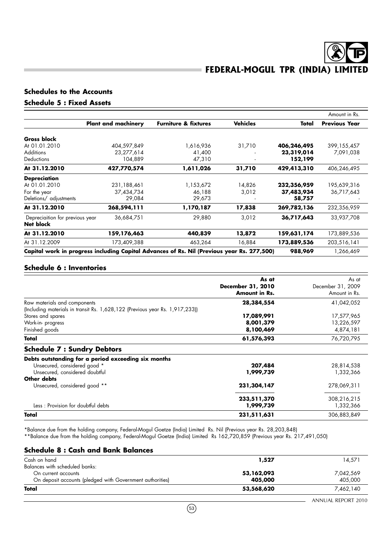## **Schedules to the Accounts**

## **Schedule 5 : Fixed Assets**

|                                                     |                            |                                                                                            |                 |             | Amount in Rs.        |
|-----------------------------------------------------|----------------------------|--------------------------------------------------------------------------------------------|-----------------|-------------|----------------------|
|                                                     | <b>Plant and machinery</b> | <b>Furniture &amp; fixtures</b>                                                            | <b>Vehicles</b> | Total       | <b>Previous Year</b> |
| <b>Gross block</b>                                  |                            |                                                                                            |                 |             |                      |
| At 01.01.2010                                       | 404,597,849                | 1,616,936                                                                                  | 31,710          | 406,246,495 | 399, 155, 457        |
| <b>Additions</b>                                    | 23,277,614                 | 41,400                                                                                     |                 | 23,319,014  | 7,091,038            |
| <b>Deductions</b>                                   | 104,889                    | 47,310                                                                                     |                 | 152,199     |                      |
| At 31.12.2010                                       | 427,770,574                | 1,611,026                                                                                  | 31,710          | 429,413,310 | 406,246,495          |
| <b>Depreciation</b>                                 |                            |                                                                                            |                 |             |                      |
| At 01.01.2010                                       | 231,188,461                | 1,153,672                                                                                  | 14,826          | 232,356,959 | 195,639,316          |
| For the year                                        | 37,434,734                 | 46,188                                                                                     | 3,012           | 37,483,934  | 36,717,643           |
| Deletions/ adjustments                              | 29,084                     | 29,673                                                                                     |                 | 58,757      |                      |
| At 31.12.2010                                       | 268,594,111                | 1,170,187                                                                                  | 17,838          | 269,782,136 | 232,356,959          |
| Depreciaition for previous year<br><b>Net block</b> | 36,684,751                 | 29,880                                                                                     | 3,012           | 36,717,643  | 33,937,708           |
| At 31.12.2010                                       | 159,176,463                | 440,839                                                                                    | 13,872          | 159,631,174 | 173,889,536          |
| At 31.12.2009                                       | 173,409,388                | 463,264                                                                                    | 16,884          | 173,889,536 | 203,516,141          |
|                                                     |                            | Capital work in progress including Capital Advances of Rs. Nil (Previous year Rs. 277,500) |                 | 988,969     | 1,266,469            |

## **Schedule 6 : Inventories**

|                                                                                                              | As at<br>December 31, 2010<br><b>Amount in Rs.</b> | As at<br>December 31, 2009<br>Amount in Rs. |
|--------------------------------------------------------------------------------------------------------------|----------------------------------------------------|---------------------------------------------|
| Raw materials and components<br>(Including materials in transit Rs. 1,628,122 (Previous year Rs. 1,917,233)) | 28,384,554                                         | 41,042,052                                  |
| Stores and spares                                                                                            | 17,089,991                                         | 17,577,965                                  |
| Work-in-progress                                                                                             | 8,001,379                                          | 13,226,597                                  |
| Finished goods                                                                                               | 8,100,469                                          | 4,874,181                                   |
| Total                                                                                                        | 61,576,393                                         | 76,720,795                                  |
| <b>Schedule 7 : Sundry Debtors</b>                                                                           |                                                    |                                             |
| Debts outstanding for a period exceeding six months                                                          |                                                    |                                             |
| Unsecured, considered good *                                                                                 | 207,484                                            | 28,814,538                                  |
| Unsecured, considered doubtful                                                                               | 1,999,739                                          | 1,332,366                                   |
| Other debts                                                                                                  |                                                    |                                             |
| Unsecured, considered good **                                                                                | 231,304,147                                        | 278,069,311                                 |
|                                                                                                              | 233,511,370                                        | 308,216,215                                 |
| Less: Provision for doubtful debts                                                                           | 1,999,739                                          | 1,332,366                                   |
| Total                                                                                                        | 231,511,631                                        | 306,883,849                                 |

\*Balance due from the holding company, Federal-Mogul Goetze (India) Limited Rs. Nil (Previous year Rs. 28,203,848)

\*\*Balance due from the holding company, Federal-Mogul Goetze (India) Limited Rs 162,720,859 (Previous year Rs. 217,491,050)

## **Schedule 8 : Cash and Bank Balances** Cash on hand **1,527** 14,571 Balances with scheduled banks: On current accounts<br>
On deposit accounts (pledged with Government authorities)<br>
205,000, <sup>53,162,000</sup> <sup>53,162,000</sup> <sup>7,042,569</sup> On deposit accounts (pledged with Government authorities) **Total 53,568,620** 7,462,140 7,462,140

 $(53)$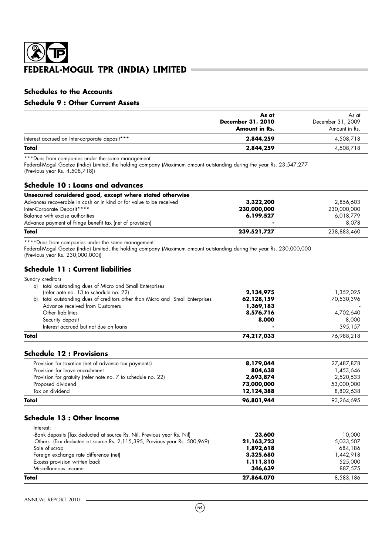## **Schedules to the Accounts**

## **Schedule 9 : Other Current Assets**

|                                                | As at<br>December 31, 2010<br>Amount in Rs. | As at<br>December 31, 2009<br>Amount in Rs. |
|------------------------------------------------|---------------------------------------------|---------------------------------------------|
| Interest accrued on Inter-corporate deposit*** | 2,844,259                                   | 4,508,718                                   |
| Total                                          | 2,844,259                                   | 4,508,718                                   |

\*\*\*Dues from companies under the same management:

Federal-Mogul Goetze (India) Limited, the holding company (Maximum amount outstanding during the year Rs. 23,547,277 (Previous year Rs. 4,508,718))

### **Schedule 10 : Loans and advances**

| Unsecured considered good, except where stated otherwise            |             |             |
|---------------------------------------------------------------------|-------------|-------------|
| Advances recoverable in cash or in kind or for value to be received | 3,322,200   | 2,856,603   |
| Inter-Corporate Deposit****                                         | 230,000,000 | 230,000,000 |
| Balance with excise authorities                                     | 6,199,527   | 6.018.779   |
| Advance payment of fringe benefit tax (net of provision)            |             | 8.078       |
| Total                                                               | 239,521,727 | 238,883,460 |

\*\*\*\*Dues from companies under the same management:

Federal-Mogul Goetze (India) Limited, the holding company (Maximum amount outstanding during the year Rs. 230,000,000 (Previous year Rs. 230,000,000))

## **Schedule 11 : Current liabilities**

| Total |                                                                            | 74,217,033 | 76,988,218 |
|-------|----------------------------------------------------------------------------|------------|------------|
|       | Interest accrued but not due on loans                                      |            | 395.157    |
|       | Security deposit                                                           | 8,000      | 8,000      |
|       | Other liabilities                                                          | 8,576,716  | 4,702,640  |
|       | Advance received from Customers                                            | 1,369,183  |            |
| b)    | total outstanding dues of creditors other than Micro and Small Enterprises | 62,128,159 | 70,530,396 |
|       | (refer note no. 13 to schedule no. 22)                                     | 2,134,975  | 1,352,025  |
| a)    | total outstanding dues of Micro and Small Enterprises                      |            |            |
|       | Sundry creditors                                                           |            |            |

## **Schedule 12 : Provisions**

| Total                                                        | 96,801,944 | 93,264,695 |
|--------------------------------------------------------------|------------|------------|
| Tax on dividend                                              | 12,124,388 | 8,802,638  |
| Proposed dividend                                            | 73,000,000 | 53,000,000 |
| Provision for gratuity (refer note no. 7 to schedule no. 22) | 2,693,874  | 2,520,533  |
| Provision for leave encashment                               | 804,638    | 1,453,646  |
| Provision for taxation (net of advance tax payments)         | 8,179,044  | 27,487,878 |

## **Schedule 13 : Other Income**

| Total                                                                        | 27,864,070 | 8,583,186 |
|------------------------------------------------------------------------------|------------|-----------|
| Miscellaneous income                                                         | 346,639    | 887.575   |
| Excess provision written back                                                | 1,111,810  | 525,000   |
| Foreign exchange rate difference (net)                                       | 3,325,680  | 1,442,918 |
| Sale of scrap                                                                | 1,892,618  | 684.186   |
| -Others (Tax deducted at source Rs. 2, 115, 395, Previous year Rs. 500, 969) | 21,163,723 | 5,033,507 |
| -Bank deposits (Tax deducted at source Rs. Nil, Previous year Rs. Nil)       | 23,600     | 10.000    |
| Interest:                                                                    |            |           |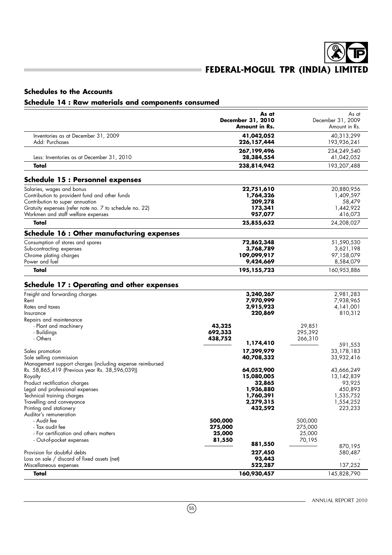## **Schedules to the Accounts**

## **Schedule 14 : Raw materials and components consumed**

|                                                                                                            | As at                              |                    | As at                              |
|------------------------------------------------------------------------------------------------------------|------------------------------------|--------------------|------------------------------------|
|                                                                                                            | December 31, 2010<br>Amount in Rs. |                    | December 31, 2009<br>Amount in Rs. |
| Inventories as at December 31, 2009                                                                        | 41,042,052                         |                    | 40,313,299                         |
| Add: Purchases                                                                                             | 226,157,444                        |                    | 193,936,241                        |
|                                                                                                            | 267,199,496                        |                    | 234,249,540                        |
| Less: Inventories as at December 31, 2010<br>Total                                                         | 28,384,554<br>238,814,942          |                    | 41,042,052<br>193,207,488          |
|                                                                                                            |                                    |                    |                                    |
| <b>Schedule 15 : Personnel expenses</b>                                                                    |                                    |                    |                                    |
| Salaries, wages and bonus                                                                                  | 22,751,610                         |                    | 20,880,956                         |
| Contribution to provident fund and other funds                                                             | 1,764,326                          |                    | 1,409,597                          |
| Contribution to super annuation                                                                            | 209,278                            |                    | 58,479                             |
| Gratuity expenses (refer note no. 7 to schedule no. 22)<br>Workmen and staff welfare expenses              | 173,341<br>957,077                 |                    | 1,442,922<br>416,073               |
| Total                                                                                                      | 25,855,632                         |                    | 24,208,027                         |
| <b>Schedule 16 : Other manufacturing expenses</b>                                                          |                                    |                    |                                    |
| Consumption of stores and spares                                                                           | 72,862,348                         |                    | 51,590,530                         |
| Sub-contracting expenses                                                                                   | 3,768,789                          |                    | 3,621,198                          |
| Chrome plating charges                                                                                     | 109,099,917                        |                    | 97,158,079                         |
| Power and fuel                                                                                             | 9,424,669                          |                    | 8,584,079                          |
| Total                                                                                                      | 195,155,723                        |                    | 160,953,886                        |
| <b>Schedule 17: Operating and other expenses</b>                                                           |                                    |                    |                                    |
| Freight and forwarding charges                                                                             | 3,240,267                          |                    | 2,981,283                          |
| Rent                                                                                                       | 7,970,999                          |                    | 7,938,965                          |
| Rates and taxes                                                                                            | 2,915,923                          |                    | 4,141,001                          |
| Insurance                                                                                                  | 220,869                            |                    | 810,312                            |
| Repairs and maintenance<br>- Plant and machinery                                                           | 43,325                             | 29,851             |                                    |
| - Buildings                                                                                                | 692,333                            | 295,392            |                                    |
| - Others                                                                                                   | 438,752                            | 266,310            |                                    |
|                                                                                                            | 1,174,410                          |                    | 591,553                            |
| Sales promotion                                                                                            | 17,399,979                         |                    | 33,178,183                         |
| Sole selling commission                                                                                    | 40,708,332                         |                    | 33,932,416                         |
| Management support charges (including expense reimbursed<br>Rs. 58,865,419 (Previous year Rs. 38,596,039)) | 64,052,900                         |                    | 43,666,249                         |
| Royalty                                                                                                    | 15,080,005                         |                    | 13,142,839                         |
| Product rectification charges                                                                              | 32,865                             |                    | 93,925                             |
| Legal and professional expenses                                                                            | 1,936,880                          |                    | 450,893                            |
| Technical training charges                                                                                 | 1,760,391                          |                    | 1,535,752                          |
| Travelling and conveyance                                                                                  | 2,279,315                          |                    | 1,554,252                          |
| Printing and stationery                                                                                    | 432,592                            |                    | 223,233                            |
| Auditor's remuneration                                                                                     |                                    |                    |                                    |
| - Audit fee<br>- Tax audit fee                                                                             | 500,000<br>275,000                 | 500,000<br>275,000 |                                    |
| - For certification and others matters                                                                     | 25,000                             | 25,000             |                                    |
| - Out-of-pocket expenses                                                                                   | 81,550                             | 70,195             |                                    |
|                                                                                                            | 881,550                            |                    | 870,195                            |
| Provision for doubtful debts                                                                               | 227,450                            |                    | 580,487                            |
| Loss on sale / discard of fixed assets (net)                                                               | 93,443                             |                    |                                    |
| Miscellaneous expenses                                                                                     | 522,287                            |                    | 137,252                            |
| Total                                                                                                      | 160,930,457                        |                    | 145,828,790                        |

 $\circled{55}$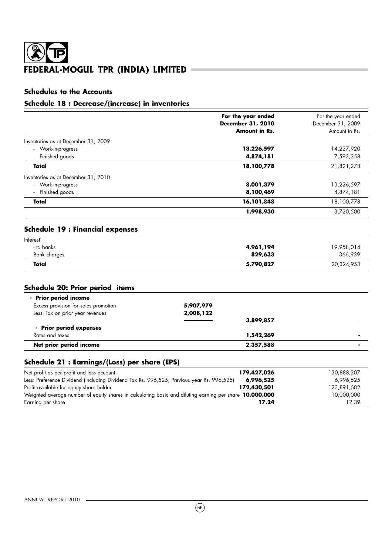## ම  $\mathbf{E}$ FEDERAL-MOGUL TPR (INDIA) LIMITED =

## **Schedules to the Accounts**

## **Schedule 18 : Decrease/(increase) in inventories**

|                                                                                         | <b>December 31, 2010</b> |                       |
|-----------------------------------------------------------------------------------------|--------------------------|-----------------------|
|                                                                                         |                          | December 31, 2009     |
|                                                                                         | Amount in Rs.            | Amount in Rs.         |
| Inventories as at December 31, 2009                                                     |                          |                       |
| - Work-in-progress                                                                      | 13,226,597               | 14,227,920            |
| - Finished goods                                                                        | 4,874,181                | 7,593,358             |
| Total                                                                                   | 18,100,778               | 21,821,278            |
| Inventories as at December 31, 2010                                                     |                          |                       |
| - Work-in-progress                                                                      | 8,001,379                | 13,226,597            |
| Finished goods                                                                          | 8,100,469                | 4,874,181             |
| Total                                                                                   | 16,101,848               | 18,100,778            |
|                                                                                         | 1,998,930                | 3,720,500             |
| <b>Schedule 19: Financial expenses</b><br>Interest<br>- to banks<br><b>Bank charges</b> | 4,961,194<br>829,633     | 19,958,014<br>366,939 |
| Total                                                                                   | 5,790,827                | 20,324,953            |
| Schedule 20: Prior period items                                                         |                          |                       |
| - Prior period income                                                                   |                          |                       |
| Excess provision for sales promotion                                                    | 5,907,979                |                       |
| Less: Tax on prior year revenues                                                        | 2,008,122                |                       |
|                                                                                         | 3,899,857                |                       |
| - Prior period expenses                                                                 |                          |                       |
| Rates and taxes                                                                         | 1,542,269                |                       |
| Net prior period income                                                                 | 2,357,588                |                       |

| Net profit as per profit and loss account                                                               | 179,427,026 | 130,888,207 |
|---------------------------------------------------------------------------------------------------------|-------------|-------------|
| Less: Preference Dividend (including Dividend Tax Rs. 996,525, Previous year Rs. 996,525)               | 6,996,525   | 6.996.525   |
| Profit available for equity share holder                                                                | 172,430,501 | 123,891,682 |
| Weighted average number of equity shares in calculating basic and diluting earning per share 10,000,000 |             | 10,000,000  |
| Earning per share                                                                                       | 17.24       | 12.39       |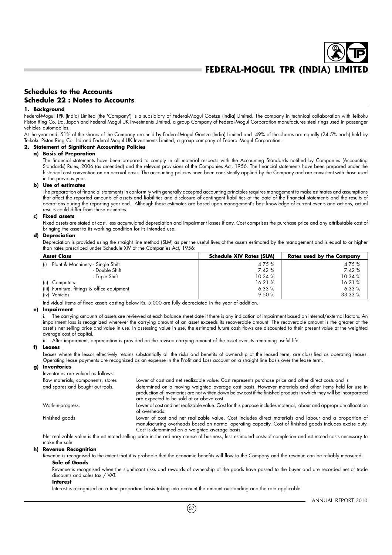## **Schedules to the Accounts Schedule 22 : Notes to Accounts**

#### **1. Background**

Federal-Mogul TPR (India) Limited (the 'Company') is a subsidiary of Federal-Mogul Goetze (India) Limited. The company in technical collaboration with Teikoku Piston Ring Co. Ltd, Japan and Federal Mogul UK Investments Limited, a group Company of Federal-Mogul Corporation manufactures steel rings used in passenger vehicles automobiles.

At the year end, 51% of the shares of the Company are held by Federal-Mogul Goetze (India) Limited and 49% of the shares are equally (24.5% each) held by Teikoku Piston Ring Co. Ltd and Federal Mogul UK Investments Limited, a group company of Federal-Mogul Corporation.

#### **2. Statement of Significant Accounting Policies**

#### **a) Basis of Preparation**

The financial statements have been prepared to comply in all material respects with the Accounting Standards notified by Companies (Accounting Standards) Rules, 2006 (as amended) and the relevant provisions of the Companies Act, 1956. The financial statements have been prepared under the historical cost convention on an accrual basis. The accounting policies have been consistently applied by the Company and are consistent with those used in the previous year.

#### **b) Use of estimates**

The preparation of financial statements in conformity with generally accepted accounting principles requires management to make estimates and assumptions that affect the reported amounts of assets and liabilities and disclosure of contingent liabilities at the date of the financial statements and the results of operations during the reporting year end. Although these estimates are based upon management's best knowledge of current events and actions, actual results could differ from these estimates.

#### **c) Fixed assets**

Fixed assets are stated at cost, less accumulated depreciation and impairment losses if any. Cost comprises the purchase price and any attributable cost of bringing the asset to its working condition for its intended use.

#### **d) Depreciation**

Depreciation is provided using the straight line method (SLM) as per the useful lives of the assets estimated by the management and is equal to or higher than rates prescribed under Schedule XIV of the Companies Act, 1956:

| <b>Asset Class</b>                           | <b>Schedule XIV Rates (SLM)</b> | <b>Rates used by the Company</b> |
|----------------------------------------------|---------------------------------|----------------------------------|
| Plant & Machinery - Single Shift<br>(i)      | 4.75 %                          | 4.75 %                           |
| - Double Shift                               | 7.42%                           | 7.42%                            |
| - Triple Shift                               | 10.34%                          | 10.34%                           |
| (ii)<br>Computers                            | 16.21%                          | 16.21%                           |
| (iii) Furniture, fittings & office equipment | 6.33%                           | 6.33%                            |
| (iv) Vehicles                                | 9.50%                           | 33.33 %                          |

Individual items of fixed assets costing below Rs. 5,000 are fully depreciated in the year of addition.

#### **e) Impairment**

i. The carrying amounts of assets are reviewed at each balance sheet date if there is any indication of impairment based on internal/external factors. An impairment loss is recognized wherever the carrying amount of an asset exceeds its recoverable amount. The recoverable amount is the greater of the asset's net selling price and value in use. In assessing value in use, the estimated future cash flows are discounted to their present value at the weighted average cost of capital.

ii. After impairment, depreciation is provided on the revised carrying amount of the asset over its remaining useful life.

#### **f) Leases**

Leases where the lessor effectively retains substantially all the risks and benefits of ownership of the leased term, are classified as operating leases. Operating lease payments are recognized as an expense in the Profit and Loss account on a straight line basis over the lease term.

#### **g) Inventories**

| Inventories are valued as follows: |                                                                                                                                                                                                                                                                             |
|------------------------------------|-----------------------------------------------------------------------------------------------------------------------------------------------------------------------------------------------------------------------------------------------------------------------------|
| Raw materials, components, stores  | Lower of cost and net realizable value. Cost represents purchase price and other direct costs and is                                                                                                                                                                        |
| and spares and bought out tools.   | determined on a moving weighted average cost basis. However materials and other items held for use in<br>production of inventories are not written down below cost if the finished products in which they will be incorporated<br>are expected to be sold at or above cost. |
| Work-in-progress.                  | Lower of cost and net realizable value. Cost for this purpose includes material, labour and appropriate allocation<br>of overheads.                                                                                                                                         |
| Finished goods                     | Lower of cost and net realizable value. Cost includes direct materials and labour and a proportion of<br>manufacturing overheads based on normal operating capacity. Cost of finished goods includes excise duty.<br>Cost is determined on a weighted average basis.        |
|                                    | Not registrate units is the estimated selling price in the exdingry course of business, less estimated gests of completion and estimated gests percessary to                                                                                                                |

Net realizable value is the estimated selling price in the ordinary course of business, less estimated costs of completion and estimated costs necessary to make the sale.

#### **h) Revenue Recognition**

Revenue is recognised to the extent that it is probable that the economic benefits will flow to the Company and the revenue can be reliably measured. **Sale of Goods**

Revenue is recognised when the significant risks and rewards of ownership of the goods have passed to the buyer and are recorded net of trade discounts and sales tax / VAT.

#### **Interest**

Interest is recognised on a time proportion basis taking into account the amount outstanding and the rate applicable.

 $(57)$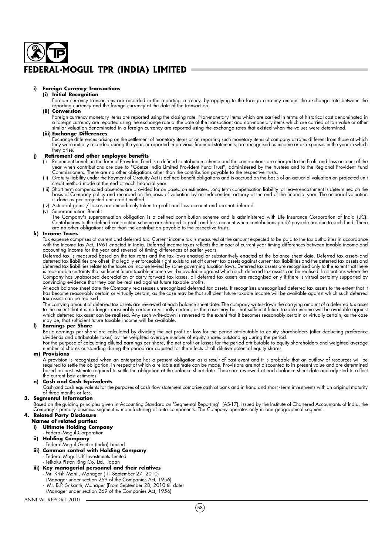#### **i) Foreign Currency Transactions**

#### **(i) Initial Recognition**

Foreign currency transactions are recorded in the reporting currency, by applying to the foreign currency amount the exchange rate between the reporting currency and the foreign currency at the date of the transaction.

### **(ii) Conversion**

Foreign currency monetary items are reported using the closing rate. Non-monetary items which are carried in terms of historical cost denominated in<br>a foreign currency are reported using the exchange rate at the date of th similar valuation denominated in a foreign currency are reported using the exchange rates that existed when the values were determined.

#### **(iii) Exchange Differences**

Exchange differences arising on the settlement of monetary items or on reporting such monetary items of company at rates different from those at which<br>they were initially recorded during the year, or reported in previous f they arise.

#### **j) Retirement and other employee benefits**

- (i) Retirement benefit in the form of Provident Fund is a defined contribution scheme and the contributions are charged to the Profit and Loss account of the year when contributions are due to "Goetze India Limited Provident Fund Trust", administered by the trustees and to the Regional Provident Fund Commissioners. There are no other obligations other than the contribution payable to the respective trusts.
- (ii) Gratuity liability under the Payment of Gratuity Act is defined benefit obligations and is accrued on the basis of an actuarial valuation on projected unit credit method made at the end of each financial year.
- (iii) Short term compensated absences are provided for on based on estimates. Long term compensation liability for leave encashment is determined on the basis of Company policy and recorded on the basis of valuation by an independent actuary at the end of the financial year. The actuarial valuation is done as per projected unit credit method.
	- Actuarial gains / losses are immediately taken to profit and loss account and are not deferred.
- Superannuation Benefit

The Company's superannuation obligation is a defined contribution scheme and is administered with Life Insurance Corporation of India (LIC). Contributions to the defined contribution scheme are charged to profit and loss account when contributions paid/ payable are due to such fund. There are no other obligations other than the contribution payable to the respective trusts.

#### **k) Income Taxes**

Tax expense comprises of current and deferred tax. Current income tax is measured at the amount expected to be paid to the tax authorities in accordance with the Income Tax Act, 1961 enacted in India. Deferred income taxes reflects the impact of current year timing differences between taxable income and accounting income for the year and reversal of timing differences of earlier years.

Deferred tax is measured based on the tax rates and the tax laws enacted or substantively enacted at the balance sheet date. Deferred tax assets and deferred tax liabilities are offset, if a legally enforceable right exists to set off current tax assets against current tax liabilities and the deferred tax assets and deterred tax liabilities relate to the taxes on income levied by same governing taxation laws. Deterred tax assets are recognised only to the extent that there<br>is reasonable certainty that sufficient future taxable income Company has unabsorbed depreciation or carry forward tax losses, all deferred tax assets are recognised only if there is virtual certainty supported by convincing evidence that they can be realised against future taxable profits.

At each balance sheet date the Company re-assesses unrecognized deferred tax assets. It recognises unrecognised deferred tax assets to the extent that it has become reasonably certain or virtually certain, as the case may be that sufficient future taxable income will be available against which such deferred tax assets can be realised.

The carrying amount of deferred tax assets are reviewed at each balance sheet date. The company writes-down the carrying amount of a deferred tax asset to the extent that it is no longer reasonably certain or virtually certain, as the case may be, that sufficient future taxable income will be available against which deferred tax asset can be realised. Any such write-down is reversed to the extent that it becomes reasonably certain or virtually certain, as the case<br>may be, that sufficient future taxable income will be available.

#### **l) Earnings per Share**

Basic earnings per share are calculated by dividing the net profit or loss for the period attributable to equity shareholders (after deducting preference dividends and attributable taxes) by the weighted average number of equity shares outstanding during the period.

For the purpose of calculating diluted earnings per share, the net profit or losses for the period attributable to equity shareholders and weighted average number of shares outstanding during the period are adjusted for the effects of all dilutive potential equity shares.

#### **m) Provisions**

A provision is recognized when an enterprise has a present obligation as a result of past event and it is probable that an outflow of resources will be required to settle the obligation, in respect of which a reliable estimate can be made. Provisions are not discounted to its present value and are determined based on best estimate required to settle the obligation at the balance sheet date. These are reviewed at each balance sheet date and adjusted to reflect the current best estimates.

#### **n) Cash and Cash Equivalents**

Cash and cash equivalents for the purposes of cash flow statement comprise cash at bank and in hand and short - term investments with an original maturity of three months or less.

#### **3. Segmental Information**

Based on the guiding principles given in Accounting Standard on 'Segmental Reporting' (AS-17), issued by the Institute of Chartered Accountants of India, the Company's primary business segment is manufacturing of auto components. The Company operates only in one geographical segment.

## **4. Related Party Disclosure**

- **Names of related parties: i) Ultimate Holding Company**
	- Federal-Mogul Corporation
- **ii) Holding Company**
- Federal-Mogul Goetze (India) Limited
- **iii) Common control with Holding Company** Federal Mogul UK Investments Limited
- Teikoku Piston Ring Co. Ltd., Japan
- **iii) Key managerial personnel and their relatives**
	- Mr. Krish Mani , Manager (Till September 27, 2010)
	- (Manager under section 269 of the Companies Act, 1956)
	- Mr. B.P. Srikanth, Manager (From September 28, 2010 till date)
	- (Manager under section 269 of the Companies Act, 1956)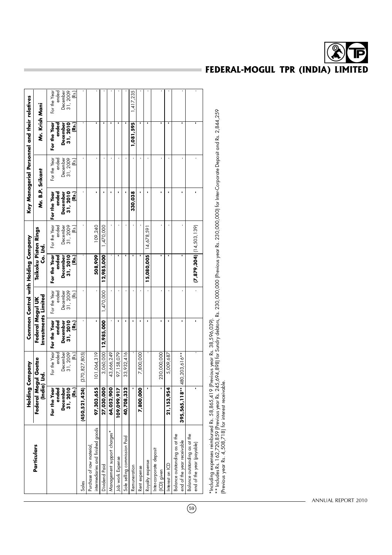|                                                               |                           | <b>Holding Company</b> |                                         |                       | Common Control with Holding Company |                       |                       |                               | Key Managerial Personnel and their relatives |                       |
|---------------------------------------------------------------|---------------------------|------------------------|-----------------------------------------|-----------------------|-------------------------------------|-----------------------|-----------------------|-------------------------------|----------------------------------------------|-----------------------|
| <b>Particulars</b>                                            | Federal Mogu<br>(India) I | ul Goetze<br>İ.        | Investments Limited<br>Federal Mogul UK |                       | Teikoku Piston Rings<br>Co. Ltd.    |                       | Mr. B.P. Srikant      |                               | Mr. Krish Mani                               |                       |
|                                                               | For the Year<br>ended     | For the Year<br>ended  | For the Year<br>ended                   | For the Year<br>ended | For the Year<br>ended               | For the Year<br>ended | For the Year<br>ended | For the Year                  | For the Year<br>ended                        | ended<br>For the Year |
|                                                               | <b>December</b>           | December               | December                                | December<br>31, 2009  | December                            | December              | December              | ended<br>December<br>31, 2009 | December                                     | December              |
|                                                               | 31, 2010<br>(Rs.)         | 31,2009<br>(Rs.)       | 31, 2010<br>(Rs.)                       | (Rs.)                 | 31, 2010<br>(Rs.)                   | 31, 2009<br>(Rs.)     | 31, 2010<br>(Rs.)     | (Rs.)                         | 31,2010<br>(Rs.)                             | 31, 2009<br>(Rs.)     |
| Sales                                                         | (450, 521, 424)           | (370, 827, 805)        |                                         |                       |                                     |                       |                       |                               |                                              |                       |
| intermediaries and finished goods<br>Purchase of raw material | 97,303,655                | 101,064,319            |                                         |                       | 508,909                             | 109,240               |                       |                               |                                              |                       |
| Dividend Paid                                                 | 27,030,000                | 3,060,000              | 12,985,000                              | 1,470,000             | 12,985,000                          | 1,470,000             | ×                     |                               |                                              |                       |
| Management support charges*                                   | 64,052,900                | 43,666,249             |                                         |                       |                                     |                       |                       |                               |                                              |                       |
| Job work Expense                                              | 109,099,917               | 97, 158, 079           |                                         |                       |                                     |                       |                       |                               |                                              |                       |
| Sole selling commission Paid                                  | 40,708,332                | 33,932,416             |                                         |                       |                                     |                       |                       |                               |                                              |                       |
| Remuneration                                                  |                           |                        |                                         |                       |                                     |                       | 330,038               |                               | 1,081,595                                    | 1,417,235             |
| Rent expense                                                  | 7,800,000                 | 7,800,000              |                                         |                       |                                     |                       |                       |                               |                                              |                       |
| Royalty expense                                               |                           |                        |                                         |                       | $15,080,005$ $14,678,59$            |                       |                       |                               |                                              |                       |
| Inter-corporate deposit<br>(ICD) given                        |                           | 230,000,000            |                                         |                       |                                     |                       |                       |                               |                                              |                       |
| nterest on ICD                                                | 21, 153, 954              | 5,009,687              |                                         |                       |                                     |                       |                       |                               |                                              |                       |
| Balance outstanding as at the<br>end of the year receivable   | $395,565,118**$ 4         | 80,203,616**           |                                         |                       |                                     |                       |                       |                               |                                              |                       |
| Balance outstanding as at the<br>end of the year (payable)    |                           |                        |                                         |                       | $(7, 879, 304)$ $(14, 503, 139)$    |                       |                       |                               |                                              |                       |
|                                                               |                           |                        |                                         |                       |                                     |                       |                       |                               |                                              |                       |

\*Including expenses reimbursed Rs. 58,865,419 (Previous year Rs. 38,596,039).

\*Including expenses reimbursed Rs. 58,865,419 [Previous year Rs. 38,596,039].<br>\*\* Includes Rs. 162,720,859 [Previous year Rs. 245,694,898] for Sundry debtors, Rs. 230,000 (Previous year Rs. 230,000,000) for Inter-Corporate  $^{\ast\,*}$  Includes Rs. 162,720,859 (Previous year Rs. 245,694,898) for Sundry debtors, Rs. 230,000 (Previous year Rs. 230,000,000) for Inter-Corporate Deposit and Rs. 2,844,259 (Previous year Rs. 4,508,718) for interest receivable.

FEDERAL-MOGUL TPR (INDIA) LIMITED

 $\overline{69}$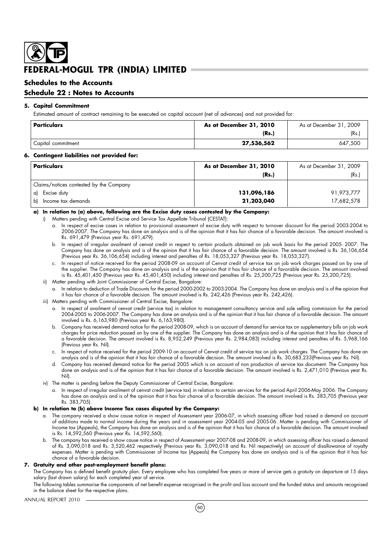## **Schedules to the Accounts**

## **Schedule 22 : Notes to Accounts**

#### **5. Capital Commitment**

Estimated amount of contract remaining to be executed on capital account (net of advances) and not provided for:

| Particulars        | As at December 31, 2010 | As at December 31, 2009 |
|--------------------|-------------------------|-------------------------|
|                    | (Rs.)                   | (Rs.,                   |
| Capital commitment | 27,536,562              | 647.500                 |

#### **6. Contingent liabilities not provided for:**

| <b>Particulars</b>                      | As at December 31, 2010 | As at December 31, 2009 |
|-----------------------------------------|-------------------------|-------------------------|
|                                         | (Rs.)                   | (Rs.)                   |
| Claims/notices contested by the Company |                         |                         |
| Excise duty<br>a)                       | 131,096,186             | 91,973,777              |
| Income tax demands<br>bl                | 21,203,040              | 17,682,578              |

#### **a) In relation to (a) above, following are the Excise duty cases contested by the Company:**

- i) Matters pending with Central Excise and Service Tax Appellate Tribunal (CESTAT):
	- a. In respect of excise cases in relation to provisional assessment of excise duty with respect to turnover discount for the period 2003-2004 to 2006-2007. The Company has done an analysis and is of the opinion that it has fair chance of a favorable decision. The amount involved is Rs. 691,479 (Previous year Rs. 691,479).
	- b. In respect of irregular availment of cenvat credit in respect to certain products obtained on job work basis for the period 2005- 2007. The Company has done an analysis and is of the opinion that it has fair chance of a favorable decision. The amount involved is Rs. 36,106,654 (Previous year Rs. 36,106,654) including interest and penalties of Rs. 18,053,327 (Previous year Rs. 18,053,327).
	- c. In respect of notice received for the period 2008-09 on account of Cenvat credit of service tax on job work charges passed on by one of the supplier. The Company has done an analysis and is of the opinion that it has fair chance of a favorable decision. The amount involved is Rs. 45,401,450 (Previous year Rs. 45,401,450) including interest and penalties of Rs. 25,200,725 (Previous year Rs. 25,200,725).
- ii) Matter pending with Joint Commissioner of Central Excise, Bangalore:
	- a. In relation to deduction of Trade Discounts for the period 2000-2002 to 2003-2004. The Company has done an analysis and is of the opinion that it has fair chance of a favorable decision. The amount involved is Rs. 242,426 (Previous year Rs. 242,426).
- iii) Matters pending with Commissioner of Central Excise, Bangalore:
	- a. In respect of availment of cenvat credit (service tax) in relation to management consultancy service and sole selling commission for the period 2004-2005 to 2006-2007. The Company has done an analysis and is of the opinion that it has fair chance of a favorable decision. The amount involved is Rs. 6,163,980 (Previous year Rs. 6,163,980).
	- b. Company has received demand notice for the period 2008-09, which is on account of demand for service tax on supplementary bills on job work charges for price reduction passed on by one of the supplier. The Company has done an analysis and is of the opinion that it has fair chance of a favorable decision. The amount involved is Rs. 8,952,249 (Previous year Rs. 2,984,083) including interest and penalties of Rs. 5,968,166 (Previous year Rs. Nil).
	- c. In respect of notice received for the period 2009-10 on account of Cenvat credit of service tax on job work charges. The Company has done an analysis and is of the opinion that it has fair chance of a favorable decision. The amount involved is Rs. 30,683,233(Previous year Rs. Nil).
	- d. Company has received demand notice for the period 2005 which is on account of non production of service tax document. The Company has done an analysis and is of the opinion that it has fair chance of a favorable decision. The amount involved is Rs. 2,471,010 (Previous year Rs. Nil).
- iv) The matter is pending before the Deputy Commissioner of Central Excise, Bangalore:
	- a. In respect of irregular availment of cenvat credit (service tax) in relation to certain services for the period April 2006-May 2006. The Company has done an analysis and is of the opinion that it has fair chance of a favorable decision. The amount involved is Rs. 383,705 (Previous year Rs. 383,705).

#### **b) In relation to (b) above Income Tax cases disputed by the Company:**

- a. The company received a show cause notice in respect of Assessment year 2006-07, in which assessing officer had raised a demand on account of additions made to normal income during the years and in assessment year 2004-05 and 2005-06. Matter is pending with Commissioner of Income tax (Appeals), the Company has done an analysis and is of the opinion that it has fair chance of a favorable decision. The amount involved is Rs. 14,592,560 (Previous year Rs. 14,592,560).
- b. The company has received a show cause notice in respect of Assessment year 2007-08 and 2008-09, in which assessing officer has raised a demand of Rs. 3,090,018 and Rs. 3,520,462 respectively (Previous year Rs. 3,090,018 and Rs. Nil respectively) on account of disallowance of royalty expenses. Matter is pending with Commissioner of Income tax (Appeals) the Company has done an analysis and is of the opinion that it has fair chance of a favorable decision.

#### **7. Gratuity and other post-employment benefit plans:**

The Company has a defined benefit gratuity plan. Every employee who has completed five years or more of service gets a gratuity on departure at 15 days salary (last drawn salary) for each completed year of service.

The following tables summarise the components of net benefit expense recognised in the profit and loss account and the funded status and amounts recognised in the balance sheet for the respective plans.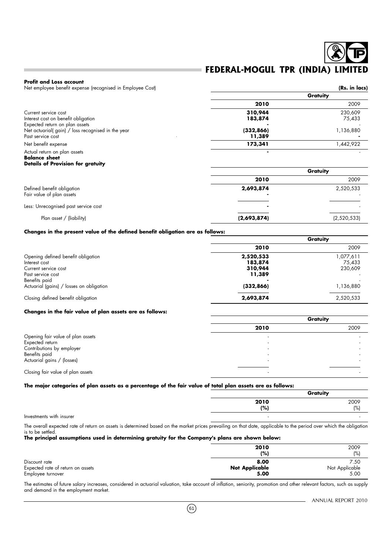#### **Profit and Loss account**

Net employee benefit expense (recognised in Employee Cost) **(Rs. in lacs)** (Rs. in lacs)

|                                                   |            | Gratuity  |
|---------------------------------------------------|------------|-----------|
|                                                   | 2010       | 2009      |
| Current service cost                              | 310,944    | 230.609   |
| Interest cost on benefit obligation               | 183,874    | 75,433    |
| Expected return on plan assets                    |            |           |
| Net actuarial(gain) / loss recognised in the year | (332, 866) | 1,136,880 |
| Past service cost                                 | 11,389     |           |
| Net benefit expense                               | 173,341    | 1.442.922 |
| Actual return on plan assets                      |            |           |

#### **Balance sheet Details of Provision for gratuity**

|                                                         | Gratuity    |             |  |
|---------------------------------------------------------|-------------|-------------|--|
|                                                         | 2010        | 2009        |  |
| Defined benefit obligation<br>Fair value of plan assets | 2,693,874   | 2,520,533   |  |
| Less: Unrecognised past service cost                    | ٠           |             |  |
| Plan asset / (liability)                                | (2,693,874) | (2,520,533) |  |

#### **Changes in the present value of the defined benefit obligation are as follows:**

|            | Gratuity  |
|------------|-----------|
| 2010       | 2009      |
| 2,520,533  | 1,077,611 |
| 183,874    | 75.433    |
| 310,944    | 230,609   |
| 11,389     |           |
|            |           |
| (332, 866) | 1,136,880 |
| 2,693,874  | 2,520,533 |
|            |           |

#### **Changes in the fair value of plan assets are as follows:**

|                                   |      | Gratuity |  |
|-----------------------------------|------|----------|--|
|                                   | 2010 | 2009     |  |
| Opening fair value of plan assets |      |          |  |
| Expected return                   |      |          |  |
| Contributions by employer         |      |          |  |
| Benefits paid                     |      |          |  |
| Actuarial gains / (losses)        |      |          |  |
|                                   |      |          |  |
| Closing fair value of plan assets |      |          |  |

#### **The major categories of plan assets as a percentage of the fair value of total plan assets are as follows:**

|      | Gratuity |
|------|----------|
| 2010 | 2009     |
| (%)  | (%       |
|      |          |

Investments with insurer

The overall expected rate of return on assets is determined based on the market prices prevailing on that date, applicable to the period over which the obligation is to be settled.

### **The principal assumptions used in determining gratuity for the Company's plans are shown below:**

|                                   | 2010<br>(% )          | 2009<br>(%     |
|-----------------------------------|-----------------------|----------------|
| Discount rate                     | 8.00                  | 7.50           |
| Expected rate of return on assets | <b>Not Applicable</b> | Not Applicable |
| Employee turnover                 | 5.00                  | 5.00           |

The estimates of future salary increases, considered in actuarial valuation, take account of inflation, seniority, promotion and other relevant factors, such as supply and demand in the employment market.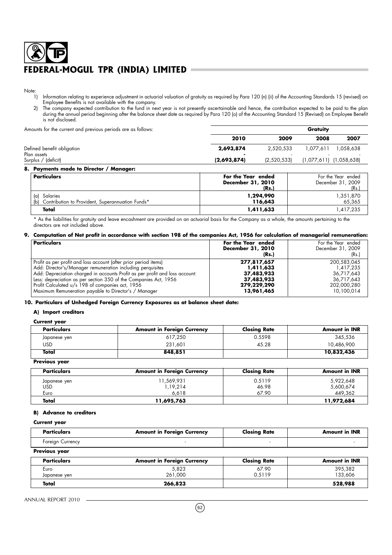Note:<br>1)

- 1) Information relating to experience adjustment in actuarial valuation of gratuity as required by Para 120 (n) (ii) of the Accounting Standards 15 (revised) on Employee Benefits is not available with the company.
- 2) The company expected contribution to the fund in next year is not presently ascertainable and hence, the contribution expected to be paid to the plan during the annual period beginning after the balance sheet date as required by Para 120 (o) of the Accounting Standard 15 (Revised) on Employee Benefit is not disclosed.

Amounts for the current and previous periods are as follows: **Gratuity**

| I modified the correlation of previous periods are as follows. |             |             | <u>.</u>                    |          |  |
|----------------------------------------------------------------|-------------|-------------|-----------------------------|----------|--|
|                                                                | 2010        | 2009        | 2008                        | 2007     |  |
| Defined benefit obligation<br>Plan assets                      | 2,693,874   | 2,520,533   | ا 077,611.                  | .058.638 |  |
| Surplus / (deficit)                                            | (2,693,874) | (2,520,533) | $(1,077,611)$ $(1,058,638)$ |          |  |
| - -                                                            |             |             |                             |          |  |

**8. Payments made to Director / Manager:**

| Particulars                                                             | For the Year ended<br>December 31, 2010<br>(Rs.) | For the Year ended<br>December 31, 2009<br>(Rs.) |
|-------------------------------------------------------------------------|--------------------------------------------------|--------------------------------------------------|
| Salaries<br>(a)<br>(b) Contribution to Provident, Superannuation Funds* | 1,294,990<br>116,643                             | 1,351,870<br>65,365                              |
| Total                                                                   | 1,411,633                                        | 1,417,235                                        |

\* As the liabilities for gratuity and leave encashment are provided on an actuarial basis for the Company as a whole, the amounts pertaining to the directors are not included above.

#### **9. Computation of Net profit in accordance with section 198 of the companies Act, 1956 for calculation of managerial remuneration:**

| <b>Particulars</b>                                                           | For the Year ended<br>December 31, 2010<br>(Rs.) | For the Year ended<br>December 31, 2009<br>(Rs.) |
|------------------------------------------------------------------------------|--------------------------------------------------|--------------------------------------------------|
| Profit as per profit and loss account (after prior period items)             | 277,817,657                                      | 200,583,045                                      |
| Add: Director's/Manager remuneration including perquisites                   | 1,411,633                                        | 1,417,235                                        |
| Add: Depreciation charged in accounts Profit as per profit and loss account: | 37,483,933                                       | 36,717,643                                       |
| Less: depreciation as per section 350 of the Companies Act, 1956             | 37,483,933                                       | 36.717.643                                       |
| Profit Calculated u/s 198 of companies act, 1956                             | 279,229,290                                      | 202,000,280                                      |
| Maximum Remuneration payable to Director's / Manager                         | 13,961,465                                       | 10,100,014                                       |

**10. Particulars of Unhedged Foreign Currency Exposures as at balance sheet date:**

#### **A) Import creditors**

#### **Current year**

| <b>Particulars</b> | <b>Amount in Foreign Currency</b> | <b>Closing Rate</b> | <b>Amount in INR</b> |
|--------------------|-----------------------------------|---------------------|----------------------|
| Japanese yen       | 617,250                           | 0.5598              | 345,536              |
| USD                | 231.601                           | 45.28               | 10,486,900           |
| Total              | 848,851                           |                     | 10,832,436           |

**Previous year**

| <b>Particulars</b> | <b>Amount in Foreign Currency</b> | <b>Closing Rate</b> | <b>Amount in INR</b> |
|--------------------|-----------------------------------|---------------------|----------------------|
| Japanese yen       | 1,569,931                         | 0.5119              | 5,922,648            |
| USD                | 1,19,214                          | 46.98               | 5,600,674            |
| Euro               | 6.618                             | 67.90               | 449,362              |
| Total              | 11,695,763                        |                     | 11,972,684           |

#### **B) Advance to creditors**

**Current year**

| <b>Particulars</b>   | <b>Amount in Foreign Currency</b> | <b>Closing Rate</b> | <b>Amount in INR</b> |
|----------------------|-----------------------------------|---------------------|----------------------|
| Foreign Currency     |                                   |                     |                      |
| Previous year        |                                   |                     |                      |
| <b>Particulars</b>   | <b>Amount in Foreign Currency</b> | <b>Closing Rate</b> | <b>Amount in INR</b> |
| Euro<br>Japanese yen | 5,823<br>261.000                  | 67.90<br>0.5119     | 395,382<br>133,606   |

**Total 266,823 528,988**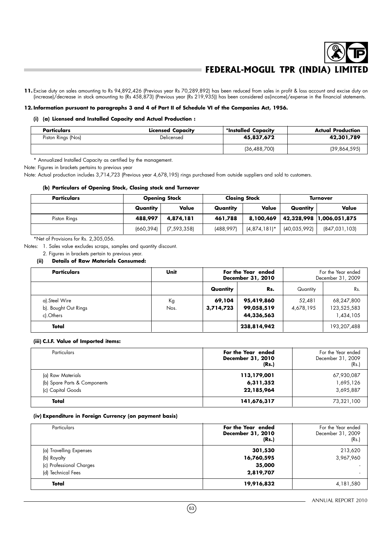11. Excise duty on sales amounting to Rs 94,892,426 (Previous year Rs 70,289,892) has been reduced from sales in profit & loss account and excise duty on (increase)/decrease in stock amounting to (Rs 458,873) (Previous year (Rs 219,935)) has been considered as(income)/expense in the financial statements.

#### **12. Information pursuant to paragraphs 3 and 4 of Part II of Schedule VI of the Companies Act, 1956.**

#### **(i) (a) Licensed and Installed Capacity and Actual Production :**

| Particulars        | <b>Licensed Capacity</b> | *Installed Capacity | Actual Production |
|--------------------|--------------------------|---------------------|-------------------|
| Piston Rings (Nos) | Delicensed               | 45,837,672          | 42,301,789        |
|                    |                          | (36,488,700)        | (39,864,595)      |

\* Annualized Installed Capacity as certified by the management.

Note: Figures in brackets pertains to previous year

Note: Actual production includes 3,714,723 (Previous year 4,678,195) rings purchased from outside suppliers and sold to customers.

#### **(b) Particulars of Opening Stock, Closing stock and Turnover**

| <b>Particulars</b> |            | <b>Opening Stock</b> | <b>Closing Stock</b> |                 | Turnover     |                          |
|--------------------|------------|----------------------|----------------------|-----------------|--------------|--------------------------|
|                    | Quantity   | Value                | Quantity             | Value           | Quantity     | Value                    |
| Piston Rings       | 488,997    | 4,874,181            | 461,788              | 8,100,469       |              | 42,328,998 1,006,051,875 |
|                    | (660, 394) | (7, 593, 358)        | (488, 997)           | $(4,874,181)$ * | (40,035,992) | (847,031,103)            |

\*Net of Provisions for Rs. 2,305,056.

Notes: 1. Sales value excludes scraps, samples and quantity discount.

2. Figures in brackets pertain to previous year.

#### **(ii) Details of Raw Materials Consumed:**

| <b>Particulars</b>                                 | Unit       | For the Year ended<br>December 31, 2010 |                                        | For the Year ended<br>December 31, 2009 |                                        |
|----------------------------------------------------|------------|-----------------------------------------|----------------------------------------|-----------------------------------------|----------------------------------------|
|                                                    |            | Quantity                                | Rs.                                    | Quantity                                | Rs.                                    |
| a).Steel Wire<br>b). Bought Out Rings<br>cl.Others | Кg<br>Nos. | 69,104<br>3,714,723                     | 95,419,860<br>99,058,519<br>44,336,563 | 52,481<br>4,678,195                     | 68,247,800<br>123,525,583<br>1,434,105 |
| Total                                              |            |                                         | 238,814,942                            |                                         | 193,207,488                            |

#### **(iii) C.I.F. Value of Imported items:**

| <b>Particulars</b>                                                     | For the Year ended<br>December 31, 2010<br>(Rs.) | For the Year ended<br>December 31, 2009<br>(Rs.) |
|------------------------------------------------------------------------|--------------------------------------------------|--------------------------------------------------|
| (a) Raw Materials<br>(b) Spare Parts & Components<br>(c) Capital Goods | 113,179,001<br>6,311,352<br>22,185,964           | 67,930,087<br>1,695,126<br>3,695,887             |
| Total                                                                  | 141,676,317                                      | 73,321,100                                       |

#### **(iv) Expenditure in Foreign Currency (on payment basis)**

| Particulars              | For the Year ended<br>December 31, 2010<br>(Rs.) | For the Year ended<br>December 31, 2009<br>(Rs.) |
|--------------------------|--------------------------------------------------|--------------------------------------------------|
| (a) Travelling Expenses  | 301,530                                          | 213,620                                          |
| (b) Royalty              | 16,760,595                                       | 3,967,960                                        |
| (c) Professional Charges | 35,000                                           | ۰                                                |
| (d) Technical Fees       | 2,819,707                                        |                                                  |
| Total                    | 19,916,832                                       | 4,181,580                                        |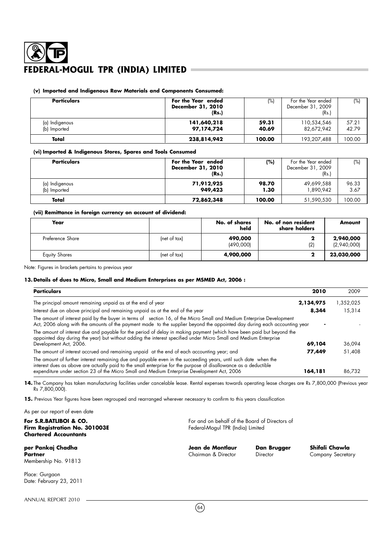### **(v) Imported and Indigenous Raw Materials and Components Consumed:**

| <b>Particulars</b>             | For the Year ended<br>December 31, 2010<br>(Rs.) | (%)            | For the Year ended<br>December 31, 2009<br>(Rs.) | (%)            |
|--------------------------------|--------------------------------------------------|----------------|--------------------------------------------------|----------------|
| (a) Indigenous<br>(b) Imported | 141,640,218<br>97,174,724                        | 59.31<br>40.69 | 110,534,546<br>82,672,942                        | 57.21<br>42.79 |
| Total                          | 238,814,942                                      | 100.00         | 193,207,488                                      | 100.00         |

#### **(vi) Imported & Indigenous Stores, Spares and Tools Consumed**

| <b>Particulars</b>             | For the Year ended<br>December 31, 2010<br>(Rs.) | (%)           | For the Year ended<br>December 31, 2009<br>(Rs.) | (%)           |
|--------------------------------|--------------------------------------------------|---------------|--------------------------------------------------|---------------|
| (a) Indigenous<br>(b) Imported | 71,912,925<br>949,423                            | 98.70<br>1.30 | 49,699,588<br>1.890.942                          | 96.33<br>3.67 |
| Total                          | 72,862,348                                       | 100.00        | 51,590,530                                       | 100.00        |

#### **(vii) Remittance in foreign currency on account of dividend:**

| Year                 |              | No. of shares<br>held | No. of non resident<br>share holders | <b>Amount</b>            |
|----------------------|--------------|-----------------------|--------------------------------------|--------------------------|
| Preference Share     | (net of tax) | 490,000<br>(490,000)  | (2)                                  | 2,940,000<br>(2,940,000) |
| <b>Equity Shares</b> | (net of tax) | 4,900,000             |                                      | 23,030,000               |

Note: Figures in brackets pertains to previous year

## **13. Details of dues to Micro, Small and Medium Enterprises as per MSMED Act, 2006 :**

| <b>Particulars</b>                                                                                                                                                                                                                                 | 2010      | 2009      |
|----------------------------------------------------------------------------------------------------------------------------------------------------------------------------------------------------------------------------------------------------|-----------|-----------|
| The principal amount remaining unpaid as at the end of year                                                                                                                                                                                        | 2,134,975 | 1,352,025 |
| Interest due on above principal and remaining unpaid as at the end of the year                                                                                                                                                                     | 8,344     | 15,314    |
| The amount of interest paid by the buyer in terms of section 16, of the Micro Small and Medium Enterprise Development<br>Act, 2006 along with the amounts of the payment made to the supplier beyond the appointed day during each accounting year |           |           |
| The amount of interest due and payable for the period of delay in making payment (which have been paid but beyond the<br>appointed day during the year) but without adding the interest specified under Micro Small and Medium Enterprise          |           |           |
| Development Act, 2006.                                                                                                                                                                                                                             | 69,104    | 36,094    |
| The amount of interest accrued and remaining unpaid at the end of each accounting year; and                                                                                                                                                        | 77,449    | 51,408    |
| The amount of further interest remaining due and payable even in the succeeding years, until such date when the<br>interest dues as above are actually paid to the small enterprise for the purpose of disallowance as a deductible                |           |           |
| expenditure under section 23 of the Micro Small and Medium Enterprise Development Act, 2006                                                                                                                                                        | 164,181   | 86.732    |

14. The Company has taken manufacturing facilities under cancelable lease. Rental expenses towards operating lease charges are Rs 7,800,000 (Previous year Rs 7,800,000).

**15.** Previous Year figures have been regrouped and rearranged wherever necessary to confirm to this years classification

As per our report of even date **For S.R.BATLIBOI & CO.** For and on behalf of the Board of Directors of **Firm Registration No. 301003E** Federal-Mogul TPR (India) Limited **Firm Registration No. 301003E Chartered Accountants per Pankaj Chadha Jean de Montlaur Dan Brugger Shifali Chawla Partner Chairman & Director Director Company Secretary** Chairman & Director **Director Company Secretary** Membership No. 91813

Place: Gurgaon Date: February 23, 2011

ANNUAL REPORT 2010

 $(64)$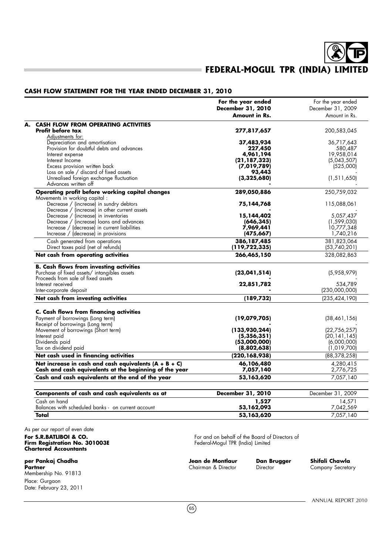#### **CASH FLOW STATEMENT FOR THE YEAR ENDED DECEMBER 31, 2010**

|                                                                                                                                                                         | For the year ended<br>December 31, 2010<br>Amount in Rs.      | For the year ended<br>December 31, 2009<br>Amount in Rs.       |
|-------------------------------------------------------------------------------------------------------------------------------------------------------------------------|---------------------------------------------------------------|----------------------------------------------------------------|
| <b>CASH FLOW FROM OPERATING ACTIVITIES</b><br>Profit before tax<br>Adjustments for:                                                                                     | 277,817,657                                                   | 200,583,045                                                    |
| Depreciation and amortisation<br>Provision for doubtful debts and advances                                                                                              | 37,483,934<br>227,450                                         | 36,717,643<br>580,487                                          |
| Interest expense<br>Interest Income<br>Excess provision written back                                                                                                    | 4,961,194<br>(21, 187, 323)<br>(7,019,789)                    | 19,958,014<br>(5,043,507)<br>(525,000)                         |
| Loss on sale / discard of fixed assets<br>Unrealised foreign exchange fluctuation<br>Advances written off                                                               | 93,443<br>(3, 325, 680)                                       | (1, 511, 650)                                                  |
| Operating profit before working capital changes<br>Movements in working capital :                                                                                       | 289,050,886                                                   | 250,759,032                                                    |
| Decrease / (increase) in sundry debtors<br>Decrease / (increase) in other current assets                                                                                | 75,144,768                                                    | 115,088,061                                                    |
| Decrease / (increase) in inventories<br>Decrease / (increase) loans and advances<br>Increase / (decrease) in current liabilities<br>Increase / (decrease) in provisions | 15,144,402<br>(646, 345)<br>7,969,441<br>(475, 667)           | 5,057,437<br>(1, 599, 030)<br>10,777,348<br>1,740,216          |
| Cash generated from operations<br>Direct taxes paid (net of refunds)                                                                                                    | 386,187,485<br>(119, 722, 335)                                | 381,823,064<br>(53,740,201)                                    |
| Net cash from operating activities                                                                                                                                      | 266,465,150                                                   | 328,082,863                                                    |
| <b>B. Cash flows from investing activities</b><br>Purchase of fixed assets/ intangibles assets<br>Proceeds from sale of fixed assets<br>Interest received               | (23, 041, 514)<br>22,851,782                                  | (5,958,979)<br>534,789                                         |
| Inter-corporate deposit<br>Net cash from investing activities                                                                                                           | (189, 732)                                                    | (230,000,000)<br>(235, 424, 190)                               |
| <b>C. Cash flows from financing activities</b><br>Payment of borrowings (Long term)                                                                                     | (19,079,705)                                                  | (38,461,156)                                                   |
| Receipt of borrowings (Long term)<br>Movement of borrowings (Short term)<br>Interest paid<br>Dividends paid<br>Tax on dividend paid                                     | (133,930,244)<br>(5, 356, 351)<br>(53,000,000)<br>(8,802,638) | (22,756,257)<br>(20, 141, 145)<br>(6,000,000)<br>(1, 019, 700) |
| Net cash used in financing activities                                                                                                                                   | (220, 168, 938)                                               | (88, 378, 258)                                                 |
| Net increase in cash and cash equivalents $(A + B + C)$<br>Cash and cash equivalents at the beginning of the year                                                       | 46,106,480<br>7,057,140                                       | 4,280,415<br>2,776,725                                         |
| Cash and cash equivalents at the end of the year                                                                                                                        | 53,163,620                                                    | 7,057,140                                                      |
| Components of cash and cash equivalents as at                                                                                                                           | December 31, 2010                                             | December 31, 2009                                              |
| Cash on hand<br>Balances with scheduled banks - on current account                                                                                                      | 1,527<br>53,162,093                                           | 14,571<br>7,042,569                                            |
| Total                                                                                                                                                                   | 53,163,620                                                    | 7,057,140                                                      |

As per our report of even date

## **Firm Registration No. 301003E** Federal-Mogul TPR (India) Limited **Chartered Accountants**

**per Pankaj Chadha Jean de Montlaur Dan Brugger Shifali Chawla** Membership No. 91813 Place: Guraaon Date: February 23, 2011

**For S.R.BATLIBOI & CO.** For and on behalf of the Board of Directors of **Firm Registration No. 301003E** Federal-Mogul TPR (India) Limited

**Chairman & Director** 

 $(65)$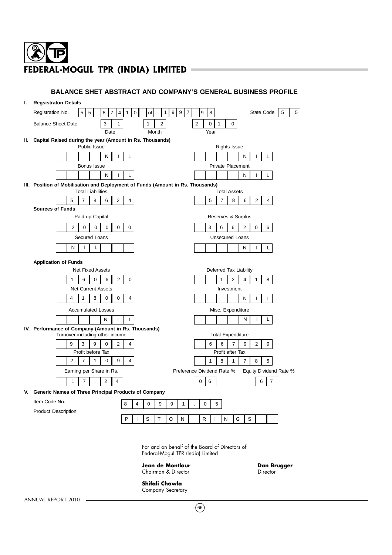| ı. | <b>Regsistraton Details</b>                                                                                                                                                                                          |
|----|----------------------------------------------------------------------------------------------------------------------------------------------------------------------------------------------------------------------|
|    | Registration No.<br>5<br>8 <sup>1</sup><br>$\overline{7}$<br>$\overline{4}$<br>$\mathbf 0$<br>$\mathbf{1}$<br>9<br>9<br>$\overline{7}$<br>State Code<br>5<br>5<br>1<br>9<br>8<br>5<br>of<br>$\overline{\phantom{a}}$ |
|    | 3<br>$\mathbf{1}$<br>$\mathbf{1}$<br>$\overline{2}$<br>$\overline{2}$<br>$\mathbf{1}$<br><b>Balance Sheet Date</b><br>0<br>0                                                                                         |
|    | Date<br>Month<br>Year                                                                                                                                                                                                |
|    | II. Capital Raised during the year (Amount in Rs. Thousands)                                                                                                                                                         |
|    | Public Issue<br><b>Rights Issue</b>                                                                                                                                                                                  |
|    | N<br>L.<br>N<br>L<br>L.<br>L<br><b>Private Placement</b>                                                                                                                                                             |
|    | Bonus Issue<br>N<br>Г<br>N<br>T<br>L<br>L.                                                                                                                                                                           |
|    | III. Position of Mobilisation and Deployment of Funds (Amount in Rs. Thousands)                                                                                                                                      |
|    | <b>Total Liabilities</b><br><b>Total Assets</b>                                                                                                                                                                      |
|    | 5<br>$\overline{7}$<br>8<br>$\mathbf{2}^{\prime}$<br>$\overline{7}$<br>8<br>$\overline{2}$<br>6<br>4<br>5<br>6<br>$\overline{4}$                                                                                     |
|    | <b>Sources of Funds</b>                                                                                                                                                                                              |
|    | Paid-up Capital<br>Reserves & Surplus                                                                                                                                                                                |
|    | 0<br>$\mathbf 0$<br>3<br>6<br>6<br>$\overline{2}$<br>0<br>6<br>2<br>0<br>0<br>0                                                                                                                                      |
|    | <b>Unsecured Loans</b><br>Secured Loans                                                                                                                                                                              |
|    | N<br>L<br>$\mathsf{I}$<br>Ν<br>$\mathsf{L}$<br>L                                                                                                                                                                     |
|    | <b>Application of Funds</b>                                                                                                                                                                                          |
|    | <b>Net Fixed Assets</b><br>Deferred Tax Liability                                                                                                                                                                    |
|    | $\mathbf 0$<br>$\overline{2}$<br>0<br>1<br>6<br>6<br>$\mathbf{1}$<br>$\overline{2}$<br>4<br>$\mathbf{1}$<br>8                                                                                                        |
|    | <b>Net Current Assets</b><br>Investment                                                                                                                                                                              |
|    | 4<br>$\mathbf{1}$<br>8<br>$\Omega$<br>$\mathbf 0$<br>4<br>Ν<br>T<br>L.                                                                                                                                               |
|    | <b>Accumulated Losses</b><br>Misc. Expenditure                                                                                                                                                                       |
|    | Ν<br>L<br>N<br>L<br>L<br>I                                                                                                                                                                                           |
|    | IV. Performance of Company (Amount in Rs. Thousands)<br>Turnover including other income<br><b>Total Expenditure</b>                                                                                                  |
|    | 3<br>9<br>9<br>$\mathbf 0$<br>$\overline{2}$<br>4<br>$\overline{7}$<br>$\overline{2}$<br>6<br>9<br>9<br>6                                                                                                            |
|    | Profit before Tax<br>Profit after Tax                                                                                                                                                                                |
|    | $\overline{2}$<br>$\overline{7}$<br>$\mathbf{1}$<br>$\mathbf 0$<br>9<br>$\overline{4}$<br>5<br>$\mathbf{1}$<br>8<br>$\mathbf{1}$<br>$\overline{7}$<br>8                                                              |
|    | Preference Dividend Rate %<br>Earning per Share in Rs.<br>Equity Dividend Rate %                                                                                                                                     |
|    | $\overline{7}$<br>2<br>$\mathbf{1}$<br>$\overline{4}$<br>0<br>6<br>7<br>6                                                                                                                                            |
|    | V. Generic Names of Three Principal Products of Company                                                                                                                                                              |
|    | Item Code No.<br>8<br>4<br>$\mathbf 0$<br>9<br>9<br>$\mathbf{1}$<br>0<br>5                                                                                                                                           |
|    | <b>Product Description</b>                                                                                                                                                                                           |
|    | P<br>S<br>T<br>O<br>N<br>R<br>N<br>G<br>S<br>T<br>$\mathbf{I}$                                                                                                                                                       |
|    |                                                                                                                                                                                                                      |

**BALANCE SHET ABSTRACT AND COMPANY'S GENERAL BUSINESS PROFILE**

For and on behalf of the Board of Directors of Federal-Mogul TPR (India) Limited

**Jean de Montlaur Chairman Brugger<br>
Chairman & Director Chairman Brugger** Chairman & Director

**Shifali Chawla** Company Secretary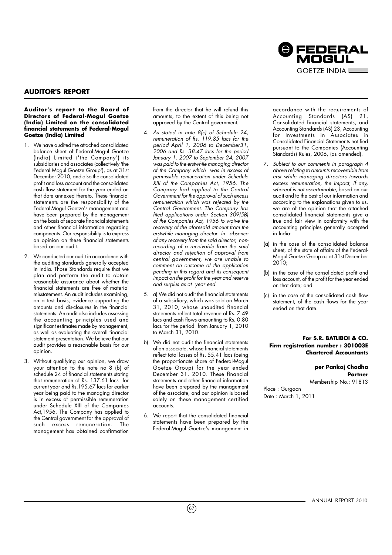

## **AUDITOR'S REPORT**

#### **Auditor's report to the Board of Directors of Federal-Mogul Goetze (India) Limited on the consolidated financial statements of Federal-Mogul Goetze (India) Limited**

- 1. We have audited the attached consolidated balance sheet of Federal-Mogul Goetze (India) Limited ('the Company') its subsidiaries and associates (collectively 'the Federal Mogul Goetze Group'), as at 31st December 2010, and also the consolidated profit and loss account and the consolidated cash flow statement for the year ended on that date annexed thereto. These financial statements are the responsibility of the Federal-Mogul Goetze's management and have been prepared by the management on the basis of separate financial statements and other financial information regarding components. Our responsibility is to express an opinion on these financial statements based on our audit.
- 2. We conducted our audit in accordance with the auditing standards generally accepted in India. Those Standards require that we plan and perform the audit to obtain reasonable assurance about whether the financial statements are free of material misstatement. An audit includes examining, on a test basis, evidence supporting the amounts and dis-closures in the financial statements. An audit also includes assessing the accounting principles used and significant estimates made by management, as well as evaluating the overall financial statement presentation. We believe that our audit provides a reasonable basis for our opinion.
- 3. Without qualifying our opinion, we draw your attention to the note no 8 (b) of schedule 24 of financial statements stating that remuneration of Rs. 137.61 lacs for current year and Rs.195.67 lacs for earlier year being paid to the managing director is in excess of permissible remuneration under Schedule XIII of the Companies Act,1956. The Company has applied to the Central government for the approval of such excess remuneration. The management has obtained confirmation

from the director that he will refund this amounts, to the extent of this being not approved by the Central government.

- 4. As stated in note 8(c) of Schedule 24, remuneration of Rs. 119.85 lacs for the period April 1, 2006 to December31, 2006 and Rs. 38.47 lacs for the period January 1, 2007 to September 24, 2007 was paid to the erstwhile managing director of the Company which was in excess of permissible remuneration under Schedule XIII of the Companies Act, 1956. The Company had applied to the Central Government for the approval of such excess remuneration which was rejected by the Central Government. The Company has filed applications under Section 309(5B) of the Companies Act, 1956 to waive the recovery of the aforesaid amount from the erstwhile managing director. In absence of any recovery from the said director, nonrecording of a receivable from the said director and rejection of approval from central government, we are unable to comment on outcome of the application pending in this regard and its consequent impact on the profit for the year and reserve and surplus as at year end.
- 5. a) We did not audit the financial statements of a subsidiary, which was sold on March 31, 2010, whose unaudited financial statements reflect total revenue of Rs. 7.49 lacs and cash flows amounting to Rs. 0.80 lacs for the period from January 1, 2010 to March 31, 2010.
- b) We did not audit the financial statements of an associate, whose financial statements reflect total losses of Rs. 55.41 lacs (being the proportionate share of Federal-Mogul Goetze Group) for the year ended December 31, 2010. These financial statements and other financial information have been prepared by the management of the associate, and our opinion is based solely on these management certified accounts.
- 6. We report that the consolidated financial statements have been prepared by the Federal-Mogul Goetze's management in

 $(67)$ 

accordance with the requirements of Accounting Standards (AS) 21, Consolidated financial statements, and Accounting Standards (AS) 23, Accounting for Investments in Associates in Consolidated Financial Statements notified pursuant to the Companies (Accounting Standards) Rules, 2006, (as amended).

- 7. Subject to our comments in paragraph 4 above relating to amounts recoverable from erst while managing directors towards excess remuneration, the impact, if any, whereof is not ascertainable, based on our audit and to the best of our information and according to the explanations given to us, we are of the opinion that the attached consolidated financial statements give a true and fair view in conformity with the accounting principles generally accepted in India:
- (a) in the case of the consolidated balance sheet, of the state of affairs of the Federal-Mogul Goetze Group as at 31st December 2010;
- (b) in the case of the consolidated profit and loss account, of the profit for the year ended on that date; and
- (c) in the case of the consolidated cash flow statement, of the cash flows for the year ended on that date.

#### **For S.R. BATLIBOI & CO. Firm registration number : 301003E Chartered Accountants**

**per Pankaj Chadha Partner**

Membership No.: 91813

Place : Gurgaon Date : March 1, 2011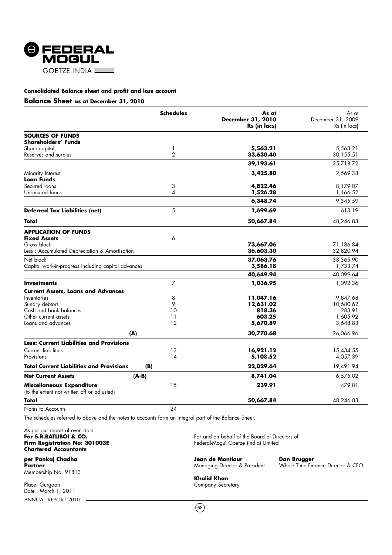

#### **Consolidated Balance sheet and profit and loss account**

#### **Balance Sheet as at December 31, 2010**

|                                                                          | <b>Schedules</b> | As at                             | As at                             |
|--------------------------------------------------------------------------|------------------|-----------------------------------|-----------------------------------|
|                                                                          |                  | December 31, 2010<br>Rs (in lacs) | December 31, 2009<br>Rs (in lacs) |
|                                                                          |                  |                                   |                                   |
| <b>SOURCES OF FUNDS</b><br>Shareholders' Funds                           |                  |                                   |                                   |
| Share capital                                                            | 1                | 5,563.21                          | 5,563.21                          |
| Reserves and surplus                                                     | $\overline{2}$   | 33,630.40                         | 30,155.51                         |
|                                                                          |                  | 39,193.61                         | 35,718.72                         |
| Minority Interest                                                        |                  | 3,425.80                          | 2,569.33                          |
| <b>Loan Funds</b>                                                        |                  |                                   |                                   |
| Secured loans                                                            | 3                | 4,822.46                          | 8,179.07                          |
| Unsecured loans                                                          | 4                | 1,526.28                          | 1,166.52                          |
|                                                                          |                  | 6,348.74                          | 9,345.59                          |
| <b>Deferred Tax Liabilities (net)</b>                                    | 5                | 1,699.69                          | 613.19                            |
| Total                                                                    |                  | 50,667.84                         | 48,246.83                         |
| <b>APPLICATION OF FUNDS</b>                                              |                  |                                   |                                   |
| <b>Fixed Assets</b>                                                      | 6                |                                   |                                   |
| Gross block                                                              |                  | 73,667.06                         | 71,186.84                         |
| Less: Accumulated Depreciation & Amortisation                            |                  | 36,603.30                         | 32,820.94                         |
| Net block                                                                |                  | 37,063.76                         | 38,365.90                         |
| Capital work-in-progress including capital advances                      |                  | 3,586.18                          | 1,733.74                          |
|                                                                          |                  | 40,649.94                         | 40,099.64                         |
| <b>Investments</b>                                                       | 7                | 1,036.95                          | 1,092.36                          |
| <b>Current Assets, Loans and Advances</b>                                |                  |                                   |                                   |
| Inventories                                                              | 8                | 11,047.16                         | 9,847.68                          |
| Sundry debtors                                                           | 9                | 12,631.02                         | 10,680.62                         |
| Cash and bank balances                                                   | 10               | 818.36                            | 283.91                            |
| Other current assets                                                     | 11               | 603.25                            | 1,605.92                          |
| Loans and advances                                                       | 12               | 5,670.89                          | 3,648.83                          |
|                                                                          | (A)              | 30,770.68                         | 26,066.96                         |
| <b>Less: Current Liabilities and Provisions</b>                          |                  |                                   |                                   |
| <b>Current liabilities</b>                                               | 13               | 16,921.12                         | 15,434.55                         |
| Provisions                                                               | 14               | 5,108.52                          | 4,057.39                          |
| <b>Total Current Liabilities and Provisions</b>                          | (B)              | 22,029.64                         | 19,491.94                         |
| <b>Net Current Assets</b>                                                | $(A-B)$          | 8,741.04                          | 6,575.02                          |
| Miscellaneous Expenditure<br>(to the extent not written off or adjusted) | 15               | 239.91                            | 479.81                            |
| Total                                                                    |                  | 50,667.84                         | 48,246.83                         |
| Notes to Accounts                                                        | 24               |                                   |                                   |

The schedules referred to above and the notes to accounts form an integral part of the Balance Sheet.

As per our report of even date<br>For S.R.BATLIBOI & CO. **Chartered Accountants**

Membership No. 91813

ANNUAL REPORT 2010 Place: Gurgaon Company Secretary Secretary Secretary Secretary Secretary Secretary Date : March 1, 2011

**For S.R.BATLIBOI & CO.**<br> **For and on behalf of the Board of Directors of Firm Registration No: 301003E Federal Mogul Goetze (India)** Limited Federal-Mogul Goetze (India) Limited

**per Pankaj Chadha Jean de Montlaur Dan Brugger**

Whole Time Finance Director & CFO

**Khalid Khan**

 $(68)$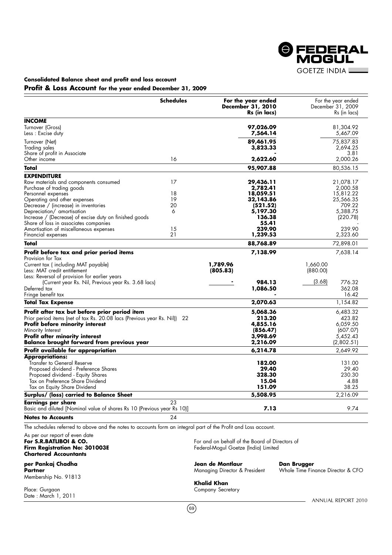**@FEDERAL GOETZE INDIA** 

## **Consolidated Balance sheet and profit and loss account Profit & Loss Account for the year ended December 31, 2009**

|                                                                                                                                           | <b>Schedules</b> | For the year ended<br><b>December 31, 2010</b><br>Rs (in lacs) | For the year ended<br>December 31, 2009<br>Rs (in lacs) |
|-------------------------------------------------------------------------------------------------------------------------------------------|------------------|----------------------------------------------------------------|---------------------------------------------------------|
| <b>INCOME</b>                                                                                                                             |                  |                                                                |                                                         |
| Turnover (Gross)<br>Less : Excise duty                                                                                                    |                  | 97,026.09<br>7,564.14                                          | 81,304.92<br>5,467.09                                   |
| Turnover (Net)<br>Trading sales                                                                                                           |                  | 89,461.95<br>3,823.33                                          | 75,837.83<br>2,694.25                                   |
| Share of profit in Associate<br>Other income                                                                                              | 16               | 2,622.60                                                       | 3.81<br>2,000.26                                        |
| Total                                                                                                                                     |                  | 95,907.88                                                      | 80,536.15                                               |
| <b>EXPENDITURE</b>                                                                                                                        |                  |                                                                |                                                         |
| Raw materials and components consumed<br>Purchase of trading goods                                                                        | 17               | 29,436.11<br>2,782.41                                          | 21,078.17<br>2,000.58                                   |
| Personnel expenses                                                                                                                        | 18               | 18,059.51                                                      | 15,812.22                                               |
| Operating and other expenses                                                                                                              | 19               | 32,143.86                                                      | 25,566.35                                               |
| Decrease / (increase) in inventories                                                                                                      | 20               | (521.52)                                                       | 709.22                                                  |
| Depreciation/ amortisation                                                                                                                | 6                | 5,197.30                                                       | 5,388.75                                                |
| Increase / (Decrease) of excise duty on finished goods<br>Share of loss in associates companies                                           |                  | 136.38<br>55.41                                                | (220.78)                                                |
| Amortisation of miscellaneous expenses                                                                                                    | 15               | 239.90                                                         | 239.90                                                  |
| Financial expenses                                                                                                                        | 21               | 1,239.53                                                       | 2,323.60                                                |
| Total                                                                                                                                     |                  | 88,768.89                                                      | 72,898.01                                               |
| Profit before tax and prior period items                                                                                                  |                  | 7,138.99                                                       | 7,638.14                                                |
| Provision for Tax<br>Current tax (including MAT payable)<br>Less: MAT credit entitlement<br>Less: Reversal of provision for earlier years |                  | 1,789.96<br>(805.83)                                           | 1,660.00<br>(880.00)                                    |
| (Current year Rs. Nil, Previous year Rs. 3.68 lacs)                                                                                       |                  | 984.13                                                         | (3.68)<br>776.32                                        |
| Deferred tax<br>Fringe benefit tax                                                                                                        |                  | 1,086.50                                                       | 362.08<br>16.42                                         |
| <b>Total Tax Expense</b>                                                                                                                  |                  | 2,070.63                                                       | 1,154.82                                                |
| Profit after tax but before prior period item                                                                                             |                  | 5,068.36                                                       | 6,483.32                                                |
| Prior period items (net of tax Rs. 20.08 lacs (Previous year Rs. Nil)) 22                                                                 |                  | 213.20                                                         | 423.82                                                  |
| <b>Profit before minority interest</b>                                                                                                    |                  | 4,855.16                                                       | 6,059.50                                                |
| Minority Interest                                                                                                                         |                  | (856.47)                                                       | (607.07)                                                |
| Profit after minority interest<br><b>Balance brought forward from previous year</b>                                                       |                  | 3,998.69<br>2,216.09                                           | 5,452.43<br>(2,802.51)                                  |
| Profit available for appropriation                                                                                                        |                  | 6,214.78                                                       | 2,649.92                                                |
| <b>Appropriations:</b>                                                                                                                    |                  |                                                                |                                                         |
| Transfer to General Reserve                                                                                                               |                  | 182.00                                                         | 131.00                                                  |
| Proposed dividend - Preference Shares                                                                                                     |                  | 29.40                                                          | 29.40                                                   |
| Proposed dividend - Equity Shares                                                                                                         |                  | 328.30                                                         | 230.30                                                  |
| Tax on Preference Share Dividend                                                                                                          |                  | 15.04                                                          | 4.88                                                    |
| Tax on Equity Share Dividend                                                                                                              |                  | 151.09                                                         | 38.25                                                   |
| Surplus/ (loss) carried to Balance Sheet                                                                                                  |                  | 5,508.95                                                       | 2,216.09                                                |
| Earnings per share<br>Basic and diluted [Nominal value of shares Rs 10 (Previous year Rs 10)]                                             | 23               | 7.13                                                           | 9.74                                                    |
| <b>Notes to Accounts</b>                                                                                                                  | 24               |                                                                |                                                         |
| The schedules referred to above and the notes to accounts form an integral part of the Profit and Loss account.                           |                  |                                                                |                                                         |
| As not our roport of oven data                                                                                                            |                  |                                                                |                                                         |

As per our report of even date<br>**For S.R.BATLIBOI & CO. Chartered Accountants**

**per Pankaj Chadha Montlaur Pankaj Chadha Jean de Montlaur Pankaj Dan Brugger<br>Partner Managing Director & President Monde Time Fin** 

Membership No. 91813

Date : March 1, 2011

**For S.R.BATLIBOI & CO.**<br> **For and on behalf of the Board of Directors of Firm Registration No: 301003E Firm Registration No: 301003E Federal-Mogul Goetze (India) Limited** Federal-Mogul Goetze (India) Limited

Whole Time Finance Director & CFO

**Khalid Khan** Place: Gurgaon **Company Secretary** 

 $(69)$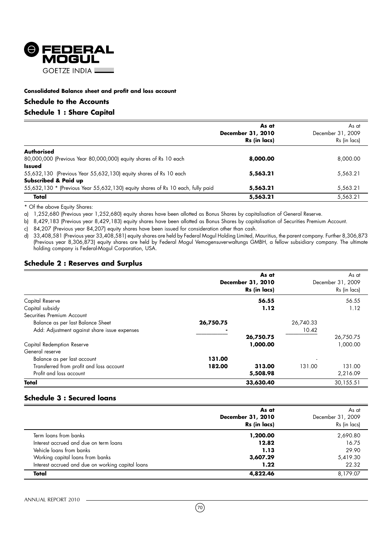

### **Consolidated Balance sheet and profit and loss account**

### **Schedule to the Accounts**

## **Schedule 1 : Share Capital**

|                                                                                 | As at<br>December 31, 2010<br>Rs (in lacs) | As at<br>December 31, 2009<br>Rs (in lacs) |
|---------------------------------------------------------------------------------|--------------------------------------------|--------------------------------------------|
| <b>Authorised</b>                                                               |                                            |                                            |
| 80,000,000 (Previous Year 80,000,000) equity shares of Rs 10 each               | 8,000.00                                   | 8,000.00                                   |
| <b>Issued</b>                                                                   |                                            |                                            |
| 55,632,130 (Previous Year 55,632,130) equity shares of Rs 10 each               | 5,563.21                                   | 5,563.21                                   |
| Subscribed & Paid up                                                            |                                            |                                            |
| 55,632,130 * (Previous Year 55,632,130) equity shares of Rs 10 each, fully paid | 5,563.21                                   | 5,563.21                                   |
| Total                                                                           | 5,563.21                                   | 5,563.21                                   |

\* Of the above Equity Shares:

a) 1,252,680 (Previous year 1,252,680) equity shares have been allotted as Bonus Shares by capitalisation of General Reserve.

b) 8,429,183 (Previous year 8,429,183) equity shares have been allotted as Bonus Shares by capitalisation of Securities Premium Account.

c) 84,207 (Previous year 84,207) equity shares have been issued for consideration other than cash.

d) 33,408,581 (Previous year 33,408,581) equity shares are held by Federal Mogul Holding Limited, Mauritius, the parent company. Further 8,306,873 (Previous year 8,306,873) equity shares are held by Federal Mogul Vemogensuverwaltungs GMBH, a fellow subsidiary company. The ultimate holding company is Federal-Mogul Corporation, USA.

### **Schedule 2 : Reserves and Surplus**

|                                              |           | As at<br>December 31, 2010<br>Rs (in lacs) |           | As at<br>December 31, 2009<br>Rs (in lacs) |
|----------------------------------------------|-----------|--------------------------------------------|-----------|--------------------------------------------|
| Capital Reserve                              |           | 56.55                                      |           | 56.55                                      |
| Capital subsidy                              |           | 1.12                                       |           | 1.12                                       |
| Securities Premium Account                   |           |                                            |           |                                            |
| Balance as per last Balance Sheet            | 26,750.75 |                                            | 26,740.33 |                                            |
| Add: Adjustment against share issue expenses |           |                                            | 10.42     |                                            |
|                                              |           | 26,750.75                                  |           | 26,750.75                                  |
| Capital Redemption Reserve                   |           | 1,000.00                                   |           | 1,000.00                                   |
| General reserve                              |           |                                            |           |                                            |
| Balance as per last account                  | 131.00    |                                            |           |                                            |
| Transferred from profit and loss account     | 182.00    | 313.00                                     | 131.00    | 131.00                                     |
| Profit and loss account                      |           | 5,508.98                                   |           | 2,216.09                                   |
| Total                                        |           | 33,630.40                                  |           | 30,155.51                                  |

## **Schedule 3 : Secured loans**

|                                                   | As at<br>December 31, 2010<br>Rs (in lacs) | As at<br>December 31, 2009<br>Rs (in lacs) |
|---------------------------------------------------|--------------------------------------------|--------------------------------------------|
| Term loans from banks                             | 1,200.00                                   | 2,690.80                                   |
| Interest accrued and due on term loans            | 12.82                                      | 16.75                                      |
| Vehicle loans from banks                          | 1.13                                       | 29.90                                      |
| Working capital loans from banks                  | 3,607.29                                   | 5,419.30                                   |
| Interest accrued and due on working capital loans | 1.22                                       | 22.32                                      |
| Total                                             | 4,822.46                                   | 8.179.07                                   |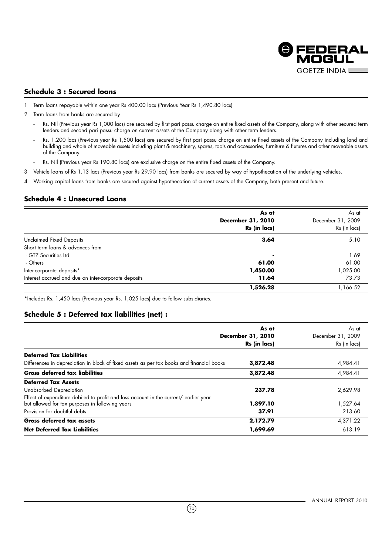

## **Schedule 3 : Secured loans**

- 1 Term loans repayable within one year Rs 400.00 lacs (Previous Year Rs 1,490.80 lacs)
- 2 Term loans from banks are secured by
	- Rs. Nil (Previous year Rs 1,000 lacs) are secured by first pari passu charge on entire fixed assets of the Company, along with other secured term lenders and second pari passu charge on current assets of the Company along with other term lenders.
	- Rs. 1,200 lacs (Previous year Rs 1,500 lacs) are secured by first pari passu charge on entire fixed assets of the Company including land and building and whole of moveable assets including plant & machinery, spares, tools and accessories, furniture & fixtures and other moveable assets of the Company.
	- Rs. Nil (Previous year Rs 190.80 lacs) are exclusive charge on the entire fixed assets of the Company.
- 3 Vehicle loans of Rs 1.13 lacs (Previous year Rs 29.90 lacs) from banks are secured by way of hypothecation of the underlying vehicles.
- 4 Working capital loans from banks are secured against hypothecation of current assets of the Company, both present and future.

## **Schedule 4 : Unsecured Loans**

| As at        | As at             |
|--------------|-------------------|
|              |                   |
|              | December 31, 2009 |
| Rs (in lacs) | Rs (in lacs)      |
| 3.64         | 5.10              |
|              |                   |
| ۰            | 1.69              |
| 61.00        | 61.00             |
| 1,450.00     | 1,025.00          |
| 11.64        | 73.73             |
| 1,526.28     | 1,166.52          |
|              | December 31, 2010 |

\*Includes Rs. 1,450 lacs (Previous year Rs. 1,025 lacs) due to fellow subsidiaries.

## **Schedule 5 : Deferred tax liabilities (net) :**

|                                                                                           | As at<br>December 31, 2010<br>Rs (in lacs) | As at<br>December 31, 2009<br>Rs (in lacs) |
|-------------------------------------------------------------------------------------------|--------------------------------------------|--------------------------------------------|
| <b>Deferred Tax Liabilities</b>                                                           |                                            |                                            |
| Differences in depreciation in block of fixed assets as per tax books and financial books | 3,872.48                                   | 4,984.41                                   |
| <b>Gross deferred tax liabilities</b>                                                     | 3,872.48                                   | 4,984.41                                   |
| <b>Deferred Tax Assets</b>                                                                |                                            |                                            |
| Unabsorbed Depreciation                                                                   | 237.78                                     | 2,629.98                                   |
| Effect of expenditure debited to profit and loss account in the current/ earlier year     |                                            |                                            |
| but allowed for tax purposes in following years                                           | 1,897.10                                   | 1,527.64                                   |
| Provision for doubtful debts                                                              | 37.91                                      | 213.60                                     |
| Gross deferred tax assets                                                                 | 2.172.79                                   | 4,371.22                                   |
| <b>Net Deferred Tax Liabilities</b>                                                       | 1,699.69                                   | 613.19                                     |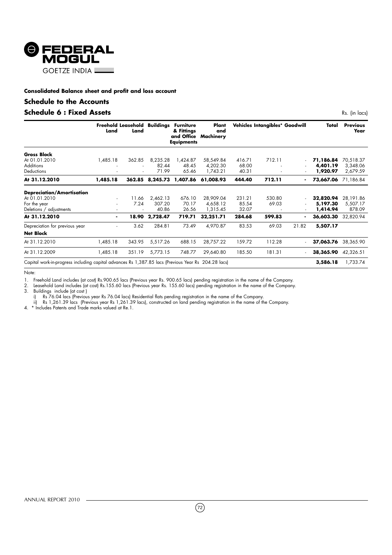

## **Consolidated Balance sheet and profit and loss account**

# **Schedule to the Accounts**

# **Schedule 6 : Fixed Assets** Rs. (in lacs)

|                                                                                                     | Freehold Leasehold<br>Land | Land   | Buildings | <b>Furniture</b><br>& Fittings<br><b>Equipments</b> | Plant<br>and<br>and Office Machinery |        | Vehicles Intangibles* Goodwill |                          | Total     | <b>Previous</b><br>Year |
|-----------------------------------------------------------------------------------------------------|----------------------------|--------|-----------|-----------------------------------------------------|--------------------------------------|--------|--------------------------------|--------------------------|-----------|-------------------------|
| <b>Gross Block</b>                                                                                  |                            |        |           |                                                     |                                      |        |                                |                          |           |                         |
| At 01.01.2010                                                                                       | 1,485.18                   | 362.85 | 8,235.28  | 1,424.87                                            | 58,549.84                            | 416.71 | 712.11                         |                          | 71,186.84 | 70,518.37               |
| <b>Additions</b>                                                                                    |                            |        | 82.44     | 48.45                                               | 4,202.30                             | 68.00  |                                |                          | 4,401.19  | 3,348.06                |
| Deductions                                                                                          |                            |        | 71.99     | 65.46                                               | 1,743.21                             | 40.31  |                                |                          | 1,920.97  | 2,679.59                |
| At 31.12.2010                                                                                       | 1,485.18                   | 362.85 | 8,245.73  | 1,407.86                                            | 61,008.93                            | 444.40 | 712.11                         |                          | 73,667.06 | 71,186.84               |
| <b>Depreciation/Amortisation</b>                                                                    |                            |        |           |                                                     |                                      |        |                                |                          |           |                         |
| At 01.01.2010                                                                                       | $\overline{\phantom{a}}$   | 11.66  | 2.462.13  | 676.10                                              | 28,909.04                            | 231.21 | 530.80                         |                          | 32,820.94 | 28,191.86               |
| For the year                                                                                        | $\overline{\phantom{a}}$   | 7.24   | 307.20    | 70.17                                               | 4,658.12                             | 85.54  | 69.03                          | $\overline{\phantom{a}}$ | 5,197.30  | 5,507.17                |
| Deletions / adjustments                                                                             | $\overline{\phantom{a}}$   |        | 40.86     | 26.56                                               | 1,315.45                             | 32.07  |                                | $\overline{\phantom{a}}$ | 1,414.94  | 878.09                  |
| At 31.12.2010                                                                                       | $\blacksquare$             | 18.90  | 2,728.47  | 719.71                                              | 32,251.71                            | 284.68 | 599.83                         |                          | 36,603.30 | 32,820.94               |
| Depreciation for previous year                                                                      | ٠                          | 3.62   | 284.81    | 73.49                                               | 4,970.87                             | 83.53  | 69.03                          | 21.82                    | 5,507.17  |                         |
| <b>Net Block</b>                                                                                    |                            |        |           |                                                     |                                      |        |                                |                          |           |                         |
| At 31.12.2010                                                                                       | 1,485.18                   | 343.95 | 5,517.26  | 688.15                                              | 28,757.22                            | 159.72 | 112.28                         |                          | 37,063.76 | 38,365.90               |
| At 31.12.2009                                                                                       | 1,485.18                   | 351.19 | 5,773.15  | 748.77                                              | 29,640.80                            | 185.50 | 181.31                         |                          | 38,365.90 | 42,326.51               |
| Capital work-in-progress including capital advances Rs 1,387.85 lacs (Previous Year Rs 204.28 lacs) |                            |        |           |                                                     |                                      |        |                                |                          | 3,586.18  | 1,733.74                |

Note:

1. Freehold Land includes (at cost) Rs.900.65 lacs (Previous year Rs. 900.65 lacs) pending registration in the name of the Company.

2. Leasehold Land includes (at cost) Rs.155.60 lacs (Previous year Rs. 155.60 lacs) pending registration in the name of the Company.

3. Buildings include (at cost )

i) Rs 76.04 lacs (Previous year Rs 76.04 lacs) Residential flats pending registration in the name of the Company.

ii) Rs 1,261.39 lacs (Previous year Rs 1,261.39 lacs), constructed on land pending registration in the name of the Company.

4. \* Includes Patents and Trade marks valued at Re.1.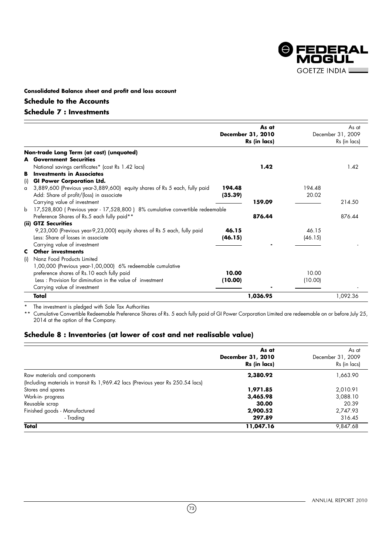

# **Consolidated Balance sheet and profit and loss account**

# **Schedule to the Accounts**

# **Schedule 7 : Investments**

|             |                                                                              | December 31, 2010 | As at        |         | As at<br>December 31, 2009 |
|-------------|------------------------------------------------------------------------------|-------------------|--------------|---------|----------------------------|
|             |                                                                              |                   | Rs (in lacs) |         | Rs (in lacs)               |
|             | Non-trade Long Term (at cost) (unquoted)                                     |                   |              |         |                            |
|             | <b>A</b> Government Securities                                               |                   |              |         |                            |
|             | National savings certificates* (cost Rs 1.42 lacs)                           |                   | 1.42         |         | 1.42                       |
| в           | <b>Investments in Associates</b>                                             |                   |              |         |                            |
| (i)         | <b>GI Power Corporation Ltd.</b>                                             |                   |              |         |                            |
| $\alpha$    | 3,889,600 (Previous year-3,889,600) equity shares of Rs 5 each, fully paid   | 194.48            |              | 194.48  |                            |
|             | Add: Share of profit/(loss) in associate                                     | (35.39)           |              | 20.02   |                            |
|             | Carrying value of investment                                                 |                   | 159.09       |         | 214.50                     |
| $\mathbf b$ | 17,528,800 (Previous year - 17,528,800) 8% cumulative convertible redeemable |                   |              |         |                            |
|             | Preference Shares of Rs.5 each fully paid**                                  |                   | 876.44       |         | 876.44                     |
|             | (ii) GTZ Securities                                                          |                   |              |         |                            |
|             | 9,23,000 (Previous year-9,23,000) equity shares of Rs 5 each, fully paid     | 46.15             |              | 46.15   |                            |
|             | Less: Share of losses in associate                                           | (46.15)           |              | (46.15) |                            |
|             | Carrying value of investment                                                 |                   |              |         |                            |
|             | <b>C</b> Other investments                                                   |                   |              |         |                            |
| (i)         | Nanz Food Products Limited                                                   |                   |              |         |                            |
|             | 1,00,000 (Previous year-1,00,000) 6% redeemable cumulative                   |                   |              |         |                            |
|             | preference shares of Rs.10 each fully paid                                   | 10.00             |              | 10.00   |                            |
|             | Less: Provision for diminution in the value of investment                    | (10.00)           |              | (10.00) |                            |
|             | Carrying value of investment                                                 |                   |              |         |                            |
|             | Total                                                                        |                   | 1,036.95     |         | 1,092.36                   |

\* The investment is pledged with Sale Tax Authorities

\*\* Cumulative Convertible Redeemable Preference Shares of Rs. 5 each fully paid of GI Power Corporation Limited are redeemable on or before July 25, 2014 at the option of the Company.

# **Schedule 8 : Inventories (at lower of cost and net realisable value)**

|                                                                                 | As at             | As at             |
|---------------------------------------------------------------------------------|-------------------|-------------------|
|                                                                                 | December 31, 2010 | December 31, 2009 |
|                                                                                 | Rs (in lacs)      | Rs (in lacs)      |
| Raw materials and components                                                    | 2,380.92          | 1,663.90          |
| (Including materials in transit Rs 1,969.42 lacs (Previous year Rs 250.54 lacs) |                   |                   |
| Stores and spares                                                               | 1,971.85          | 2,010.91          |
| Work-in-progress                                                                | 3,465.98          | 3,088.10          |
| Reusable scrap                                                                  | 30.00             | 20.39             |
| Finished goods - Manufactured                                                   | 2,900.52          | 2,747.93          |
| - Trading                                                                       | 297.89            | 316.45            |
| Total                                                                           | 11,047.16         | 9.847.68          |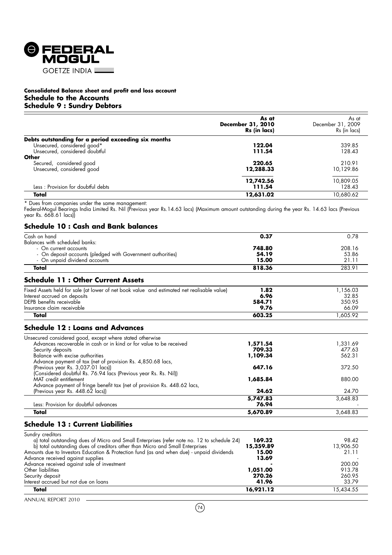

## **Consolidated Balance sheet and profit and loss account Schedule to the Accounts Schedule 9 : Sundry Debtors**

|                                                                 | As at<br>December 31, 2010<br>Rs (in lacs) | As at<br>December 31, 2009<br>Rs (in lacs) |
|-----------------------------------------------------------------|--------------------------------------------|--------------------------------------------|
| Debts outstanding for a period exceeding six months             |                                            |                                            |
| Unsecured, considered good*<br>Unsecured, considered doubtful   | 122.04<br>111.54                           | 339.85<br>128.43                           |
| Other<br>Secured, considered good<br>Unsecured, considered good | 220.65<br>12,288.33                        | 210.91<br>10,129.86                        |
| Less: Provision for doubtful debts                              | 12,742.56<br>111.54                        | 10,809.05<br>128.43                        |
| Total                                                           | 12,631.02                                  | 10.680.62                                  |

\* Dues from companies under the same management:

Federal-Mogul Bearings India Limited Rs. Nil (Previous year Rs.14.63 lacs) (Maximum amount outstanding during the year Rs. 14.63 lacs (Previous year Rs. 668.61 lacs))

# **Schedule 10 : Cash and Bank balances**

| Cash on hand                                                                               | 0.37     | 0.78     |
|--------------------------------------------------------------------------------------------|----------|----------|
| Balances with scheduled banks:                                                             |          |          |
| - On current accounts                                                                      | 748.80   | 208.16   |
| - On deposit accounts (pledged with Government authorities)                                | 54.19    | 53.86    |
| - On unpaid dividend accounts                                                              | 15.00    | 21.11    |
| Total                                                                                      | 818.36   | 283.91   |
| <b>Schedule 11: Other Current Assets</b>                                                   |          |          |
| Fixed Assets held for sale (at lower of net book value and estimated net realisable value) | 1.82     | 1,156.03 |
| Interest accrued on deposits                                                               | 6.96     | 32.85    |
| DEPB benefits receivable                                                                   | 584.71   | 350.95   |
| Insurance claim receivable                                                                 | 9.76     | 66.09    |
| Total                                                                                      | 603.25   | 1,605.92 |
| <b>Schedule 12 : Loans and Advances</b>                                                    |          |          |
| Unsecured considered good, except where stated otherwise                                   |          |          |
| Advances recoverable in cash or in kind or for value to be received                        | 1,571.54 | 1,331.69 |
| Security deposits                                                                          | 709.33   | 477.63   |
| Balance with excise authorities                                                            | 1,109.34 | 562.31   |
| Advance payment of tax (net of provision Rs. 4,850.68 lacs,                                |          |          |
| (Previous year Rs. 3,037.01 lacs))                                                         | 647.16   | 372.50   |
| (Considered doubtful Rs. 76.94 lacs (Previous year Rs. Rs. Nil))                           |          |          |
| MAT credit entitlement                                                                     | 1,685.84 | 880.00   |
| Advance payment of fringe benefit tax (net of provision Rs. 448.62 lacs,                   |          |          |
| (Previous year Rs. 448.62 lacs))                                                           | 24.62    | 24.70    |
|                                                                                            | 5,747.83 | 3,648.83 |
| Less: Provision for doubtful advances                                                      | 76.94    |          |
| Total                                                                                      | 5,670.89 | 3,648.83 |

# **Schedule 13 : Current Liabilities**

| Sundry creditors                                                                            |           |           |
|---------------------------------------------------------------------------------------------|-----------|-----------|
| a) total outstanding dues of Micro and Small Enterprises (refer note no. 12 to schedule 24) | 169.32    | 98.42     |
| b) total outstanding dues of creditors other than Micro and Small Enterprises               | 15,359.89 | 13,906.50 |
| Amounts due to Investors Education & Protection fund (as and when due) - unpaid dividends   | 15.00     | 21.11     |
| Advance received against supplies                                                           | 13.69     |           |
| Advance received against sale of investment                                                 |           | 200.00    |
| Other liabilities                                                                           | 1,051.00  | 913.78    |
| Security deposit                                                                            | 270.26    | 260.95    |
| Interest accrued but not due on loans                                                       | 41.96     | 33.79     |
| Total                                                                                       | 16,921.12 | 15,434.55 |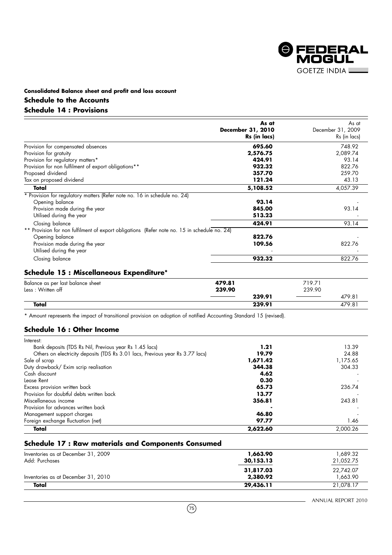

# **Consolidated Balance sheet and profit and loss account Schedule to the Accounts Schedule 14 : Provisions**

|                                                                                              | As at<br><b>December 31, 2010</b><br>Rs (in lacs) | As at<br>December 31, 2009<br>Rs (in lacs) |
|----------------------------------------------------------------------------------------------|---------------------------------------------------|--------------------------------------------|
| Provision for compensated absences                                                           | 695.60                                            | 748.92                                     |
| Provision for gratuity                                                                       | 2,576.75                                          | 2,089.74                                   |
| Provision for regulatory matters*                                                            | 424.91                                            | 93.14                                      |
| Provision for non fulfilment of export obligations**                                         | 932.32                                            | 822.76                                     |
| Proposed dividend                                                                            | 357.70                                            | 259.70                                     |
| Tax on proposed dividend                                                                     | 121.24                                            | 43.13                                      |
| Total                                                                                        | 5,108.52                                          | 4,057.39                                   |
| * Provision for regulatory matters (Refer note no. 16 in schedule no. 24)                    |                                                   |                                            |
| Opening balance                                                                              | 93.14                                             |                                            |
| Provision made during the year                                                               | 845.00                                            | 93.14                                      |
| Utilised during the year                                                                     | 513.23                                            |                                            |
| Closing balance                                                                              | 424.91                                            | 93.14                                      |
| ** Provision for non fulfilment of export obligations (Refer note no. 15 in schedule no. 24) |                                                   |                                            |
| Opening balance                                                                              | 822.76                                            |                                            |
| Provision made during the year<br>Utilised during the year                                   | 109.56                                            | 822.76                                     |
| Closing balance                                                                              | 932.32                                            | 822.76                                     |

# **Schedule 15 : Miscellaneous Expenditure\***

| Balance as per last balance sheet | 479.81 | 719.71 |
|-----------------------------------|--------|--------|
| Less : Written off                | 239.90 | 239.90 |
|                                   | 239.91 | 479.81 |
| Total                             | 239.91 | 479.81 |

\* Amount represents the impact of transitional provision on adoption of notified Accounting Standard 15 (revised).

# **Schedule 16 : Other Income**

| Interest:                                                                     |          |          |
|-------------------------------------------------------------------------------|----------|----------|
| Bank deposits (TDS Rs Nil, Previous year Rs 1.45 lacs)                        | 1.21     | 13.39    |
| Others on electricity deposits (TDS Rs 3.01 lacs, Previous year Rs 3.77 lacs) | 19.79    | 24.88    |
| Sale of scrap                                                                 | 1,671.42 | 1,175.65 |
| Duty drawback/ Exim scrip realisation                                         | 344.38   | 304.33   |
| Cash discount                                                                 | 4.62     |          |
| Lease Rent                                                                    | 0.30     |          |
| Excess provision written back                                                 | 65.73    | 236.74   |
| Provision for doubtful debts written back                                     | 13.77    |          |
| Miscellaneous income                                                          | 356.81   | 243.81   |
| Provision for advances written back                                           |          |          |
| Management support charges                                                    | 46.80    |          |
| Foreign exchange fluctuation (net)                                            | 97.77    | 1.46     |
| Total                                                                         | 2,622.60 | 2.000.26 |

# **Schedule 17 : Raw materials and Components Consumed**

| Inventories as at December 31, 2009<br>Add: Purchases | 1,663.90<br>30,153.13 | 1.689.32<br>21,052.75 |
|-------------------------------------------------------|-----------------------|-----------------------|
| Inventories as at December 31, 2010                   | 31,817.03<br>2,380.92 | 22.742.07<br>1.663.90 |
| Total                                                 | 29,436.11             | 21.078.17             |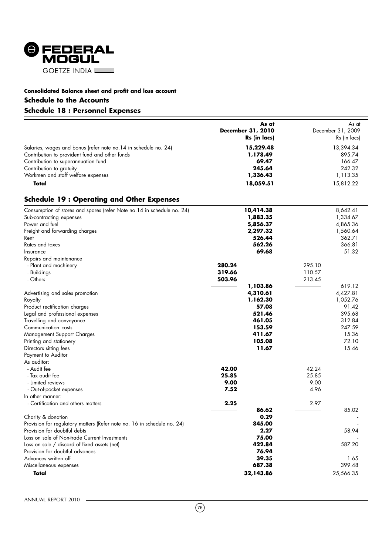

# **Consolidated Balance sheet and profit and loss account Schedule to the Accounts**

# **Schedule 18 : Personnel Expenses**

|                                                                  | As at                    | As at             |
|------------------------------------------------------------------|--------------------------|-------------------|
|                                                                  | <b>December 31, 2010</b> | December 31, 2009 |
|                                                                  | Rs (in lacs)             | Rs (in lacs)      |
| Salaries, wages and bonus (refer note no. 14 in schedule no. 24) | 15,229.48                | 13,394.34         |
| Contribution to provident fund and other funds                   | 1,178.49                 | 895.74            |
| Contribution to superannuation fund                              | 69.47                    | 166.47            |
| Contribution to gratuity                                         | 245.64                   | 242.32            |
| Workmen and staff welfare expenses                               | 1,336.43                 | 1,113.35          |
| Total                                                            | 18,059.51                | 15.812.22         |

# **Schedule 19 : Operating and Other Expenses**

| Consumption of stores and spares (refer Note no. 14 in schedule no. 24) | 10,414.38 |        | 8,642.41  |
|-------------------------------------------------------------------------|-----------|--------|-----------|
| Sub-contracting expenses                                                | 1,883.35  |        | 1,334.67  |
| Power and fuel                                                          | 5,856.37  |        | 4,865.36  |
| Freight and forwarding charges                                          | 2,297.32  |        | 1,560.64  |
| Rent                                                                    | 526.44    |        | 362.71    |
| Rates and taxes                                                         | 562.26    |        | 366.81    |
| Insurance                                                               | 69.68     |        | 51.32     |
| Repairs and maintenance                                                 |           |        |           |
| - Plant and machinery                                                   | 280.24    | 295.10 |           |
| - Buildings                                                             | 319.66    | 110.57 |           |
| - Others                                                                | 503.96    | 213.45 |           |
|                                                                         | 1,103.86  |        | 619.12    |
| Advertising and sales promotion                                         | 4,310.61  |        | 4,427.81  |
| Royalty                                                                 | 1,162.30  |        | 1,052.76  |
| Product rectification charges                                           | 57.08     |        | 91.42     |
| Legal and professional expenses                                         | 521.46    |        | 395.68    |
| Travelling and conveyance                                               | 461.05    |        | 312.84    |
| Communication costs                                                     | 153.59    |        | 247.59    |
| Management Support Charges                                              | 411.67    |        | 15.36     |
| Printing and stationery                                                 | 105.08    |        | 72.10     |
| Directors sitting fees                                                  | 11.67     |        | 15.46     |
| Payment to Auditor                                                      |           |        |           |
| As auditor:                                                             |           |        |           |
| - Audit fee                                                             | 42.00     | 42.24  |           |
| - Tax audit fee                                                         | 25.85     | 25.85  |           |
| - Limited reviews                                                       | 9.00      | 9.00   |           |
| - Out-of-pocket expenses                                                | 7.52      | 4.96   |           |
| In other manner:                                                        |           |        |           |
| - Certification and others matters                                      | 2.25      | 2.97   |           |
|                                                                         | 86.62     |        | 85.02     |
| Charity & donation                                                      | 0.29      |        |           |
| Provision for regulatory matters (Refer note no. 16 in schedule no. 24) | 845.00    |        |           |
| Provision for doubtful debts                                            | 2.27      |        | 58.94     |
| Loss on sale of Non-trade Current Investments                           | 75.00     |        |           |
| Loss on sale / discard of fixed assets (net)                            | 422.84    |        | 587.20    |
| Provision for doubtful advances                                         | 76.94     |        |           |
| Advances written off                                                    | 39.35     |        | 1.65      |
| Miscellaneous expenses                                                  | 687.38    |        | 399.48    |
| Total                                                                   | 32,143.86 |        | 25,566.35 |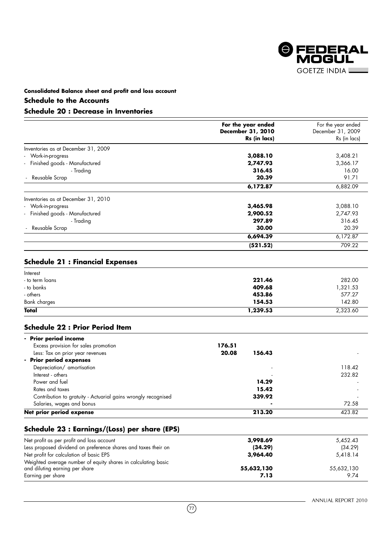

# **Consolidated Balance sheet and profit and loss account**

# **Schedule to the Accounts**

# **Schedule 20 : Decrease in Inventories**

|                                     | For the year ended | For the year ended |
|-------------------------------------|--------------------|--------------------|
|                                     | December 31, 2010  | December 31, 2009  |
|                                     | Rs (in lacs)       | Rs (in lacs)       |
| Inventories as at December 31, 2009 |                    |                    |
| - Work-in-progress                  | 3,088.10           | 3,408.21           |
| - Finished goods - Manufactured     | 2,747.93           | 3,366.17           |
| - Trading                           | 316.45             | 16.00              |
| - Reusable Scrap                    | 20.39              | 91.71              |
|                                     | 6,172.87           | 6,882.09           |
| Inventories as at December 31, 2010 |                    |                    |
| - Work-in-progress                  | 3,465.98           | 3,088.10           |
| - Finished goods - Manufactured     | 2,900.52           | 2,747.93           |
| - Trading                           | 297.89             | 316.45             |
| Reusable Scrap                      | 30.00              | 20.39              |
|                                     | 6,694.39           | 6,172.87           |
|                                     | (521.52)           | 709.22             |

# **Schedule 21 : Financial Expenses**

| Interest        |          |          |
|-----------------|----------|----------|
| - to term loans | 221.46   | 282.00   |
| - to banks      | 409.68   | 1,321.53 |
| - others        | 453.86   | 577.27   |
| Bank charges    | 154.53   | 142.80   |
| Total           | 1,239.53 | 2,323.60 |

# **Schedule 22 : Prior Period Item**

| - Prior period income                                         |        |        |        |
|---------------------------------------------------------------|--------|--------|--------|
| Excess provision for sales promotion                          | 176.51 |        |        |
| Less: Tax on prior year revenues                              | 20.08  | 156.43 |        |
| - Prior period expenses                                       |        |        |        |
| Depreciation/ amortisation                                    |        |        | 118.42 |
| Interest - others                                             |        |        | 232.82 |
| Power and fuel                                                |        | 14.29  |        |
| Rates and taxes                                               |        | 15.42  |        |
| Contribution to gratuity - Actuarial gains wrongly recognised |        | 339.92 |        |
| Salaries, wages and bonus                                     |        |        | 72.58  |
| Net prior period expense                                      |        | 213.20 | 423.82 |

# **Schedule 23 : Earnings/(Loss) per share (EPS)**

| Net profit as per profit and loss account                      | 3,998.69   | 5,452.43   |
|----------------------------------------------------------------|------------|------------|
| Less proposed dividend on preference shares and taxes their on | (34.29)    | (34.29)    |
| Net profit for calculation of basic EPS                        | 3,964.40   | 5,418.14   |
| Weighted average number of equity shares in calculating basic  |            |            |
| and diluting earning per share                                 | 55,632,130 | 55,632,130 |
| Earning per share                                              | 7.13       | 9.74       |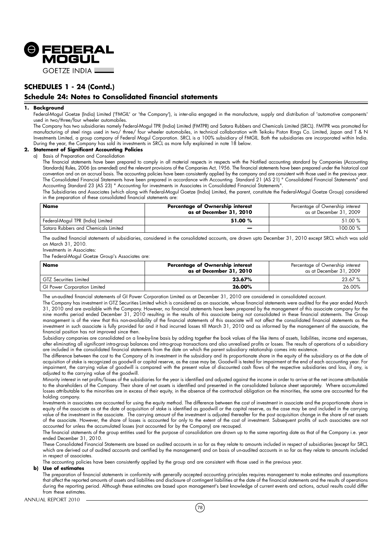

# **SCHEDULES 1 - 24 (Contd.)**

# **Schedule 24: Notes to Consolidated financial statements**

### **1. Background**

Federal-Mogul Goetze (India) Limited ('FMGIL' or 'the Company'), is inter-alia engaged in the manufacture, supply and distribution of 'automotive components' used in two/three/four wheeler automobiles.

The Company has two subsidiaries namely Federal-Mogul TPR (India) Limited (FMTPR) and Satara Rubbers and Chemicals Limited (SRCL). FMTPR was promoted for manufacturing of steel rings used in two/ three/ four wheeler automobiles, in technical collaboration with Teikoku Piston Rings Co. Limited, Japan and T & N Investments Limited, a group company of Federal Mogul Corporation. SRCL is a 100% subsidiary of FMGIL. Both the subsidiaries are incorporated within India. During the year, the Company has sold its investments in SRCL as more fully explained in note 18 below.

## **2. Statement of Significant Accounting Policies**

a) Basis of Preparation and Consolidation

The financial statements have been prepared to comply in all material respects in respects with the Notified accounting standard by Companies (Accounting Standards) Rules, 2006 (as amended) and the relevant provisions of the Companies Act, 1956. The financial statements have been prepared under the historical cost convention and on an accrual basis. The accounting policies have been consistently applied by the company and are consistent with those used in the previous year. The Consolidated Financial Statements have been prepared in accordance with Accounting Standard 21 (AS 21) " Consolidated Financial Statements" and Accounting Standard 23 (AS 23) " Accounting for investments in Associates in Consolidated Financial Statements".

The Subsidiaries and Associates (which along with Federal-Mogul Goetze (India) Limited, the parent, constitute the Federal-Mogul Goetze Group) considered in the preparation of these consolidated financial statements are:

| <b>Name</b>                          | Percentage of Ownership interest<br>as at December 31, 2010 | Percentage of Ownership interest<br>as at December 31, 2009 |
|--------------------------------------|-------------------------------------------------------------|-------------------------------------------------------------|
| Federal-Mogul TPR (India) Limited    | 51.00 %                                                     | 51.00 %                                                     |
| Satara Rubbers and Chemicals Limited |                                                             | 100.00 %                                                    |

The audited financial statements of subsidiaries, considered in the consolidated accounts, are drawn upto December 31, 2010 except SRCL which was sold on March 31, 2010.

Investments in Associates:

The Federal-Mogul Goetze Group's Associates are:

| Name                                | Percentage of Ownership interest<br>as at December 31, 2010 | Percentage of Ownership interest<br>as at December 31, 2009 |
|-------------------------------------|-------------------------------------------------------------|-------------------------------------------------------------|
| GTZ Securities Limited              | 23.67%                                                      | 23.67%                                                      |
| <b>GI Power Corporation Limited</b> | 26.00%                                                      | 26.00%                                                      |

The un-audited financial statements of GI Power Corporation Limited as at December 31, 2010 are considered in consolidated account.

The Company has investment in GTZ Securities Limited which is considered as an associate, whose financial statements were audited for the year ended March 31, 2010 and are available with the Company. However, no financial statements have been prepared by the management of this associate company for the nine months period ended December 31, 2010 resulting in the results of this associate being not consolidated in these financial statements. The Group management is of the view that this non-availability of the financial statements of this associate will not affect the consolidated financial statements as the investment in such associate is fully provided for and it had incurred losses till March 31, 2010 and as informed by the management of the associate, the financial position has not improved since then.

Subsidiary companies are consolidated on a line-by-line basis by adding together the book values of the like items of assets, liabilities, income and expenses, after eliminating all significant intra-group balances and intra-group transactions and also unrealised profits or losses. The results of operations of a subsidiary are included in the consolidated financial statements from the date on which the parent subsidiary relationship comes into existence.

The difference between the cost to the Company of its investment in the subsidiary and its proportionate share in the equity of the subsidiary as at the date of acquisition of stake is recognized as goodwill or capital reserve, as the case may be. Goodwill is tested for impairment at the end of each accounting year. For impairment, the carrying value of goodwill is compared with the present value of discounted cash flows of the respective subsidiaries and loss, if any, is adjusted to the carrying value of the goodwill.

Minority interest in net profits/losses of the subsidiaries for the year is identified and adjusted against the income in order to arrive at the net income attributable to the shareholders of the Company. Their share of net assets is identified and presented in the consolidated balance sheet separately. Where accumulated losses attributable to the minorities are in excess of their equity, in the absence of the contractual obligation on the minorities, the same are accounted for the holding company.

Investments in associates are accounted for using the equity method. The difference between the cost of investment in associate and the proportionate share in equity of the associate as at the date of acquisition of stake is identified as goodwill or the capital reserve, as the case may be and included in the carrying value of the investment in the associate. The carrying amount of the investment is adjusted thereafter for the post acquisition change in the share of net assets of the associate. However, the share of losses is accounted for only to the extent of the cost of investment. Subsequent profits of such associates are not accounted for unless the accumulated losses (not accounted for by the Company) are recouped.

The financial statements of the group entities used for the purpose of consolidation are drawn up to the same reporting date as that of the Company i.e. year ended December 31, 2010.

These Consolidated Financial Statements are based on audited accounts in so far as they relate to amounts included in respect of subsidiaries (except for SRCL which are derived out of audited accounts and certified by the management) and on basis of un-audited accounts in so far as they relate to amounts included in respect of associates.

The accounting policies have been consistently applied by the group and are consistent with those used in the previous year.

#### **b) Use of estimates**

The preparation of financial statements in conformity with generally accepted accounting principles requires management to make estimates and assumptions that affect the reported amounts of assets and liabilities and disclosure of contingent liabilities at the date of the financial statements and the results of operations during the reporting period. Although these estimates are based upon management's best knowledge of current events and actions, actual results could differ from these estimates.

 $(78)$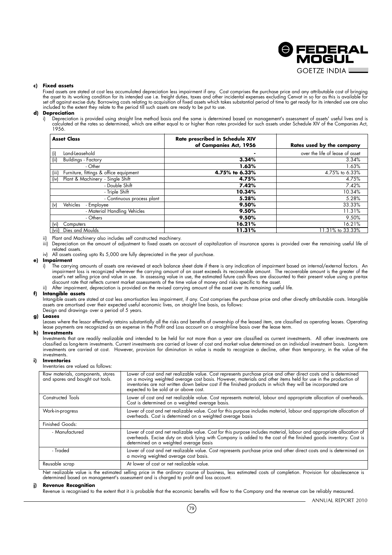

### **c) Fixed assets**

Fixed assets are stated at cost less accumulated depreciation less impairment if any. Cost comprises the purchase price and any attributable cost of bringing the asset to its working condition for its intended use i.e. freight duties, taxes and other incidental expenses excluding Cenvat in so far as this is available for set off against excise duty. Borrowing costs relating to acquisition of fixed assets which takes substantial period of time to get ready for its intended use are also<br>included to the extent they relate to the period till s

#### **d) Depreciation**

i) Depreciation is provided using straight line method basis and the same is determined based on management's assessment of assets' useful lives and is calculated at the rates so determined, which are either equal to or higher than rates provided for such assets under Schedule XIV of the Companies Act, 1956.

| <b>Asset Class</b>                              | <b>Rate prescribed in Schedule XIV</b><br>of Companies Act, 1956 | Rates used by the company       |
|-------------------------------------------------|------------------------------------------------------------------|---------------------------------|
| Land-Leasehold<br>(i)                           |                                                                  | over the life of lease of asset |
| (ii)<br><b>Buildings - Factory</b>              | 3.34%                                                            | 3.34%                           |
| - Other                                         | 1.63%                                                            | 1.63%                           |
| Furniture, fittings & office equipment<br>(iii) | 4.75% to 6.33%                                                   | 4.75% to 6.33%                  |
| Plant & Machinery - Single Shift<br>(iv)        | 4.75%                                                            | 4.75%                           |
| - Double Shift                                  | 7.42%                                                            | 7.42%                           |
| - Triple Shift                                  | 10.34%                                                           | 10.34%                          |
| - Continuous process plant                      | 5.28%                                                            | 5.28%                           |
| Vehicles<br>- Employee<br>(v)                   | 9.50%                                                            | 33.33%                          |
| - Material Handling Vehicles                    | 9.50%                                                            | 11.31%                          |
| - Others                                        | 9.50%                                                            | 9.50%                           |
| $(v_i)$<br>Computers                            | 16.21%                                                           | 16.21%                          |
| Dies and Moulds<br>(vii)                        | 11.31%                                                           | 1.31% to 33.33%                 |

ii) Plant and Machinery also includes self constructed machinery.

iii) Depreciation on the amount of adjustment to fixed assets on account of capitalization of insurance spares is provided over the remaining useful life of related assets.

iv) All assets costing upto Rs 5,000 are fully depreciated in the year of purchase.

#### **e) Impairment**

i) The carrying amounts of assets are reviewed at each balance sheet date if there is any indication of impairment based on internal/external factors. An impairment loss is recognized wherever the carrying amount of an asset exceeds its recoverable amount. The recoverable amount is the greater of the asset's net selling price and value in use. In assessing value in use, the estimated future cash flows are discounted to their present value using a pre-tax discount rate that reflects current market assessments of the time value of money and risks specific to the asset.

ii) After impairment, depreciation is provided on the revised carrying amount of the asset over its remaining useful life.

#### **f) Intangible assets**

Intangible assets are stated at cost less amortisation less impairment, if any. Cost comprises the purchase price and other directly attributable costs. Intangible assets are amortised over their expected useful economic lives, on straight line basis, as follows: Design and drawings- over a period of 5 years.

#### **g) Leases**

Leases where the lessor effectively retains substantially all the risks and benefits of ownership of the leased item, are classified as operating leases. Operating lease payments are recognized as an expense in the Profit and Loss account on a straight-line basis over the lease term.

#### **h) Investments**

Investments that are readily realizable and intended to be held for not more than a year are classified as current investments. All other investments are classified as long-term investments. Current investments are carried at lower of cost and market value determined on an individual investment basis. Long-term investments are carried at cost. However, provision for diminution in value is made to recognize a decline, other than temporary, in the value of the investments.

#### **i) Inventories**

Inventories are valued as follows:

| Raw materials, components, stores<br>and spares and bought out tools. | Lower of cost and net realizable value. Cost represents purchase price and other direct costs and is determined<br>on a moving weighted average cost basis. However, materials and other items held for use in the production of<br>inventories are not written down below cost if the finished products in which they will be incorporated are<br>expected to be sold at or above cost. |
|-----------------------------------------------------------------------|------------------------------------------------------------------------------------------------------------------------------------------------------------------------------------------------------------------------------------------------------------------------------------------------------------------------------------------------------------------------------------------|
| <b>Constructed Tools</b>                                              | Lower of cost and net realizable value. Cost represents material, labour and appropriate allocation of overheads.<br>Cost is determined on a weighted average basis.                                                                                                                                                                                                                     |
| Work-in-progress                                                      | Lower of cost and net realizable value. Cost for this purpose includes material, labour and appropriate allocation of<br>overheads. Cost is determined on a weighted average basis                                                                                                                                                                                                       |
| Finished Goods:                                                       |                                                                                                                                                                                                                                                                                                                                                                                          |
| - Manufactured                                                        | Lower of cost and net realizable value. Cost for this purpose includes material, labour and appropriate allocation of<br>overheads. Excise duty on stock lying with Company is added to the cost of the finished goods inventory. Cost is<br>determined on a weighted average basis                                                                                                      |
| - Traded                                                              | Lower of cost and net realizable value. Cost represents purchase price and other direct costs and is determined on<br>a moving weighted average cost basis.                                                                                                                                                                                                                              |
| Reusable scrap                                                        | At lower of cost or net realizable value.                                                                                                                                                                                                                                                                                                                                                |

Net realizable value is the estimated selling price in the ordinary course of business, less estimated costs of completion. Provision for obsolescence is determined based on management's assessment and is charged to profit and loss account.

#### **j) Revenue Recognition**

Revenue is recognised to the extent that it is probable that the economic benefits will flow to the Company and the revenue can be reliably measured.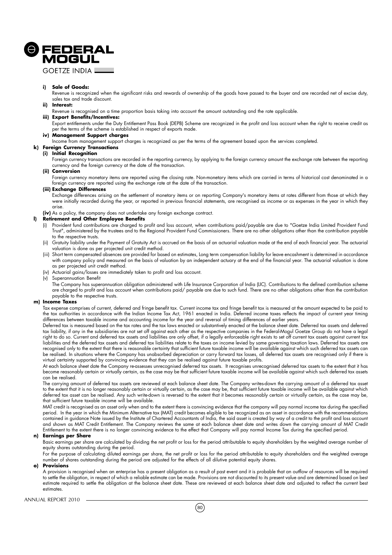

**GOFTZE INDIA \_** 

#### **i) Sale of Goods:**

Revenue is recognized when the significant risks and rewards of ownership of the goods have passed to the buyer and are recorded net of excise duty, sales tax and trade discount.

#### **ii) Interest:**

Revenue is recognised on a time proportion basis taking into account the amount outstanding and the rate applicable.

## **iii) Export Benefits/Incentives:**

Export entitlements under the Duty Entitlement Pass Book (DEPB) Scheme are recognized in the profit and loss account when the right to receive credit as per the terms of the scheme is established in respect of exports made.

#### **iv) Management Support charges**

Income from management support charges is recognized as per the terms of the agreement based upon the services completed.

#### **k) Foreign Currency Transactions**

#### **(i) Initial Recognition**

Foreign currency transactions are recorded in the reporting currency, by applying to the foreign currency amount the exchange rate between the reporting currency and the foreign currency at the date of the transaction.

#### **(ii) Conversion**

Foreign currency monetary items are reported using the closing rate. Non-monetary items which are carried in terms of historical cost denominated in a foreign currency are reported using the exchange rate at the date of the transaction.

### **(iii) Exchange Differences**

Exchange differences arising on the settlement of monetary items or on reporting Company's monetary items at rates different from those at which they were initially recorded during the year, or reported in previous financial statements, are recognised as income or as expenses in the year in which they arise.

**(iv)** As a policy, the company does not undertake any foreign exchange contract.

## **l) Retirement and Other Employee Benefits**

- Provident fund contributions are charged to profit and loss account, when contributions paid/payable are due to "Goetze India Limited Provident Fund Trust", administered by the trustees and to the Regional Provident Fund Commissioners. There are no other obligations other than the contribution payable to the respective trusts.
- (ii) Gratuity liability under the Payment of Gratuity Act is accrued on the basis of an actuarial valuation made at the end of each financial year. The actuarial valuation is done as per projected unit credit method.
- (iii) Short term compensated absences are provided for based on estimates, Long term compensation liability for leave encashment is determined in accordance with company policy and measured on the basis of valuation by an independent actuary at the end of the financial year. The actuarial valuation is done as per projected unit credit method.
- (iv) Actuarial gains/losses are immediately taken to profit and loss account.
- (v) Superannuation Benefit

The Company has superannuation obligation administered with Life Insurance Corporation of India (LIC). Contributions to the defined contribution scheme are charged to profit and loss account when contributions paid/ payable are due to such fund. There are no other obligations other than the contribution payable to the respective trusts.

#### **m) Income Taxes**

Tax expense comprises of current, deferred and fringe benefit tax. Current income tax and fringe benefit tax is measured at the amount expected to be paid to the tax authorities in accordance with the Indian Income Tax Act, 1961 enacted in India. Deferred income taxes reflects the impact of current year timing differences between taxable income and accounting income for the year and reversal of timing differences of earlier years.

Deferred tax is measured based on the tax rates and the tax laws enacted or substantively enacted at the balance sheet date. Deferred tax assets and deferred tax liability, if any in the subsidiaries are not set off against each other as the respective companies in the Federal-Mogul Goetze Group do not have a legal right to do so. Current and deferred tax assets and liabilities are only offset, if a legally enforceable right exists to set off current tax assets against current tax liabilities and the deferred tax assets and deferred tax liabilities relate to the taxes on income levied by same governing taxation laws. Deferred tax assets are recognised only to the extent that there is reasonable certainty that sufficient future taxable income will be available against which such deferred tax assets can be realised. In situations where the Company has unabsorbed depreciation or carry forward tax losses, all deferred tax assets are recognised only if there is virtual certainty supported by convincing evidence that they can be realised against future taxable profits.

At each balance sheet date the Company re-assesses unrecognised deferred tax assets. It recognises unrecognised deferred tax assets to the extent that it has become reasonably certain or virtually certain, as the case may be that sufficient future taxable income will be available against which such deferred tax assets can be realised.

The carrying amount of deferred tax assets are reviewed at each balance sheet date. The Company writes-down the carrying amount of a deferred tax asset to the extent that it is no longer reasonably certain or virtually certain, as the case may be, that sufficient future taxable income will be available against which deferred tax asset can be realised. Any such write-down is reversed to the extent that it becomes reasonably certain or virtually certain, as the case may be, that sufficient future taxable income will be available.

MAT credit is recognised as an asset only when and to the extent there is convincing evidence that the company will pay normal income tax during the specified period. In the year in which the Minimum Alternative tax (MAT) credit becomes eligible to be recognized as an asset in accordance with the recommendations contained in guidance Note issued by the Institute of Chartered Accountants of India, the said asset is created by way of a credit to the profit and loss account and shown as MAT Credit Entitlement. The Company reviews the same at each balance sheet date and writes down the carrying amount of MAT Credit Entitlement to the extent there is no longer convincing evidence to the effect that Company will pay normal Income Tax during the specified period.

#### **n) Earnings per Share**

Basic earnings per share are calculated by dividing the net profit or loss for the period attributable to equity shareholders by the weighted average number of equity shares outstanding during the period.

For the purpose of calculating diluted earnings per share, the net profit or loss for the period attributable to equity shareholders and the weighted average number of shares outstanding during the period are adjusted for the effects of all dilutive potential equity shares.

#### **o) Provisions**

A provision is recognised when an enterprise has a present obligation as a result of past event and it is probable that an outflow of resources will be required to settle the obligation, in respect of which a reliable estimate can be made. Provisions are not discounted to its present value and are determined based on best estimate required to settle the obligation at the balance sheet date. These are reviewed at each balance sheet date and adjusted to reflect the current best estimates.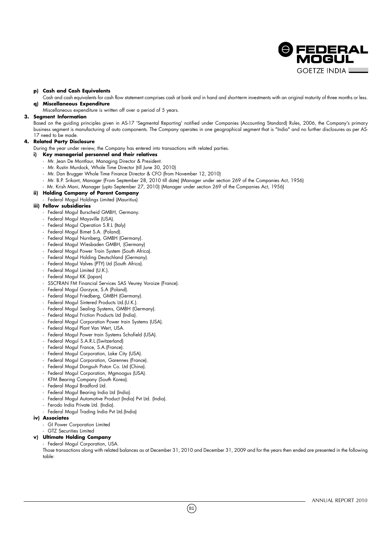

### **p) Cash and Cash Equivalents**

Cash and cash equivalents for cash flow statement comprises cash at bank and in hand and short-term investments with an original maturity of three months or less. **q) Miscellaneous Expenditure**

Miscellaneous expenditure is written off over a period of 5 years.

### **3. Segment Information**

Based on the guiding principles given in AS-17 'Segmental Reporting' notified under Companies (Accounting Standard) Rules, 2006, the Company's primary business segment is manufacturing of auto components. The Company operates in one geographical segment that is "India" and no further disclosures as per AS-17 need to be made.

## **4. Related Party Disclosure**

During the year under review, the Company has entered into transactions with related parties.

- **i) Key managerial personnel and their relatives**
	- Mr. Jean De Montlaur, Managing Director & President.
	- Mr. Rustin Murdock, Whole Time Director (till June 30, 2010)
	- Mr. Dan Brugger Whole Time Finance Director & CFO (from November 12, 2010)
	- Mr. B.P. Srikant, Manager (From September 28, 2010 till date) (Manager under section 269 of the Companies Act, 1956)
	- Mr. Krish Mani, Manager (upto September 27, 2010) (Manager under section 269 of the Companies Act, 1956)

### **ii) Holding Company of Parent Company**

- Federal Mogul Holdings Limited (Mauritius)
- **iii) Fellow subsidiaries**
	- Federal Mogul Burscheid GMBH, Germany.
	- Federal Mogul Maysville (USA).
	- Federal Mogul Operation S.R.L (Italy)
	- Federal Mogul Bimet S.A. (Poland).
	- Federal Mogul Nurnberg, GMBH (Germany).
	- Federal Mogul Wiesbaden GMBH, (Germany)
	- Federal Mogul Power Train System (South Africa).
	- Federal Mogul Holding Deutschland (Germany).
	- Federal Mogul Valves (PTY) Ltd (South Africa).
	- Federal Mogul Limited (U.K.).
	- Federal Mogul KK (Japan)
	- SSCFRAN FM Financial Services SAS Veurey Voroize (France).
	- Federal Mogul Gorzyce, S.A (Poland).
	- Federal Mogul Friedberg, GMBH (Germany).
	- Federal Mogul Sintered Products Ltd.(U.K.).
	- Federal Mogul Sealing Systems, GMBH (Germany).
	- Federal Mogul Friction Products Ltd (India).
	- Federal Mogul Corporation Power train Systems (USA).
	- Federal Mogul Plant Van Wert, USA.
	- Federal Mogul Power train Systems Schofield (USA).
	- Federal Mogul S.A.R.L.(Switzerland)
	- Federal Mogul France, S.A.(France).
	- Federal Mogul Corporation, Lake City (USA).
	- Federal Mogul Corporation, Garennes (France).
	- Federal Mogul Dongsuh Piston Co. Ltd (China).
	- Federal Mogul Corporation, Mgmoogus (USA).
	- KFM Bearing Company (South Korea).
	- Federal Mogul Bradford Ltd.
	- Federal Mogul Bearing India Ltd (India).
	- Federal Mogul Automotive Product (India) Pvt Ltd. (India).
	- Ferodo India Private Ltd. (India).
	- Federal Mogul Trading India Pvt Ltd.(India)

#### **iv) Associates**

- GI Power Corporation Limited
- **GTZ** Securities Limited

## **v) Ultimate Holding Company**

- Federal Mogul Corporation, USA.

Those transactions along with related balances as at December 31, 2010 and December 31, 2009 and for the years then ended are presented in the following table: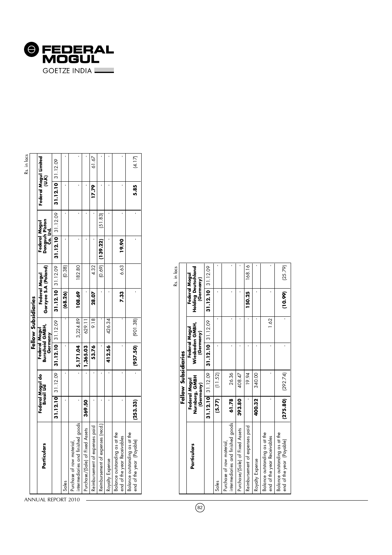| <b>@FEDERAL</b> |
|-----------------|
| MOGUL           |
|                 |

|                                                                |          |                                |                                     | Fellow Subsidiaries                         |                                       |                   |                                             |         |                     | Rs. in lacs                    |
|----------------------------------------------------------------|----------|--------------------------------|-------------------------------------|---------------------------------------------|---------------------------------------|-------------------|---------------------------------------------|---------|---------------------|--------------------------------|
| Particulars                                                    |          | Federal Mogul do<br>Brasil Ltd |                                     | Burscheid GMBH,<br>Federal Mogul<br>Germany | Gorzyee S.A (Poland)<br>Federal Mogul |                   | Federal Mogul<br>Dongsuh Piston<br>Co. Ltd. |         |                     | Federal Mogul Limited<br>(U.K) |
|                                                                |          |                                | 31.12.10 31.12.09 31.12.10 31.12.09 |                                             |                                       | 31.12.10 31.12.09 | 31.12.10 31.12.09                           |         | $31.12.10$ 31.12.09 |                                |
| Sales                                                          |          |                                |                                     |                                             | (68.26)                               | (0.38)            |                                             |         |                     |                                |
| intermediaries and finished goods<br>Purchase of raw material, |          |                                |                                     | 5,171.04 $3,224.89$                         | 108.69                                | 182.80            |                                             |         |                     |                                |
| Purchase/(Sale) of Fixed Assets                                | 369.50   |                                | 1,365.03                            | 629.11                                      |                                       |                   |                                             |         |                     |                                |
| Reimbursement of expenses paid                                 |          |                                | 53.76                               | 9.18                                        | 28.07                                 | 4.32              |                                             |         | 17.79               | 61.67                          |
| Reimbursement of expenses (recd.                               |          |                                |                                     |                                             |                                       | (0.69)            | [139.22)                                    | (51.83) |                     |                                |
| Royalty Expense                                                |          |                                | 412.56                              | 426.34                                      |                                       |                   |                                             |         |                     |                                |
| Balance outstanding as at the<br>end of the year Receivables   |          |                                |                                     |                                             | 7.33                                  | 6.63              | 19.90                                       |         |                     |                                |
| Balance outstanding as at the<br>end of the year (Payable)     | (253.33) |                                | (957.50)                            | (901.38)                                    |                                       |                   |                                             |         | 5.85                | (4.17)                         |

|                                                                |        | Fellow Subsidiaries                          |                              |               |                                                          | Rs. in lacs |
|----------------------------------------------------------------|--------|----------------------------------------------|------------------------------|---------------|----------------------------------------------------------|-------------|
| Particulars                                                    |        | Nurnberg, GMBH<br>Federal Mogul<br>(Germany) | Wiesbaden GMBH,<br>(Germany) | Federal Mogul | <b>Holding Deutschland</b><br>Federal Mogul<br>(Germany) |             |
|                                                                |        | 31.12.10 31.12.09                            | $31.12.10$ 31.12.09          |               | 31.12.10 31.12.09                                        |             |
| Sales                                                          | (5.77) | (11.52)                                      |                              |               |                                                          |             |
| intermediaries and finished goods<br>Purchase ot raw material, | 61.78  | 26.36                                        |                              |               |                                                          |             |
| Purchase/(Sale) of Fixed Assets                                | 393.80 | 408.47                                       |                              |               |                                                          |             |
| Reimbursement of expenses paid                                 |        | 19.94                                        |                              |               | 150.25                                                   | 168.16      |
| Royalty Expense                                                | 400.32 | 340.00                                       |                              |               |                                                          |             |
| Balance outstanding as at the<br>end of the year Receivables   |        |                                              |                              | 1.62          |                                                          |             |
| Balance outstanding as at the<br>end of the year (Payable)     |        | $(275.80)$ $(292.74)$                        |                              |               | (10.99)                                                  | (25.79)     |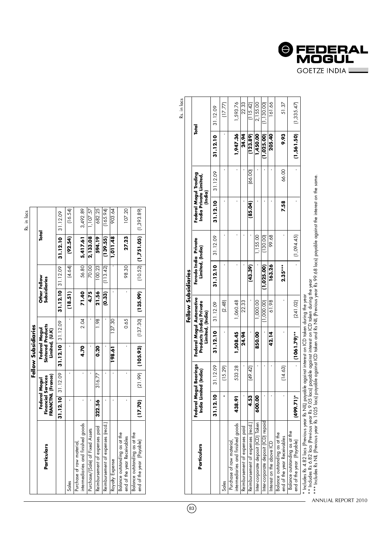| r, |
|----|

|                                                               |         |                                                                 | Fellow Subsidiaries |                                           |                              |          |                        |             |
|---------------------------------------------------------------|---------|-----------------------------------------------------------------|---------------------|-------------------------------------------|------------------------------|----------|------------------------|-------------|
| Particulars                                                   |         | FRANCTNL (France)<br><b>Financial Services</b><br>Federal Mogul | Limited, (U.K)      | <b>Sintered Products</b><br>Federal Mogul | Other Fellow<br>Subsidiaries |          | Total                  |             |
|                                                               |         | 31.12.10 31.12.09                                               | $31.12.10$ 31.12.09 |                                           | 31.12.10 31.12.09            |          | $31.12.10$ 31.12.09    |             |
| Sales                                                         |         |                                                                 |                     |                                           | (18.51)                      | 4.64     | (92.54)                | (16.54)     |
| intermediaries and finished goods<br>Purchase of raw material |         |                                                                 | 4.70                | 2.04                                      | 71.40                        | 56.80    | 5,417.61               | 3,492.89    |
| Purchase/(Sale) of Fixed Assets                               |         |                                                                 |                     |                                           | 4.75                         | 70.00    | 2,133.08               | 107.57      |
| Reimbursement of expenses paid                                | 322.56  | 316.77                                                          | 0.20                | 1.98                                      | 21.56                        | 100.23   | 594.19                 | 682.25      |
| Reimbursement ot expenses (recd.                              |         |                                                                 |                     |                                           | (0.33)                       | (113.42) | (139.55)               | (165.94)    |
| Royalty Expense                                               |         |                                                                 | 198.61              | 137.30                                    |                              |          | 1,011.48               | 903.64      |
| Balance outstanding as at the<br>end of the year Receivables  |         |                                                                 |                     | 0.65                                      |                              | 98.30    | 27.23                  | 107.20      |
| Balance outstanding as at the<br>end of the year (Payable)    | (17.70) |                                                                 | $(21.99)$ (105.93)  |                                           | $(137.30)$ $(135.99)$        |          | $(10.52)$ $(1.751.05)$ | (1, 393.89) |

|                                                                                                     |           |                                                 |                                                                          |                     |                                          |            |                                                            |          |            | Rs. in lacs |
|-----------------------------------------------------------------------------------------------------|-----------|-------------------------------------------------|--------------------------------------------------------------------------|---------------------|------------------------------------------|------------|------------------------------------------------------------|----------|------------|-------------|
|                                                                                                     |           |                                                 |                                                                          | Fellow Subsidiaries |                                          |            |                                                            |          |            |             |
| Particulars                                                                                         |           | Federal Mogul Bearings<br>India Limited (India) | Federal Mogul Automotive<br>Products (India) Private<br>Limited, (India) |                     | Ferodo India Private<br>Limited, (India) |            | Federal Mogul Trading<br>India Private Limited,<br>(India) |          |            | Total       |
|                                                                                                     | 31.12.10  | 31.12.09                                        | 31.12.10                                                                 | 31.12.09            | 31.12.10                                 | 31.12.09   | 31.12.10                                                   | 31.12.09 | 31.12.10   | 31.12.09    |
| Sales                                                                                               |           | (15.29)                                         |                                                                          | (2.48)              |                                          |            |                                                            |          |            | (17.77)     |
| intermediaries and finished goods<br>Purchase of raw material                                       | 438.91    | 533.28                                          | 1,508.45                                                                 | 1,060.48            |                                          |            |                                                            |          | 1,947.36   | 1,593.76    |
| Reimbursement of expenses paid                                                                      |           |                                                 | 24.94                                                                    | 22.33               |                                          |            |                                                            |          | 24.94      | 22.33       |
| Reimbursement ot expenses (recd.)                                                                   | 4.53      | (49.42)                                         |                                                                          |                     | (43.39)                                  |            | (85.04)                                                    | (66.00)  | (123.89)   | (115.42)    |
| Inter-corporate deposit (ICD) Taken                                                                 | 600.00    |                                                 | 850.00                                                                   | 1,000.00            |                                          | 1,155.00   |                                                            |          | 1,450.00   | 2,155.00    |
| Inter-corporate deposit (ICD) repaid                                                                |           |                                                 |                                                                          | 1,000.00            | (1,025.00)                               | (130.00)   |                                                            |          | (1,025.00) | (1, 130.00) |
| Interest on the above ICD                                                                           |           |                                                 | 42.14                                                                    | 61.98               | 163.26                                   | 99.68      |                                                            |          | 205.40     | 161.66      |
| Balance outstanding as at the<br>end of the year Receivables                                        |           | (14.63)                                         |                                                                          |                     | $2.35***$                                |            | 7.58                                                       | 66.00    | 9.93       | 51.37       |
| Balance outstanding as at the<br>end of the year (Payable)                                          | (499.71)* |                                                 | 1061.79                                                                  | [241.02]            |                                          | (1,094.45) |                                                            |          | (1,561.50) | (1, 335.47) |
| Indudes Rs 4.82 lacs (Previous year Rs NIL) payable against interest on ICD taken during the year ' |           |                                                 |                                                                          |                     |                                          |            |                                                            |          |            |             |

 $\overline{\circ}$ 

 $\overline{a}$ 

\*\* Includes Rs 6.82 lacs (Previous year Rs 9.05 lacs) payable against interest on ICD taken during the year

\*\*\* Includes Rs NIL (Previous year Rs 1025 lacs) payable against ICD taken and Rs NIL (Previous year Rs 99.68 lacs) payable against the interest on the same.

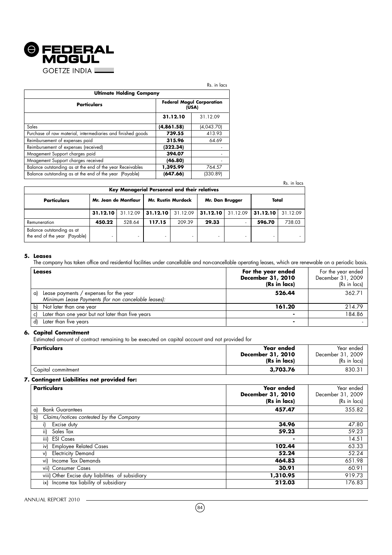

|                                                             |            | Rs. in lacs                      |
|-------------------------------------------------------------|------------|----------------------------------|
| <b>Ultimate Holding Company</b>                             |            |                                  |
| <b>Particulars</b>                                          | (USA)      | <b>Federal Mogul Corporation</b> |
|                                                             | 31.12.10   | 31.12.09                         |
| Sales                                                       | (4,861.58) | (4,043,70)                       |
| Purchase of raw material, intermediaries and finished goods | 739.55     | 413.93                           |
| Reimbursement of expenses paid                              | 315.96     | 64.69                            |
| Reimbursement of expenses (received)                        | (322.34)   |                                  |
| Mnagement Support charges paid                              | 394.07     |                                  |
| Mnagement Support charges received                          | (46.80)    |                                  |
| Balance outstanding as at the end of the year Receivables   | 1,395.99   | 764.57                           |
| Balance outstanding as at the end of the year (Payable)     | (647.66)   | (330.89)                         |

|                                                            |                      |          |                                                                           |          |                 |          |          | Rs. in lacs |
|------------------------------------------------------------|----------------------|----------|---------------------------------------------------------------------------|----------|-----------------|----------|----------|-------------|
| <b>Particulars</b>                                         | Mr. Jean de Montlaur |          | Key Managerial Personnel and their relatives<br><b>Mr. Rustin Murdock</b> |          |                 |          | Total    |             |
|                                                            |                      |          |                                                                           |          | Mr. Dan Brugger |          |          |             |
|                                                            | 31.12.10             | 31.12.09 | 31.12.10                                                                  | 31.12.09 | 31.12.10        | 31.12.09 | 31.12.10 | 31.12.09    |
| Remuneration                                               | 450.22               | 528.64   | 117.15                                                                    | 209.39   | 29.33           | -        | 596.70   | 738.03      |
| Balance outstanding as at<br>the end of the year (Payable) |                      |          |                                                                           |          |                 |          |          |             |

## **5. Leases**

The company has taken office and residential facilities under cancellable and non-cancellable operating leases, which are renewable on a periodic basis.

| Leases                      |                                                                                               | For the year ended<br>December 31, 2010<br>(Rs in lacs) | For the year ended<br>December 31, 2009<br>(Rs in lacs) |
|-----------------------------|-----------------------------------------------------------------------------------------------|---------------------------------------------------------|---------------------------------------------------------|
| a)                          | Lease payments / expenses for the year<br>Minimum Lease Payments (for non cancelable leases): | 526.44                                                  | 362.71                                                  |
| Not later than one year     |                                                                                               | 161.20                                                  | 214.79                                                  |
|                             | Later than one year but not later than five years                                             |                                                         | 184.86                                                  |
| Later than five years<br>d) |                                                                                               |                                                         |                                                         |

## **6. Capital Commitment**

Estimated amount of contract remaining to be executed on capital account and not provided for

| <b>Particulars</b> | Year ended<br><b>December 31, 2010</b><br>(Rs in lacs) | Year ended<br>December 31, 2009<br>(Rs in lacs) |
|--------------------|--------------------------------------------------------|-------------------------------------------------|
| Capital commitment | 3,703.76                                               | 830.3'                                          |

## **7. Contingent Liabilities not provided for:**

| <b>Particulars</b>                                | Year ended<br>December 31, 2010<br>(Rs in lacs) | Year ended<br>December 31, 2009<br>(Rs in lacs) |
|---------------------------------------------------|-------------------------------------------------|-------------------------------------------------|
| <b>Bank Guarantees</b><br>a)                      | 457.47                                          | 355.82                                          |
| Claims/notices contested by the Company<br>b)     |                                                 |                                                 |
| Excise duty                                       | 34.96                                           | 47.80                                           |
| ii)<br>Sales Tax                                  | 59.23                                           | 59.23                                           |
| iii) ESI Cases                                    | ۰                                               | 14.51                                           |
| <b>Employee Related Cases</b><br>iv)              | 102.44                                          | 63.33                                           |
| <b>Electricity Demand</b><br>vl                   | 52.24                                           | 52.24                                           |
| Income Tax Demands<br>vi)                         | 464.83                                          | 651.98                                          |
| vii) Consumer Cases                               | 30.91                                           | 60.91                                           |
| viii) Other Excise duty liabilities of subsidiary | 1,310.95                                        | 919.73                                          |
| ix) Income tax liability of subsidiary            | 212.03                                          | 176.83                                          |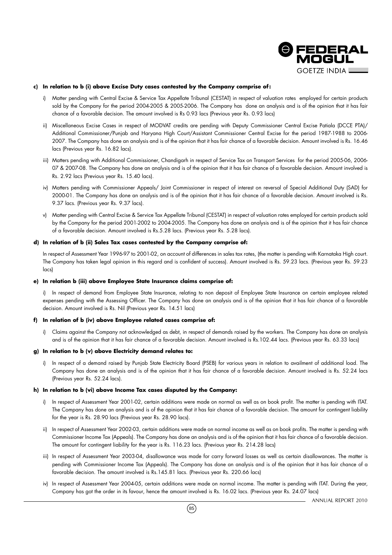

### **c) In relation to b (i) above Excise Duty cases contested by the Company comprise of :**

- i) Matter pending with Central Excise & Service Tax Appellate Tribunal (CESTAT) in respect of valuation rates employed for certain products sold by the Company for the period 2004-2005 & 2005-2006. The Company has done an analysis and is of the opinion that it has fair chance of a favorable decision. The amount involved is Rs 0.93 lacs (Previous year Rs. 0.93 lacs)
- ii) Miscellaneous Excise Cases in respect of MODVAT credits are pending with Deputy Commissioner Central Excise Patiala (DCCE PTA)/ Additional Commissioner/Punjab and Haryana High Court/Assistant Commissioner Central Excise for the period 1987-1988 to 2006- 2007. The Company has done an analysis and is of the opinion that it has fair chance of a favorable decision. Amount involved is Rs. 16.46 lacs (Previous year Rs. 16.82 lacs).
- iii) Matters pending with Additional Commissioner, Chandigarh in respect of Service Tax on Transport Services for the period 2005-06, 2006-07 & 2007-08. The Company has done an analysis and is of the opinion that it has fair chance of a favorable decision. Amount involved is Rs. 2.92 lacs (Previous year Rs. 15.40 lacs).
- iv) Matters pending with Commissioner Appeals/ Joint Commissioner in respect of interest on reversal of Special Additional Duty (SAD) for 2000-01. The Company has done an analysis and is of the opinion that it has fair chance of a favorable decision. Amount involved is Rs. 9.37 lacs. (Previous year Rs. 9.37 lacs).
- v) Matter pending with Central Excise & Service Tax Appellate Tribunal (CESTAT) in respect of valuation rates employed for certain products sold by the Company for the period 2001-2002 to 2004-2005. The Company has done an analysis and is of the opinion that it has fair chance of a favorable decision. Amount involved is Rs.5.28 lacs. (Previous year Rs. 5.28 lacs).

## **d) In relation of b (ii) Sales Tax cases contested by the Company comprise of:**

In respect of Assessment Year 1996-97 to 2001-02, on account of differences in sales tax rates, (the matter is pending with Karnataka High court. The Company has taken legal opinion in this regard and is confident of success). Amount involved is Rs. 59.23 lacs. (Previous year Rs. 59.23 lacs)

### **e) In relation b (iii) above Employee State Insurance claims comprise of:**

i) In respect of demand from Employee State Insurance, relating to non deposit of Employee State Insurance on certain employee related expenses pending with the Assessing Officer. The Company has done an analysis and is of the opinion that it has fair chance of a favorable decision. Amount involved is Rs. Nil (Previous year Rs. 14.51 lacs)

### **f) In relation of b (iv) above Employee related cases comprise of:**

i) Claims against the Company not acknowledged as debt, in respect of demands raised by the workers. The Company has done an analysis and is of the opinion that it has fair chance of a favorable decision. Amount involved is Rs.102.44 lacs. (Previous year Rs. 63.33 lacs)

### **g) In relation to b (v) above Electricity demand relates to:**

i) In respect of a demand raised by Punjab State Electricity Board (PSEB) for various years in relation to availment of additional load. The Company has done an analysis and is of the opinion that it has fair chance of a favorable decision. Amount involved is Rs. 52.24 lacs (Previous year Rs. 52.24 lacs).

## **h) In relation to b (vi) above Income Tax cases disputed by the Company:**

- i) In respect of Assessment Year 2001-02, certain additions were made on normal as well as on book profit. The matter is pending with ITAT. The Company has done an analysis and is of the opinion that it has fair chance of a favorable decision. The amount for contingent liability for the year is Rs. 28.90 lacs (Previous year Rs. 28.90 lacs).
- ii) In respect of Assessment Year 2002-03, certain additions were made on normal income as well as on book profits. The matter is pending with Commissioner Income Tax (Appeals). The Company has done an analysis and is of the opinion that it has fair chance of a favorable decision. The amount for contingent liability for the year is Rs. 116.23 lacs. (Previous year Rs. 214.28 lacs)
- iii) In respect of Assessment Year 2003-04, disallowance was made for carry forward losses as well as certain disallowances. The matter is pending with Commissioner Income Tax (Appeals). The Company has done an analysis and is of the opinion that it has fair chance of a favorable decision. The amount involved is Rs.145.81 lacs. (Previous year Rs. 220.66 lacs)
- iv) In respect of Assessment Year 2004-05, certain additions were made on normal income. The matter is pending with ITAT. During the year, Company has got the order in its favour, hence the amount involved is Rs. 16.02 lacs. (Previous year Rs. 24.07 lacs)

ANNUAL REPORT 2010

 $(85)$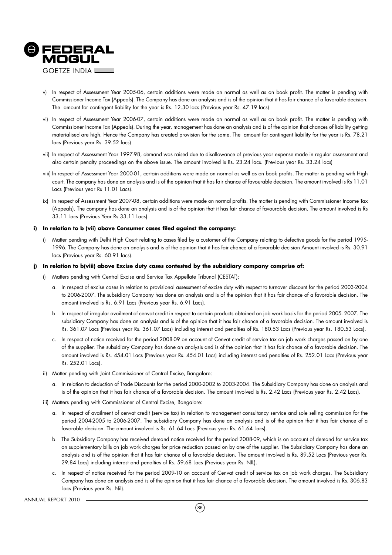

- v) In respect of Assessment Year 2005-06, certain additions were made on normal as well as on book profit. The matter is pending with Commissioner Income Tax (Appeals). The Company has done an analysis and is of the opinion that it has fair chance of a favorable decision. The amount for contingent liability for the year is Rs. 12.30 lacs (Previous year Rs. 47.19 lacs)
- vi) In respect of Assessment Year 2006-07, certain additions were made on normal as well as on book profit. The matter is pending with Commissioner Income Tax (Appeals). During the year, management has done an analysis and is of the opinion that chances of liability getting materialised are high. Hence the Company has created provision for the same. The amount for contingent liability for the year is Rs. 78.21 lacs (Previous year Rs. 39.52 lacs)
- vii) In respect of Assessment Year 1997-98, demand was raised due to disallowance of previous year expense made in regular assessment and also certain penalty proceedings on the above issue. The amount involved is Rs. 23.24 lacs. (Previous year Rs. 33.24 lacs)
- viii) In respect of Assessment Year 2000-01, certain additions were made on normal as well as on book profits. The matter is pending with High court. The company has done an analysis and is of the opinion that it has fair chance of favourable decision. The amount involved is Rs 11.01 Lacs (Previous year Rs 11.01 Lacs).
- ix) In respect of Assessment Year 2007-08, certain additions were made on normal profits. The matter is pending with Commissioner Income Tax (Appeals). The company has done an analysis and is of the opinion that it has fair chance of favourable decision. The amount involved is Rs 33.11 Lacs (Previous Year Rs 33.11 Lacs).

### **i) In relation to b (vii) above Consumer cases filed against the company:**

i) Matter pending with Delhi High Court relating to cases filed by a customer of the Company relating to defective goods for the period 1995- 1996. The Company has done an analysis and is of the opinion that it has fair chance of a favorable decision Amount involved is Rs. 30.91 lacs (Previous year Rs. 60.91 lacs).

### **j) In relation to b(viii) above Excise duty cases contested by the subsidiary company comprise of:**

- i) Matters pending with Central Excise and Service Tax Appellate Tribunal (CESTAT):
	- a. In respect of excise cases in relation to provisional assessment of excise duty with respect to turnover discount for the period 2003-2004 to 2006-2007. The subsidiary Company has done an analysis and is of the opinion that it has fair chance of a favorable decision. The amount involved is Rs. 6.91 Lacs (Previous year Rs. 6.91 Lacs).
	- b. In respect of irregular availment of cenvat credit in respect to certain products obtained on job work basis for the period 2005- 2007. The subsidiary Company has done an analysis and is of the opinion that it has fair chance of a favorable decision. The amount involved is Rs. 361.07 Lacs (Previous year Rs. 361.07 Lacs) including interest and penalties of Rs. 180.53 Lacs (Previous year Rs. 180.53 Lacs).
	- c. In respect of notice received for the period 2008-09 on account of Cenvat credit of service tax on job work charges passed on by one of the supplier. The subsidiary Company has done an analysis and is of the opinion that it has fair chance of a favorable decision. The amount involved is Rs. 454.01 Lacs (Previous year Rs. 454.01 Lacs) including interest and penalties of Rs. 252.01 Lacs (Previous year Rs. 252.01 Lacs).
- ii) Matter pending with Joint Commissioner of Central Excise, Bangalore:
	- a. In relation to deduction of Trade Discounts for the period 2000-2002 to 2003-2004. The Subsidiary Company has done an analysis and is of the opinion that it has fair chance of a favorable decision. The amount involved is Rs. 2.42 Lacs (Previous year Rs. 2.42 Lacs).
- iii) Matters pending with Commissioner of Central Excise, Bangalore:
	- a. In respect of availment of cenvat credit (service tax) in relation to management consultancy service and sole selling commission for the period 2004-2005 to 2006-2007. The subsidiary Company has done an analysis and is of the opinion that it has fair chance of a favorable decision. The amount involved is Rs. 61.64 Lacs (Previous year Rs. 61.64 Lacs).
	- b. The Subsidiary Company has received demand notice received for the period 2008-09, which is on account of demand for service tax on supplementary bills on job work charges for price reduction passed on by one of the supplier. The Subsidiary Company has done an analysis and is of the opinion that it has fair chance of a favorable decision. The amount involved is Rs. 89.52 Lacs (Previous year Rs. 29.84 Lacs) including interest and penalties of Rs. 59.68 Lacs (Previous year Rs. NIL).
	- c. In respect of notice received for the period 2009-10 on account of Cenvat credit of service tax on job work charges. The Subsidiary Company has done an analysis and is of the opinion that it has fair chance of a favorable decision. The amount involved is Rs. 306.83 Lacs (Previous year Rs. Nil).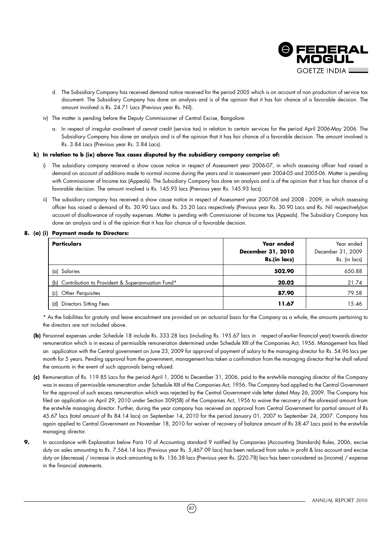

- d. The Subsidiary Company has received demand notice received for the period 2005 which is on account of non production of service tax document. The Subsidiary Company has done an analysis and is of the opinion that it has fair chance of a favorable decision. The amount involved is Rs. 24.71 Lacs (Previous year Rs. Nil).
- iv) The matter is pending before the Deputy Commissioner of Central Excise, Bangalore:
	- a. In respect of irregular availment of cenvat credit (service tax) in relation to certain services for the period April 2006-May 2006. The Subsidiary Company has done an analysis and is of the opinion that it has fair chance of a favorable decision. The amount involved is Rs. 3.84 Lacs (Previous year Rs. 3.84 Lacs).

## **k) In relation to b (ix) above Tax cases disputed by the subsidiary company comprise of:**

- i) The subsidiary company received a show cause notice in respect of Assessment year 2006-07, in which assessing officer had raised a demand on account of additions made to normal income during the years and in assessment year 2004-05 and 2005-06. Matter is pending with Commissioner of Income tax (Appeals). The Subsidiary Company has done an analysis and is of the opinion that it has fair chance of a favorable decision. The amount involved is Rs. 145.93 lacs (Previous year Rs. 145.93 lacs).
- ii) The subsidiary company has received a show cause notice in respect of Assessment year 2007-08 and 2008 2009, in which assessing officer has raised a demand of Rs. 30.90 Lacs and Rs. 35.20 Lacs respectively (Previous year Rs. 30.90 Lacs and Rs. Nil respectively)on account of disallowance of royalty expenses. Matter is pending with Commissioner of Income tax (Appeals). The Subsidiary Company has done an analysis and is of the opinion that it has fair chance of a favorable decision.

## **8. (a) (i) Payment made to Directors:**

| <b>Particulars</b>                                   | <b>Year ended</b><br>December 31, 2010<br>Rs.(in lacs) | Year ended<br>December 31, 2009<br>Rs. (in lacs) |
|------------------------------------------------------|--------------------------------------------------------|--------------------------------------------------|
| Salaries<br>(a)                                      | 502.90                                                 | 650.88                                           |
| (b) Contribution to Provident & Superannuation Fund* | 20.02                                                  | 21.74                                            |
| Other Perquisites<br>(c)                             | 87.90                                                  | 79.58                                            |
| Directors Sitting Fees<br>(d)                        | 11.67                                                  | 15.46                                            |

\* As the liabilities for gratuity and leave encashment are provided on an actuarial basis for the Company as a whole, the amounts pertaining to the directors are not included above.

- **(b)** Personnel expenses under Schedule 18 include Rs. 333.28 lacs (including Rs. 195.67 lacs in respect of earlier financial year) towards director remuneration which is in excess of permissible remuneration determined under Schedule XIII of the Companies Act, 1956. Management has filed an application with the Central government on June 23, 2009 for approval of payment of salary to the managing director for Rs. 54.96 lacs per month for 5 years. Pending approval from the government, management has taken a confirmation from the managing director that he shall refund the amounts in the event of such approvals being refused.
- **(c)** Remuneration of Rs. 119.85 Lacs for the period April 1, 2006 to December 31, 2006, paid to the erstwhile managing director of the Company was in excess of permissible remuneration under Schedule XIII of the Companies Act, 1956. The Company had applied to the Central Government for the approval of such excess remuneration which was rejected by the Central Government vide letter dated May 26, 2009. The Company has filed an application on April 29, 2010 under Section 309(5B) of the Companies Act, 1956 to waive the recovery of the aforesaid amount from the erstwhile managing director. Further, during the year company has received an approval from Central Government for partial amount of Rs 45.67 lacs (total amount of Rs 84.14 lacs) on September 14, 2010 for the period January 01, 2007 to September 24, 2007. Company has again applied to Central Government on November 18, 2010 for waiver of recovery of balance amount of Rs 38.47 Lacs paid to the erstwhile managing director.
- **9.** In accordance with Explanation below Para 10 of Accounting standard 9 notified by Companies (Accounting Standards) Rules, 2006, excise duty on sales amounting to Rs. 7,564.14 lacs (Previous year Rs. 5,467.09 lacs) has been reduced from sales in profit & loss account and excise duty on (decrease) / increase in stock amounting to Rs. 136.38 lacs (Previous year Rs. (220.78) lacs has been considered as (income) / expense in the financial statements.

 $(87)$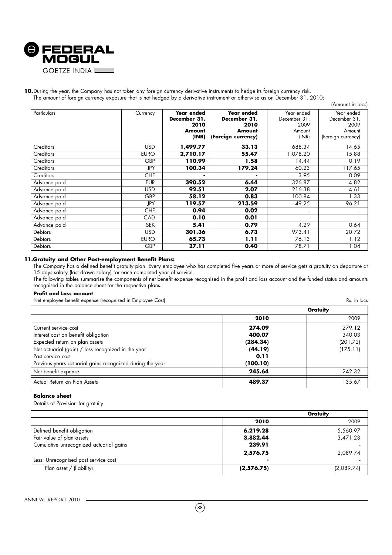

## 10. During the year, the Company has not taken any foreign currency derivative instruments to hedge its foreign currency risk. The amount of foreign currency exposure that is not hedged by a derivative instrument or otherwise as on December 31, 2010:

|                |             |                                                              |                                                                           |                                                       | (Amount in lacs)                                                   |
|----------------|-------------|--------------------------------------------------------------|---------------------------------------------------------------------------|-------------------------------------------------------|--------------------------------------------------------------------|
| Particulars    | Currency    | <b>Year ended</b><br>December 31,<br>2010<br>Amount<br>(INR) | <b>Year ended</b><br>December 31,<br>2010<br>Amount<br>(Foreign currency) | Year ended<br>December 31,<br>2009<br>Amount<br>(INR) | Year ended<br>December 31,<br>2009<br>Amount<br>(Foreign currency) |
| Creditors      | <b>USD</b>  | 1,499.77                                                     | 33.13                                                                     | 688.34                                                | 14.65                                                              |
| Creditors      | <b>EURO</b> | 2,710.17                                                     | 55.47                                                                     | 1,078.20                                              | 15.88                                                              |
| Creditors      | GBP         | 110.99                                                       | 1.58                                                                      | 14.44                                                 | 0.19                                                               |
| Creditors      | JPY         | 100.34                                                       | 179.24                                                                    | 60.23                                                 | 117.65                                                             |
| Creditors      | <b>CHF</b>  | ۰                                                            |                                                                           | 3.95                                                  | 0.09                                                               |
| Advance paid   | <b>EUR</b>  | 390.52                                                       | 6.44                                                                      | 326.87                                                | 4.82                                                               |
| Advance paid   | <b>USD</b>  | 92.51                                                        | 2.07                                                                      | 216.38                                                | 4.61                                                               |
| Advance paid   | GBP         | 58.12                                                        | 0.83                                                                      | 100.84                                                | 1.33                                                               |
| Advance paid   | JPY         | 119.57                                                       | 213.59                                                                    | 49.25                                                 | 96.21                                                              |
| Advance paid   | <b>CHF</b>  | 0.94                                                         | 0.02                                                                      |                                                       |                                                                    |
| Advance paid   | <b>CAD</b>  | 0.10                                                         | 0.01                                                                      |                                                       |                                                                    |
| Advance paid   | <b>SEK</b>  | 5.41                                                         | 0.79                                                                      | 4.29                                                  | 0.64                                                               |
| <b>Debtors</b> | <b>USD</b>  | 301.36                                                       | 6.73                                                                      | 973.41                                                | 20.72                                                              |
| Debtors        | <b>EURO</b> | 65.73                                                        | 1.11                                                                      | 76.13                                                 | 1.12                                                               |
| Debtors        | GBP         | 27.11                                                        | 0.40                                                                      | 78.71                                                 | 1.04                                                               |

## **11.Gratuity and Other Post-employment Benefit Plans:**

The Company has a defined benefit gratuity plan. Every employee who has completed five years or more of service gets a gratuity on departure at 15 days salary (last drawn salary) for each completed year of service.

The following tables summarise the components of net benefit expense recognised in the profit and loss account and the funded status and amounts recognised in the balance sheet for the respective plans.

### **Profit and Loss account**

Net employee benefit expense (recognised in Employee Cost) Rs. in lacs

|                                                           |          | Gratuity |
|-----------------------------------------------------------|----------|----------|
|                                                           | 2010     | 2009     |
| Current service cost                                      | 274.09   | 279.12   |
| Interest cost on benefit obligation                       | 400.07   | 340.03   |
| Expected return on plan assets                            | (284.34) | (201.72) |
| Net actuarial (gain) / loss recognized in the year        | (44.19)  | (175.11) |
| l Past service cost                                       | 0.11     |          |
| Previous years actuarial gains recognized during the year | (100.10) |          |
| Net benefit expense                                       | 245.64   | 242.32   |
| Actual Return on Plan Assets                              | 489.37   | 135.67   |

## **Balance sheet**

Details of Provision for gratuity

|                                         |            | Gratuity   |
|-----------------------------------------|------------|------------|
|                                         | 2010       | 2009       |
| Defined benefit obligation              | 6,219.28   | 5,560.97   |
| Fair value of plan assets               | 3,882.44   | 3,471.23   |
| Cumulative unrecognized actuarial gains | 239.91     |            |
|                                         | 2,576.75   | 2,089.74   |
| Less: Unrecognised past service cost    |            |            |
| Plan asset / (liability)                | (2,576.75) | (2,089.74) |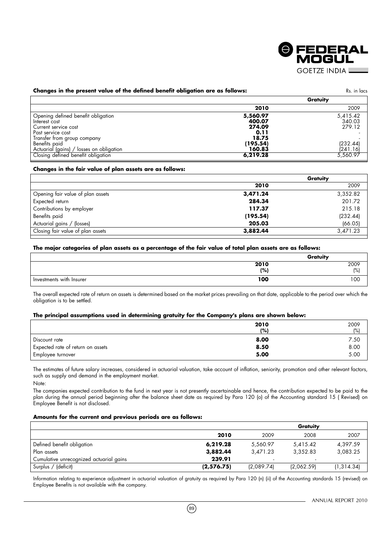

# **Changes in the present value of the defined benefit obligation are as follows:** Rs. in lacs Rs. in lacs

|                                                                                                                                                  |                                                                     | Gratuity                                             |
|--------------------------------------------------------------------------------------------------------------------------------------------------|---------------------------------------------------------------------|------------------------------------------------------|
|                                                                                                                                                  | 2010                                                                | 2009                                                 |
| Opening defined benefit obligation<br>Interest cost<br>Current service cost<br>Past service cost<br>Transfer trom group company<br>Benefits paid | 5,560.97<br>400.07<br>274.09<br>0.11<br>18.75<br>(195.54)<br>160.83 | 5,415.42<br>340.03<br>279.12<br>(232.44)<br>(241.16) |
| Actuarial (gains) / losses on obligation<br>Closing defined benefit obligation                                                                   | 6,219.28                                                            | 5,560.97                                             |
|                                                                                                                                                  |                                                                     |                                                      |

## **Changes in the fair value of plan assets are as follows:**

|                                   | Gratuity |          |
|-----------------------------------|----------|----------|
|                                   | 2010     | 2009     |
| Opening fair value of plan assets | 3,471.24 | 3,352.82 |
| Expected return                   | 284.34   | 201.72   |
| Contributions by employer         | 117.37   | 215.18   |
| Benefits paid                     | (195.54) | (232.44) |
| Actuarial gains / (losses)        | 205.03   | (66.05)  |
| Closing fair value of plan assets | 3,882.44 | 3,471.23 |
|                                   |          |          |

## **The major categories of plan assets as a percentage of the fair value of total plan assets are as follows:**

|                          | Gratuity |      |
|--------------------------|----------|------|
|                          | 2010     | 2009 |
|                          | (% )     | (%)  |
| Investments with Insurer | 100      | 100  |

The overall expected rate of return on assets is determined based on the market prices prevailing on that date, applicable to the period over which the obligation is to be settled.

### **The principal assumptions used in determining gratuity for the Company's plans are shown below:**

|                                   | 2010<br>(%) | 2009<br>(%) |
|-----------------------------------|-------------|-------------|
| Discount rate                     | 8.00        | 7.50        |
| Expected rate of return on assets | 8.50        | 8.00        |
| Employee turnover                 | 5.00        | 5.00        |

The estimates of future salary increases, considered in actuarial valuation, take account of inflation, seniority, promotion and other relevant factors, such as supply and demand in the employment market. Note:

The companies expected contribution to the fund in next year is not presently ascertainable and hence, the contribution expected to be paid to the plan during the annual period beginning after the balance sheet date as required by Para 120 (o) of the Accounting standard 15 ( Revised) on Employee Benefit is not disclosed.

### **Amounts for the current and previous periods are as follows:**

|                                         |            |            | Gratuity   |             |
|-----------------------------------------|------------|------------|------------|-------------|
|                                         | 2010       | 2009       | 2008       | 2007        |
| Defined benefit obligation              | 6,219.28   | 5.560.97   | 5,415.42   | 4,397.59    |
| Plan assets                             | 3,882.44   | 3.471.23   | 3.352.83   | 3,083.25    |
| Cumulative unrecognized actuarial gains | 239.91     |            |            |             |
| Surplus / (deficit)                     | (2,576.75) | (2,089.74) | (2,062.59) | (1, 314.34) |

Information relating to experience adjustment in actuarial valuation of gratuity as required by Para 120 (n) (ii) of the Accounting standards 15 (revised) on Employee Benefits is not available with the company.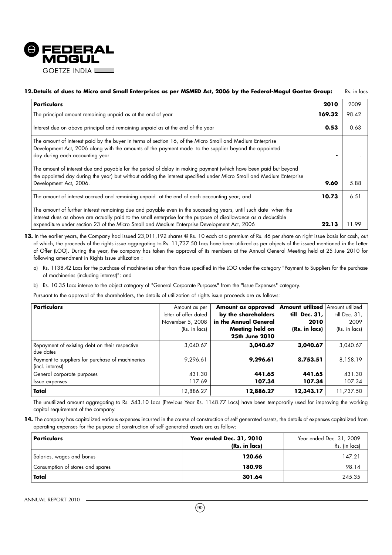

## **12.Details of dues to Micro and Small Enterprises as per MSMED Act, 2006 by the Federal-Mogul Goetze Group:** Rs. in lacs

| <b>Particulars</b>                                                                                                                                                                                                                                                                                                                 | 2010   | 2009  |
|------------------------------------------------------------------------------------------------------------------------------------------------------------------------------------------------------------------------------------------------------------------------------------------------------------------------------------|--------|-------|
| The principal amount remaining unpaid as at the end of year                                                                                                                                                                                                                                                                        | 169.32 | 98.42 |
| Interest due on above principal and remaining unpaid as at the end of the year                                                                                                                                                                                                                                                     | 0.53   | 0.63  |
| The amount of interest paid by the buyer in terms of section 16, of the Micro Small and Medium Enterprise<br>Development Act, 2006 along with the amounts of the payment made to the supplier beyond the appointed<br>day during each accounting year                                                                              |        |       |
| The amount of interest due and payable for the period of delay in making payment (which have been paid but beyond<br>the appointed day during the year) but without adding the interest specified under Micro Small and Medium Enterprise<br>Development Act, 2006.                                                                | 9.60   | 5.88  |
| The amount of interest accrued and remaining unpaid at the end of each accounting year; and                                                                                                                                                                                                                                        | 10.73  | 6.51  |
| The amount of further interest remaining due and payable even in the succeeding years, until such date when the<br>interest dues as above are actually paid to the small enterprise for the purpose of disallowance as a deductible<br>expenditure under section 23 of the Micro Small and Medium Enterprise Development Act, 2006 | 22.13  | -99   |

- 13. In the earlier years, the Company had issued 23,011,192 shares @ Rs. 10 each at a premium of Rs. 46 per share on right issue basis for cash, out of which, the proceeds of the rights issue aggregating to Rs. 11,737.50 Lacs have been utilized as per objects of the issued mentioned in the Letter of Offer (LOO). During the year, the company has taken the approval of its members at the Annual General Meeting held at 25 June 2010 for following amendment in Rights Issue utilization :
	- a) Rs. 1138.42 Lacs for the purchase of machineries other than those specified in the LOO under the category "Payment to Suppliers for the purchase of machineries (including interest)": and
	- b) Rs. 10.35 Lacs inter-se to the object category of "General Corporate Purposes" from the "Issue Expenses" category.

Pursuant to the approval of the shareholders, the details of utilization of rights issue proceeds are as follows:

| <b>Particulars</b>                               | Amount as per         | Amount as approved    | <b>Amount utilized Amount utilized</b> |               |
|--------------------------------------------------|-----------------------|-----------------------|----------------------------------------|---------------|
|                                                  | letter of offer dated | by the shareholders   | till<br>Dec. 31,                       | till Dec. 31, |
|                                                  | November 5, 2008      | in the Annual General | 2010                                   | 2009          |
|                                                  | (Rs. in lacs)         | Meeting held on       | (Rs. in lacs)                          | (Rs. in lacs) |
|                                                  |                       | 25th June 2010        |                                        |               |
| Repayment of existing debt on their respective   | 3,040.67              | 3,040.67              | 3,040.67                               | 3,040.67      |
| due dates                                        |                       |                       |                                        |               |
| Payment to suppliers for purchase of machineries | 9,296.61              | 9,296.61              | 8,753.51                               | 8,158.19      |
| (incl. interest)                                 |                       |                       |                                        |               |
| General corporate purposes                       | 431.30                | 441.65                | 441.65                                 | 431.30        |
| Issue expenses                                   | 117.69                | 107.34                | 107.34                                 | 107.34        |
| Total                                            | 12,886.27             | 12,886.27             | 12,343.17                              | 11,737.50     |

The unutilized amount aggregating to Rs. 543.10 Lacs (Previous Year Rs. 1148.77 Lacs) have been temporarily used for improving the working capital requirement of the company.

14. The company has capitalized various expenses incurred in the course of construction of self generated assets, the details of expenses capitalized from operating expenses for the purpose of construction of self generated assets are as follow:

| Particulars                      | Year ended Dec. 31, 2010<br>(Rs. in lacs) | Year ended Dec. 31, 2009<br>Rs. (in lacs) |
|----------------------------------|-------------------------------------------|-------------------------------------------|
| Salaries, wages and bonus        | 120.66                                    | 147.21                                    |
| Consumption of stores and spares | 180.98                                    | 98.14                                     |
| Total                            | 301.64                                    | 245.35                                    |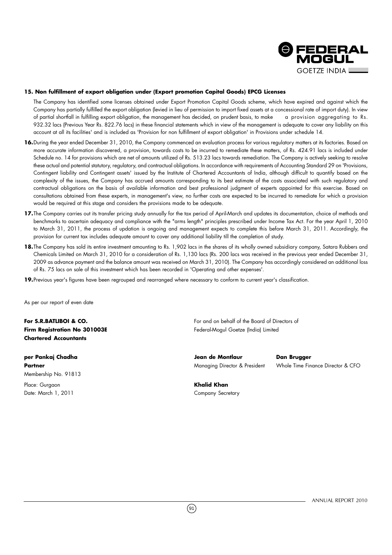

## **15. Non fulfillment of export obligation under (Export promotion Capital Goods) EPCG Licenses**

The Company has identified some licenses obtained under Export Promotion Capital Goods scheme, which have expired and against which the Company has partially fulfilled the export obligation (levied in lieu of permission to import fixed assets at a concessional rate of import duty). In view of partial shortfall in fulfilling export obligation, the management has decided, on prudent basis, to make a provision aggregating to Rs. 932.32 lacs (Previous Year Rs. 822.76 lacs) in these financial statements which in view of the management is adequate to cover any liability on this account at all its facilities' and is included as 'Provision for non fulfillment of export obligation' in Provisions under schedule 14.

- 16. During the year ended December 31, 2010, the Company commenced an evaluation process for various regulatory matters at its factories. Based on more accurate information discovered, a provision, towards costs to be incurred to remediate these matters, of Rs. 424.91 lacs is included under Schedule no. 14 for provisions which are net of amounts utilized of Rs. 513.23 lacs towards remediation. The Company is actively seeking to resolve these actual and potential statutory, regulatory, and contractual obligations. In accordance with requirements of Accounting Standard 29 on 'Provisions, Contingent liability and Contingent assets' issued by the Institute of Chartered Accountants of India, although difficult to quantify based on the complexity of the issues, the Company has accrued amounts corresponding to its best estimate of the costs associated with such regulatory and contractual obligations on the basis of available information and best professional judgment of experts appointed for this exercise. Based on consultations obtained from these experts, in management's view, no further costs are expected to be incurred to remediate for which a provision would be required at this stage and considers the provisions made to be adequate.
- **17.**The Company carries out its transfer pricing study annually for the tax period of April-March and updates its documentation, choice of methods and benchmarks to ascertain adequacy and compliance with the "arms length" principles prescribed under Income Tax Act. For the year April 1, 2010 to March 31, 2011, the process of updation is ongoing and management expects to complete this before March 31, 2011. Accordingly, the provision for current tax includes adequate amount to cover any additional liability till the completion of study.
- 18. The Company has sold its entire investment amounting to Rs. 1,902 lacs in the shares of its wholly owned subsidiary company, Satara Rubbers and Chemicals Limited on March 31, 2010 for a consideration of Rs. 1,130 lacs (Rs. 200 lacs was received in the previous year ended December 31, 2009 as advance payment and the balance amount was received on March 31, 2010). The Company has accordingly considered an additional loss of Rs. 75 lacs on sale of this investment which has been recorded in 'Operating and other expenses'.
- **19.**Previous year's figures have been regrouped and rearranged where necessary to conform to current year's classification.

As per our report of even date

**Chartered Accountants**

Membership No. 91813

Place: Gurgaon **Khalid Khan** Date: March 1, 2011 Company Secretary

**For S.R.BATLIBOI & CO.** The state of the Board of Directors of the Board of Directors of **Firm Registration No 301003E Federal-Mogul Goetze (India) Limited Federal-Mogul Goetze (India) Limited** 

**per Pankaj Chadha Jean de Montlaur Dan Brugger**

**Partner Managing Director & President Mole Time Finance Director & CFO** 

 $(91)$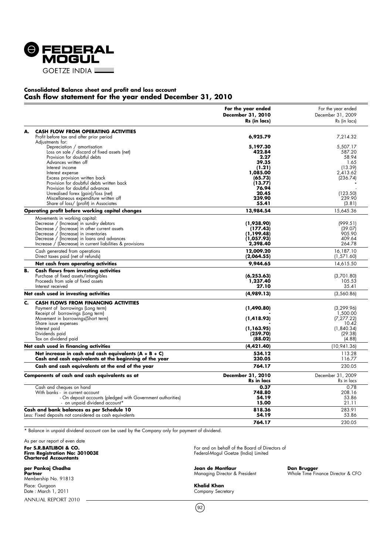

## **Consolidated Balance sheet and profit and loss account Cash flow statement for the year ended December 31, 2010**

|    |                                                                                                                                                                                                                                                                                                                                                                                                                                         | For the year ended<br>December 31, 2010<br>Rs (in lacs)                                                              | For the year ended<br>December 31, 2009<br>Rs (in lacs)                                                |
|----|-----------------------------------------------------------------------------------------------------------------------------------------------------------------------------------------------------------------------------------------------------------------------------------------------------------------------------------------------------------------------------------------------------------------------------------------|----------------------------------------------------------------------------------------------------------------------|--------------------------------------------------------------------------------------------------------|
| А. | <b>CASH FLOW FROM OPERATING ACTIVITIES</b><br>Profit before tax and after prior period                                                                                                                                                                                                                                                                                                                                                  | 6,925.79                                                                                                             | 7,214.32                                                                                               |
|    | Adjustments for:<br>Depreciation / amortisation<br>Loss on sale / discard of fixed assets (net)<br>Provision for doubtful debts<br>Advances written off<br>Interest income<br>Interest expense<br>Excess provision written back<br>Provision for doubtful debts written back<br>Provision for doubtful advances<br>Unrealised forex (gain)/loss (net)<br>Miscellaneous expenditure written off<br>Share of loss/ (profit) in Associates | 5,197.30<br>422.84<br>2.27<br>39.35<br>(1.21)<br>1,085.00<br>(65.73)<br>(13.77)<br>76.94<br>20.45<br>239.90<br>55.41 | 5,507.17<br>587.20<br>58.94<br>1.65<br>(13.39)<br>2.413.62<br>(236.74)<br>(123.50)<br>239.90<br>(3.81) |
|    | Operating profit before working capital changes                                                                                                                                                                                                                                                                                                                                                                                         | 13,984.54                                                                                                            | 15,645.36                                                                                              |
|    | Movements in working capital:<br>Decrease / (Increase) in sundry debtors<br>Decrease / (Increase) in other current assets<br>Decrease / (Increase) in inventories<br>Decrease / (Increase) in loans and advances<br>Increase / (Decrease) in current liabilities & provisions                                                                                                                                                           | (1,938.90)<br>(177.43)<br>(1,199.48)<br>(1,057.93)<br>2,398.40                                                       | (999.51)<br>(39.07)<br>905.90<br>409.64<br>264.78                                                      |
|    | Cash generated from operations<br>Direct taxes paid (net of refunds)                                                                                                                                                                                                                                                                                                                                                                    | 12,009.20<br>(2,064.55)                                                                                              | 16,187.10<br>(1, 571.60)                                                                               |
|    | Net cash from operating activities                                                                                                                                                                                                                                                                                                                                                                                                      | 9,944.65                                                                                                             | 14,615.50                                                                                              |
| в. | <b>Cash flows from investing activities</b><br>Purchase of fixed assets/intangibles<br>Proceeds from sale of fixed assets<br>Interest received                                                                                                                                                                                                                                                                                          | (6, 253.63)<br>1,237.40<br>27.10                                                                                     | (3,701.80)<br>105.53<br>35.41                                                                          |
|    | Net cash used in investing activities                                                                                                                                                                                                                                                                                                                                                                                                   | (4,989.13)                                                                                                           | (3,560.86)                                                                                             |
| c. | <b>CASH FLOWS FROM FINANCING ACTIVITIES</b><br>Payment of borrowings (Long term)<br>Receipt of borrowings (Long term)<br>Movement in borrowings(Short term)<br>Share issue expenses<br>Interest paid<br>Dividends paid                                                                                                                                                                                                                  | (1,490.80)<br>(1, 418.93)<br>(1,163.95)<br>(259.70)                                                                  | (3, 299.96)<br>1,500.00<br>(7, 277, 22)<br>10.42<br>(1, 840.34)<br>(29.38)                             |
|    | Tax on dividend paid                                                                                                                                                                                                                                                                                                                                                                                                                    | (88.02)                                                                                                              | (4.88)                                                                                                 |
|    | Net cash used in financing activities                                                                                                                                                                                                                                                                                                                                                                                                   | (4,421.40)                                                                                                           | (10, 941.36)                                                                                           |
|    | Net increase in cash and cash equivalents $(A + B + C)$<br>Cash and cash equivalents at the beginning of the year                                                                                                                                                                                                                                                                                                                       | 534.12<br>230.05                                                                                                     | 113.28<br>116.77                                                                                       |
|    | Cash and cash equivalents at the end of the year                                                                                                                                                                                                                                                                                                                                                                                        | 764.17                                                                                                               | 230.05                                                                                                 |
|    | Components of cash and cash equivalents as at                                                                                                                                                                                                                                                                                                                                                                                           | December 31, 2010<br><b>Rs</b> in lacs                                                                               | December 31, 2009<br>Rs in lacs                                                                        |
|    | Cash and cheques on hand<br>With banks - in current account<br>- On deposit accounts (pledged with Government authorities)<br>- on unpaid dividend account*                                                                                                                                                                                                                                                                             | 0.37<br>748.80<br>54.19<br>15.00                                                                                     | 0.78<br>208.16<br>53.86<br>21.11                                                                       |
|    | Cash and bank balances as per Schedule 10<br>Less: Fixed deposits not considered as cash equivalents                                                                                                                                                                                                                                                                                                                                    | 818.36<br>54.19                                                                                                      | 283.91<br>53.86                                                                                        |
|    |                                                                                                                                                                                                                                                                                                                                                                                                                                         | 764.17                                                                                                               | 230.05                                                                                                 |

\* Balance in unpaid dividend account can be used by the Company only for payment of dividend.

As per our report of even date **Firm Registration No: 301003E** Federal-Mogul Goetze (India) Limited **Chartered Accountants**

ANNUAL REPORT 2010 Membership No. 91813 Place: Gurgaon **Khalid Khan** Date : March 1, 2011 Company Secretary

For and on behalf of the Board of Directors of<br>Federal-Mogul Goetze (India) Limited

**per Pankaj Chadha Jean de Montlaur de Montlaur de Montlaur de Montlaur de Montlaur de Montlaur de Montlaur de <br>Partner de la partie de la partie de la partie de la partie de la partie de la partie de la partie de la parti** 

**Dan Brugger**<br>Whole Time Finance Director & CFO

 $(92)$